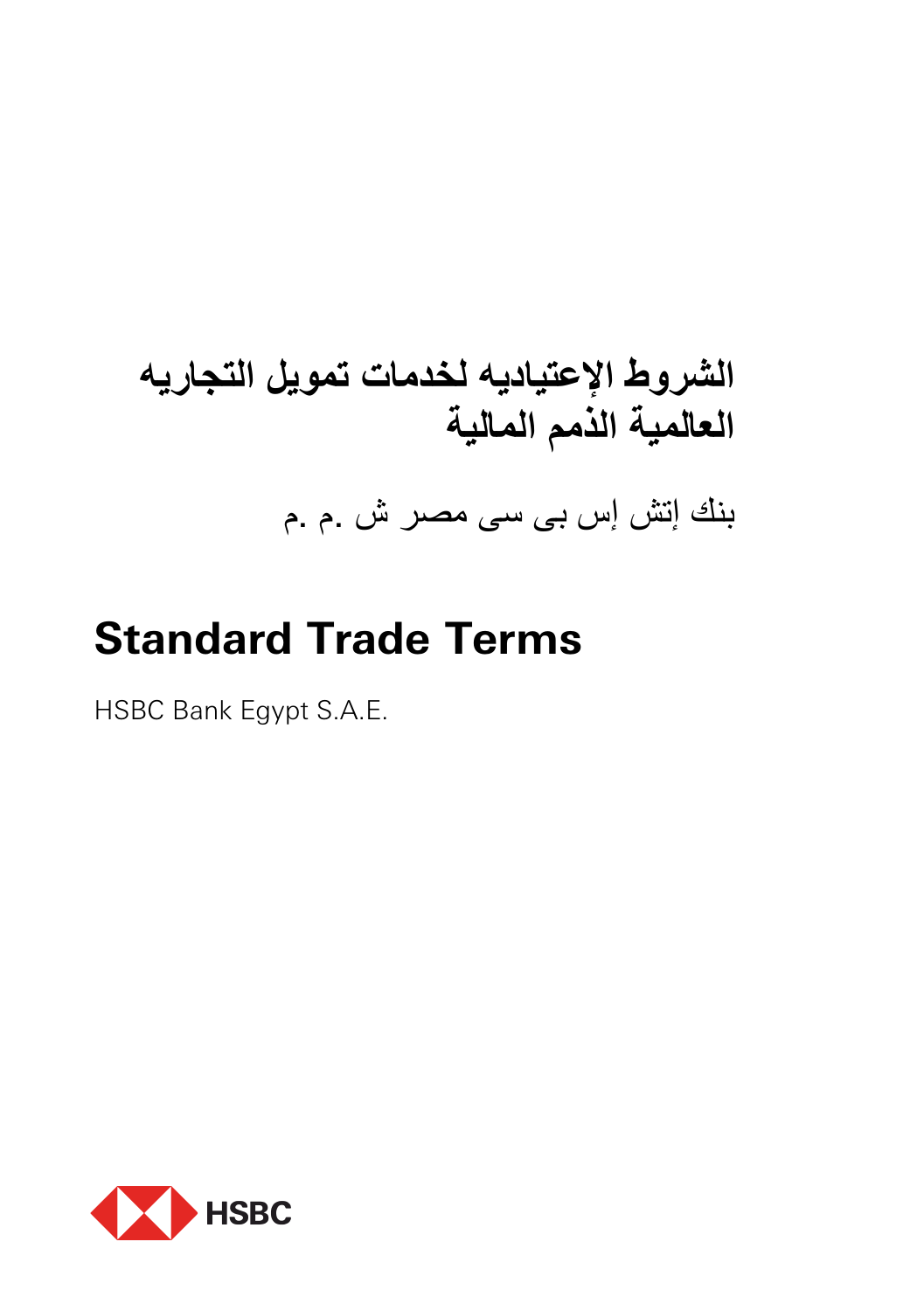# **الشروط الإعتیادیھ لخدمات تمویل التجاریھ العالمیة الذمم المالیة**

بنك إتش إس بى سى مصر ش .م .م

## **Standard Trade Terms**

HSBC Bank Egypt S.A.E.

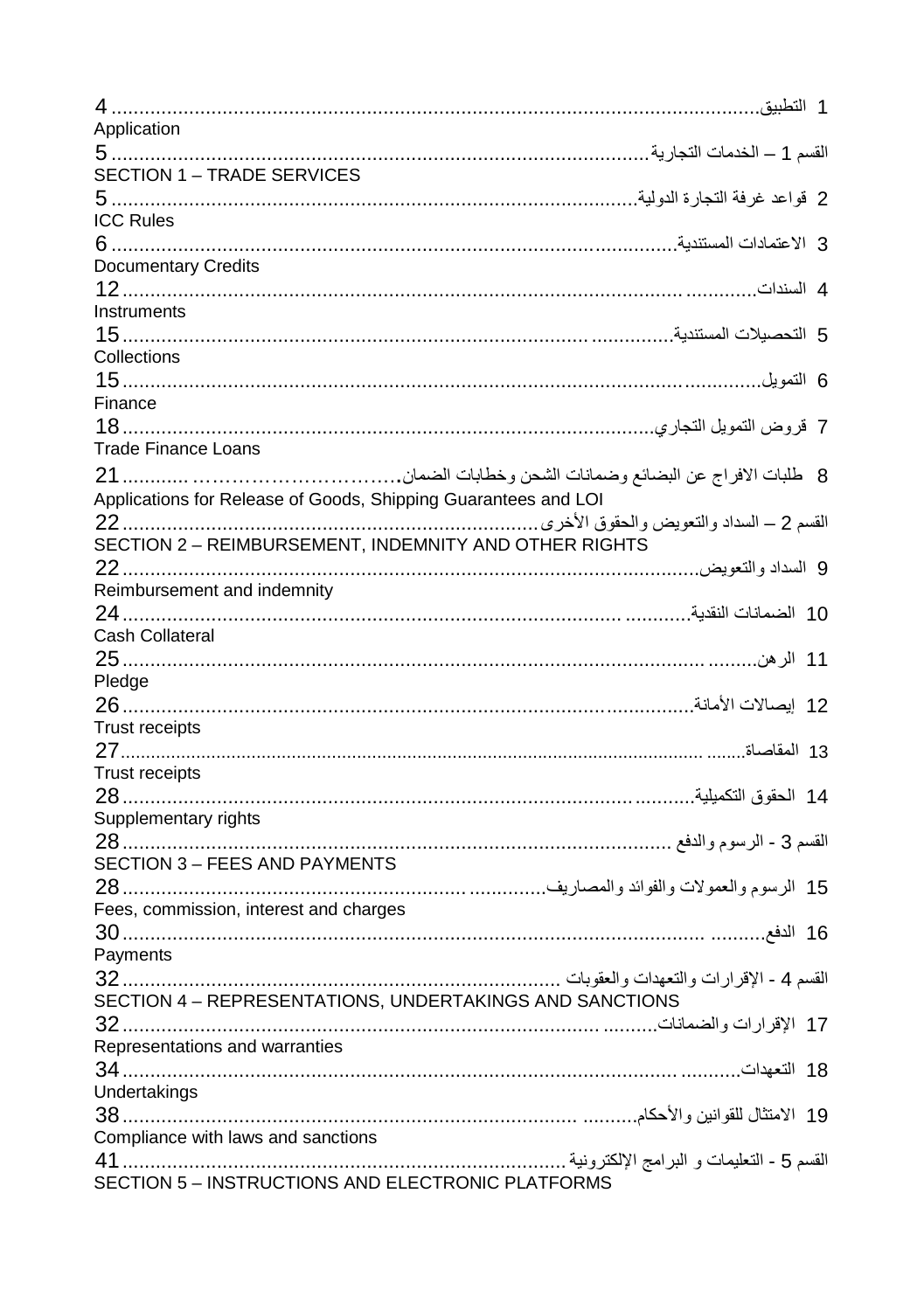|                                                                | 1 التطببق |
|----------------------------------------------------------------|-----------|
| Application                                                    |           |
| SECTION 1 - TRADE SERVICES                                     |           |
|                                                                |           |
| <b>ICC Rules</b>                                               |           |
|                                                                |           |
| <b>Documentary Credits</b>                                     |           |
|                                                                |           |
| Instruments                                                    |           |
|                                                                |           |
| Collections                                                    |           |
|                                                                |           |
| Finance                                                        |           |
|                                                                |           |
| <b>Trade Finance Loans</b>                                     |           |
|                                                                |           |
| Applications for Release of Goods, Shipping Guarantees and LOI |           |
|                                                                |           |
| SECTION 2 - REIMBURSEMENT, INDEMNITY AND OTHER RIGHTS          |           |
|                                                                |           |
| Reimbursement and indemnity                                    |           |
| Cash Collateral                                                |           |
|                                                                |           |
| Pledge                                                         |           |
|                                                                |           |
| Trust receipts                                                 |           |
|                                                                |           |
| Trust receipts                                                 |           |
|                                                                |           |
| Supplementary rights                                           |           |
|                                                                |           |
| SECTION 3 - FEES AND PAYMENTS                                  |           |
|                                                                |           |
| Fees, commission, interest and charges                         |           |
|                                                                |           |
| Payments                                                       |           |
|                                                                |           |
| SECTION 4 - REPRESENTATIONS, UNDERTAKINGS AND SANCTIONS        |           |
|                                                                |           |
| Representations and warranties                                 |           |
|                                                                |           |
| Undertakings                                                   |           |
|                                                                |           |
|                                                                |           |
| SECTION 5 - INSTRUCTIONS AND ELECTRONIC PLATFORMS              |           |
|                                                                |           |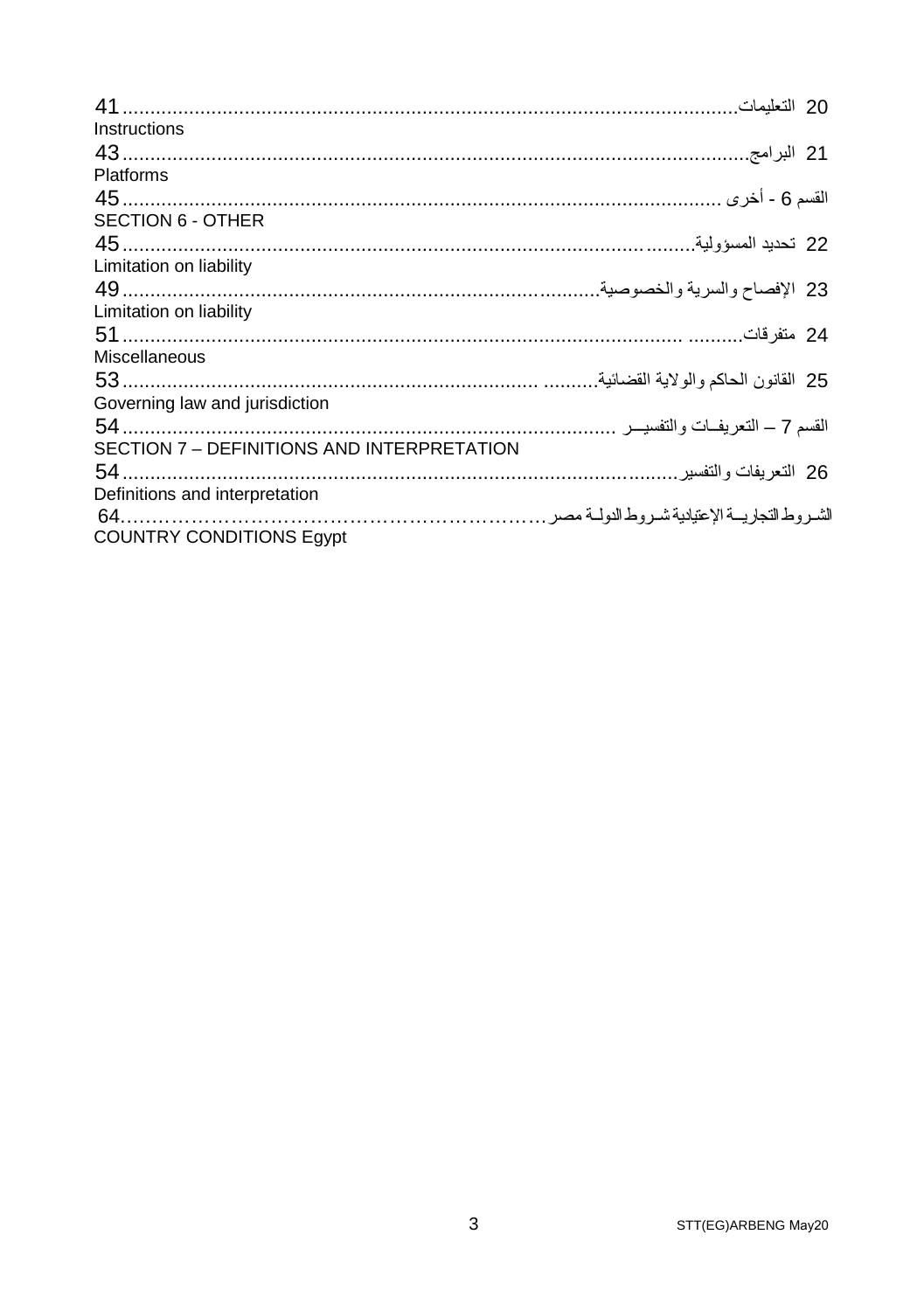| Instructions                               |  |
|--------------------------------------------|--|
|                                            |  |
| <b>Platforms</b>                           |  |
|                                            |  |
| <b>SECTION 6 - OTHER</b>                   |  |
|                                            |  |
| Limitation on liability                    |  |
|                                            |  |
| Limitation on liability                    |  |
|                                            |  |
| <b>Miscellaneous</b>                       |  |
|                                            |  |
| Governing law and jurisdiction             |  |
|                                            |  |
| SECTION 7 - DEFINITIONS AND INTERPRETATION |  |
|                                            |  |
| Definitions and interpretation             |  |
|                                            |  |
| <b>COUNTRY CONDITIONS Eqypt</b>            |  |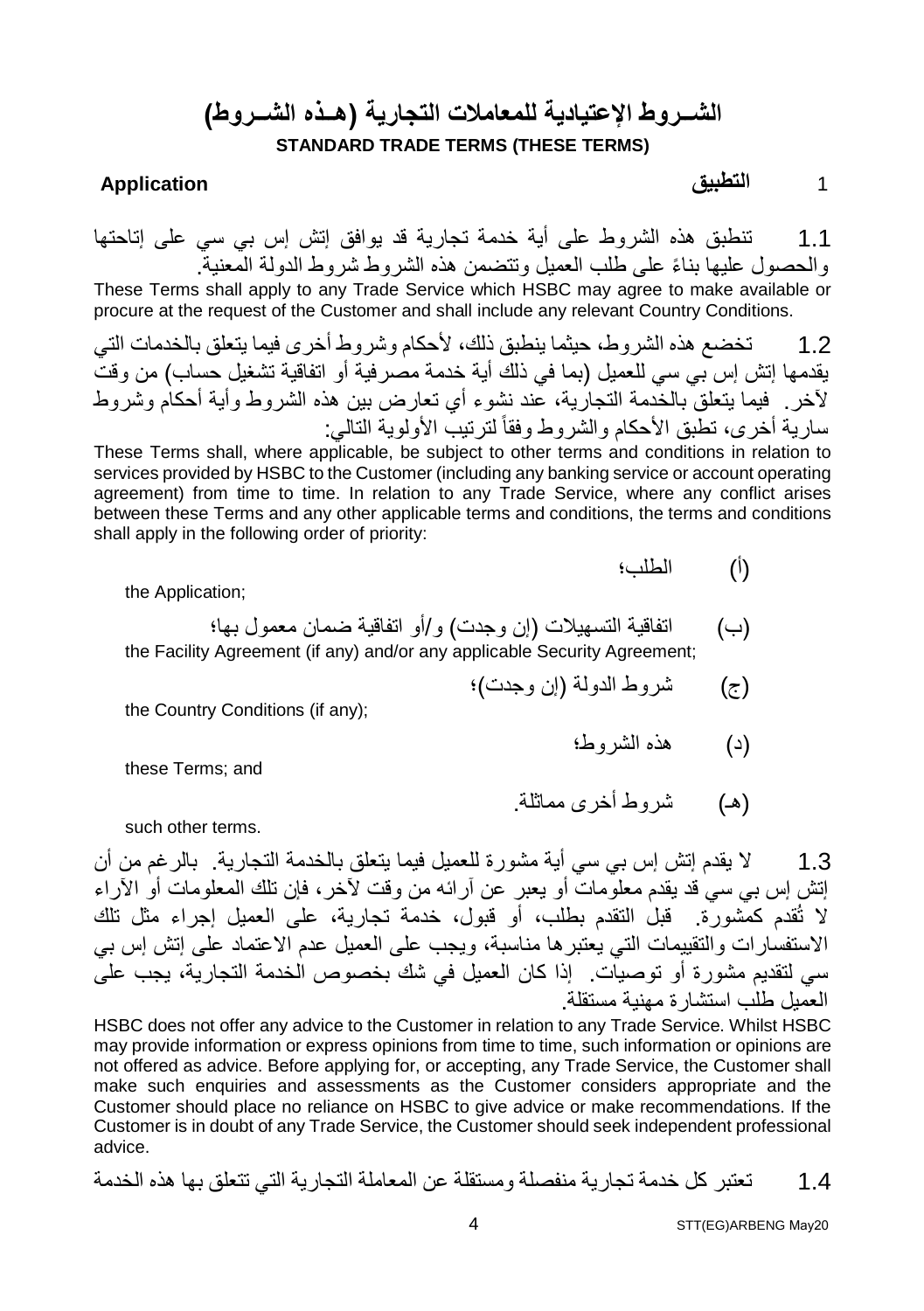### **الشــروط الإعتیادیة للمعاملات التجاریة (ھــذه الشــروط) STANDARD TRADE TERMS (THESE TERMS)**

1 **التطبیق Application**

1.1 تنطبق ھذه الشروط على أیة خدمة تجاریة قد یوافق إتش إس بي سي على إتاحتھا ً والحصول علیھا بناء على طلب العمیل وتتضمن ھذه الشروط شروط الدولة المعنیة. These Terms shall apply to any Trade Service which HSBC may agree to make available or procure at the request of the Customer and shall include any relevant Country Conditions.

1.2 تخضع ھذه الشروط، حیثما ینطبق ذلك، لأحكام وشروط أخرى فیما یتعلق بالخدمات التي یقدمھا إتش إس بي سي للعمیل (بما في ذلك أیة خدمة مصرفیة أو اتفاقیة تشغیل حساب) من وقت لآخر. فیما یتعلق بالخدمة التجاریة، عند نشوء أي تعارض بین ھذه الشروط وأیة أحكام وشروط ساریة أخرى، تطبق الأحكام والشروط وفقاً لترتیب الأولویة التالي:

These Terms shall, where applicable, be subject to other terms and conditions in relation to services provided by HSBC to the Customer (including any banking service or account operating agreement) from time to time. In relation to any Trade Service, where any conflict arises between these Terms and any other applicable terms and conditions, the terms and conditions shall apply in the following order of priority:

(أ) الطلب؛

the Application;

- (ب) اتفاقیة التسھیلات (إن وجدت) و/أو اتفاقیة ضمان معمول بھا؛ the Facility Agreement (if any) and/or any applicable Security Agreement;
	- (ج) شروط الدولة (إن وجدت)؛

the Country Conditions (if any);

these Terms; and

(ھـ) شروط أخرى مماثلة.

(د) ھذه الشروط؛

such other terms.

1.3 لا یقدم إتش إس بي سي أیة مشورة للعمیل فیما یتعلق بالخدمة التجاریة. بالرغم من أن إتش إس بي سي قد یقدم معلومات أو یعبر عن آرائھ من وقت لآخر، فإن تلك المعلومات أو الآراء لا تُقدم كمشورة. قبل التقدم بطلب، أو قبول، خدمة تجاریة، على العمیل إجراء مثل تلك الاستفسارات والتقییمات التي یعتبرھا مناسبة، ویجب على العمیل عدم الاعتماد على إتش إس بي سي لتقدیم مشورة أو توصیات. إذا كان العمیل في شك بخصوص الخدمة التجاریة، یجب على العمیل طلب استشارة مھنیة مستقلة.

HSBC does not offer any advice to the Customer in relation to any Trade Service. Whilst HSBC may provide information or express opinions from time to time, such information or opinions are not offered as advice. Before applying for, or accepting, any Trade Service, the Customer shall make such enquiries and assessments as the Customer considers appropriate and the Customer should place no reliance on HSBC to give advice or make recommendations. If the Customer is in doubt of any Trade Service, the Customer should seek independent professional advice.

1.4 تعتبر كل خدمة تجاریة منفصلة ومستقلة عن المعاملة التجاریة التي تتعلق بھا ھذه الخدمة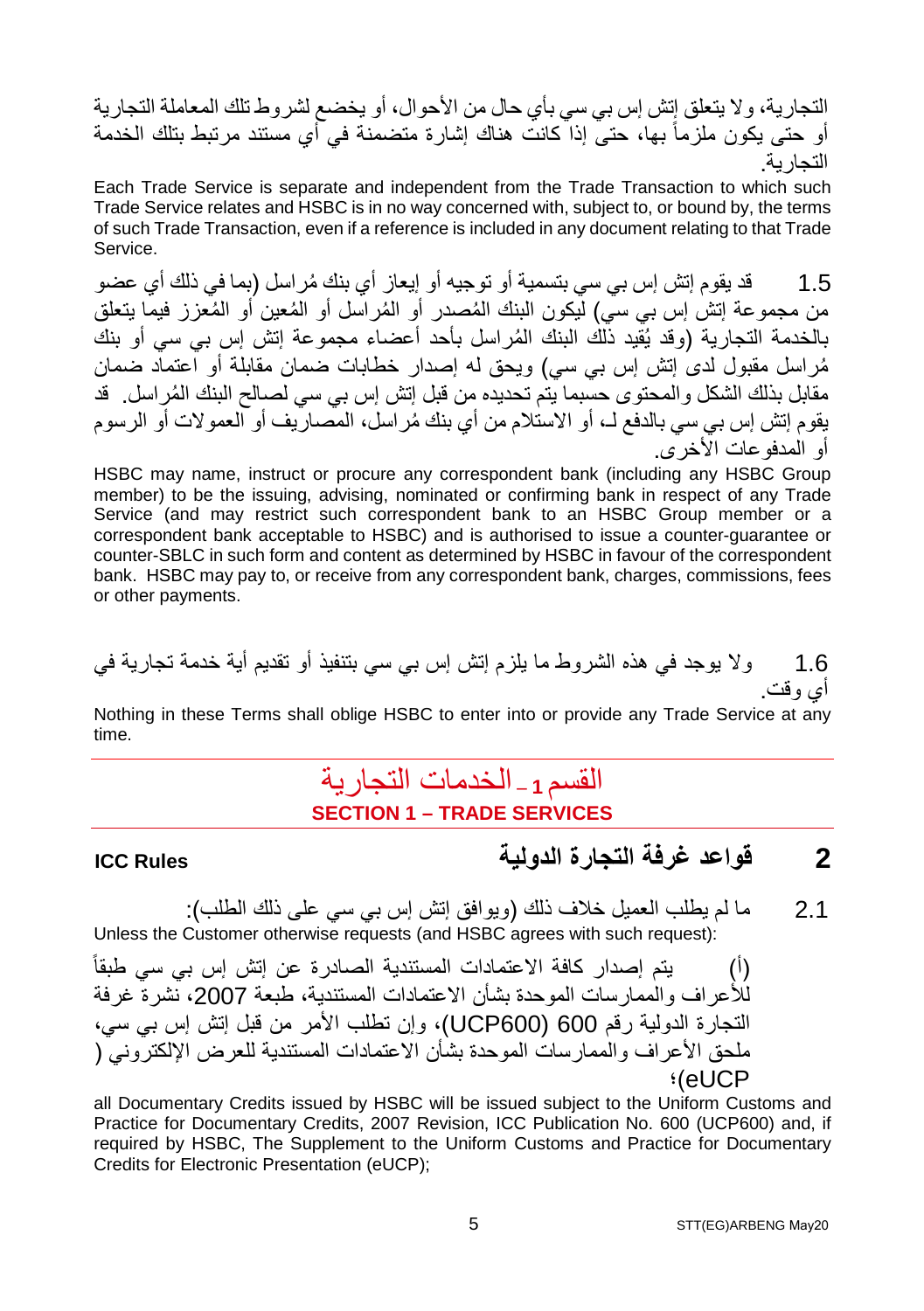التجاریة، ولا یتعلق إتش إس بي سي بأي حال من الأحوال، أو یخضع لشروط تلك المعاملة التجاریة أو حتى یكون ملزماً بھا، حتى إذا كانت ھناك إشارة متضمنة في أي مستند مرتبط بتلك الخدمة التجاریة.

Each Trade Service is separate and independent from the Trade Transaction to which such Trade Service relates and HSBC is in no way concerned with, subject to, or bound by, the terms of such Trade Transaction, even if a reference is included in any document relating to that Trade Service.

1.5  $\,$  قد یقو م إتش إس بي سي بتسمیة أو تو جیه أو إیعاز  $\,$  أي بنك مُر اسل (بما في ذلك أي عضو من مجموعة إتش إس بي سي) ليكون البنك المُصدر ۖ أو المُر اسل أو الْمُعین أو المُعّزز ۖ فیما یتعلقُ بالخدمة التجاریة (وقد یُقید ذَلك البنك المُراسل بأحد أعضاء مجموعة إتش إس بي سي أو بنك ُمراسل مقبول لدى إتش إس بي سي) ویحق لھ إصدار خطابات ضمان مقابلة أو اعتماد ضمان مقابل بذلك الشكل و المحتوى حسبما بتم تحدیده من قبل إتش إس بي سي لصـالح البنك المُر اسل. قد ُ یقوم إتش إس بي سي بالدفع لـ، أو الاستلام من أي بنك مراسل، المصاریف أو العمولات أو الرسوم أو المدفوعات الأخرى.

HSBC may name, instruct or procure any correspondent bank (including any HSBC Group member) to be the issuing, advising, nominated or confirming bank in respect of any Trade Service (and may restrict such correspondent bank to an HSBC Group member or a correspondent bank acceptable to HSBC) and is authorised to issue a counter-guarantee or counter-SBLC in such form and content as determined by HSBC in favour of the correspondent bank. HSBC may pay to, or receive from any correspondent bank, charges, commissions, fees or other payments.

1.6 ولا یوجد في ھذه الشروط ما یلزم إتش إس بي سي بتنفیذ أو تقدیم أیة خدمة تجاریة في أي وقت.

Nothing in these Terms shall oblige HSBC to enter into or provide any Trade Service at any time.

### القسم **<sup>1</sup> –** الخدمات التجاریة **SECTION 1 – TRADE SERVICES**

### **2 قواعد غرفة التجارة الدولیة Rules ICC**

2.1 ما لم یطلب العمیل خلاف ذلك (ویوافق إتش إس بي سي على ذلك الطلب): Unless the Customer otherwise requests (and HSBC agrees with such request):

(أ) یتم إصدار كافة الاعتمادات المستندیة الصادرة عن إتش إس بي سي طبقاً للأعراف والممارسات الموحدة بشأن الاعتمادات المستندیة، طبعة 2007، نشر ة غرفة التجارة الدولیة رقم 600UCP)600( ، وإن تطلب الأمر من قبل إتش إس بي سي، ملحق الأعراف والممارسات الموحدة بشأن الاعتمادات المستندیة للعرض الإلكتروني ( eUCP(؛

all Documentary Credits issued by HSBC will be issued subject to the Uniform Customs and Practice for Documentary Credits, 2007 Revision, ICC Publication No. 600 (UCP600) and, if required by HSBC, The Supplement to the Uniform Customs and Practice for Documentary Credits for Electronic Presentation (eUCP);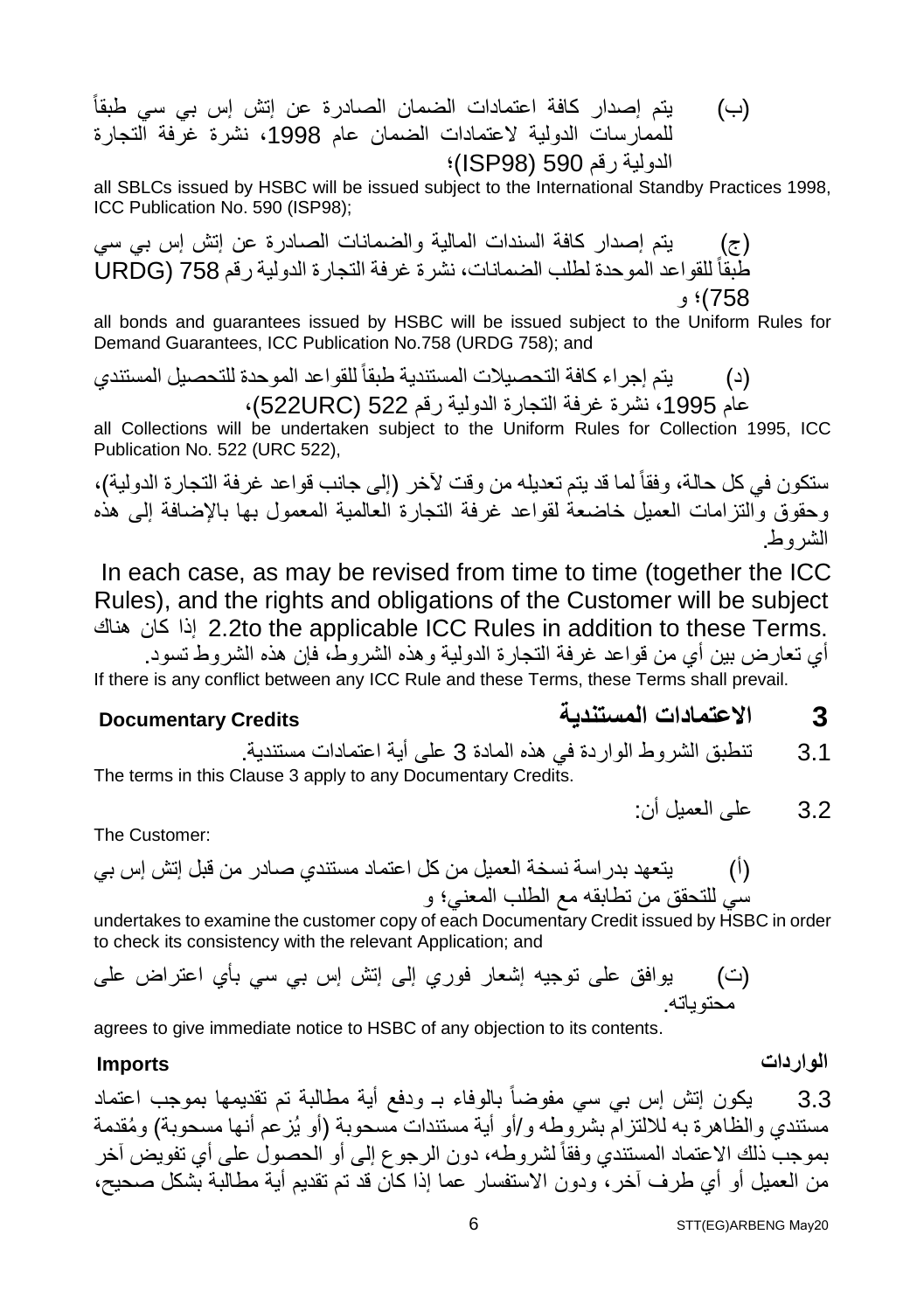(ب) یتم إصدار كافة اعتمادات الضمان الصادرة عن إتش إس بي سي طبقاً للممارسات الدولیة لاعتمادات الضمان عام ،1998 نشرة غرفة التجارة الدولیة رقم 590 (98ISP(؛

all SBLCs issued by HSBC will be issued subject to the International Standby Practices 1998, ICC Publication No. 590 (ISP98);

(ج) یتم إصدار كافة السندات المالیة والضمانات الصادرة عن إتش إس بي سي طبقا 758 (URDG ً للقواعد الموحدة لطلب الضمانات، نشرة غرفة التجارة الدولیة رقم 758)؛ و

all bonds and guarantees issued by HSBC will be issued subject to the Uniform Rules for Demand Guarantees, ICC Publication No.758 (URDG 758); and

(د) یتم إجراء كافة التحصیلات المستندیة طبقاً للقواعد الموحدة للتحصیل المستندي عام ،1995 نشرة غرفة التجارة الدولیة رقم 522 (URC522(،

all Collections will be undertaken subject to the Uniform Rules for Collection 1995, ICC Publication No. 522 (URC 522),

ستكون في كل حالة، وفقاً لما قد یتم تعدیلھ من وقت لآخر (إلى جانب قواعد غرفة التجارة الدولیة)، وحقوق والتزامات العمیل خاضعة لقواعد غرفة التجارة العالمیة المعمول بھا بالإضافة إلى ھذه الشروط.

 In each case, as may be revised from time to time (together the ICC Rules), and the rights and obligations of the Customer will be subject ھناك كان إذا 2.2to the applicable ICC Rules in addition to these Terms.

أي تعارض بین أي من قواعد غرفة التجارة الدولیة وھذه الشروط، فإن ھذه الشروط تسود. If there is any conflict between any ICC Rule and these Terms, these Terms shall prevail.

### **3 الاعتمادات المستندیة Credits Documentary**

3.1 تنطبق الشروط الواردة في ھذه المادة 3 على أیة اعتمادات مستندیة. The terms in this Clause 3 apply to any Documentary Credits.

3.2 على العمیل أن:

The Customer:

(أ) یتعھد بدراسة نسخة العمیل من كل اعتماد مستندي صادر من قبل إتش إس بي سي للتحقق من تطابقھ مع الطلب المعني؛ و

undertakes to examine the customer copy of each Documentary Credit issued by HSBC in order to check its consistency with the relevant Application; and

(ت) یوافق على توجیھ إشعار فوري إلى إتش إس بي سي بأي اعتراض على محتویاتھ.

agrees to give immediate notice to HSBC of any objection to its contents.

#### **الواردات Imports**

3.3 یكون إتش إس بي سي مفوضاً بالوفاء بـ ودفع أیة مطالبة تم تقدیمھا بموجب اعتماد مستندي والظاهرة به للالتزام بشروطه و/أو أية مستندات مسحوبة (أو یُز عم أنها مسحوبة) ومُقدمة بموجب ذلك الاعتماد المستندي وفقاً لشروطھ، دون الرجوع إلى أو الحصول على أي تفویض آخر من العمیل أو أي طرف آخر، ودون الاستفسار عما إذا كان قد تم تقدیم أیة مطالبة بشكل صحیح،

STT(EG)ARBENG May20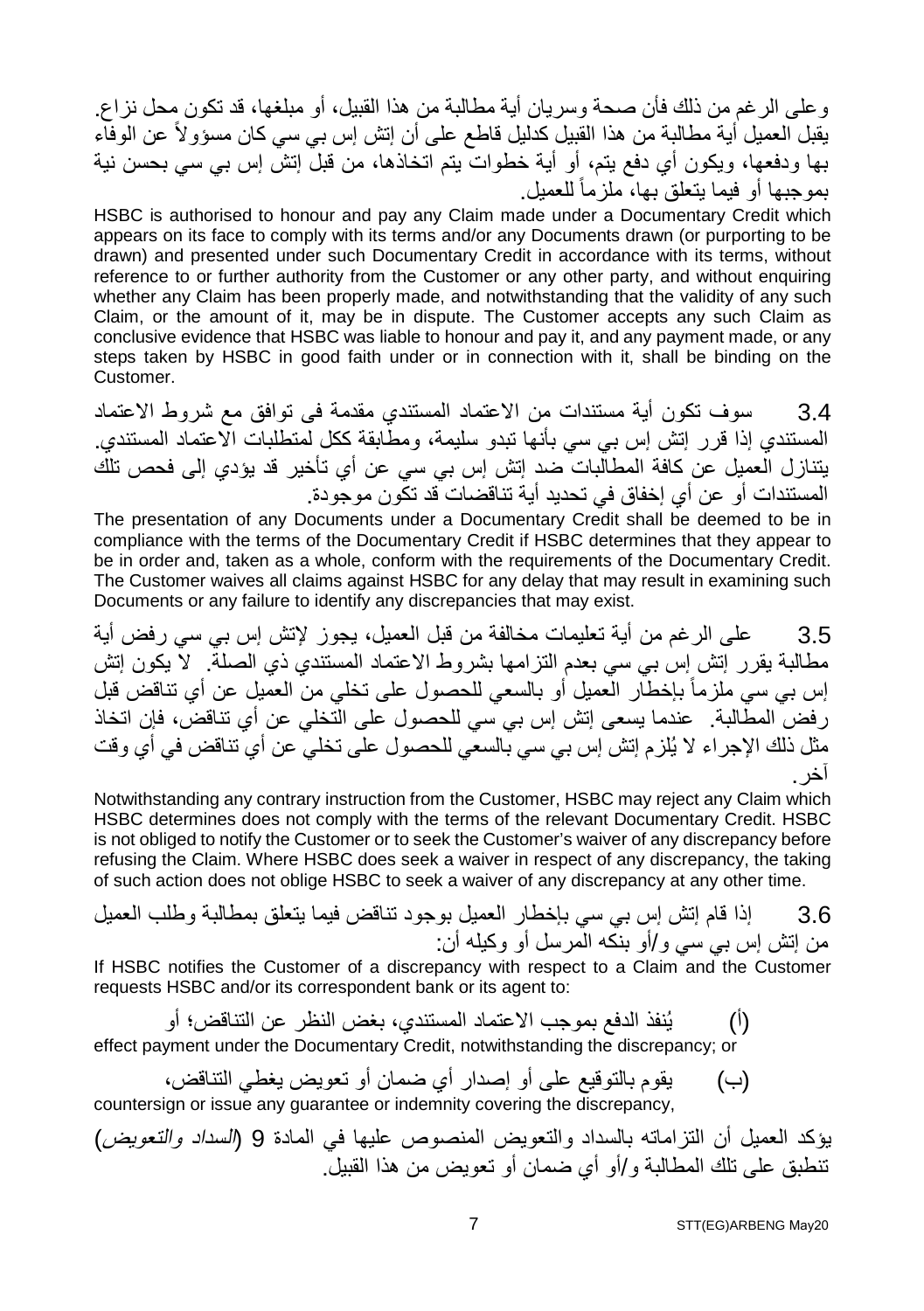وعلى الرغم من ذلك فأن صحة وسریان أیة مطالبة من ھذا القبیل، أو مبلغھا، قد تكون محل نزاع. یقبل العمیل أیة مطالبة من ھذا القبیل كدلیل قاطع على أن إتش إس بي سي كان مسؤولاً عن الوفاء بھا ودفعھا، ویكون أي دفع یتم، أو أیة خطوات یتم اتخاذھا، من قبل إتش إس بي سي بحسن نیة بمو جبھا أو فیما بنعلق بھا، ملز ماً للعمیل.

HSBC is authorised to honour and pay any Claim made under a Documentary Credit which appears on its face to comply with its terms and/or any Documents drawn (or purporting to be drawn) and presented under such Documentary Credit in accordance with its terms, without reference to or further authority from the Customer or any other party, and without enquiring whether any Claim has been properly made, and notwithstanding that the validity of any such Claim, or the amount of it, may be in dispute. The Customer accepts any such Claim as conclusive evidence that HSBC was liable to honour and pay it, and any payment made, or any steps taken by HSBC in good faith under or in connection with it, shall be binding on the Customer.

3.4 سوف تكون أیة مستندات من الاعتماد المستندي مقدمة فى توافق مع شروط الاعتماد المستندي إذا قرر إتش إس بي سي بأنھا تبدو سلیمة، ومطابقة ككل لمتطلبات الاعتماد المستندي. یتنازل العمیل عن كافة المطالبات ضد إتش إس بي سي عن أي تأخیر قد یؤدي إلى فحص تلك المستندات أو عن أي إخفاق في تحدید أیة تناقضات قد تكون موجودة.

The presentation of any Documents under a Documentary Credit shall be deemed to be in compliance with the terms of the Documentary Credit if HSBC determines that they appear to be in order and, taken as a whole, conform with the requirements of the Documentary Credit. The Customer waives all claims against HSBC for any delay that may result in examining such Documents or any failure to identify any discrepancies that may exist.

3.5 على الرغم من أیة تعلیمات مخالفة من قبل العمیل، یجوز لإتش إس بي سي رفض أیة مطالبة یقرر إتش إس بي سي بعدم التزامھا بشروط الاعتماد المستندي ذي الصلة. لا یكون إتش إس بي سي ملزماً بإخطار العمیل أو بالسعي للحصول على تخلي من العمیل عن أي تناقض قبل رفض المطالبة. عندما یسعى إتش إس بي سي للحصول على التخلي عن أي تناقض، فإن اتخاذ مثل ذلك الإجراء لا یُلزم إتش إس بي سي بالسعي للحصول على تخلي عن أي تناقض في أي وقت آخر.

Notwithstanding any contrary instruction from the Customer, HSBC may reject any Claim which HSBC determines does not comply with the terms of the relevant Documentary Credit. HSBC is not obliged to notify the Customer or to seek the Customer's waiver of any discrepancy before refusing the Claim. Where HSBC does seek a waiver in respect of any discrepancy, the taking of such action does not oblige HSBC to seek a waiver of any discrepancy at any other time.

3.6 إذا قام إتش إس بي سي بإخطار العمیل بوجود تناقض فیما یتعلق بمطالبة وطلب العمیل من إتش إس بي سي و/أو بنكھ المرسل أو وكیلھ أن:

If HSBC notifies the Customer of a discrepancy with respect to a Claim and the Customer requests HSBC and/or its correspondent bank or its agent to:

(أ) یُنفذ الدفع بموجب الاعتماد المستندي، بغض النظر عن التناقض؛ أو

effect payment under the Documentary Credit, notwithstanding the discrepancy; or

(ب) یقوم بالتوقیع على أو إصدار أي ضمان أو تعویض یغطي التناقض، countersign or issue any guarantee or indemnity covering the discrepancy,

یؤكد العمیل أن التزاماتھ بالسداد والتعویض المنصوص علیھا في المادة 9 (السداد والتعویض) تنطبق على تلك المطالبة و/أو أي ضمان أو تعویض من ھذا القبیل.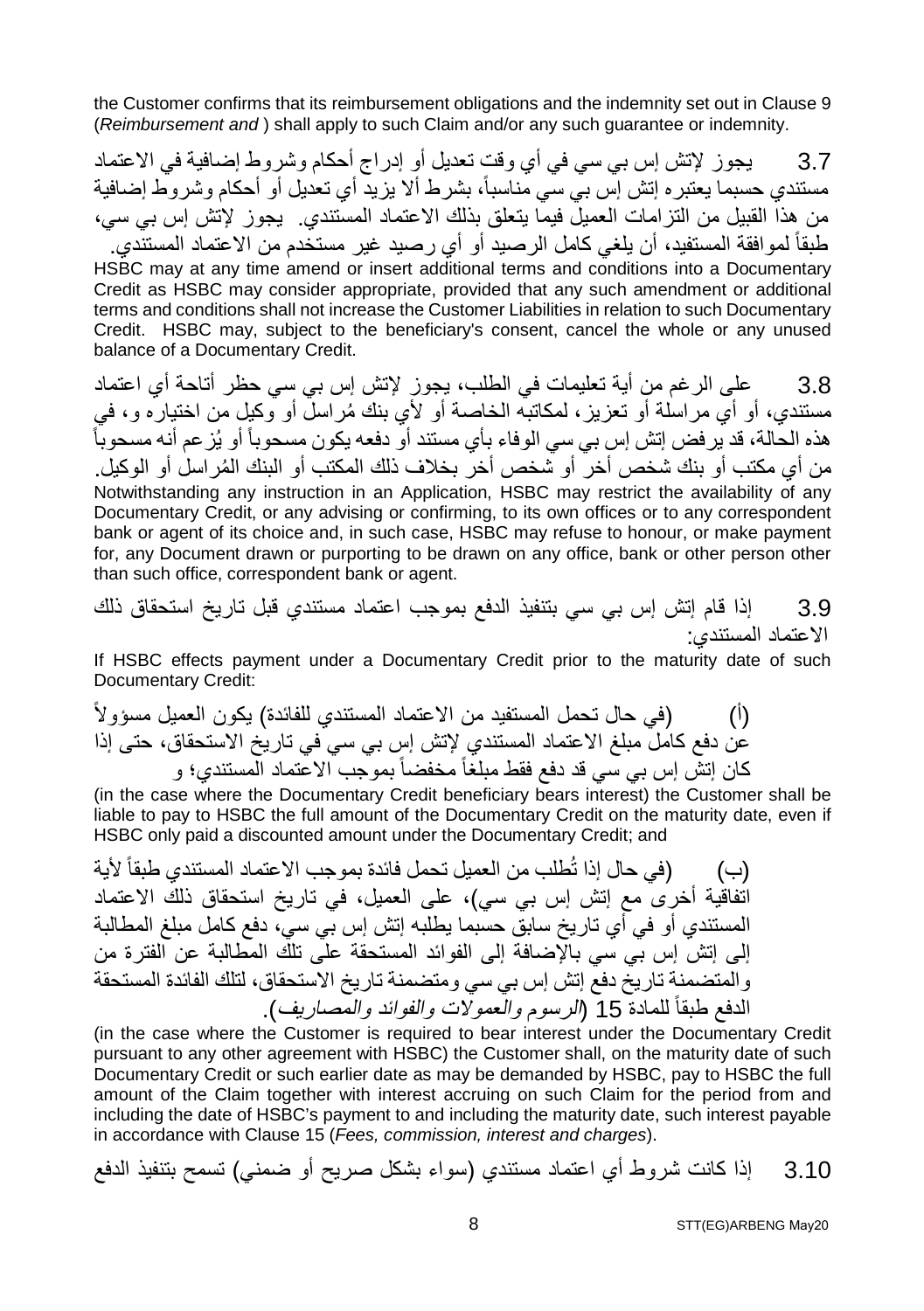the Customer confirms that its reimbursement obligations and the indemnity set out in Clause 9 (*Reimbursement and* ) shall apply to such Claim and/or any such guarantee or indemnity.

3.7 یجوز لإتش إس بي سي في أي وقت تعدیل أو إدراج أحكام وشروط إضافیة في الاعتماد مستندي حسبما یعتبره إتش إس بي سي مناسبا،ً بشرط ألا یزید أي تعدیل أو أحكام وشروط إضافیة من ھذا القبیل من التزامات العمیل فیما یتعلق بذلك الاعتماد المستندي. یجوز لإتش إس بي سي، طبقاً لموافقة المستفید، أن یلغي كامل الرصید أو أي رصید غیر مستخدم من الاعتماد المستندي. HSBC may at any time amend or insert additional terms and conditions into a Documentary Credit as HSBC may consider appropriate, provided that any such amendment or additional terms and conditions shall not increase the Customer Liabilities in relation to such Documentary Credit. HSBC may, subject to the beneficiary's consent, cancel the whole or any unused balance of a Documentary Credit.

3.8 على الرغم من أیة تعلیمات في الطلب، یجوز لإتش إس بي سي حظر أتاحة أي اعتماد مستندي، أو أي مر اسلة أو تعزیز، لمكاتبه الخاصة أو لأي بنك مُراسلٌ أو وكیل من اختیاره و، في ھذه الحالة، قد یرفض إتش إس بي سي الوفاء بأي مستند أو دفعھ یكون مسحوباً أو یُزعم أنھ مسحوباً من أي مكتب أو بنك شخص أخر ً أو شخص أخر ۖ بخلاف ذلك المكتب أو البنك المُر اسل أو الوكيل. Notwithstanding any instruction in an Application, HSBC may restrict the availability of any Documentary Credit, or any advising or confirming, to its own offices or to any correspondent bank or agent of its choice and, in such case, HSBC may refuse to honour, or make payment for, any Document drawn or purporting to be drawn on any office, bank or other person other than such office, correspondent bank or agent.

3.9 إذا قام إتش إس بي سي بتنفیذ الدفع بموجب اعتماد مستندي قبل تاریخ استحقاق ذلك الاعتماد المستندي:

If HSBC effects payment under a Documentary Credit prior to the maturity date of such Documentary Credit:

(أ) (في حال تحمل المستفید من الاعتماد المستندي للفائدة) یكون العمیل مسؤولاً عن دفع كامل مبلغ الاعتماد المستندي لإتش إس بي سي في تاریخ الاستحقاق، حتى إذا كان إتش إس بي سي قد دفع فقط مبلغاً مخفضاً بموجب الاعتماد المستندي؛ و

(in the case where the Documentary Credit beneficiary bears interest) the Customer shall be liable to pay to HSBC the full amount of the Documentary Credit on the maturity date, even if HSBC only paid a discounted amount under the Documentary Credit; and

(ب) (في حال إذا تُطلب من العمیل تحمل فائدة بموجب الاعتماد المستندي طبقاً لأیة اتفاقیة أخرى مع إتش إس بي سي)، على العمیل، في تاریخ استحقاق ذلك الاعتماد المستندي أو في أي تاریخ سابق حسبما یطلبھ إتش إس بي سي، دفع كامل مبلغ المطالبة إلى إتش إس بي سي بالإضافة إلى الفوائد المستحقة على تلك المطالبة عن الفترة من والمتضمنة تاریخ دفع إتش إس بي سي ومتضمنة تاریخ الاستحقاق، لتلك الفائدة المستحقة الدفع طبقا 15 (الرسوم والعمولات والفوائد والمصاریف). ً للمادة

(in the case where the Customer is required to bear interest under the Documentary Credit pursuant to any other agreement with HSBC) the Customer shall, on the maturity date of such Documentary Credit or such earlier date as may be demanded by HSBC, pay to HSBC the full amount of the Claim together with interest accruing on such Claim for the period from and including the date of HSBC's payment to and including the maturity date, such interest payable in accordance with Clause 15 (*Fees, commission, interest and charges*).

3.10 إذا كانت شروط أي اعتماد مستندي (سواء بشكل صریح أو ضمني) تسمح بتنفیذ الدفع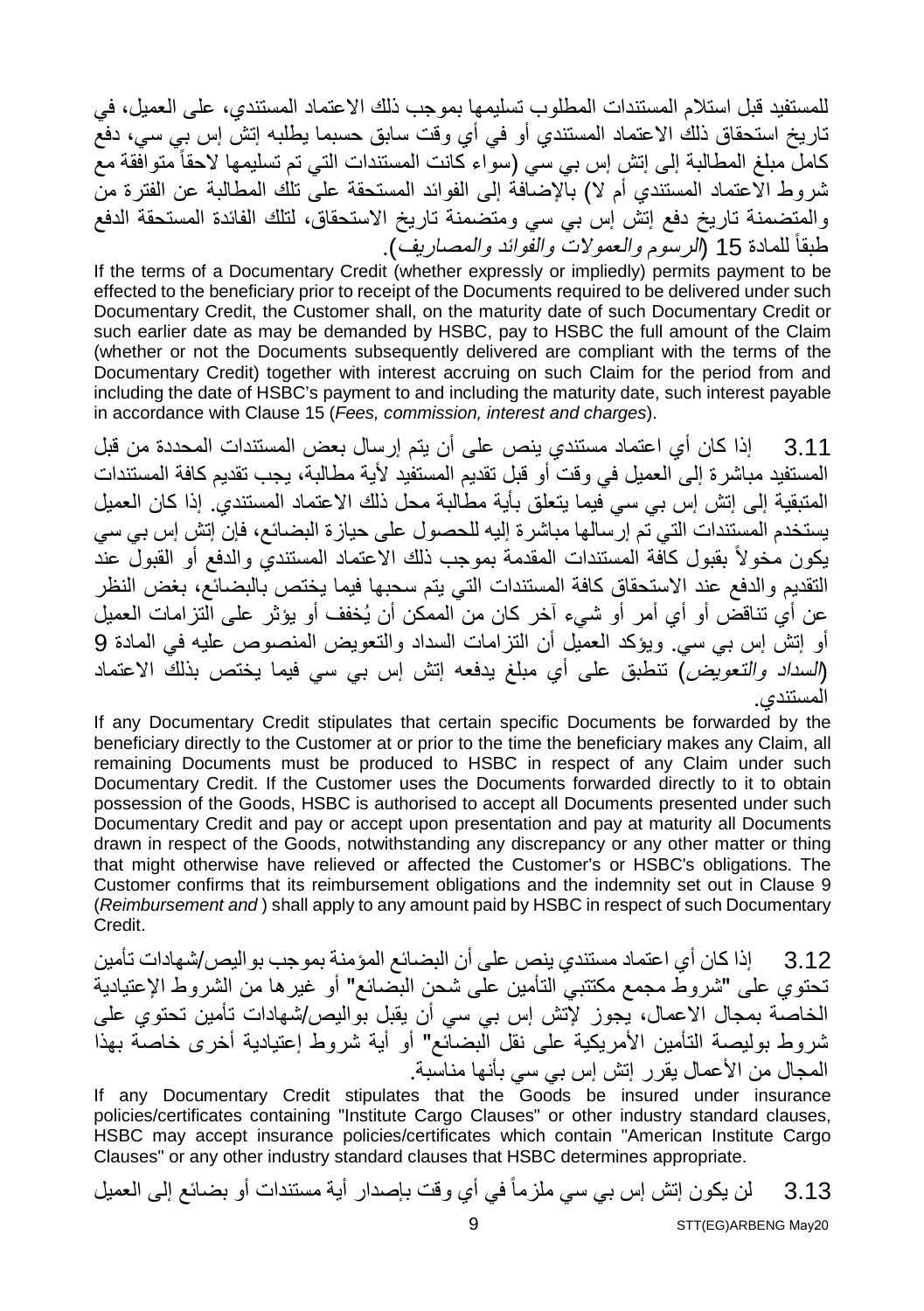للمستفید قبل استلام المستندات المطلوب تسلیمھا بموجب ذلك الاعتماد المستندي، على العمیل، في تاریخ استحقاق ذلك الاعتماد المستندي أو في أي وقت سابق حسبما یطلبھ إتش إس بي سي، دفع كامل مبلغ المطالبة إلى إتش إس بي سي (سواء كانت المستندات التي تم تسلیمھا لاحقاً متوافقة مع شروط الاعتماد المستندي أم لا) بالإضافة إلى الفوائد المستحقة على تلك المطالبة عن الفترة من والمتضمنة تاریخ دفع إتش إس بي سي ومتضمنة تاریخ الاستحقاق، لتلك الفائدة المستحقة الدفع طبقا 15 (الرسوم والعمولات والفوائد والمصاریف). ً للمادة

If the terms of a Documentary Credit (whether expressly or impliedly) permits payment to be effected to the beneficiary prior to receipt of the Documents required to be delivered under such Documentary Credit, the Customer shall, on the maturity date of such Documentary Credit or such earlier date as may be demanded by HSBC, pay to HSBC the full amount of the Claim (whether or not the Documents subsequently delivered are compliant with the terms of the Documentary Credit) together with interest accruing on such Claim for the period from and including the date of HSBC's payment to and including the maturity date, such interest payable in accordance with Clause 15 (*Fees, commission, interest and charges*).

3.11 إذا كان أي اعتماد مستندي ینص على أن یتم إرسال بعض المستندات المحددة من قبل المستفید مباشرة إلى العمیل في وقت أو قبل تقدیم المستفید لأیة مطالبة، یجب تقدیم كافة المستندات المتبقیة إلى إتش إس بي سي فیما یتعلق بأیة مطالبة محل ذلك الاعتماد المستندي. إذا كان العمیل یستخدم المستندات التي تم إرسالھا مباشرة إلیھ للحصول على حیازة البضائع، فإن إتش إس بي سي يكون مخولاً بقبول كاّفة المستندات المقدمة بموجب ذلك الاعتماد المستندي والدفع أو القبول عند التقدیم والدفع عند الاستحقاق كافة المستندات التي یتم سحبھا فیما یختص بالبضائع، بغض النظر عن أي تناقض أو أي أمر أو شيء آخر كان من الممكن أن یُخفف أو یؤثر على التزامات العمیل أو إتش إس بي سي. ویؤكد العمیل أن التزامات السداد والتعویض المنصوص علیھ في المادة 9 (السداد والتعویض) تنطبق على أي مبلغ یدفعھ إتش إس بي سي فیما یختص بذلك الاعتماد المستندي.

If any Documentary Credit stipulates that certain specific Documents be forwarded by the beneficiary directly to the Customer at or prior to the time the beneficiary makes any Claim, all remaining Documents must be produced to HSBC in respect of any Claim under such Documentary Credit. If the Customer uses the Documents forwarded directly to it to obtain possession of the Goods, HSBC is authorised to accept all Documents presented under such Documentary Credit and pay or accept upon presentation and pay at maturity all Documents drawn in respect of the Goods, notwithstanding any discrepancy or any other matter or thing that might otherwise have relieved or affected the Customer's or HSBC's obligations. The Customer confirms that its reimbursement obligations and the indemnity set out in Clause 9 (*Reimbursement and* ) shall apply to any amount paid by HSBC in respect of such Documentary Credit.

3.12 إذا كان أي اعتماد مستندي ینص على أن البضائع المؤمنة بموجب بوالیص/شھادات تأمین تحتوي على "شروط مجمع مكتتبي التأمین على شحن البضائع" أو غیرھا من الشروط الإعتیادیة الخاصة بمجال الاعمال، یجوز لإتش إس بي سي أن یقبل بوالیص/شھادات تأمین تحتوي على شروط بولیصة التأمین الأمریكیة على نقل البضائع" أو أیة شروط إعتیادیة أخرى خاصة بھذا المجال من الأعمال یقرر إتش إس بي سي بأنھا مناسبة.

If any Documentary Credit stipulates that the Goods be insured under insurance policies/certificates containing "Institute Cargo Clauses" or other industry standard clauses, HSBC may accept insurance policies/certificates which contain "American Institute Cargo Clauses" or any other industry standard clauses that HSBC determines appropriate.

3.13 لن یكون إتش إس بي سي ملزماً في أي وقت بإصدار أیة مستندات أو بضائع إلى العمیل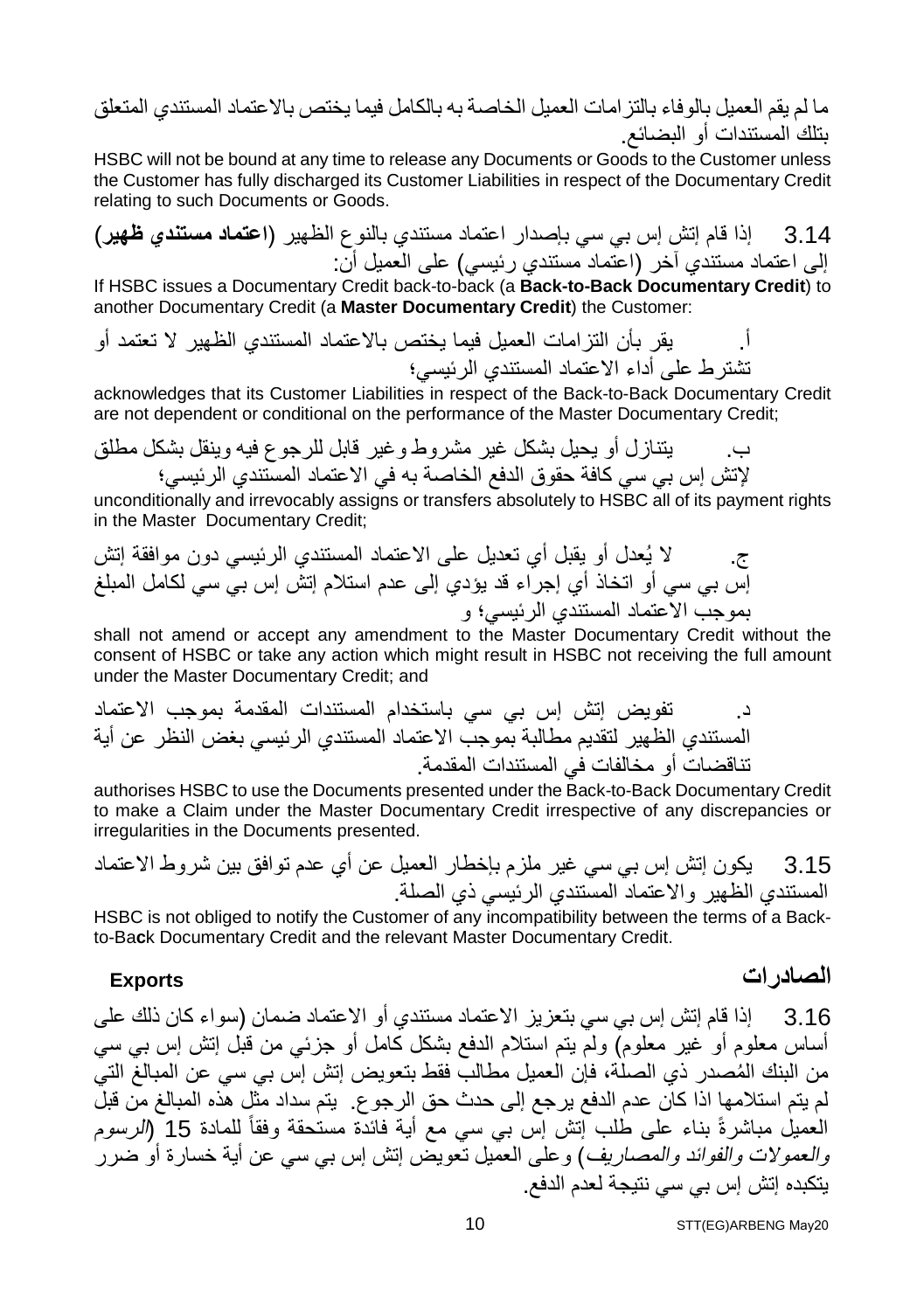ما لم یقم العمیل بالوفاء بالتزامات العمیل الخاصة بھ بالكامل فیما یختص بالاعتماد المستندي المتعلق بتلك المستندات أو البضائع.

HSBC will not be bound at any time to release any Documents or Goods to the Customer unless the Customer has fully discharged its Customer Liabilities in respect of the Documentary Credit relating to such Documents or Goods.

3.14 إذا قام إتش إس بي سي بإصدار اعتماد مستندي بالنوع الظھیر (**اعتماد مستندي ظھیر**) إلى اعتماد مستندي آخر (اعتماد مستندي رئیسي) على العمیل أن:

If HSBC issues a Documentary Credit back-to-back (a **Back-to-Back Documentary Credit**) to another Documentary Credit (a **Master Documentary Credit**) the Customer:

أ. یقر بأن التزامات العمیل فیما یختص بالاعتماد المستندي الظھیر لا تعتمد أو تشترط على أداء الاعتماد المستندي الرئیسي؛

acknowledges that its Customer Liabilities in respect of the Back-to-Back Documentary Credit are not dependent or conditional on the performance of the Master Documentary Credit;

ب. یتنازل أو یحیل بشكل غیر مشروط وغیر قابل للرجوع فیھ وینقل بشكل مطلق لإتش إس بي سي كافة حقوق الدفع الخاصة بھ في الاعتماد المستندي الرئیسي؛

unconditionally and irrevocably assigns or transfers absolutely to HSBC all of its payment rights in the Master Documentary Credit;

ج. لا یُعدل أو یقبل أي تعدیل على الاعتماد المستندي الرئیسي دون موافقة إتش إس بي سي أو اتخاذ أي إجراء قد یؤدي إلى عدم استلام إتش إس بي سي لكامل المبلغ بموجب الاعتماد المستندي الرئیسي؛ و

shall not amend or accept any amendment to the Master Documentary Credit without the consent of HSBC or take any action which might result in HSBC not receiving the full amount under the Master Documentary Credit; and

د. تفویض إتش إس بي سي باستخدام المستندات المقدمة بموجب الاعتماد المستندي الظھیر لتقدیم مطالبة بموجب الاعتماد المستندي الرئیسي بغض النظر عن أیة تناقضات أو مخالفات في المستندات المقدمة.

authorises HSBC to use the Documents presented under the Back-to-Back Documentary Credit to make a Claim under the Master Documentary Credit irrespective of any discrepancies or irregularities in the Documents presented.

3.15 یكون إتش إس بي سي غیر ملزم بإخطار العمیل عن أي عدم توافق بین شروط الاعتماد المستندي الظھیر والاعتماد المستندي الرئیسي ذي الصلة.

HSBC is not obliged to notify the Customer of any incompatibility between the terms of a Backto-Ba**c**k Documentary Credit and the relevant Master Documentary Credit.

### **الصادرات Exports**

3.16 إذا قام إتش إس بي سي بتعزیز الاعتماد مستندي أو الاعتماد ضمان (سواء كان ذلك على أساس معلوم أو غیر معلوم) ولم یتم استلام الدفع بشكل كامل أو جزئي من قبل إتش إس بي سي ُ من البنك المصدر ذي الصلة، فإن العمیل مطالب فقط بتعویض إتش إس بي سي عن المبالغ التي لم یتم استلامھا اذا كان عدم الدفع یرجع إلى حدث حق الرجوع. یتم سداد مثل ھذه المبالغ من قبل العمیل مباشرةً بناء على طلب إتش إس بي سي مع أیة فائدة مستحقة وفقا 15 (الرسوم ً للمادة والعمولات والفوائد والمصاریف) وعلى العمیل تعویض إتش إس بي سي عن أیة خسارة أو ضرر یتكبده إتش إس بي سي نتیجة لعدم الدفع.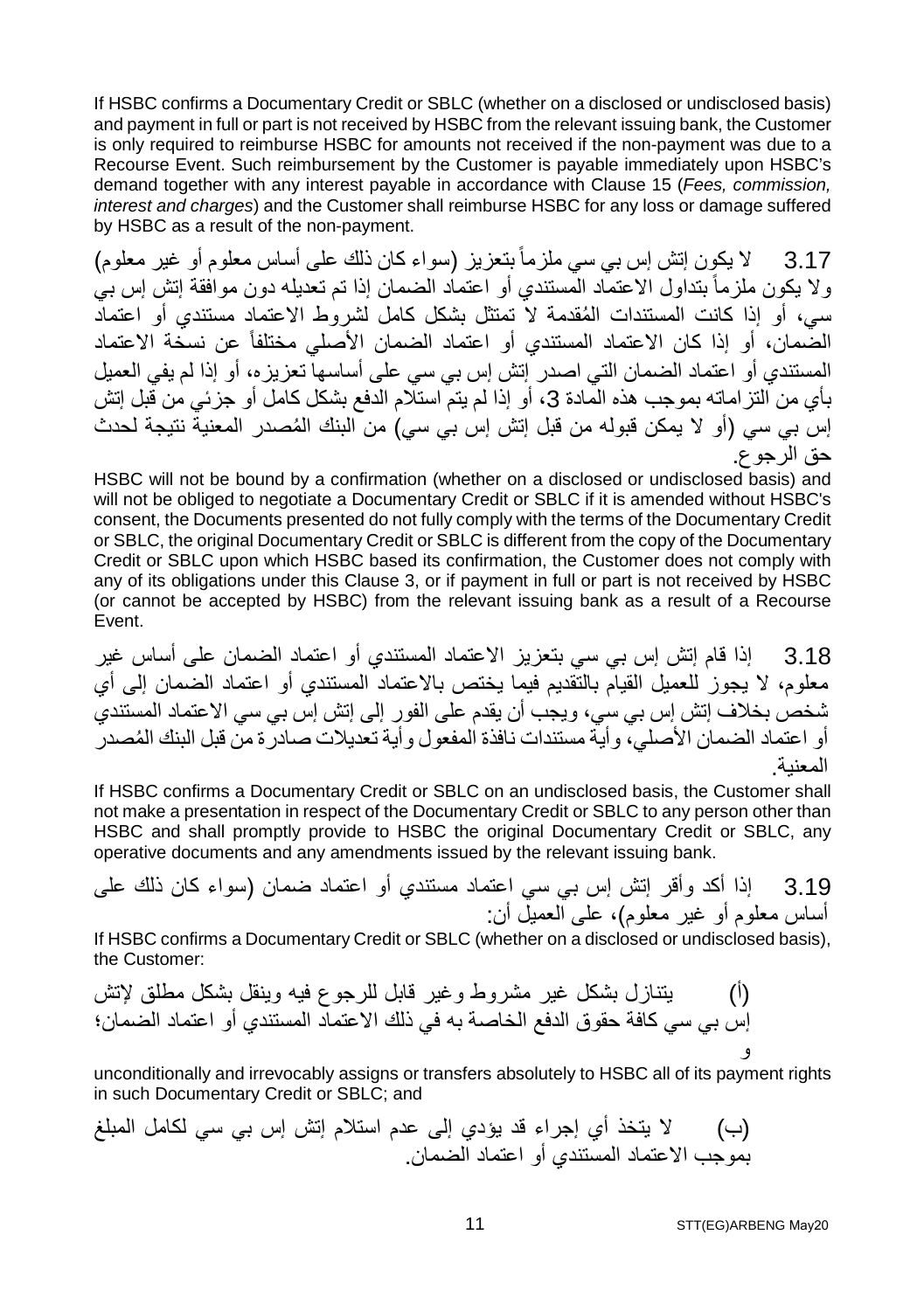If HSBC confirms a Documentary Credit or SBLC (whether on a disclosed or undisclosed basis) and payment in full or part is not received by HSBC from the relevant issuing bank, the Customer is only required to reimburse HSBC for amounts not received if the non-payment was due to a Recourse Event. Such reimbursement by the Customer is payable immediately upon HSBC's demand together with any interest payable in accordance with Clause 15 (*Fees, commission, interest and charges*) and the Customer shall reimburse HSBC for any loss or damage suffered by HSBC as a result of the non-payment.

3.17 لا یكون إتش إس بي سي ملزماً بتعزیز (سواء كان ذلك على أساس معلوم أو غیر معلوم) ولا یكون ملزماً بتداول الاعتماد المستندي أو اعتماد الضمان إذا تم تعدیلھ دون موافقة إتش إس بي ُ سي، أو إذا كانت المستندات المقدمة لا تمتثل بشكل كامل لشروط الاعتماد مستندي أو اعتماد الضمان، أو إذا كان الاعتماد المستندي أو اعتماد الضمان الأصلي مختلفاً عن نسخة الاعتماد المستندي أو اعتماد الضمان التي اصدر إتش إس بي سي على أساسھا تعزیزه، أو إذا لم یفي العمیل بأي من التز اماته بموجب هذه المادة 3، أو إذا لم يتم استلام الدفع بشكل كامل أو جزئي من قبل إتش ُ إس بي سي (أو لا یمكن قبولھ من قبل إتش إس بي سي) من البنك المصدر المعنیة نتیجة لحدث حق الرجوع.

HSBC will not be bound by a confirmation (whether on a disclosed or undisclosed basis) and will not be obliged to negotiate a Documentary Credit or SBLC if it is amended without HSBC's consent, the Documents presented do not fully comply with the terms of the Documentary Credit or SBLC, the original Documentary Credit or SBLC is different from the copy of the Documentary Credit or SBLC upon which HSBC based its confirmation, the Customer does not comply with any of its obligations under this Clause 3, or if payment in full or part is not received by HSBC (or cannot be accepted by HSBC) from the relevant issuing bank as a result of a Recourse Event.

3.18 إذا قام إتش إس بي سي بتعزیز الاعتماد المستندي أو اعتماد الضمان على أساس غیر معلوم، لا یجوز للعمیل القیام بالتقدیم فیما یختص بالاعتماد المستندي أو اعتماد الضمان إلى أي شخص بخلاف إتش إس بي سي، ویجب أن یقدم على الفور إلى إتش إس بي سي الاعتماد المستندي ُ أو اعتماد الضمان الأصلي، وأیة مستندات نافذة المفعول وأیة تعدیلات صادرة من قبل البنك المصدر المعنیة.

If HSBC confirms a Documentary Credit or SBLC on an undisclosed basis, the Customer shall not make a presentation in respect of the Documentary Credit or SBLC to any person other than HSBC and shall promptly provide to HSBC the original Documentary Credit or SBLC, any operative documents and any amendments issued by the relevant issuing bank.

3.19 إذا أکد وأقر إتش إس بي سي اعتماد مستندي أو اعتماد ضمان (سواء كان ذلك على أساس معلوم أو غیر معلوم)، على العمیل أن:

If HSBC confirms a Documentary Credit or SBLC (whether on a disclosed or undisclosed basis), the Customer:

(أ) یتنازل بشكل غیر مشروط وغیر قابل للرجوع فیھ وینقل بشكل مطلق لإتش إس بي سي كافة حقوق الدفع الخاصة بھ في ذلك الاعتماد المستندي أو اعتماد الضمان؛ و

unconditionally and irrevocably assigns or transfers absolutely to HSBC all of its payment rights in such Documentary Credit or SBLC; and

(ب) لا یتخذ أي إجراء قد یؤدي إلى عدم استلام إتش إس بي سي لكامل المبلغ بموجب الاعتماد المستندي أو اعتماد الضمان.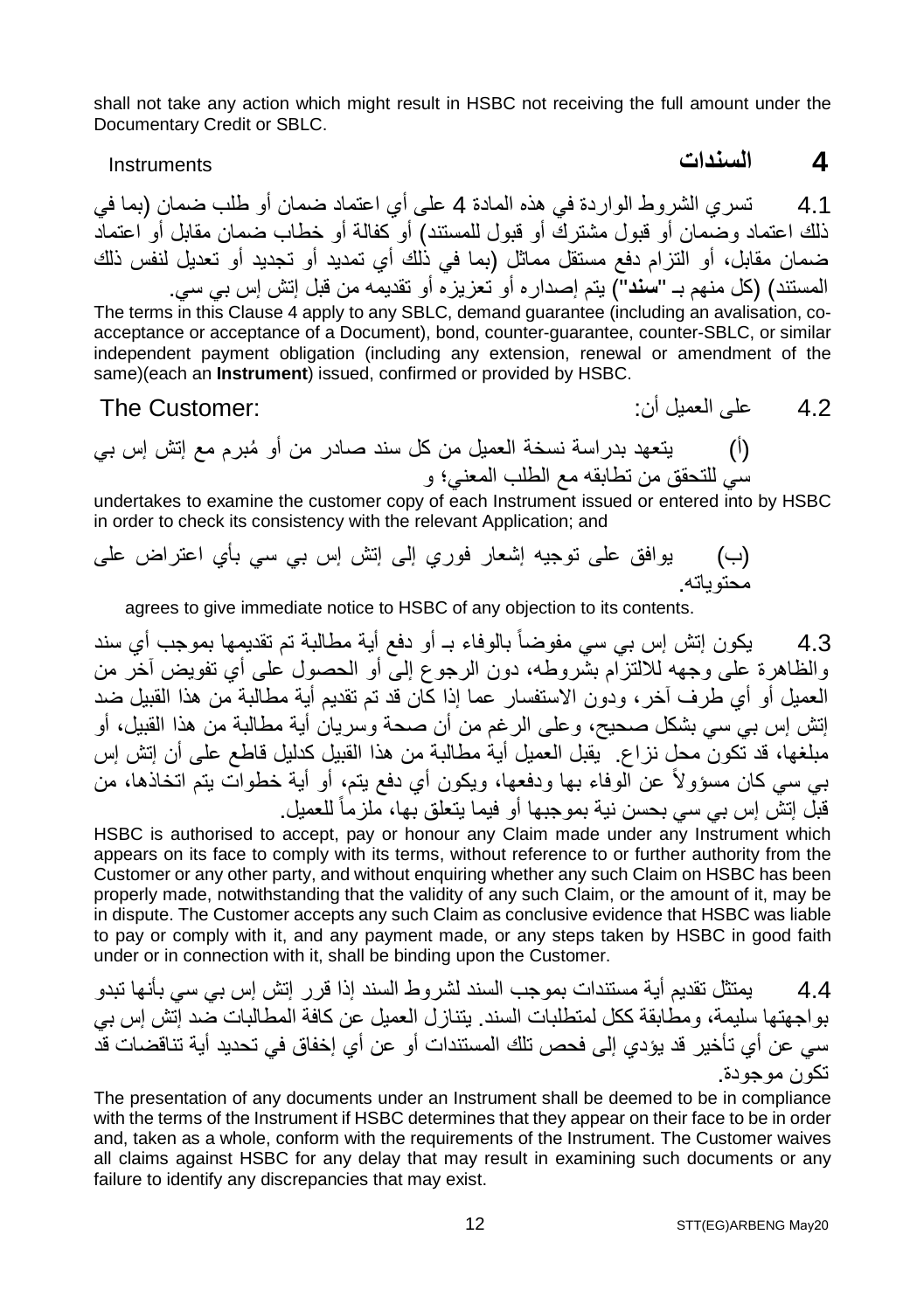shall not take any action which might result in HSBC not receiving the full amount under the Documentary Credit or SBLC.

**4 السندات** Instruments

4.1 تسري الشروط الواردة في ھذه المادة 4 على أي اعتماد ضمان أو طلب ضمان (بما في ذلك اعتماد وضمان أو قبول مشترك أو قبول للمستند) أو كفالة أو خطاب ضمان مقابل أو اعتماد ضمان مقابل، أو التزام دفع مستقل مماثل (بما في ذلك أي تمدید أو تجدید أو تعدیل لنفس ذلك المستند) (كل منھم بـ "**سند**") یتم إصداره أو تعزیزه أو تقدیمھ من قبل إتش إس بي سي.

The terms in this Clause 4 apply to any SBLC, demand guarantee (including an avalisation, coacceptance or acceptance of a Document), bond, counter-guarantee, counter-SBLC, or similar independent payment obligation (including any extension, renewal or amendment of the same)(each an **Instrument**) issued, confirmed or provided by HSBC.

4.2 على العمیل أن: :Customer The

(أ) ُ یتعھد بدراسة نسخة العمیل من كل سند صادر من أو مبرم مع إتش إس بي سي للتحقق من تطابقھ مع الطلب المعني؛ و

undertakes to examine the customer copy of each Instrument issued or entered into by HSBC in order to check its consistency with the relevant Application; and

(ب) یوافق على توجیھ إشعار فوري إلى إتش إس بي سي بأي اعتراض على محتویاتھ.

agrees to give immediate notice to HSBC of any objection to its contents.

4.3 یكون إتش إس بي سي مفوضاً بالوفاء بـ أو دفع أیة مطالبة تم تقدیمھا بموجب أي سند والظاھرة على وجھھ للالتزام بشروطھ، دون الرجوع إلى أو الحصول على أي تفویض آخر من العمیل أو أي طرف آخر، ودون الاستفسار عما إذا كان قد تم تقدیم أیة مطالبة من ھذا القبیل ضد إتش إس بي سي بشكل صحیح، وعلى الرغم من أن صحة وسریان أیة مطالبة من ھذا القبیل، أو مبلغھا، قد تكون محل نزاع. یقبل العمیل أیة مطالبة من ھذا القبیل كدلیل قاطع على أن إتش إس بي سي كان مسؤولاً عن الوفاء بھا ودفعھا، ویكون أي دفع یتم، أو أیة خطوات یتم اتخاذھا، من قبل إنش إس بي سي بحسن نية بموجبها أو فيما يتعلق بها، ملزماً للعميل.

HSBC is authorised to accept, pay or honour any Claim made under any Instrument which appears on its face to comply with its terms, without reference to or further authority from the Customer or any other party, and without enquiring whether any such Claim on HSBC has been properly made, notwithstanding that the validity of any such Claim, or the amount of it, may be in dispute. The Customer accepts any such Claim as conclusive evidence that HSBC was liable to pay or comply with it, and any payment made, or any steps taken by HSBC in good faith under or in connection with it, shall be binding upon the Customer.

4.4 یمتثل تقدیم أیة مستندات بموجب السند لشروط السند إذا قرر إتش إس بي سي بأنھا تبدو بواجھتھا سلیمة، ومطابقة ككل لمتطلبات السند. یتنازل العمیل عن كافة المطالبات ضد إتش إس بي سي عن أي تأخیر قد یؤدي إلى فحص تلك المستندات أو عن أي إخفاق في تحدید أیة تناقضات قد تكون موجودة.

The presentation of any documents under an Instrument shall be deemed to be in compliance with the terms of the Instrument if HSBC determines that they appear on their face to be in order and, taken as a whole, conform with the requirements of the Instrument. The Customer waives all claims against HSBC for any delay that may result in examining such documents or any failure to identify any discrepancies that may exist.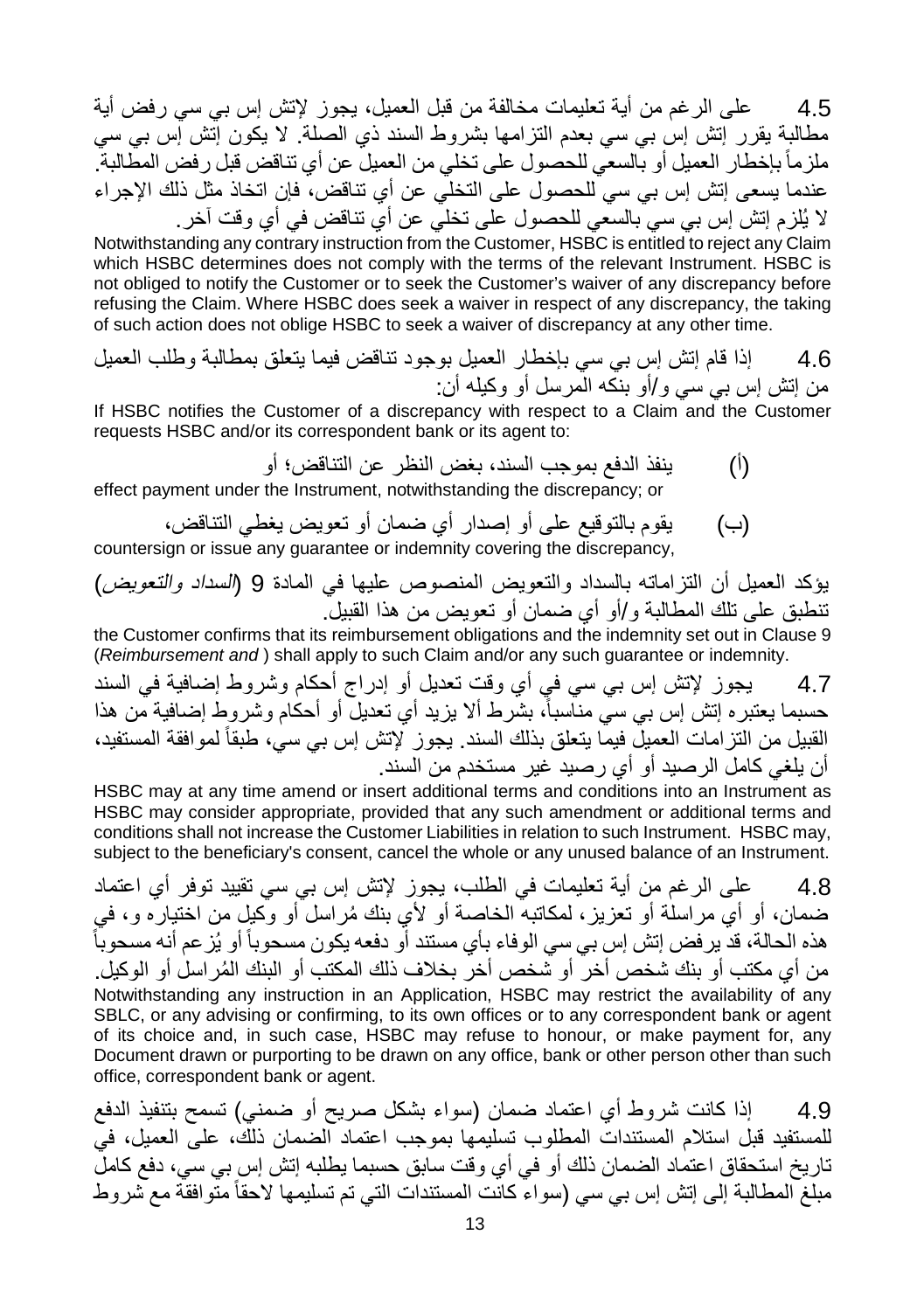4.5 على الرغم من أیة تعلیمات مخالفة من قبل العمیل، یجوز لإتش إس بي سي رفض أیة مطالبة یقرر إتش إس بي سي بعدم التزامھا بشروط السند ذي الصلة. لا یكون إتش إس بي سي ملزماً باخطار العمیل أو بالسعي للحصول على تخلي من العمیل عن أي تناقض قبل رفض المطالبة. عندما یسعى إتش إس بي سي للحصول على التخلي عن أي تناقض، فإن اتخاذ مثل ذلك الإجراء لا یُلزم إتش إس بي سي بالسعي للحصول على تخلي عن أي تناقض في أي وقت آخر.

Notwithstanding any contrary instruction from the Customer, HSBC is entitled to reject any Claim which HSBC determines does not comply with the terms of the relevant Instrument. HSBC is not obliged to notify the Customer or to seek the Customer's waiver of any discrepancy before refusing the Claim. Where HSBC does seek a waiver in respect of any discrepancy, the taking of such action does not oblige HSBC to seek a waiver of discrepancy at any other time.

4.6 إذا قام إتش إس بي سي بإخطار العمیل بوجود تناقض فیما یتعلق بمطالبة وطلب العمیل من إتش إس بي سي و/أو بنكھ المرسل أو وكیلھ أن:

If HSBC notifies the Customer of a discrepancy with respect to a Claim and the Customer requests HSBC and/or its correspondent bank or its agent to:

- (أ) ینفذ الدفع بموجب السند، بغض النظر عن التناقض؛ أو effect payment under the Instrument, notwithstanding the discrepancy; or
- (ب) یقوم بالتوقیع على أو إصدار أي ضمان أو تعویض یغطي التناقض، countersign or issue any guarantee or indemnity covering the discrepancy,

یؤكد العمیل أن التزاماتھ بالسداد والتعویض المنصوص علیھا في المادة 9 (السداد والتعویض) تنطبق على تلك المطالبة و/أو أي ضمان أو تعویض من ھذا القبیل.

the Customer confirms that its reimbursement obligations and the indemnity set out in Clause 9 (*Reimbursement and* ) shall apply to such Claim and/or any such guarantee or indemnity.

4.7 یجوز لإتش إس بي سي في أي وقت تعدیل أو إدراج أحكام وشروط إضافیة في السند حسبما یعتبره إتش إس بي سيّ مناسباً، بشرط ألا یزید أي تعدیل أو أحكام وشروط إضافیة من هذا القبیل من التزامات العمیل فیما یتعلق بذلك السند. یجوز لإتش إس بي سي، طبقاً لموافقة المستفید، أن یلغي كامل الرصید أو أي رصید غیر مستخدم من السند.

HSBC may at any time amend or insert additional terms and conditions into an Instrument as HSBC may consider appropriate, provided that any such amendment or additional terms and conditions shall not increase the Customer Liabilities in relation to such Instrument. HSBC may, subject to the beneficiary's consent, cancel the whole or any unused balance of an Instrument.

4.8 على الرغم من أیة تعلیمات في الطلب، یجوز لإتش إس بي سي تقیید توفر أي اعتماد ضمان، أو أيّ مراسلة أو تعزیز، لمكاتبه الخاصة أو لأي بنك مُراسل أو وكیل من اختیاره و، في ھذه الحالة، قد یرفض إتش إس بي سي الوفاء بأي مستند أو دفعھ یكون مسحوباً أو یُزعم أنھ مسحوباً من أي مكتب أو بنك شخص أخر ً أو شخص أخر ۖ بخلاف ذلك المكتب أو البنك المُر اسل أو الوكيل. Notwithstanding any instruction in an Application, HSBC may restrict the availability of any SBLC, or any advising or confirming, to its own offices or to any correspondent bank or agent of its choice and, in such case, HSBC may refuse to honour, or make payment for, any Document drawn or purporting to be drawn on any office, bank or other person other than such office, correspondent bank or agent.

4.9 إذا كانت شروط أي اعتماد ضمان (سواء بشكل صریح أو ضمني) تسمح بتنفیذ الدفع للمستفید قبل استلام المستندات المطلوب تسلیمھا بموجب اعتماد الضمان ذلك، على العمیل، في تاریخ استحقاق اعتماد الضمان ذلك أو في أي وقت سابق حسبما یطلبھ إتش إس بي سي، دفع كامل مبلغ المطالبة إلى إتش إس بي سي (سواء كانت المستندات التي تم تسلیمھا لاحقاً متوافقة مع شروط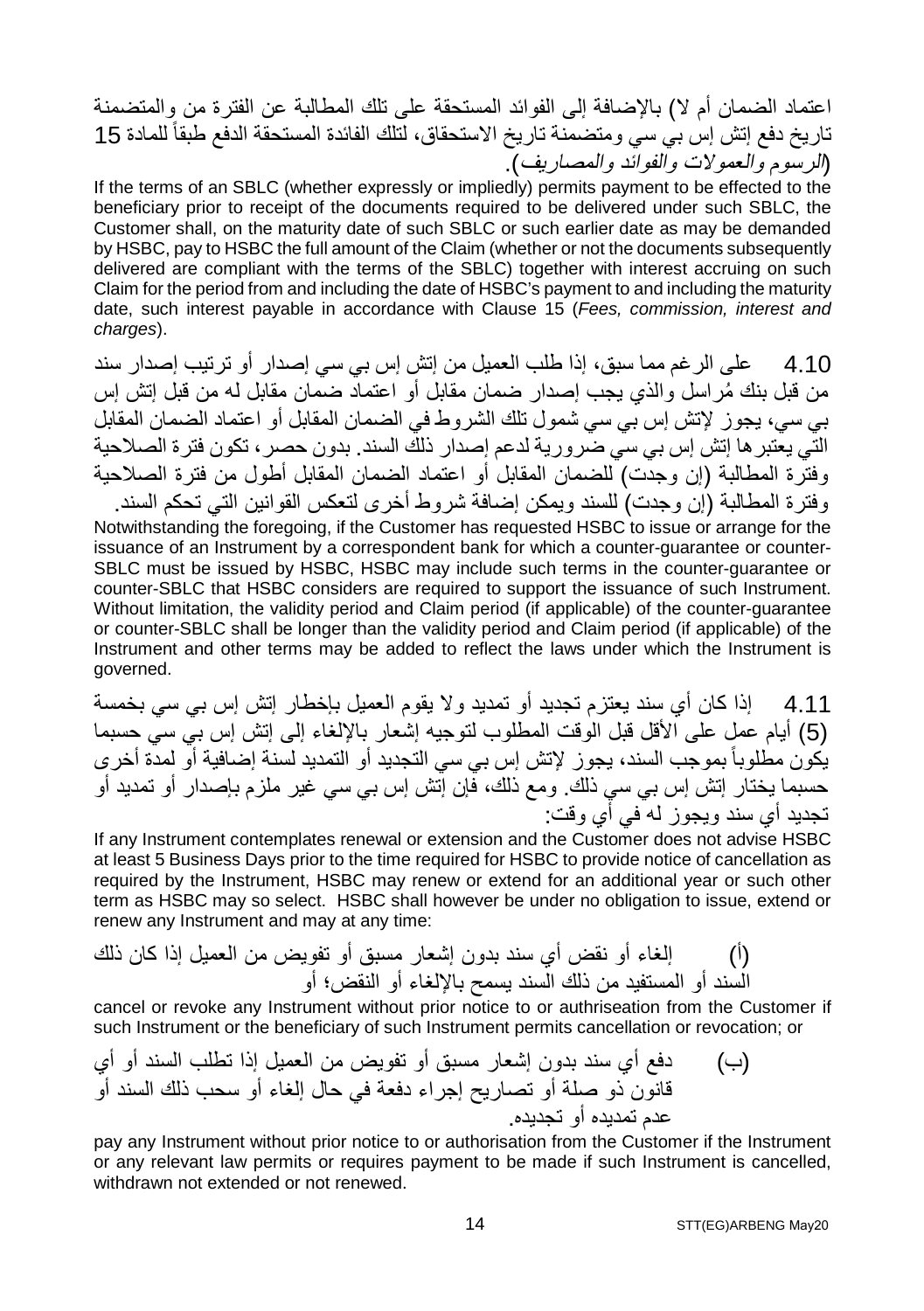اعتماد الضمان أم لا) بالإضافة إلى الفوائد المستحقة على تلك المطالبة عن الفترة من والمتضمنة تاریخ دفع إتش إس بي سي ومتضمنة تاریخ الاستحقاق، لتلك الفائدة المستحقة الدفع طبقا 15 ً للمادة (الرسوم والعمولات والفوائد والمصاریف).

If the terms of an SBLC (whether expressly or impliedly) permits payment to be effected to the beneficiary prior to receipt of the documents required to be delivered under such SBLC, the Customer shall, on the maturity date of such SBLC or such earlier date as may be demanded by HSBC, pay to HSBC the full amount of the Claim (whether or not the documents subsequently delivered are compliant with the terms of the SBLC) together with interest accruing on such Claim for the period from and including the date of HSBC's payment to and including the maturity date, such interest payable in accordance with Clause 15 (*Fees, commission, interest and charges*).

4.10 علـي الر غم مما سبق، إذا طلب العمیل من إتش إس بي سي إصدار أو تر تیب إصدار ً سند ُ من قبل بنك مراسل والذي یجب إصدار ضمان مقابل أو اعتماد ضمان مقابل لھ من قبل إتش إس بي سي، یجوز لإتش إس بي سي شمول تلك الشروط في الضمان المقابل أو اعتماد الضمان المقابل التي یعتبرھا إتش إس بي سي ضروریة لدعم إصدار ذلك السند. بدون حصر، تكون فترة الصلاحیة وفترة المطالبة (إن وجدت) للضمان المقابل أو اعتماد الضمان المقابل أطول من فترة الصلاحیة وفترة المطالبة (إن وجدت) للسند ویمكن إضافة شروط أخرى لتعكس القوانین التي تحكم السند.

Notwithstanding the foregoing, if the Customer has requested HSBC to issue or arrange for the issuance of an Instrument by a correspondent bank for which a counter-guarantee or counter-SBLC must be issued by HSBC, HSBC may include such terms in the counter-guarantee or counter-SBLC that HSBC considers are required to support the issuance of such Instrument. Without limitation, the validity period and Claim period (if applicable) of the counter-guarantee or counter-SBLC shall be longer than the validity period and Claim period (if applicable) of the Instrument and other terms may be added to reflect the laws under which the Instrument is governed.

4.11 إذا كان أي سند یعتزم تجدید أو تمدید ولا یقوم العمیل بإخطار إتش إس بي سي بخمسة (5) أیام عمل على الأقل قبل الوقت المطلوب لتوجیھ إشعار بالإلغاء إلى إتش إس بي سي حسبما یكون مطلوباً بموجب السند، يجوز لإتش إس بي سي التجدید أو التمدید لسنة إصافیة أو لمدة أخر ى حسبما یختار إتش إس بي سي ذلك. ومع ذلك، فإن إتش إس بي سي غیر ملزم بإصدار أو تمدید أو تجدید أي سند ویجوز لھ في أي وقت:

If any Instrument contemplates renewal or extension and the Customer does not advise HSBC at least 5 Business Days prior to the time required for HSBC to provide notice of cancellation as required by the Instrument, HSBC may renew or extend for an additional year or such other term as HSBC may so select. HSBC shall however be under no obligation to issue, extend or renew any Instrument and may at any time:

(أ) إلغاء أو نقض أي سند بدون إشعار مسبق أو تفویض من العمیل إذا كان ذلك السند أو المستفید من ذلك السند یسمح بالإلغاء أو النقض؛ أو

cancel or revoke any Instrument without prior notice to or authriseation from the Customer if such Instrument or the beneficiary of such Instrument permits cancellation or revocation; or

(ب) دفع أي سند بدون إشعار مسبق أو تفویض من العمیل إذا تطلب السند أو أي قانون ذو صلة أو تصاریح إجراء دفعة في حال إلغاء أو سحب ذلك السند أو عدم تمدیده أو تجدیده.

pay any Instrument without prior notice to or authorisation from the Customer if the Instrument or any relevant law permits or requires payment to be made if such Instrument is cancelled, withdrawn not extended or not renewed.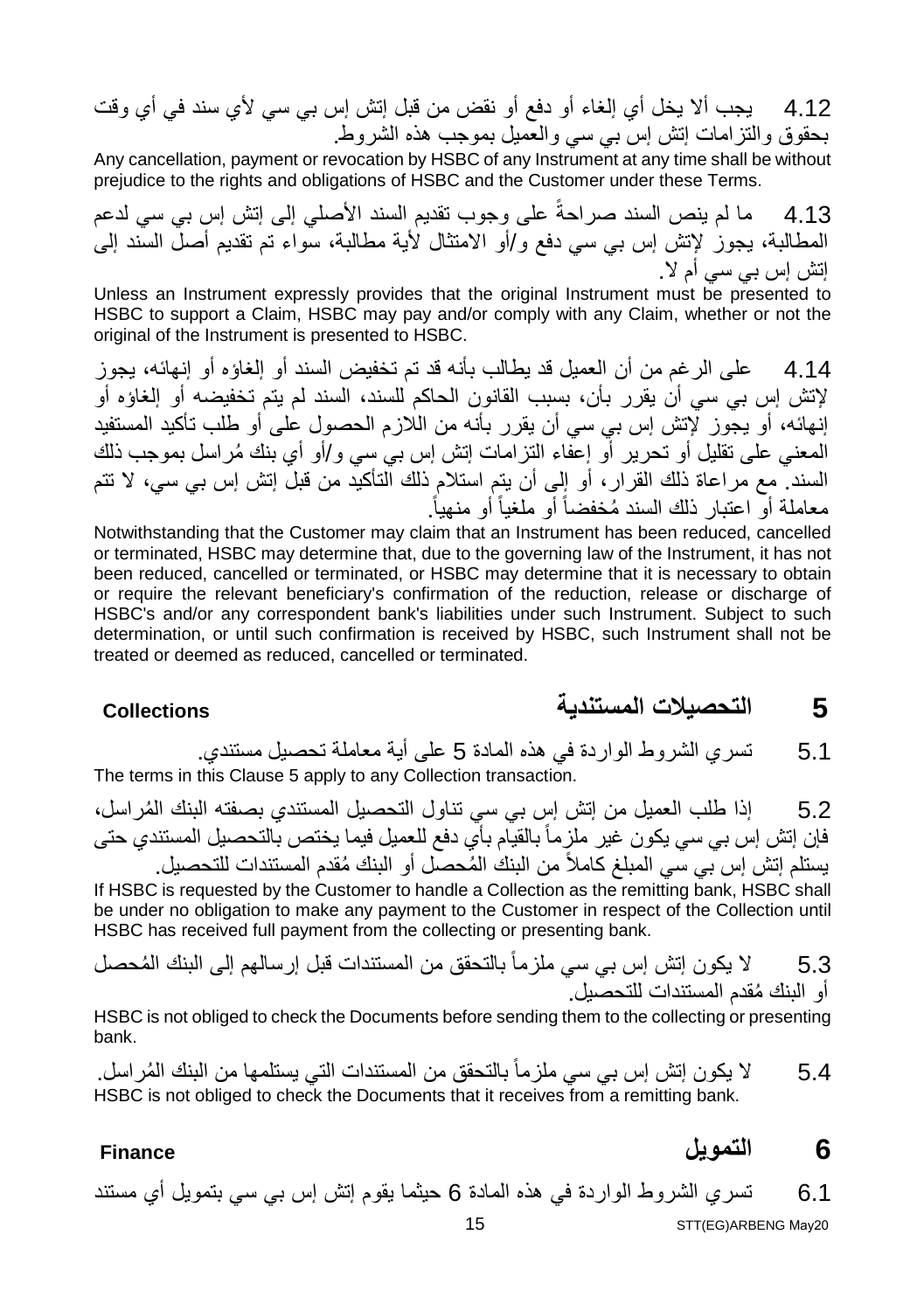4.12 یجب ألا یخل أي إلغاء أو دفع أو نقض من قبل إتش إس بي سي لأي سند في أي وقت بحقوق والتزامات إتش إس بي سي والعمیل بموجب ھذه الشروط.

Any cancellation, payment or revocation by HSBC of any Instrument at any time shall be without prejudice to the rights and obligations of HSBC and the Customer under these Terms.

4.13 ما لم ینص السند صراحةً على وجوب تقدیم السند الأصلي إلى إتش إس بي سي لدعم المطالبة، یجوز لإتش إس بي سي دفع و/أو الامتثال لأیة مطالبة، سواء تم تقدیم أصل السند إلى إتش إس بي سي أم لا.

Unless an Instrument expressly provides that the original Instrument must be presented to HSBC to support a Claim, HSBC may pay and/or comply with any Claim, whether or not the original of the Instrument is presented to HSBC.

4.14 على الرغم من أن العمیل قد یطالب بأنھ قد تم تخفیض السند أو إلغاؤه أو إنھائھ، یجوز لإتش إس بي سي أن یقرر بأن، بسبب القانون الحاكم للسند، السند لم یتم تخفیضھ أو إلغاؤه أو إنھائھ، أو یجوز لإتش إس بي سي أن یقرر بأنھ من اللازم الحصول على أو طلب تأكید المستفید ُ المعني على تقلیل أو تحریر أو إعفاء التزامات إتش إس بي سي و/أو أي بنك مراسل بموجب ذلك السند. مع مراعاة ذلك القرار، أو إلى أن یتم استلام ذلك التأكید من قبل إتش إس بي سي، لا تتم . معاملة أو اعتبار ُ ذلك السند مخفضاً أو ملغیاً أو منھیاً

Notwithstanding that the Customer may claim that an Instrument has been reduced, cancelled or terminated, HSBC may determine that, due to the governing law of the Instrument, it has not been reduced, cancelled or terminated, or HSBC may determine that it is necessary to obtain or require the relevant beneficiary's confirmation of the reduction, release or discharge of HSBC's and/or any correspondent bank's liabilities under such Instrument. Subject to such determination, or until such confirmation is received by HSBC, such Instrument shall not be treated or deemed as reduced, cancelled or terminated.

**5 التحصیلات المستندیة Collections**

5.1 تسري الشروط الواردة في ھذه المادة 5 على أیة معاملة تحصیل مستندي. The terms in this Clause 5 apply to any Collection transaction.

5.2 ُ إذا طلب العمیل من إتش إس بي سي تناول التحصیل المستندي بصفتھ البنك المراسل، فإن إتش إس بي سي یكون غیر ملزماً بالقیام بأي دفع للعمیل فیما یختص بالتحصیل المستندي حتى يستلم إتش إس بي سي المبلغ كاملاً من البنك المُحصل أو البنك مُقدم المستندات للتحصيل.

If HSBC is requested by the Customer to handle a Collection as the remitting bank, HSBC shall be under no obligation to make any payment to the Customer in respect of the Collection until HSBC has received full payment from the collecting or presenting bank.

5.3 لا يكون إتش إس بي سي ملزماً بالتحقق من المستندات قبل إرسالهم إلى البنك المُحصل ُ أو البنك مقدم المستندات للتحصیل.

HSBC is not obliged to check the Documents before sending them to the collecting or presenting bank.

5.4  $\,$  لا يكون إتش إس بي سي ملزماً بالتحقق من المستندات التي يستلمها من البنك المُر اسل HSBC is not obliged to check the Documents that it receives from a remitting bank.

### **6 التمویل Finance**

6.1 تسري الشروط الواردة في ھذه المادة 6 حیثما یقوم إتش إس بي سي بتمویل أي مستند STT(EG)ARBENG May20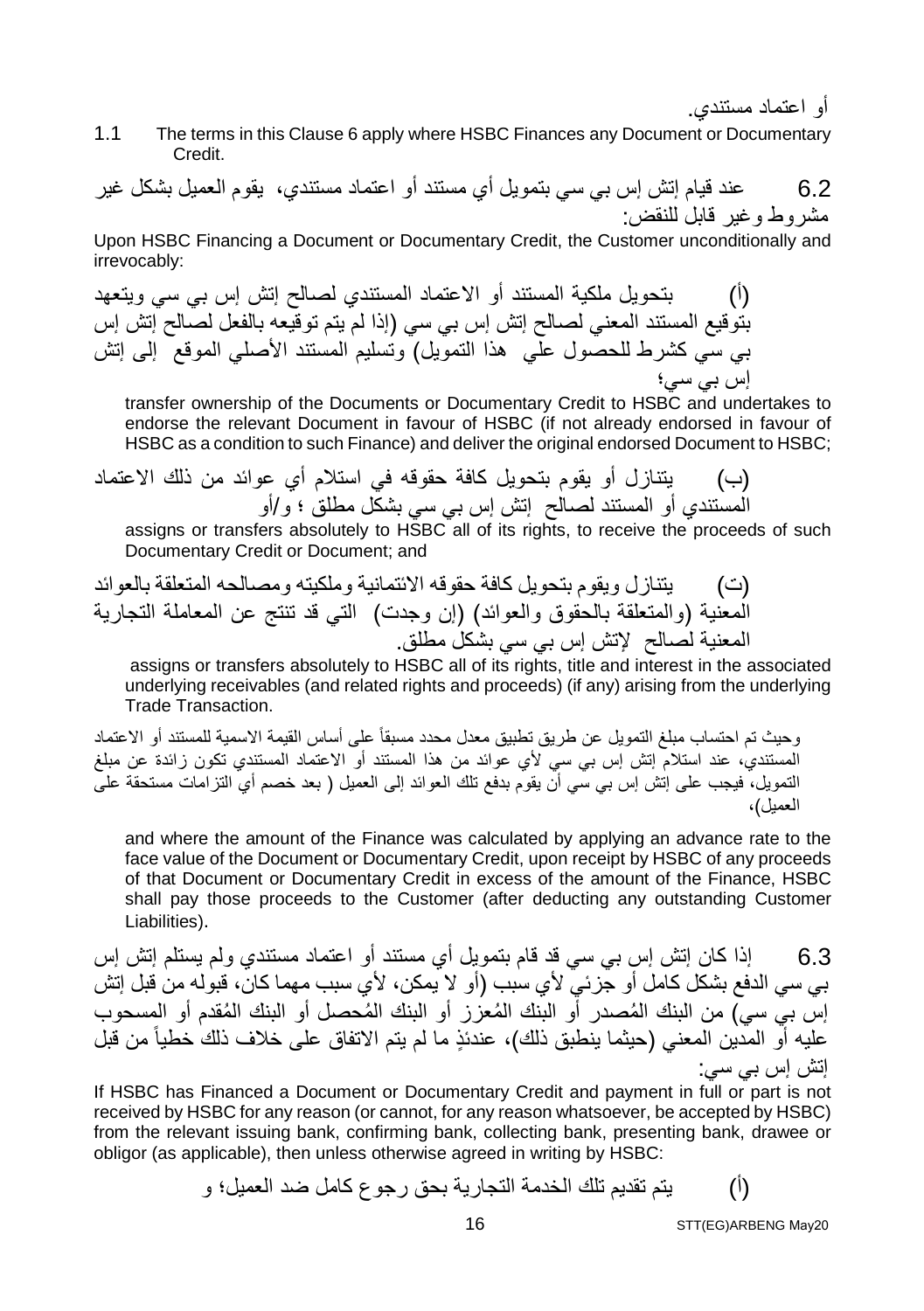أو اعتماد مستندي.

1.1 The terms in this Clause 6 apply where HSBC Finances any Document or Documentary Credit.

6.2 عند قیام إتش إس بي سي بتمویل أي مستند أو اعتماد مستندي، یقوم العمیل بشكل غیر مشروط وغیر قابل للنقض:

Upon HSBC Financing a Document or Documentary Credit, the Customer unconditionally and irrevocably:

(أ) بتحویل ملكیة المستند أو الاعتماد المستندي لصالح إتش إس بي سي ویتعھد بتوقیع المستند المعني لصالح إتش إس بي سي (إذا لم یتم توقیعھ بالفعل لصالح إتش إس بي سي كشرط للحصول علي ھذا التمویل) وتسلیم المستند الأصلي الموقع إلى إتش إس بي سي؛

transfer ownership of the Documents or Documentary Credit to HSBC and undertakes to endorse the relevant Document in favour of HSBC (if not already endorsed in favour of HSBC as a condition to such Finance) and deliver the original endorsed Document to HSBC;

(ب) یتنازل أو یقوم بتحویل كافة حقوقھ في استلام أي عوائد من ذلك الاعتماد المستندي أو المستند لصالح إتش إس بي سي بشكل مطلق ؛ و/أو

assigns or transfers absolutely to HSBC all of its rights, to receive the proceeds of such Documentary Credit or Document; and

(ت) یتنازل ویقوم بتحویل كافة حقوقھ الائتمانیة وملكیتھ ومصالحھ المتعلقة بالعوائد المعنیة (والمتعلقة بالحقوق والعوائد) (إن وجدت) التي قد تنتج عن المعاملة التجاریة المعنیة لصالح لإتش إس بي سي بشكل مطلق.

 assigns or transfers absolutely to HSBC all of its rights, title and interest in the associated underlying receivables (and related rights and proceeds) (if any) arising from the underlying Trade Transaction.

وحیث تم احتساب مبلغ التمویل عن طریق تطبیق معدل محدد مسبقاً على أساس القیمة الاسمیة للمستند أو الاعتماد المستندي، عند استلام إتش إس بي سي لأي عوائد من ھذا المستند أو الاعتماد المستندي تكون زائدة عن مبلغ التمویل، فیجب على إتش إس بي سي أن یقوم بدفع تلك العوائد إلى العمیل ( بعد خصم أي التزامات مستحقة على العمیل)،

and where the amount of the Finance was calculated by applying an advance rate to the face value of the Document or Documentary Credit, upon receipt by HSBC of any proceeds of that Document or Documentary Credit in excess of the amount of the Finance, HSBC shall pay those proceeds to the Customer (after deducting any outstanding Customer Liabilities).

6.3 إذا كان إتش إس بي سي قد قام بتمویل أي مستند أو اعتماد مستندي ولم یستلم إتش إس بي سي الدفع بشكل كامل أو جزئي لأي سبب (أو لا یمكن، لأي سبب مھما كان، قبولھ من قبل إتش إس بي سي) من البنك المُصدر أو البنك المُعزز أو البنك المُحصل أو البنك المُقدم أو المسحوب علیھ أو المدین المعني (حیثما ینطبق ذلك)، عندئذٍ ما لم یتم الاتفاق على خلاف ذلك خطیاً من قبل إتش إس بي سي:

If HSBC has Financed a Document or Documentary Credit and payment in full or part is not received by HSBC for any reason (or cannot, for any reason whatsoever, be accepted by HSBC) from the relevant issuing bank, confirming bank, collecting bank, presenting bank, drawee or obligor (as applicable), then unless otherwise agreed in writing by HSBC:

(أ) یتم تقدیم تلك الخدمة التجاریة بحق رجوع كامل ضد العمیل؛ و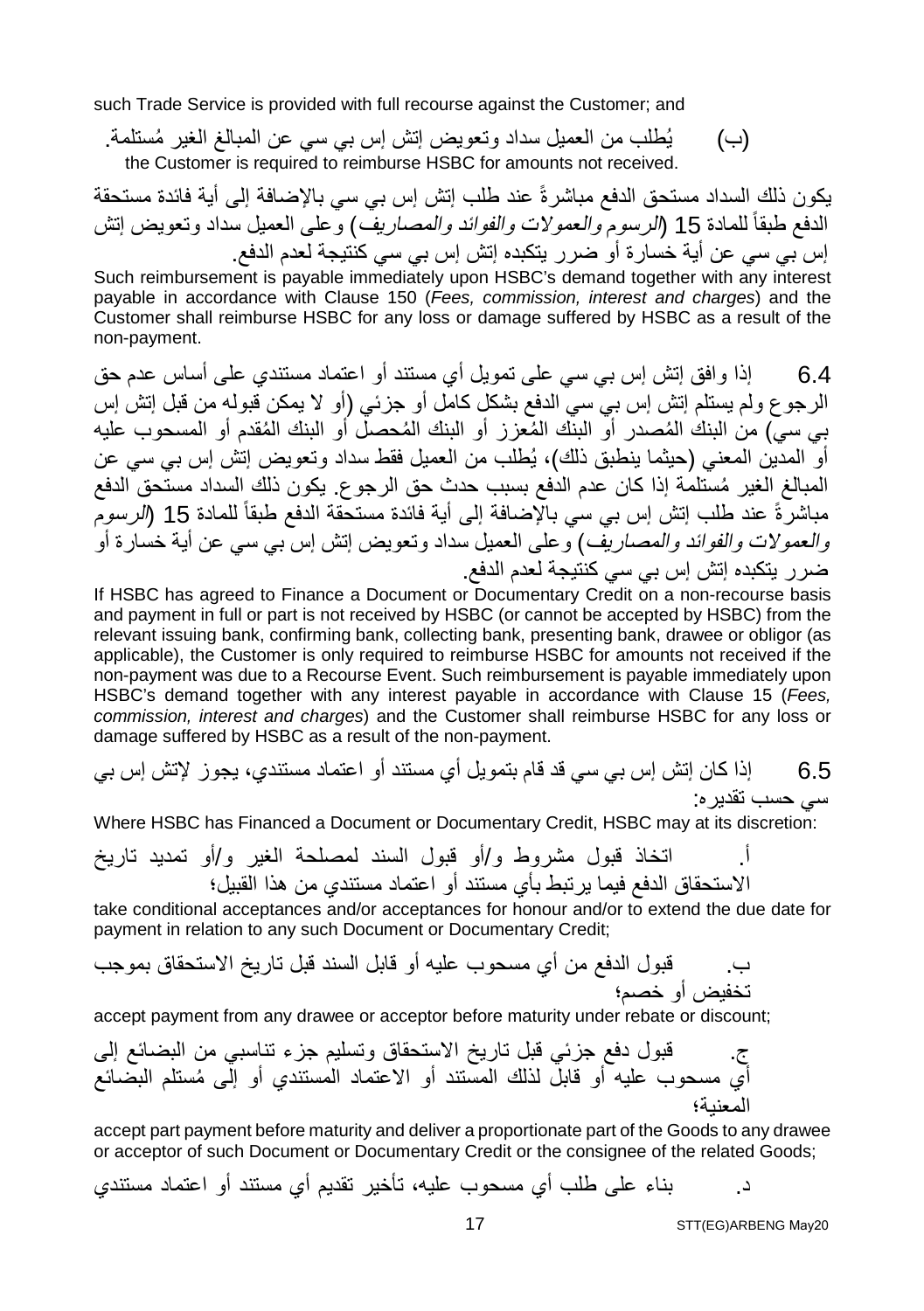such Trade Service is provided with full recourse against the Customer; and

(ب) یُ ُ طلب من العمیل سداد وتعویض إتش إس بي سي عن المبالغ الغیر مستلمة. the Customer is required to reimburse HSBC for amounts not received.

یكون ذلك السداد مستحق الدفع مباشرةً عند طلب إتش إس بي سي بالإضافة إلى أیة فائدة مستحقة الدفع طبقاً للمادة 15 (*الرسوم و العمولات و الفوائد و المصاری*ف) و على العمیل سداد وتعویض إنش إس بي سي عن أیة خسارة أو ضرر یتكبده إتش إس بي سي كنتیجة لعدم الدفع.

Such reimbursement is payable immediately upon HSBC's demand together with any interest payable in accordance with Clause 150 (*Fees, commission, interest and charges*) and the Customer shall reimburse HSBC for any loss or damage suffered by HSBC as a result of the non-payment.

6.4 إذا وافق إتش إس بي سي على تمویل أي مستند أو اعتماد مستندي على أساس عدم حق الرجوع ولم یستلم إتش إس بي سي الدفع بشكل كامل أو جزئي (أو لا یمكن قبولھ من قبل إتش إس بي سي) من البنك المُصدر أو البنك المُعزز أو البنك المُحصل أو البنك المُقدم أو المسحوب علیه أو المدین المعني (حیثما ینطبق ذلك)، یُطلب من العمیل فقط سداد وتعویض إتش إس بي سي عن ُ المبالغ الغیر مستلمة إذا كان عدم الدفع بسبب حدث حق الرجوع. یكون ذلك السداد مستحق الدفع مباشرةً عند طلب إتش إس بي سي بالإضافة إلى أية فائدة مستحقة الدفع طبقاً للمادة 15 (الرسوم والعمولات والفوائد والمصاریف) وعلى العمیل سداد وتعویض إتش إس بي سي عن أیة خسارة أو ضرر یتكبده إتش إس بي سي كنتیجة لعدم الدفع.

If HSBC has agreed to Finance a Document or Documentary Credit on a non-recourse basis and payment in full or part is not received by HSBC (or cannot be accepted by HSBC) from the relevant issuing bank, confirming bank, collecting bank, presenting bank, drawee or obligor (as applicable), the Customer is only required to reimburse HSBC for amounts not received if the non-payment was due to a Recourse Event. Such reimbursement is payable immediately upon HSBC's demand together with any interest payable in accordance with Clause 15 (*Fees, commission, interest and charges*) and the Customer shall reimburse HSBC for any loss or damage suffered by HSBC as a result of the non-payment.

6.5 إذا كان إتش إس بي سي قد قام بتمویل أي مستند أو اعتماد مستندي، یجوز لإتش إس بي سي حسب تقدیره:

Where HSBC has Financed a Document or Documentary Credit, HSBC may at its discretion:

أ. اتخاذ قبول مشروط و/أو قبول السند لمصلحة الغیر و/أو تمدید تاریخ الاستحقاق الدفع فیما یرتبط بأي مستند أو اعتماد مستندي من ھذا القبیل؛

take conditional acceptances and/or acceptances for honour and/or to extend the due date for payment in relation to any such Document or Documentary Credit;

ب. قبول الدفع من أي مسحوب علیھ أو قابل السند قبل تاریخ الاستحقاق بموجب تخفیض أو خصم؛

accept payment from any drawee or acceptor before maturity under rebate or discount;

ج. قبول دفع جزئي قبل تاریخ الاستحقاق وتسلیم جزء تناسبي من البضائع إلى ُ أي مسحوب علیھ أو قابل لذلك المستند أو الاعتماد المستندي أو إلى مستلم البضائع المعنیة؛

accept part payment before maturity and deliver a proportionate part of the Goods to any drawee or acceptor of such Document or Documentary Credit or the consignee of the related Goods;

د. بناء على طلب أي مسحوب علیھ، تأخیر تقدیم أي مستند أو اعتماد مستندي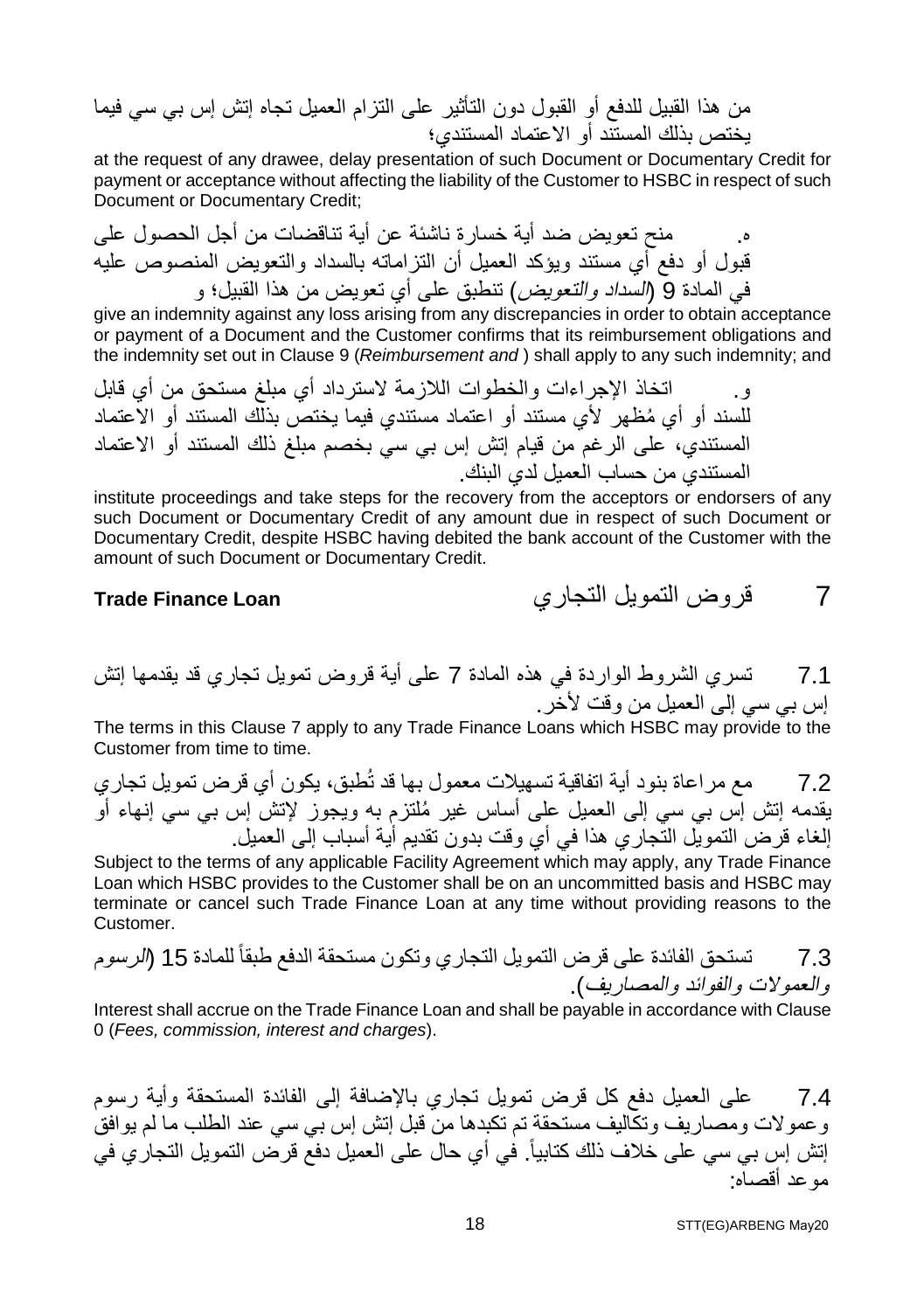من ھذا القبیل للدفع أو القبول دون التأثیر على التزام العمیل تجاه إتش إس بي سي فیما یختص بذلك المستند أو الاعتماد المستندي؛

at the request of any drawee, delay presentation of such Document or Documentary Credit for payment or acceptance without affecting the liability of the Customer to HSBC in respect of such Document or Documentary Credit;

ه. منح تعویض ضد أیة خسارة ناشئة عن أیة تناقضات من أجل الحصول على قبول أو دفع أي مستند ویؤكد العمیل أن التزاماتھ بالسداد والتعویض المنصوص علیھ في المادة 9 (السداد والتعویض) تنطبق على أي تعویض من ھذا القبیل؛ و

give an indemnity against any loss arising from any discrepancies in order to obtain acceptance or payment of a Document and the Customer confirms that its reimbursement obligations and the indemnity set out in Clause 9 (*Reimbursement and* ) shall apply to any such indemnity; and

و. اتخاذ الإجراءات والخطوات اللازمة لاسترداد أي مبلغ مستحق من أي قابل ُ للسند أو أي مظھر لأي مستند أو اعتماد مستندي فیما یختص بذلك المستند أو الاعتماد المستندي، على الرغم من قیام إتش إس بي سي بخصم مبلغ ذلك المستند أو الاعتماد المستندي من حساب العمیل لدي البنك.

institute proceedings and take steps for the recovery from the acceptors or endorsers of any such Document or Documentary Credit of any amount due in respect of such Document or Documentary Credit, despite HSBC having debited the bank account of the Customer with the amount of such Document or Documentary Credit.

7.1 تسري الشروط الواردة في ھذه المادة 7 على أیة قروض تمویل تجاري قد یقدمھا إتش إس بي سي إلى العمیل من وقت لأخر.

The terms in this Clause 7 apply to any Trade Finance Loans which HSBC may provide to the Customer from time to time.

7.2 مع مراعاة بنود أیة اتفاقیة تسھیلات معمول بھا قد تُطبق، یكون أي قرض تمویل تجاري ُ یقدمھ إتش إس بي سي إلى العمیل على أساس غیر ملتزم بھ ویجوز لإتش إس بي سي إنھاء أو إلغاء قرض التمویل التجاري ھذا في أي وقت بدون تقدیم أیة أسباب إلى العمیل.

Subject to the terms of any applicable Facility Agreement which may apply, any Trade Finance Loan which HSBC provides to the Customer shall be on an uncommitted basis and HSBC may terminate or cancel such Trade Finance Loan at any time without providing reasons to the Customer.

7.3 تستحق الفائدة على قرض التمویل التجاري وتكون مستحقة الدفع طبقاً للمادة 15 (الرسوم والعمولات والفوائد والمصاریف).

Interest shall accrue on the Trade Finance Loan and shall be payable in accordance with Clause 0 (*Fees, commission, interest and charges*).

7.4 على العمیل دفع كل قرض تمویل تجاري بالإضافة إلى الفائدة المستحقة وأیة رسوم وعمولات ومصاریف وتكالیف مستحقة تم تكبدھا من قبل إتش إس بي سي عند الطلب ما لم یوافق إتش إس بي سي على خلاف ذلك كتابياً. في أي حال على العميل دفع قرض التمويل التجاري في موعد أقصاه:

7 قروض التمویل التجاري **Loan Finance Trade**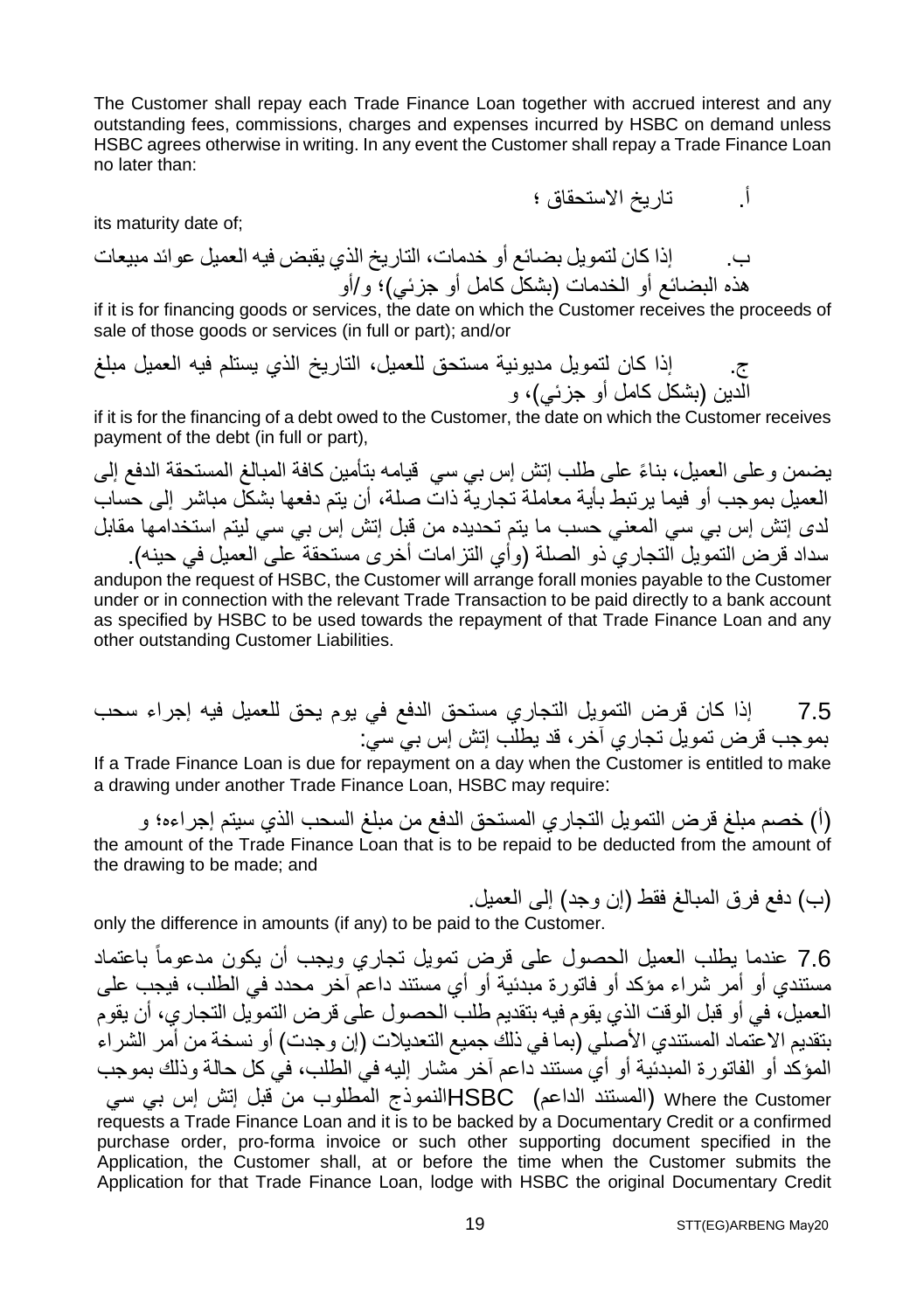The Customer shall repay each Trade Finance Loan together with accrued interest and any outstanding fees, commissions, charges and expenses incurred by HSBC on demand unless HSBC agrees otherwise in writing. In any event the Customer shall repay a Trade Finance Loan no later than:

its maturity date of;

ب. إذا كان لتمویل بضائع أو خدمات، التاریخ الذي یقبض فیھ العمیل عوائد مبیعات ھذه البضائع أو الخدمات (بشكل كامل أو جزئي)؛ و/أو

if it is for financing goods or services, the date on which the Customer receives the proceeds of sale of those goods or services (in full or part); and/or

ج. إذا كان لتمویل مدیونیة مستحق للعمیل، التاریخ الذي یستلم فیھ العمیل مبلغ الدین (بشكل كامل أو جزئي)، و

if it is for the financing of a debt owed to the Customer, the date on which the Customer receives payment of the debt (in full or part),

یضمن وعلى العمیل، ً بناء على طلب إتش إس بي سي قیامھ بتأمین كافة المبالغ المستحقة الدفع إلى العمیل بموجب أو فیما یرتبط بأیة معاملة تجاریة ذات صلة، أن یتم دفعھا بشكل مباشر إلى حساب لدى إتش إس بي سي المعني حسب ما یتم تحدیده من قبل إتش إس بي سي لیتم استخدامھا مقابل سداد قرض التمویل التجاري ذو الصلة (وأي التزامات أخرى مستحقة على العمیل في حینھ).

andupon the request of HSBC, the Customer will arrange forall monies payable to the Customer under or in connection with the relevant Trade Transaction to be paid directly to a bank account as specified by HSBC to be used towards the repayment of that Trade Finance Loan and any other outstanding Customer Liabilities.

7.5 إذا كان قرض التمویل التجاري مستحق الدفع في یوم یحق للعمیل فیھ إجراء سحب بموجب قرض تمویل تجاري آخر، قد یطلب إتش إس بي سي:

If a Trade Finance Loan is due for repayment on a day when the Customer is entitled to make a drawing under another Trade Finance Loan, HSBC may require:

(أ) خصم مبلغ قرض التمویل التجاري المستحق الدفع من مبلغ السحب الذي سیتم إجراءه؛ و the amount of the Trade Finance Loan that is to be repaid to be deducted from the amount of the drawing to be made; and

(ب) دفع فرق المبالغ فقط (إن وجد) إلى العمیل.

أ. تاریخ الاستحقاق ؛

only the difference in amounts (if any) to be paid to the Customer.

7.6 عندما یطلب العمیل الحصول على قرض تمویل تجاري ویجب أن یكون مدعوماً باعتماد مستندي أو أمر شراء مؤكد أو فاتورة مبدئیة أو أي مستند داعم آخر محدد في الطلب، فیجب على العمیل، في أو قبل الوقت الذي یقوم فیھ بتقدیم طلب الحصول على قرض التمویل التجاري، أن یقوم بتقدیم الاعتماد المستندي الأصلي (بما في ذلك جمیع التعدیلات (إن وجدت) أو نسخة من أمر الشراء المؤكد أو الفاتورة المبدئیة أو أي مستند داعم آخر مشار إلیھ في الطلب، في كل حالة وذلك بموجب Customer the Where) المستند الداعم) HSBCالنموذج المطلوب من قبل إتش إس بي سي requests a Trade Finance Loan and it is to be backed by a Documentary Credit or a confirmed purchase order, pro-forma invoice or such other supporting document specified in the Application, the Customer shall, at or before the time when the Customer submits the Application for that Trade Finance Loan, lodge with HSBC the original Documentary Credit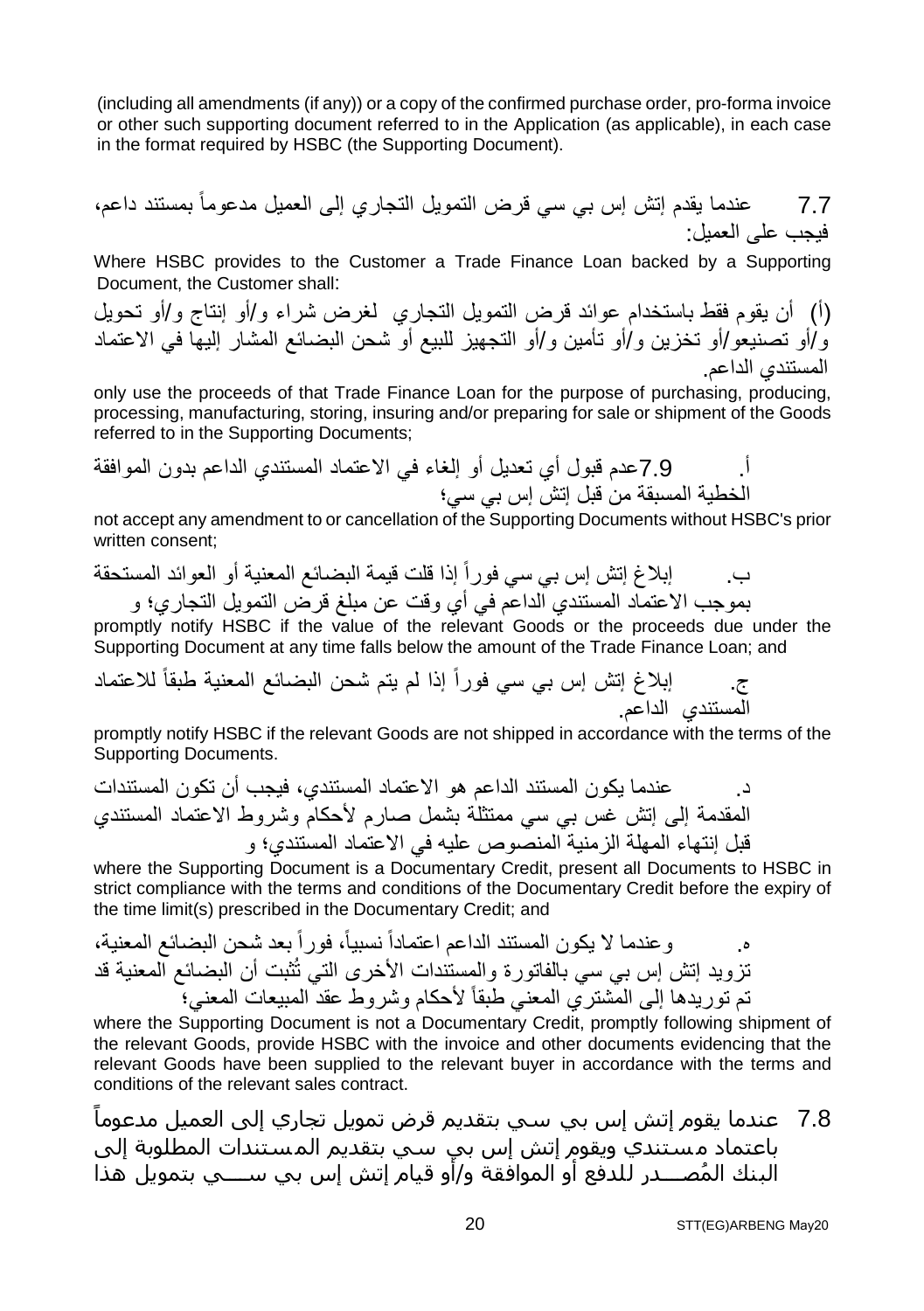(including all amendments (if any)) or a copy of the confirmed purchase order, pro-forma invoice or other such supporting document referred to in the Application (as applicable), in each case in the format required by HSBC (the Supporting Document).

7.7 عندما یقدم إتش إس بي سي قرض التمویل التجاري إلى العمیل مدعوماً بمستند داعم، فیجب على العمیل:

Where HSBC provides to the Customer a Trade Finance Loan backed by a Supporting Document, the Customer shall:

(أ) أن یقوم فقط باستخدام عوائد قرض التمویل التجاري لغرض شراء و/أو إنتاج و/أو تحویل و/أو تصنیعو/أو تخزین و/أو تأمین و/أو التجھیز للبیع أو شحن البضائع المشار إلیھا في الاعتماد المستندي الداعم.

only use the proceeds of that Trade Finance Loan for the purpose of purchasing, producing, processing, manufacturing, storing, insuring and/or preparing for sale or shipment of the Goods referred to in the Supporting Documents;

أ. 7.9عدم قبول أي تعدیل أو إلغاء في الاعتماد المستندي الداعم بدون الموافقة الخطیة المسبقة من قبل إتش إس بي سي؛

not accept any amendment to or cancellation of the Supporting Documents without HSBC's prior written consent;

ب. إبلاغ إتش إس بي سي فوراً إذا قلت قیمة البضائع المعنیة أو العوائد المستحقة بموجب الاعتماد المستندي الداعم في أي وقت عن مبلغ قرض التمویل التجاري؛ و

promptly notify HSBC if the value of the relevant Goods or the proceeds due under the Supporting Document at any time falls below the amount of the Trade Finance Loan; and

ج. إبلاغ إتش إس بي سي فوراً إذا لم یتم شحن البضائع المعنیة طبقاً للاعتماد المستندي الداعم.

promptly notify HSBC if the relevant Goods are not shipped in accordance with the terms of the Supporting Documents.

د. عندما یكون المستند الداعم ھو الاعتماد المستندي، فیجب أن تكون المستندات المقدمة إلى إتش غس بي سي ممتثلة بشمل صارم لأحكام وشروط الاعتماد المستندي قبل إنتھاء المھلة الزمنیة المنصوص علیھ في الاعتماد المستندي؛ و

where the Supporting Document is a Documentary Credit, present all Documents to HSBC in strict compliance with the terms and conditions of the Documentary Credit before the expiry of the time limit(s) prescribed in the Documentary Credit; and

ه. وعندما لا یكون المستند الداعم اعتماداً نسبیا،ً فوراً بعد شحن البضائع المعنیة، تزوید إتش إس بي سي بالفاتورة والمستندات الأخرى التي تُثبت أن البضائع المعنیة قد تم توریدھا إلى المشتري المعني طبقاً لأحكام وشروط عقد المبیعات المعني؛

where the Supporting Document is not a Documentary Credit, promptly following shipment of the relevant Goods, provide HSBC with the invoice and other documents evidencing that the relevant Goods have been supplied to the relevant buyer in accordance with the terms and conditions of the relevant sales contract.

ً 7.8 عندما يقوم إتش إس بي سي بتقديم قرض تمويل تجاري إلى العمیل مدعوما باعتماد مستندي ويقوم إتش إس بي سي بتقديم الم ستندات المطلوبة إلى ُ البنك المصــــدر للدفع أو الموافقة و/أو قیام إتش إس بي ســــي بتمويل ھذا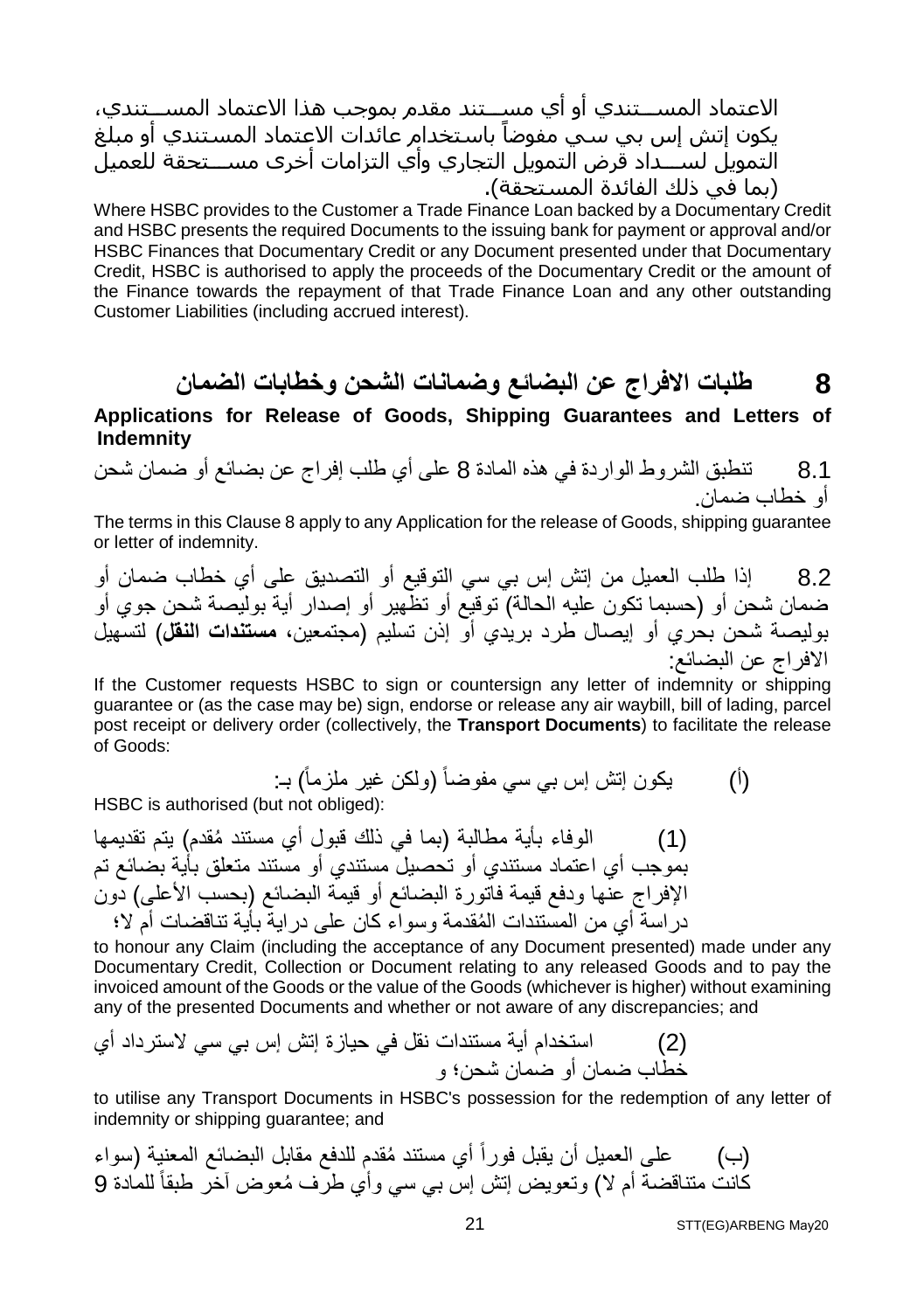الاعتماد المســـتندي أو أي مســـتند مقدم بموجب ھذا الاعتماد المســـتندي، يكون إتش إس بي سَـيٍّ مفوضاً باسـتخدام عائدات الاعتماد المسـتندي أو مبلّغ التمويل لســـداد قرض التمويل التجاري وأي التزامات أخرى مســـتحقة للعمیل (بما في ذلك الفائدة المستحقة).

Where HSBC provides to the Customer a Trade Finance Loan backed by a Documentary Credit and HSBC presents the required Documents to the issuing bank for payment or approval and/or HSBC Finances that Documentary Credit or any Document presented under that Documentary Credit, HSBC is authorised to apply the proceeds of the Documentary Credit or the amount of the Finance towards the repayment of that Trade Finance Loan and any other outstanding Customer Liabilities (including accrued interest).

**8 طلبات الافراج عن البضائع وضمانات الشحن وخطابات الضمان**

**Applications for Release of Goods, Shipping Guarantees and Letters of Indemnity** 

8.1 تنطبق الشروط الواردة في ھذه المادة 8 على أي طلب إفراج عن بضائع أو ضمان شحن أو خطاب ضمان.

The terms in this Clause 8 apply to any Application for the release of Goods, shipping guarantee or letter of indemnity.

8.2 إذا طلب العمیل من إتش إس بي سي التوقیع أو التصدیق على أي خطاب ضمان أو ضمان شحن أو (حسبما تكون علیھ الحالة) توقیع أو تظھیر أو إصدار أیة بولیصة شحن جوي أو بولیصة شحن بحري أو إیصال طرد بریدي أو إذن تسلیم (مجتمعین، **مستندات النقل**) لتسھیل الافراج عن البضائع:

If the Customer requests HSBC to sign or countersign any letter of indemnity or shipping guarantee or (as the case may be) sign, endorse or release any air waybill, bill of lading, parcel post receipt or delivery order (collectively, the **Transport Documents**) to facilitate the release of Goods:

(أ) یكون إتش إس بي سي مفوضاً (ولكن غیر ملزماً) بـ:

HSBC is authorised (but not obliged):

(1) ُ الوفاء بأیة مطالبة (بما في ذلك قبول أي مستند مقدم) یتم تقدیمھا بموجب أي اعتماد مستندي أو تحصیل مستندي أو مستند متعلق بأیة بضائع تم الإفراج عنھا ودفع قیمة فاتورة البضائع أو قیمة البضائع (بحسب الأعلى) دون ُ دراسة أي من المستندات المقدمة وسواء كان على درایة بأیة تناقضات أم لا؛

to honour any Claim (including the acceptance of any Document presented) made under any Documentary Credit, Collection or Document relating to any released Goods and to pay the invoiced amount of the Goods or the value of the Goods (whichever is higher) without examining any of the presented Documents and whether or not aware of any discrepancies; and

(2) استخدام أیة مستندات نقل في حیازة إتش إس بي سي لاسترداد أي خطاب ضمان أو ضمان شحن؛ و

to utilise any Transport Documents in HSBC's possession for the redemption of any letter of indemnity or shipping guarantee; and

ُ أي مستند مقدم للدفع مقابل البضائع المعنیة (سواء (ب) على العمیل أن یقبل فوراً ُ كانت متناقضة أم لا) وتعویض إتش إس بي سي وأي طرف معوض آخر طبقا 9 ً للمادة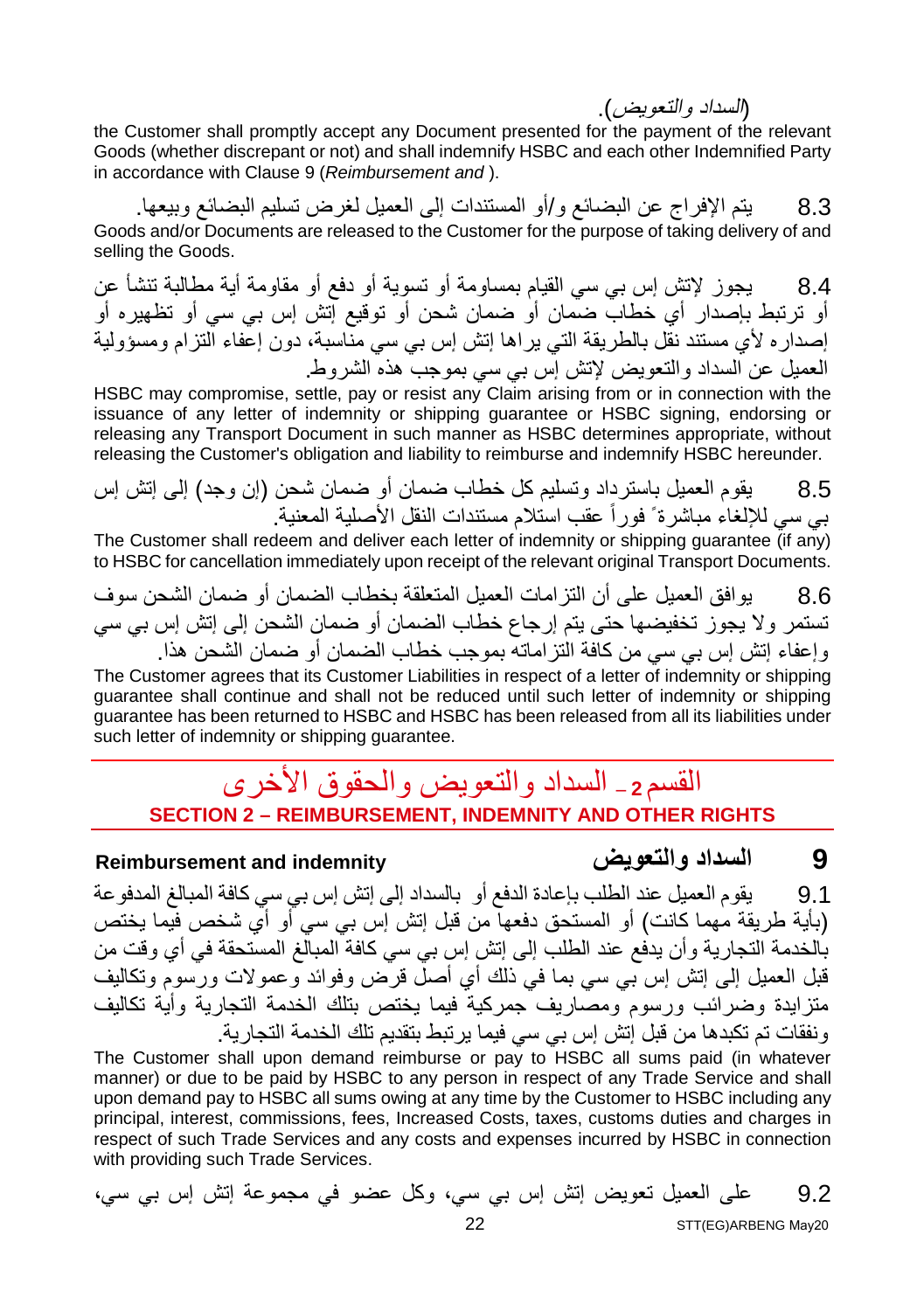(السداد والتعویض).

the Customer shall promptly accept any Document presented for the payment of the relevant Goods (whether discrepant or not) and shall indemnify HSBC and each other Indemnified Party in accordance with Clause 9 (*Reimbursement and* ).

8.3 یتم الإفراج عن البضائع و/أو المستندات إلى العمیل لغرض تسلیم البضائع وبیعھا. Goods and/or Documents are released to the Customer for the purpose of taking delivery of and selling the Goods.

8.4 یجوز لإتش إس بي سي القیام بمساومة أو تسویة أو دفع أو مقاومة أیة مطالبة تنشأ عن أو ترتبط بإصدار أي خطاب ضمان أو ضمان شحن أو توقیع إتش إس بي سي أو تظھیره أو إصداره لأي مستند نقل بالطریقة التي یراھا إتش إس بي سي مناسبة، دون إعفاء التزام ومسؤولیة العمیل عن السداد والتعویض لإتش إس بي سي بموجب ھذه الشروط.

HSBC may compromise, settle, pay or resist any Claim arising from or in connection with the issuance of any letter of indemnity or shipping guarantee or HSBC signing, endorsing or releasing any Transport Document in such manner as HSBC determines appropriate, without releasing the Customer's obligation and liability to reimburse and indemnify HSBC hereunder.

8.5 یقوم العمیل باسترداد وتسلیم كل خطاب ضمان أو ضمان شحن (إن وجد) إلى إتش إس بي سي للالغاء مباشر ة ً فور اً عقب استلام مستندات النقل الأصلية المعنية.

The Customer shall redeem and deliver each letter of indemnity or shipping quarantee (if any) to HSBC for cancellation immediately upon receipt of the relevant original Transport Documents.

8.6 یوافق العمیل على أن التزامات العمیل المتعلقة بخطاب الضمان أو ضمان الشحن سوف تستمر ولا یجوز تخفیضھا حتى یتم إرجاع خطاب الضمان أو ضمان الشحن إلى إتش إس بي سي وإعفاء إتش إس بي سي من كافة التزاماتھ بموجب خطاب الضمان أو ضمان الشحن ھذا.

The Customer agrees that its Customer Liabilities in respect of a letter of indemnity or shipping guarantee shall continue and shall not be reduced until such letter of indemnity or shipping guarantee has been returned to HSBC and HSBC has been released from all its liabilities under such letter of indemnity or shipping guarantee.

### القسم **<sup>2</sup> –** السداد والتعویض والحقوق الأخرى **SECTION 2 – REIMBURSEMENT, INDEMNITY AND OTHER RIGHTS**

#### **Reimbursement and indemnity والتعویض السداد 9**

9.1 یقوم العمیل عند الطلب بإعادة الدفع أو بالسداد إلى إتش إس بي سي كافة المبالغ المدفوعة (بأیة طریقة مھما كانت) أو المستحق دفعھا من قبل إتش إس بي سي أو أي شخص فیما یختص بالخدمة التجاریة وأن یدفع عند الطلب إلى إتش إس بي سي كافة المبالغ المستحقة في أي وقت من قبل العمیل إلى إتش إس بي سي بما في ذلك أي أصل قرض وفوائد وعمولات ورسوم وتكالیف متزایدة وضرائب ورسوم ومصاریف جمركیة فیما یختص بتلك الخدمة التجاریة وأیة تكالیف ونفقات تم تكبدھا من قبل إتش إس بي سي فیما یرتبط بتقدیم تلك الخدمة التجاریة.

The Customer shall upon demand reimburse or pay to  $HSE$  all sums paid (in whatever manner) or due to be paid by HSBC to any person in respect of any Trade Service and shall upon demand pay to HSBC all sums owing at any time by the Customer to HSBC including any principal, interest, commissions, fees, Increased Costs, taxes, customs duties and charges in respect of such Trade Services and any costs and expenses incurred by HSBC in connection with providing such Trade Services.

9.2 على العمیل تعویض إتش إس بي سي، وكل عضو في مجموعة إتش إس بي سي،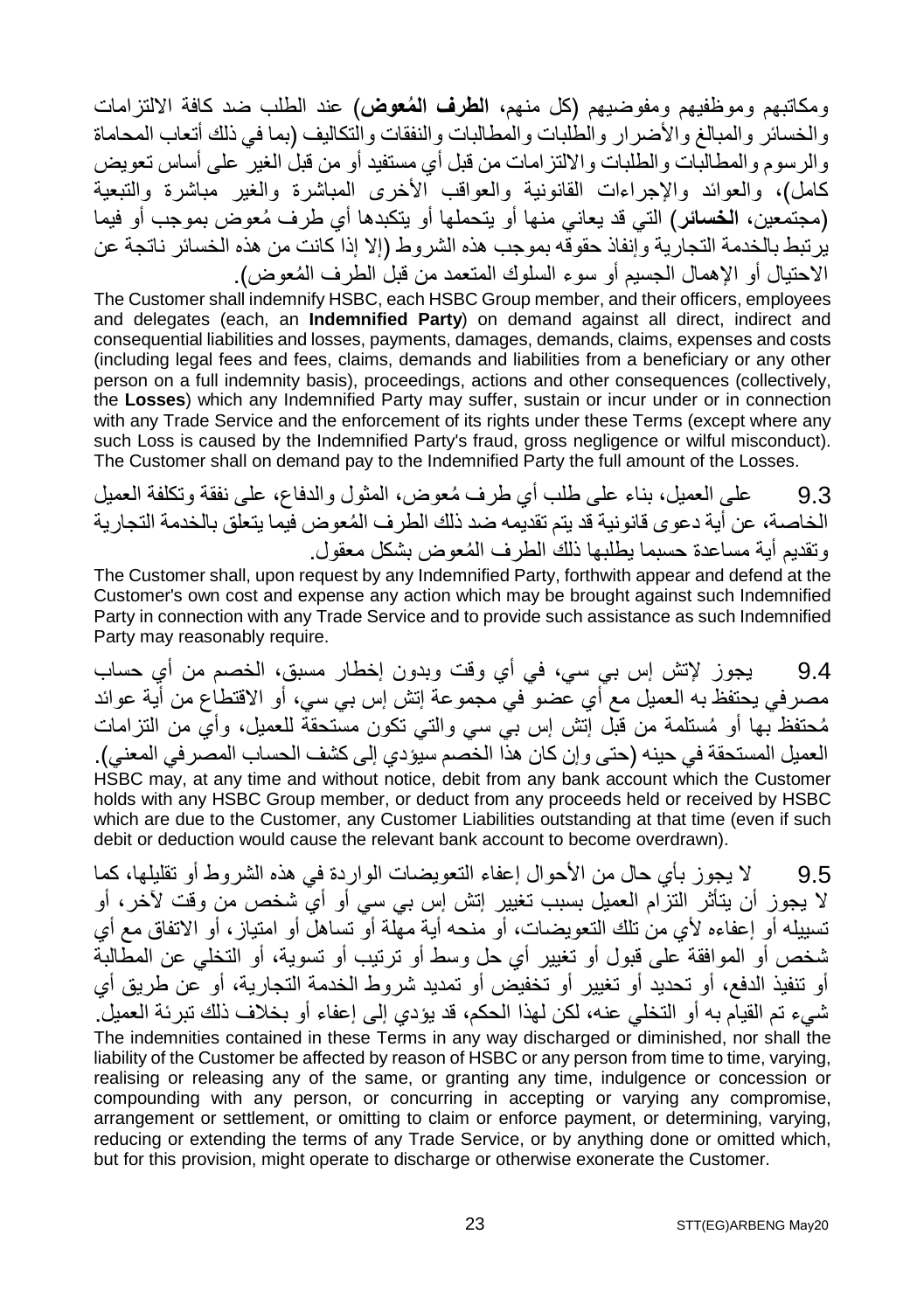ومكاتبھم وموظفیھم ومفوضیھم (كل منھم، **ُ الطرف المعوض**) عند الطلب ضد كافة الالتزامات والخسائر والمبالغ والأضرار والطلبات والمطالبات والنفقات والتكالیف (بما في ذلك أتعاب المحاماة والرسوم والمطالبات والطلبات والالتزامات من قبل أي مستفید أو من قبل الغیر على أساس تعویض كامل)، والعوائد والإجراءات القانونیة والعواقب الأخرى المباشرة والغیر مباشرة والتبعیة (مجتمعین، ا**لخسائر** ) التي قد یعاني منھا أو یتحملها أو یتكبدها أي طر ف مُعوض بموجب أو فیما یرتبط بالخدمة التجاریة وإنفاذ حقوقھ بموجب ھذه الشروط (إلا إذا كانت من ھذه الخسائر ناتجة عن ُ الاحتیال أو الإھمال الجسیم أو سوء السلوك المتعمد من قبل الطرف المعوض).

The Customer shall indemnify HSBC, each HSBC Group member, and their officers, employees and delegates (each, an **Indemnified Party**) on demand against all direct, indirect and consequential liabilities and losses, payments, damages, demands, claims, expenses and costs (including legal fees and fees, claims, demands and liabilities from a beneficiary or any other person on a full indemnity basis), proceedings, actions and other consequences (collectively, the **Losses**) which any Indemnified Party may suffer, sustain or incur under or in connection with any Trade Service and the enforcement of its rights under these Terms (except where any such Loss is caused by the Indemnified Party's fraud, gross negligence or wilful misconduct). The Customer shall on demand pay to the Indemnified Party the full amount of the Losses.

9.3 ُ على العمیل، بناء على طلب أي طرف معوض، المثول والدفاع، على نفقة وتكلفة العمیل ُ الخاصة، عن أیة دعوى قانونیة قد یتم تقدیمھ ضد ذلك الطرف المعوض فیما یتعلق بالخدمة التجاریة ُ وتقدیم أیة مساعدة حسبما یطلبھا ذلك الطرف المعوض بشكل معقول.

The Customer shall, upon request by any Indemnified Party, forthwith appear and defend at the Customer's own cost and expense any action which may be brought against such Indemnified Party in connection with any Trade Service and to provide such assistance as such Indemnified Party may reasonably require.

9.4 یجوز لإتش إس بي سي، في أي وقت وبدون إخطار مسبق، الخصم من أي حساب مصرفي یحتفظ بھ العمیل مع أي عضو في مجموعة إتش إس بي سي، أو الاقتطاع من أیة عوائد ُم ُ حتفظ بھا أو مستلمة من قبل إتش إس بي سي والتي تكون مستحقة للعمیل، وأي من التزامات العمیل المستحقة في حینھ (حتى وإن كان ھذا الخصم سیؤدي إلى كشف الحساب المصرفي المعني). HSBC may, at any time and without notice, debit from any bank account which the Customer holds with any HSBC Group member, or deduct from any proceeds held or received by HSBC which are due to the Customer, any Customer Liabilities outstanding at that time (even if such debit or deduction would cause the relevant bank account to become overdrawn).

9.5 لا یجوز بأي حال من الأحوال إعفاء التعویضات الواردة في ھذه الشروط أو تقلیلھا، كما لا یجوز أن یتأثر التزام العمیل بسبب تغییر إتش إس بي سي أو أي شخص من وقت لآخر، أو تسییلھ أو إعفاءه لأي من تلك التعویضات، أو منحھ أیة مھلة أو تساھل أو امتیاز، أو الاتفاق مع أي شخص أو الموافقة على قبول أو تغییر أي حل وسط أو ترتیب أو تسویة، أو التخلي عن المطالبة أو تنفیذ الدفع، أو تحدید أو تغییر أو تخفیض أو تمدید شروط الخدمة التجاریة، أو عن طریق أي شيء تم القیام بھ أو التخلي عنھ، لكن لھذا الحكم، قد یؤدي إلى إعفاء أو بخلاف ذلك تبرئة العمیل. The indemnities contained in these Terms in any way discharged or diminished, nor shall the liability of the Customer be affected by reason of HSBC or any person from time to time, varying, realising or releasing any of the same, or granting any time, indulgence or concession or compounding with any person, or concurring in accepting or varying any compromise, arrangement or settlement, or omitting to claim or enforce payment, or determining, varying, reducing or extending the terms of any Trade Service, or by anything done or omitted which, but for this provision, might operate to discharge or otherwise exonerate the Customer.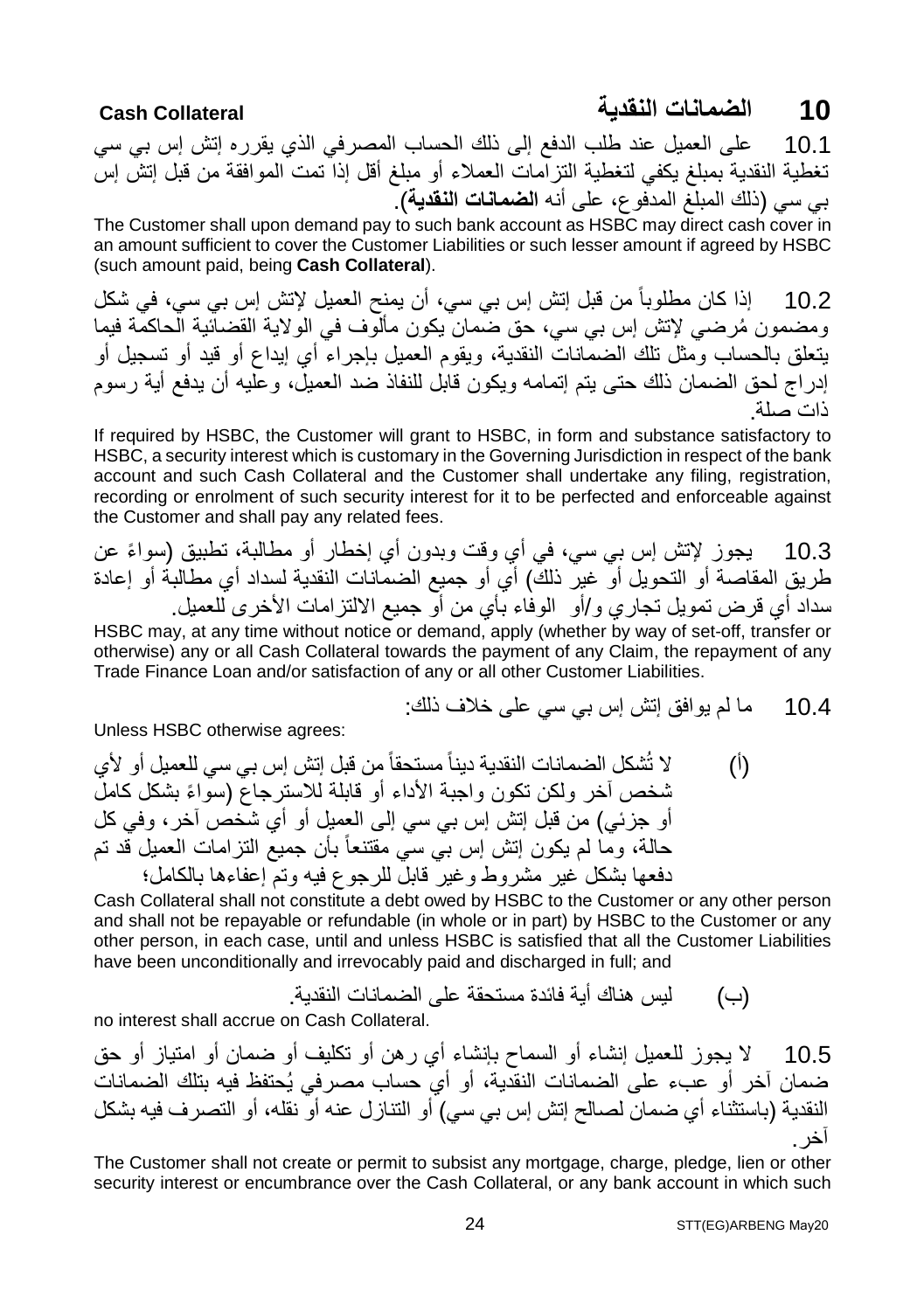#### **10 الضمانات النقدیة Collateral Cash**

10.1 على العمیل عند طلب الدفع إلى ذلك الحساب المصرفي الذي یقرره إتش إس بي سي تغطیة النقدیة بمبلغ یكفي لتغطیة التزامات العملاء أو مبلغ أقل إذا تمت الموافقة من قبل إتش إس بي سي (ذلك المبلغ المدفوع، على أنھ **الضمانات النقدیة**).

The Customer shall upon demand pay to such bank account as HSBC may direct cash cover in an amount sufficient to cover the Customer Liabilities or such lesser amount if agreed by HSBC (such amount paid, being **Cash Collateral**).

10.2 إذا كان مطلوباً من قبل إتش إس بي سي، أن یمنح العمیل لإتش إس بي سي، في شكل ُ ومضمون مرضي لإتش إس بي سي، حق ضمان یكون مألوف في الولایة القضائیة الحاكمة فیما یتعلق بالحساب ومثل تلك الضمانات النقدیة، ویقوم العمیل بإجراء أي إیداع أو قید أو تسجیل أو إدراج لحق الضمان ذلك حتى یتم إتمامھ ویكون قابل للنفاذ ضد العمیل، وعلیھ أن یدفع أیة رسوم ذات صلة.

If required by HSBC, the Customer will grant to HSBC, in form and substance satisfactory to HSBC, a security interest which is customary in the Governing Jurisdiction in respect of the bank account and such Cash Collateral and the Customer shall undertake any filing, registration, recording or enrolment of such security interest for it to be perfected and enforceable against the Customer and shall pay any related fees.

10.3 ٪ یجوز لإتش إس بي سي، في أي وقت وبدون أي إخطار أو مطالبة، تطبيق (سواءً عن طریق المقاصة أو التحویل أو غیر ذلك) أي أو جمیع الضمانات النقدیة لسداد أي مطالبة أو إعادة سداد أي قرض تمویل تجاري و/أو الوفاء بأي من أو جمیع الالتزامات الأخرى للعمیل. HSBC may, at any time without notice or demand, apply (whether by way of set-off, transfer or

otherwise) any or all Cash Collateral towards the payment of any Claim, the repayment of any Trade Finance Loan and/or satisfaction of any or all other Customer Liabilities.

10.4 ما لم یوافق إتش إس بي سي على خلاف ذلك:

Unless HSBC otherwise agrees:

(أ) لا تُشكل الضمانات النقدیة دیناً مستحقاً من قبل إتش إس بي سي للعمیل أو لأي شخص آخر ولكن تكون واجبة الأداء أو قابلة للاسترجاع ( ً سواء بشكل كامل أو جزئي) من قبل إتش إس بي سي إلى العمیل أو أي شخص آخر، وفي كل حالة، وما لم یكون إتش إس بي سي مقتنعاً بأن جمیع التزامات العمیل قد تم دفعھا بشكل غیر مشروط وغیر قابل للرجوع فیھ وتم إعفاءھا بالكامل؛

Cash Collateral shall not constitute a debt owed by HSBC to the Customer or any other person and shall not be repayable or refundable (in whole or in part) by HSBC to the Customer or any other person, in each case, until and unless HSBC is satisfied that all the Customer Liabilities have been unconditionally and irrevocably paid and discharged in full; and

(ب) لیس ھناك أیة فائدة مستحقة على الضمانات النقدیة.

no interest shall accrue on Cash Collateral.

10.5 لا یجوز للعمیل إنشاء أو السماح بإنشاء أي رھن أو تكلیف أو ضمان أو امتیاز أو حق ضمان آخر أو عبء على الضمانات النقدیة، أو أي حساب مصرفي یُحتفظ فیھ بتلك الضمانات النقدیة (باستثناء أي ضمان لصالح إتش إس بي سي) أو التنازل عنھ أو نقلھ، أو التصرف فیھ بشكل آخر.

The Customer shall not create or permit to subsist any mortgage, charge, pledge, lien or other security interest or encumbrance over the Cash Collateral, or any bank account in which such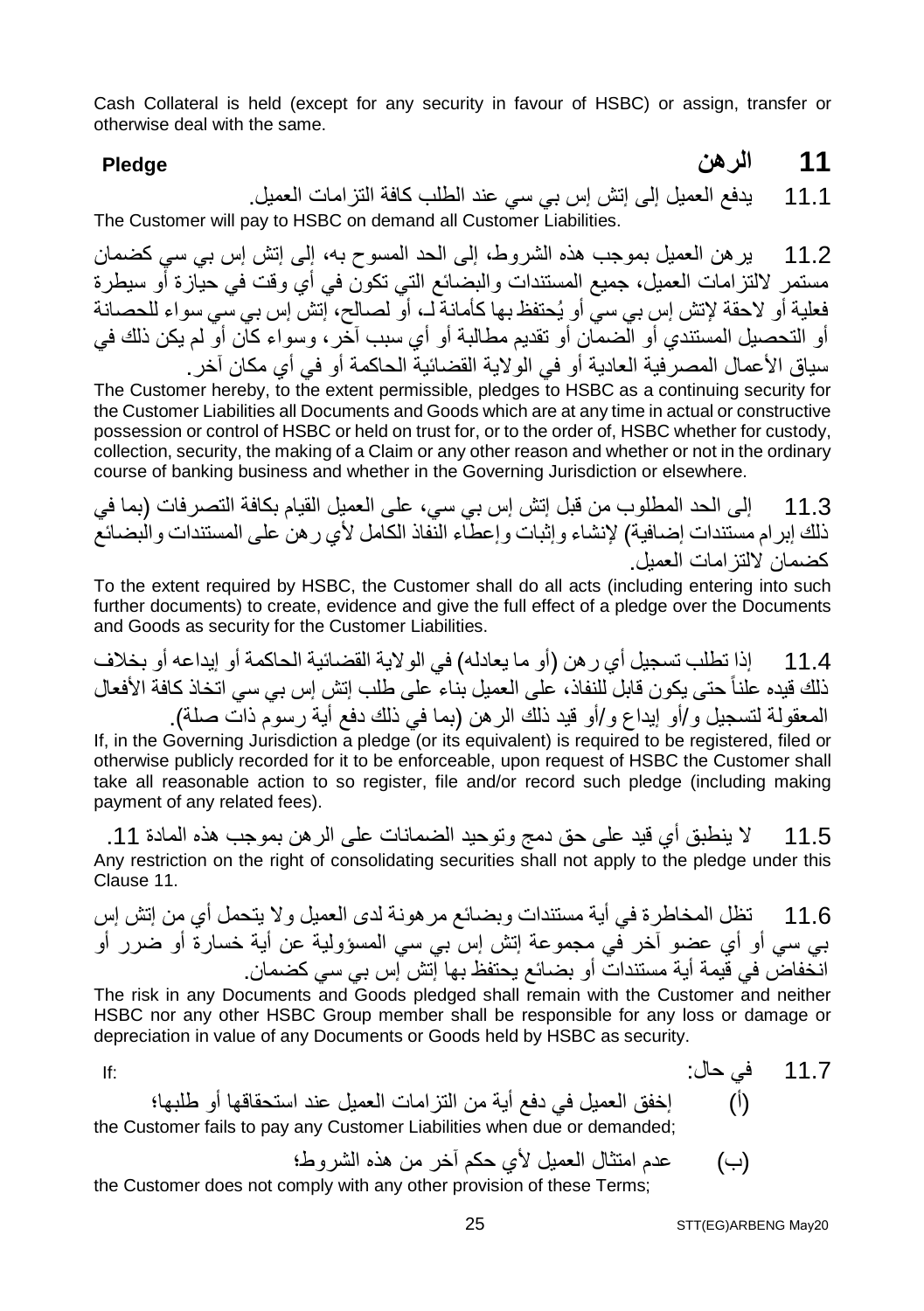Cash Collateral is held (except for any security in favour of HSBC) or assign, transfer or otherwise deal with the same.

**11 الرھن Pledge**

11.1 یدفع العمیل إلى إتش إس بي سي عند الطلب كافة التزامات العمیل. The Customer will pay to HSBC on demand all Customer Liabilities.

11.2 یرھن العمیل بموجب ھذه الشروط، إلى الحد المسوح بھ، إلى إتش إس بي سي كضمان مستمر لالتزامات العمیل، جمیع المستندات والبضائع التي تكون في أي وقت في حیازة أو سیطرة فعلیة أو لاحقة لإتش إس بي سي أو یُحتفظ بھا كأمانة لـ، أو لصالح، إتش إس بي سي سواء للحصانة أو التحصیل المستندي أو الضمان أو تقدیم مطالبة أو أي سبب آخر، وسواء كان أو لم یكن ذلك في سیاق الأعمال المصرفیة العادیة أو في الولایة القضائیة الحاكمة أو في أي مكان آخر.

The Customer hereby, to the extent permissible, pledges to HSBC as a continuing security for the Customer Liabilities all Documents and Goods which are at any time in actual or constructive possession or control of HSBC or held on trust for, or to the order of, HSBC whether for custody, collection, security, the making of a Claim or any other reason and whether or not in the ordinary course of banking business and whether in the Governing Jurisdiction or elsewhere.

11.3 إلى الحد المطلوب من قبل إتش إس بي سي، على العمیل القیام بكافة التصرفات (بما في ذلك إبرام مستندات إضافیة) لإنشاء وإثبات وإعطاء النفاذ الكامل لأي رھن على المستندات والبضائع كضمان لالتزامات العمیل.

To the extent required by HSBC, the Customer shall do all acts (including entering into such further documents) to create, evidence and give the full effect of a pledge over the Documents and Goods as security for the Customer Liabilities.

11.4 إذا تطلب تسجیل أي رھن (أو ما یعادلھ) في الولایة القضائیة الحاكمة أو إیداعھ أو بخلاف ذلك قیده علناً حتى یكون قابل للنفاذ، على العمیل بناء على طلب إتش إس بي سي اتخاذ كافة الأفعال المعقولة لتسجیل و/أو إیداع و/أو قید ذلك الرھن (بما في ذلك دفع أیة رسوم ذات صلة).

If, in the Governing Jurisdiction a pledge (or its equivalent) is required to be registered, filed or otherwise publicly recorded for it to be enforceable, upon request of HSBC the Customer shall take all reasonable action to so register, file and/or record such pledge (including making payment of any related fees).

11.5 لا ینطبق أي قید على حق دمج وتوحید الضمانات على الرھن بموجب ھذه المادة .11 Any restriction on the right of consolidating securities shall not apply to the pledge under this Clause 11.

11.6 تظل المخاطرة في أیة مستندات وبضائع مرھونة لدى العمیل ولا یتحمل أي من إتش إس بي سي أو أي عضو آخر في مجموعة إتش إس بي سي المسؤولیة عن أیة خسارة أو ضرر أو انخفاض في قیمة أیة مستندات أو بضائع یحتفظ بھا إتش إس بي سي كضمان.

The risk in any Documents and Goods pledged shall remain with the Customer and neither HSBC nor any other HSBC Group member shall be responsible for any loss or damage or depreciation in value of any Documents or Goods held by HSBC as security.

11.7 في حال: :If (أ) إخفق العمیل في دفع أیة من التزامات العمیل عند استحقاقھا أو طلبھا؛ the Customer fails to pay any Customer Liabilities when due or demanded;

(ب) عدم امتثال العمیل لأي حكم آخر من ھذه الشروط؛

the Customer does not comply with any other provision of these Terms;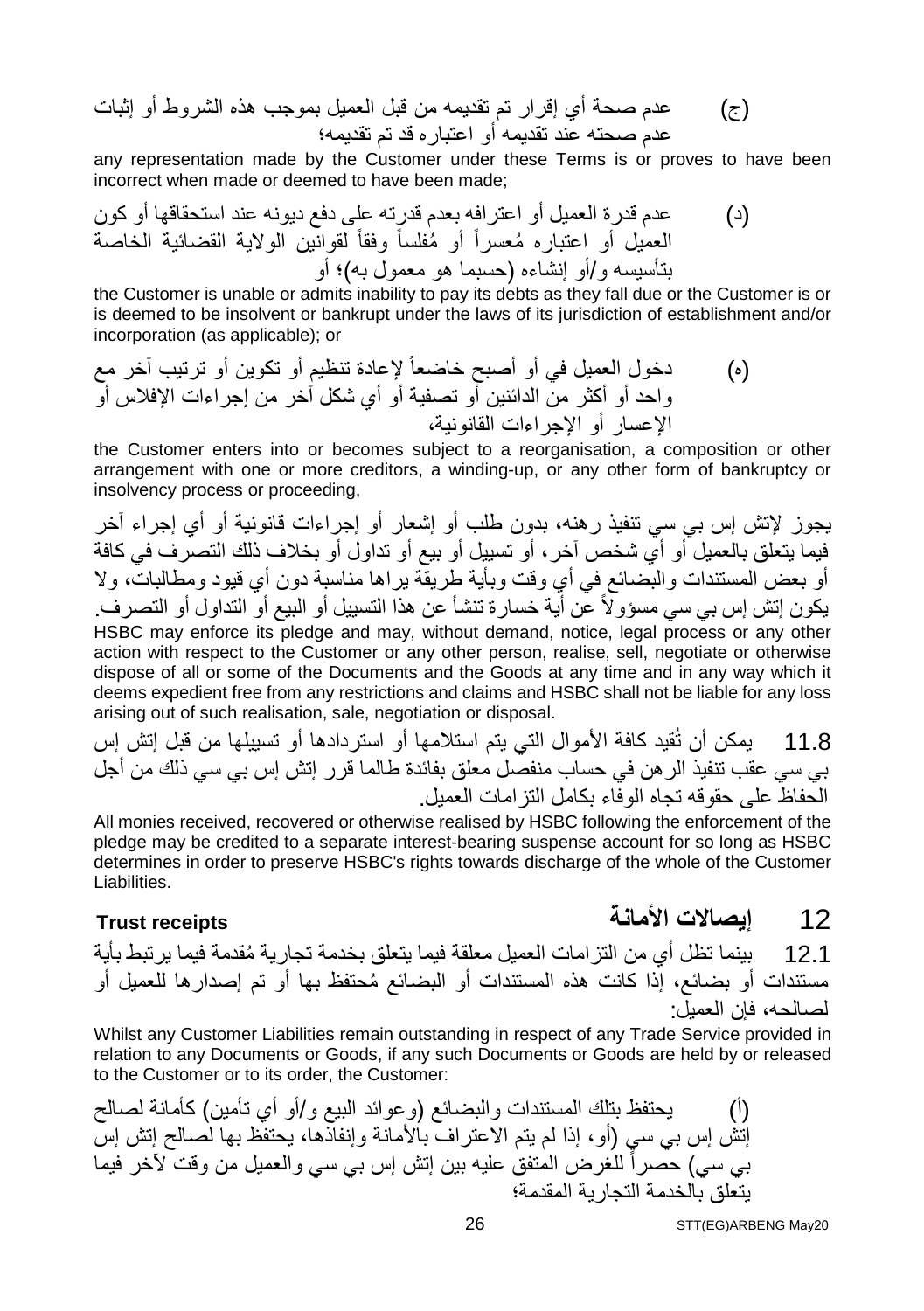(ج) عدم صحة أي إقرار تم تقدیمھ من قبل العمیل بموجب ھذه الشروط أو إثبات عدم صحتھ عند تقدیمھ أو اعتباره قد تم تقدیمھ؛

any representation made by the Customer under these Terms is or proves to have been incorrect when made or deemed to have been made;

(د) عدم قدرة العمیل أو اعترافھ بعدم قدرتھ على دفع دیونھ عند استحقاقھا أو كون ُ أو مفلساً وفقاً لقوانین الولایة القضائیة الخاصة ُ العمیل أو اعتباره معسراً بتأسیسھ و/أو إنشاءه (حسبما ھو معمول بھ)؛ أو

the Customer is unable or admits inability to pay its debts as they fall due or the Customer is or is deemed to be insolvent or bankrupt under the laws of its jurisdiction of establishment and/or incorporation (as applicable); or

(ه) دخول العمیل في أو أصبح خاضعاً لإعادة تنظیم أو تكوین أو ترتیب آخر مع واحد أو أكثر من الدائنین أو تصفیة أو أي شكل آخر من إجراءات الإفلاس أو الإعسار أو الإجراءات القانونیة،

the Customer enters into or becomes subject to a reorganisation, a composition or other arrangement with one or more creditors, a winding-up, or any other form of bankruptcy or insolvency process or proceeding,

یجوز لإتش إس بي سي تنفیذ رھنھ، بدون طلب أو إشعار أو إجراءات قانونیة أو أي إجراء آخر فیما یتعلق بالعمیل أو أي شخص آخر، أو تسییل أو بیع أو تداول أو بخلاف ذلك التصرف في كافة أو بعض المستندات والبضائع في أي وقت وبأیة طریقة یراھا مناسبة دون أي قیود ومطالبات، ولا یكون إتش إس بي سي مسؤولاً عن أیة خسارة تنشأ عن ھذا التسییل أو البیع أو التداول أو التصرف. HSBC may enforce its pledge and may, without demand, notice, legal process or any other action with respect to the Customer or any other person, realise, sell, negotiate or otherwise dispose of all or some of the Documents and the Goods at any time and in any way which it deems expedient free from any restrictions and claims and HSBC shall not be liable for any loss arising out of such realisation, sale, negotiation or disposal.

11.8 یمكن أن تُقید كافة الأموال التي یتم استلامھا أو استردادھا أو تسییلھا من قبل إتش إس بي سي عقب تنفیذ الرھن في حساب منفصل معلق بفائدة طالما قرر إتش إس بي سي ذلك من أجل الحفاظ على حقوقھ تجاه الوفاء بكامل التزامات العمیل.

All monies received, recovered or otherwise realised by HSBC following the enforcement of the pledge may be credited to a separate interest-bearing suspense account for so long as HSBC determines in order to preserve HSBC's rights towards discharge of the whole of the Customer Liabilities.

12 **إیصالات الأمانة receipts Trust**

12.1 ُ بینما تظل أي من التزامات العمیل معلقة فیما یتعلق بخدمة تجاریة مقدمة فیما یرتبط بأیة ُ مستندات أو بضائع، إذا كانت ھذه المستندات أو البضائع محتفظ بھا أو تم إصدارھا للعمیل أو لصالحھ، فإن العمیل:

Whilst any Customer Liabilities remain outstanding in respect of any Trade Service provided in relation to any Documents or Goods, if any such Documents or Goods are held by or released to the Customer or to its order, the Customer:

(أ) یحتفظ بتلك المستندات والبضائع (وعوائد البیع و/أو أي تأمین) كأمانة لصالح إتش إس بي سي (أو، إذا لم یتم الاعتراف بالأمانة وإنفاذھا، یحتفظ بھا لصالح إتش إس بي سي) حصراً للغرض المتفق علیھ بین إتش إس بي سي والعمیل من وقت لآخر فیما یتعلق بالخدمة التجاریة المقدمة؛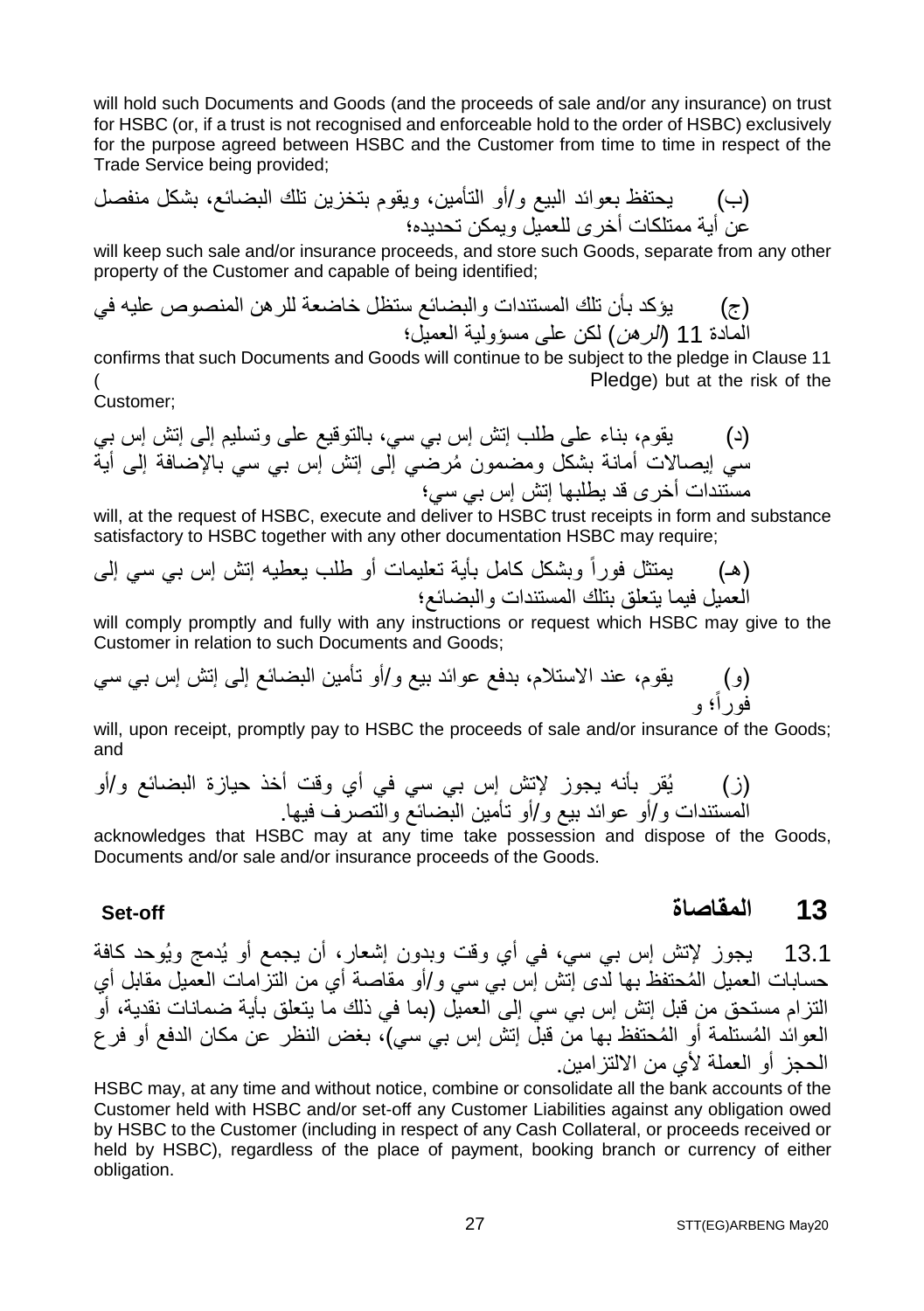will hold such Documents and Goods (and the proceeds of sale and/or any insurance) on trust for HSBC (or, if a trust is not recognised and enforceable hold to the order of HSBC) exclusively for the purpose agreed between HSBC and the Customer from time to time in respect of the Trade Service being provided;

(ب) یحتفظ بعوائد البیع و/أو التأمین، ویقوم بتخزین تلك البضائع، بشكل منفصل عن أیة ممتلكات أخرى للعمیل ویمكن تحدیده؛

will keep such sale and/or insurance proceeds, and store such Goods, separate from any other property of the Customer and capable of being identified;

(ج) یؤكد بأن تلك المستندات والبضائع ستظل خاضعة للرھن المنصوص علیھ في المادة 11 (الرھن) لكن على مسؤولیة العمیل؛

confirms that such Documents and Goods will continue to be subject to the pledge in Clause 11 ( Pledge) but at the risk of the

$$
\dot{C}ustomer;
$$

(د) یقوم، بناء على طلب إتش إس بي سي، بالتوقیع على وتسلیم إلى إتش إس بي ُ سي إیصالات أمانة بشكل ومضمون مرضي إلى إتش إس بي سي بالإضافة إلى أیة مستندات أخرى قد یطلبھا إتش إس بي سي؛

will, at the request of HSBC, execute and deliver to HSBC trust receipts in form and substance satisfactory to HSBC together with any other documentation HSBC may require;

(ھـ) یمتثل فوراً وبشكل كامل بأیة تعلیمات أو طلب یعطیھ إتش إس بي سي إلى العمیل فیما یتعلق بتلك المستندات والبضائع؛

will comply promptly and fully with any instructions or request which HSBC may give to the Customer in relation to such Documents and Goods;

(و) یقوم، عند الاستلام، بدفع عوائد بیع و/أو تأمین البضائع إلى إتش إس بي سي فوراً؛ و

will, upon receipt, promptly pay to HSBC the proceeds of sale and/or insurance of the Goods; and

(ز) یُقر بأنھ یجوز لإتش إس بي سي في أي وقت أخذ حیازة البضائع و/أو المستندات و/أو عوائد بیع و/أو تأمین البضائع والتصرف فیھا.

acknowledges that HSBC may at any time take possession and dispose of the Goods, Documents and/or sale and/or insurance proceeds of the Goods.

### **Set-off المقاصاة 13**

13.1 یجوز لإتش إس بي سي، في أي وقت وبدون إشعار، أن یجمع أو یُدمج ویُوحد كافة ُ حسابات العمیل المحتفظ بھا لدى إتش إس بي سي و/أو مقاصة أي من التزامات العمیل مقابل أي التزام مستحق من قبل إتش إس بي سي إلى العمیل (بما في ذلك ما یتعلق بأیة ضمانات نقدیة، أو العوائد المُستلمة أو المُحتفظ بها من قبل إتش إس بي سي)، بغض النظر عن مكان الدفع أو فر ع الحجز أو العملة لأي من الالتزامین.

HSBC may, at any time and without notice, combine or consolidate all the bank accounts of the Customer held with HSBC and/or set-off any Customer Liabilities against any obligation owed by HSBC to the Customer (including in respect of any Cash Collateral, or proceeds received or held by HSBC), regardless of the place of payment, booking branch or currency of either obligation.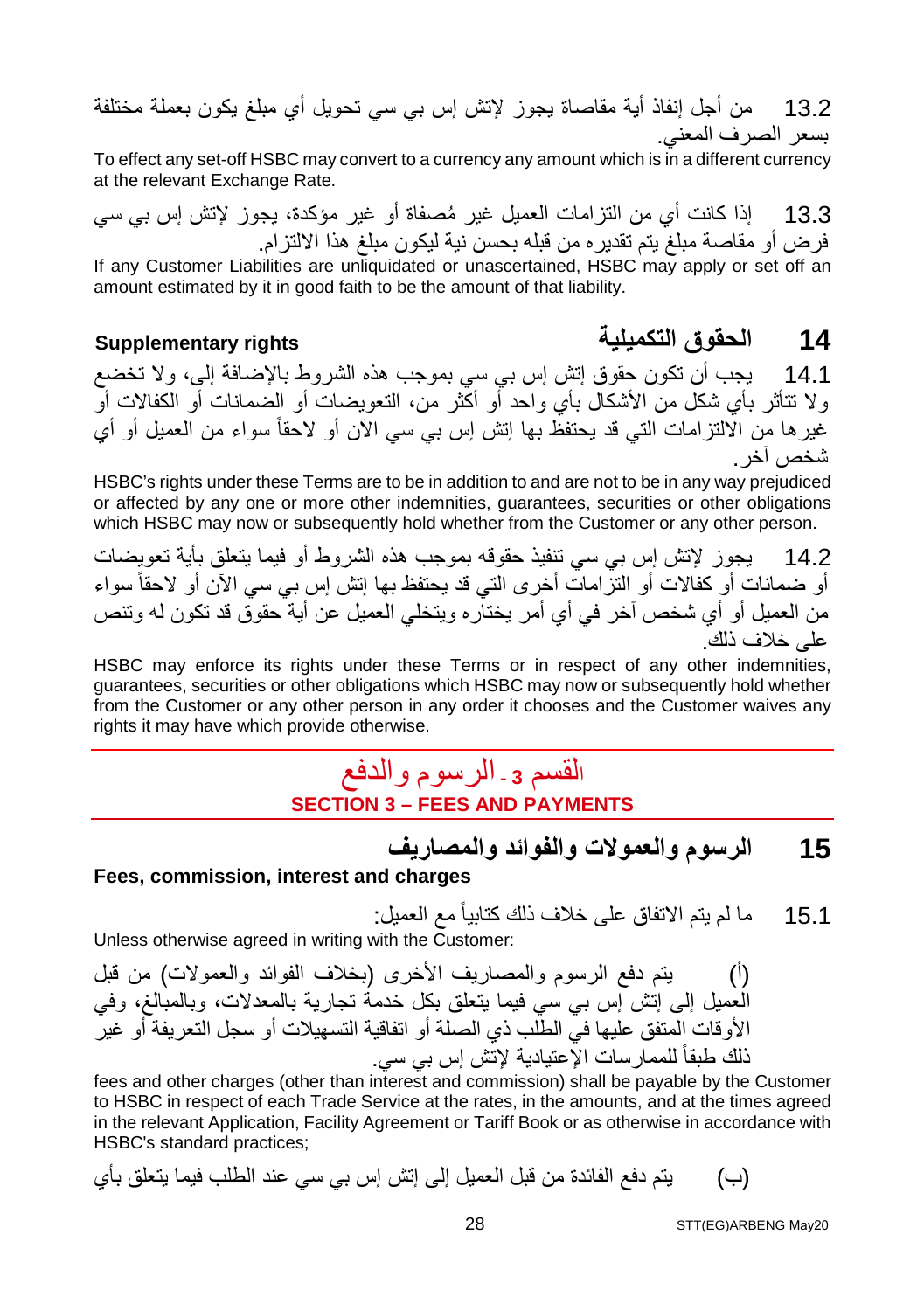13.2 من أجل إنفاذ أیة مقاصاة یجوز لإتش إس بي سي تحویل أي مبلغ یكون بعملة مختلفة بسعر الصرف المعني.

To effect any set-off HSBC may convert to a currency any amount which is in a different currency at the relevant Exchange Rate.

13.3 ُ إذا كانت أي من التزامات العمیل غیر مصفاة أو غیر مؤكدة، یجوز لإتش إس بي سي فرض أو مقاصة مبلغ یتم تقدیره من قبلھ بحسن نیة لیكون مبلغ ھذا الالتزام.

If any Customer Liabilities are unliquidated or unascertained, HSBC may apply or set off an amount estimated by it in good faith to be the amount of that liability.

### **14 الحقوق التكمیلیة rights Supplementary**

14.1 یجب أن تكون حقوق إتش إس بي سي بموجب ھذه الشروط بالإضافة إلى، ولا تخضع ولا تتأثر بأي شكل من الأشكال بأي واحد أو أكثر من، التعویضات أو الضمانات أو الكفالات أو غیرھا من الالتزامات التي قد یحتفظ بھا إتش إس بي سي الآن أو لاحقاً سواء من العمیل أو أي شخص آخر.

HSBC's rights under these Terms are to be in addition to and are not to be in any way prejudiced or affected by any one or more other indemnities, guarantees, securities or other obligations which HSBC may now or subsequently hold whether from the Customer or any other person.

14.2 یجوز لإتش إس بي سي تنفیذ حقوقھ بموجب ھذه الشروط أو فیما یتعلق بأیة تعویضات أو ضمانات أو كفالات أو التزامات أخرى التي قد بحتفظ بها إنش إس بي سي الآن أو لاحقاً سواء من العمیل أو أي شخص آخر في أي أمر یختاره ویتخلي العمیل عن أیة حقوق قد تكون لھ وتنص على خلاف ذلك.

HSBC may enforce its rights under these Terms or in respect of any other indemnities, guarantees, securities or other obligations which HSBC may now or subsequently hold whether from the Customer or any other person in any order it chooses and the Customer waives any rights it may have which provide otherwise.

### <sup>ا</sup>لقسم **<sup>3</sup> -** الرسوم والدفع **SECTION 3 – FEES AND PAYMENTS**

**15 الرسوم والعمولات والفوائد والمصاریف**

#### **Fees, commission, interest and charges**

15.1 ما لم یتم الاتفاق على خلاف ذلك كتابیاً مع العمیل:

Unless otherwise agreed in writing with the Customer:

(أ) یتم دفع الرسوم والمصاریف الأخرى (بخلاف الفوائد والعمولات) من قبل العمیل إلى إتش إس بي سي فیما یتعلق بكل خدمة تجاریة بالمعدلات، وبالمبالغ، وفي الأوقات المتفق علیھا في الطلب ذي الصلة أو اتفاقیة التسھیلات أو سجل التعریفة أو غیر ذلك طبقاً للممارسات الإعتیادیة لإتش إس بي سي.

fees and other charges (other than interest and commission) shall be payable by the Customer to HSBC in respect of each Trade Service at the rates, in the amounts, and at the times agreed in the relevant Application, Facility Agreement or Tariff Book or as otherwise in accordance with HSBC's standard practices;

(ب) یتم دفع الفائدة من قبل العمیل إلى إتش إس بي سي عند الطلب فیما یتعلق بأي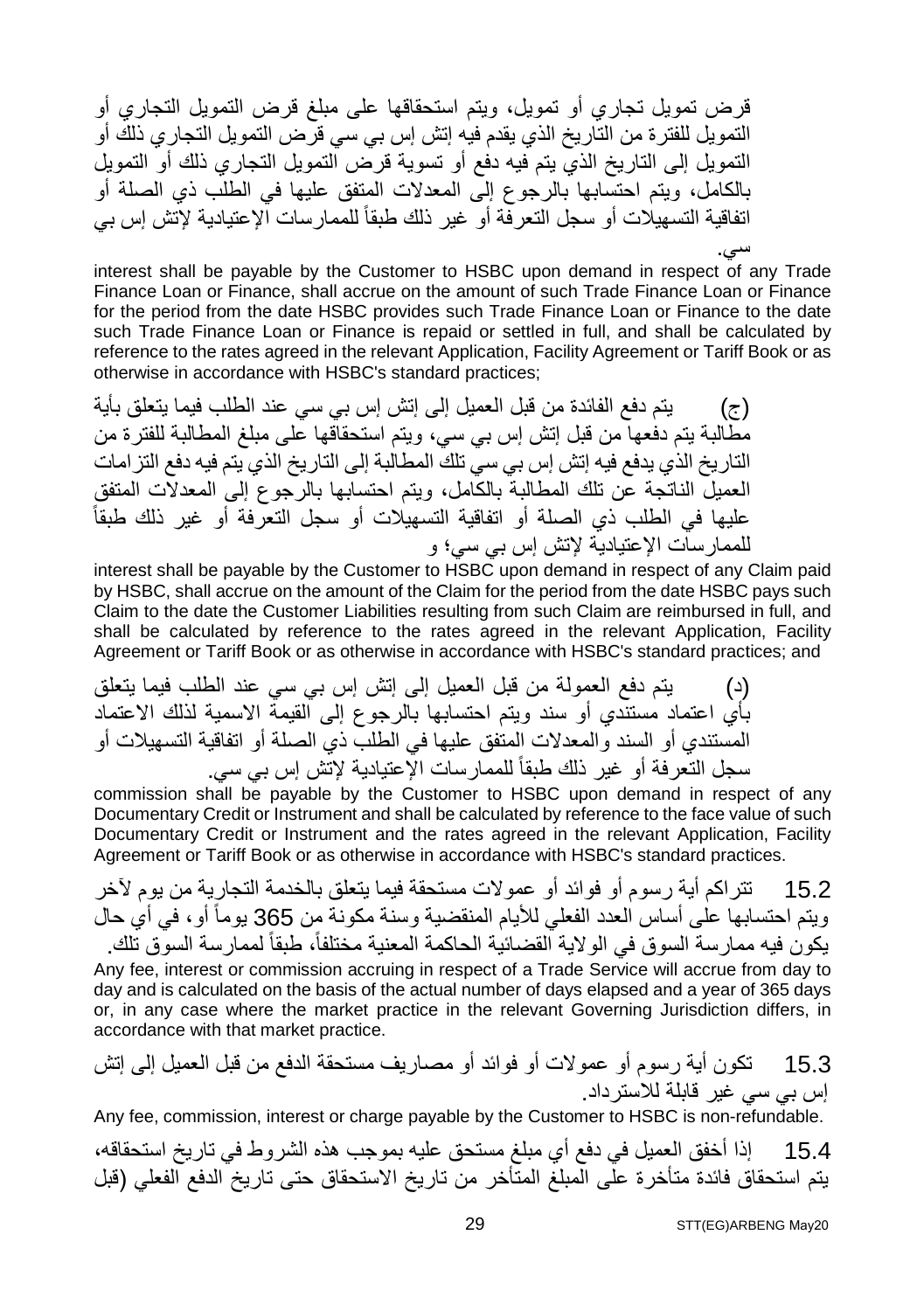قرض تمویل تجاري أو تمویل، ویتم استحقاقھا على مبلغ قرض التمویل التجاري أو التمویل للفترة من التاریخ الذي یقدم فیھ إتش إس بي سي قرض التمویل التجاري ذلك أو التمویل إلى التاریخ الذي یتم فیھ دفع أو تسویة قرض التمویل التجاري ذلك أو التمویل بالكامل، ویتم احتسابھا بالرجوع إلى المعدلات المتفق علیھا في الطلب ذي الصلة أو اتفاقیة التسھیلات أو سجل التعرفة أو غیر ذلك طبقا الإعتیادیة لإتش إس بي ً للممارسات

سي. interest shall be payable by the Customer to HSBC upon demand in respect of any Trade Finance Loan or Finance, shall accrue on the amount of such Trade Finance Loan or Finance for the period from the date HSBC provides such Trade Finance Loan or Finance to the date such Trade Finance Loan or Finance is repaid or settled in full, and shall be calculated by reference to the rates agreed in the relevant Application, Facility Agreement or Tariff Book or as otherwise in accordance with HSBC's standard practices;

(ج) یتم دفع الفائدة من قبل العمیل إلى إتش إس بي سي عند الطلب فیما یتعلق بأیة مطالبة یتم دفعھا من قبل إتش إس بي سي، ویتم استحقاقھا على مبلغ المطالبة للفترة من التاریخ الذي یدفع فیھ إتش إس بي سي تلك المطالبة إلى التاریخ الذي یتم فیھ دفع التزامات العمیل الناتجة عن تلك المطالبة بالكامل، ویتم احتسابھا بالرجوع إلى المعدلات المتفق علیھا في الطلب ذي الصلة أو اتفاقیة التسھیلات أو سجل التعرفة أو غیر ذلك طبقاً للممارسات الإعتیادیة لإتش إس بي سي؛ و

interest shall be payable by the Customer to HSBC upon demand in respect of any Claim paid by HSBC, shall accrue on the amount of the Claim for the period from the date HSBC pays such Claim to the date the Customer Liabilities resulting from such Claim are reimbursed in full, and shall be calculated by reference to the rates agreed in the relevant Application, Facility Agreement or Tariff Book or as otherwise in accordance with HSBC's standard practices; and

(د) یتم دفع العمولة من قبل العمیل إلى إتش إس بي سي عند الطلب فیما یتعلق بأي اعتماد مستندي أو سند ویتم احتسابھا بالرجوع إلى القیمة الاسمیة لذلك الاعتماد المستندي أو السند والمعدلات المتفق علیھا في الطلب ذي الصلة أو اتفاقیة التسھیلات أو سجل التعرفة أو غیر ذلك طبقاً للممارسات الإعتیادیة لإتش إس بي سي.

commission shall be payable by the Customer to HSBC upon demand in respect of any Documentary Credit or Instrument and shall be calculated by reference to the face value of such Documentary Credit or Instrument and the rates agreed in the relevant Application, Facility Agreement or Tariff Book or as otherwise in accordance with HSBC's standard practices.

15.2 تتراكم أیة رسوم أو فوائد أو عمولات مستحقة فیما یتعلق بالخدمة التجاریة من یوم لآخر ویتم احتسابھا على أساس العدد الفعلي للأیام المنقضیة وسنة مكونة من 365 یوماً أو، في أي حال یكون فیه ممارسة السوق في الولایة القضائیة الحاكمة المعنیة مختلفاً، طبقاً لممارسة السوق تلك. Any fee, interest or commission accruing in respect of a Trade Service will accrue from day to day and is calculated on the basis of the actual number of days elapsed and a year of 365 days or, in any case where the market practice in the relevant Governing Jurisdiction differs, in accordance with that market practice.

15.3 تكون أیة رسوم أو عمولات أو فوائد أو مصاریف مستحقة الدفع من قبل العمیل إلى إتش إس بي سي غیر قابلة للاسترداد.

Any fee, commission, interest or charge payable by the Customer to HSBC is non-refundable.

15.4 إذا أخفق العمیل في دفع أي مبلغ مستحق علیھ بموجب ھذه الشروط في تاریخ استحقاقھ، یتم استحقاق فائدة متأخرة على المبلغ المتأخر من تاریخ الاستحقاق حتى تاریخ الدفع الفعلي (قبل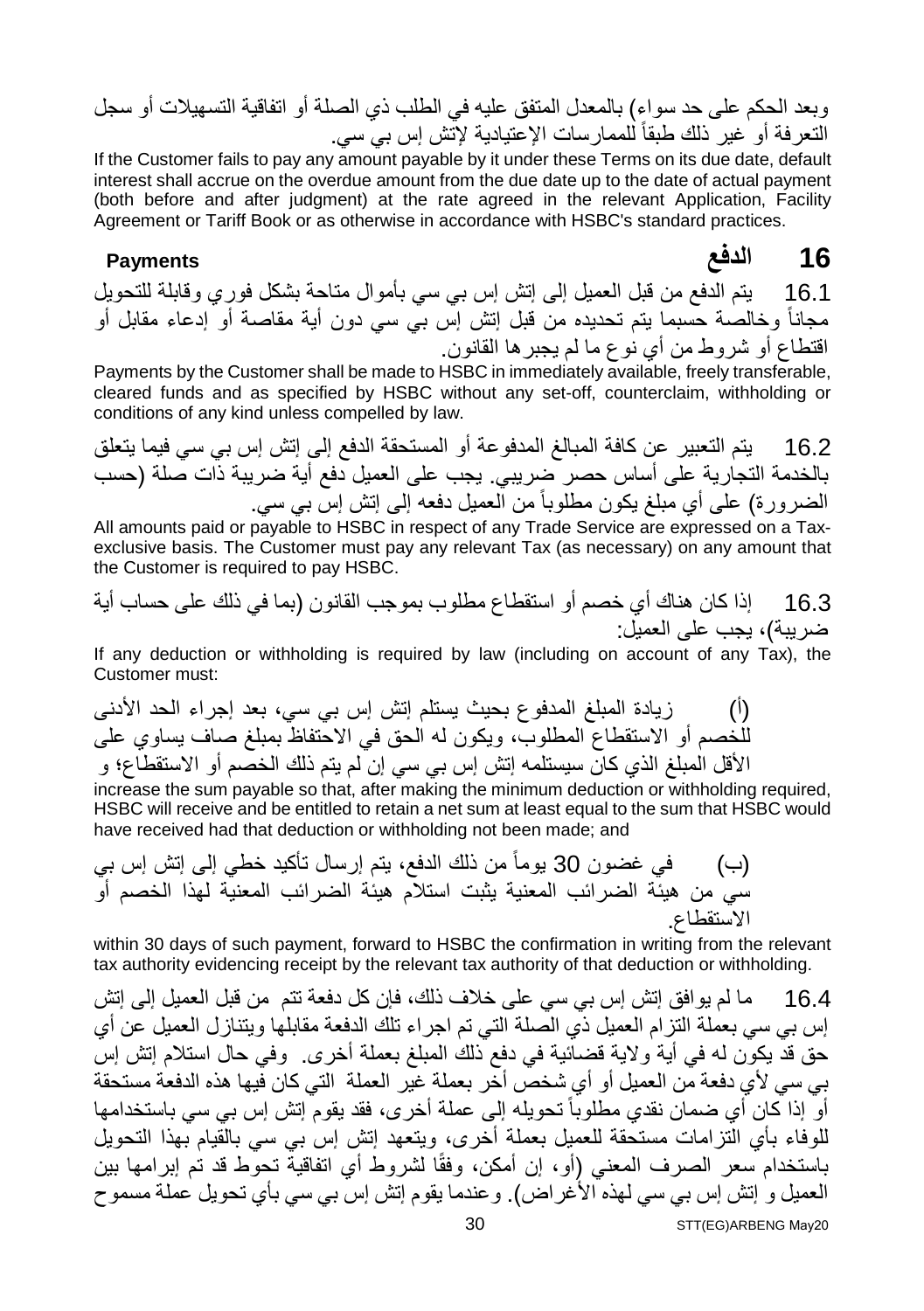وبعد الحكم على حد سواء) بالمعدل المتفق علیھ في الطلب ذي الصلة أو اتفاقیة التسھیلات أو سجل التعرفة أو غیر ذلك طبقاً للممارسات الإعتیادیة لإتش إس بي سي.

If the Customer fails to pay any amount payable by it under these Terms on its due date, default interest shall accrue on the overdue amount from the due date up to the date of actual payment (both before and after judgment) at the rate agreed in the relevant Application, Facility Agreement or Tariff Book or as otherwise in accordance with HSBC's standard practices.

**16 الدفع Payments**

16.1 یتم الدفع من قبل العمیل إلى إتش إس بي سي بأموال متاحة بشكل فوري وقابلة للتحویل مجاناً وخالصة حسبما یتم تحدیده من قبل إتش إس بي سي دون أیة مقاصة أو إدعاء مقابل أو اقتطاع أو شروط من أي نوع ما لم یجبرھا القانون.

Payments by the Customer shall be made to HSBC in immediately available, freely transferable, cleared funds and as specified by HSBC without any set-off, counterclaim, withholding or conditions of any kind unless compelled by law.

16.2 یتم التعبیر عن كافة المبالغ المدفوعة أو المستحقة الدفع إلى إتش إس بي سي فیما یتعلق بالخدمة التجاریة على أساس حصر ضریبي. یجب على العمیل دفع أیة ضریبة ذات صلة (حسب الضرورة) على أي مبلغ یكون مطلوباً من العمیل دفعھ إلى إتش إس بي سي.

All amounts paid or payable to HSBC in respect of any Trade Service are expressed on a Taxexclusive basis. The Customer must pay any relevant Tax (as necessary) on any amount that the Customer is required to pay HSBC.

16.3 إذا كان ھناك أي خصم أو استقطاع مطلوب بموجب القانون (بما في ذلك على حساب أیة ضریبة)، یجب على العمیل:

If any deduction or withholding is required by law (including on account of any Tax), the Customer must:

(أ) زیادة المبلغ المدفوع بحیث یستلم إتش إس بي سي، بعد إجراء الحد الأدنى للخصم أو الاستقطاع المطلوب، ویكون لھ الحق في الاحتفاظ بمبلغ صاف یساوي على الأقل المبلغ الذي كان سیستلمھ إتش إس بي سي إن لم یتم ذلك الخصم أو الاستقطاع؛ و

increase the sum payable so that, after making the minimum deduction or withholding required, HSBC will receive and be entitled to retain a net sum at least equal to the sum that HSBC would have received had that deduction or withholding not been made; and

(ب) في غضون 30 یوماً من ذلك الدفع، یتم إرسال تأكید خطي إلى إتش إس بي سي من ھیئة الضرائب المعنیة یثبت استلام ھیئة الضرائب المعنیة لھذا الخصم أو الاستقطاع.

within 30 days of such payment, forward to HSBC the confirmation in writing from the relevant tax authority evidencing receipt by the relevant tax authority of that deduction or withholding.

16.4 ما لم یوافق إتش إس بي سي على خلاف ذلك، فإن كل دفعة تتم من قبل العمیل إلى إتش إس بي سي بعملة التزام العمیل ذي الصلة التي تم اجراء تلك الدفعة مقابلھا ویتنازل العمیل عن أي حق قد یكون لھ في أیة ولایة قضائیة في دفع ذلك المبلغ بعملة أخرى. وفي حال استلام إتش إس بي سي لأي دفعة من العمیل أو أي شخص أخر بعملة غیر العملة التي كان فیھا ھذه الدفعة مستحقة أو ً إذا كان أي ضمان نقدي مطلوباً تحويله إلى عملة أخر ي، فقد يقوم إتش إس بي سي باستخدامها للوفاء بأي التزامات مستحقة للعمیل بعملة أخرى، ویتعھد إتش إس بي سي بالقیام بھذا التحویل باستخدام سعر الصرف المعني (أو، إن أمكن، وفقًا لشروط أي اتفاقیة تحوط قد تم إبرامھا بین العمیل و إتش إس بي سي لھذه الأغراض). وعندما یقوم إتش إس بي سي بأي تحویل عملة مسموح STT(EG)ARBENG May20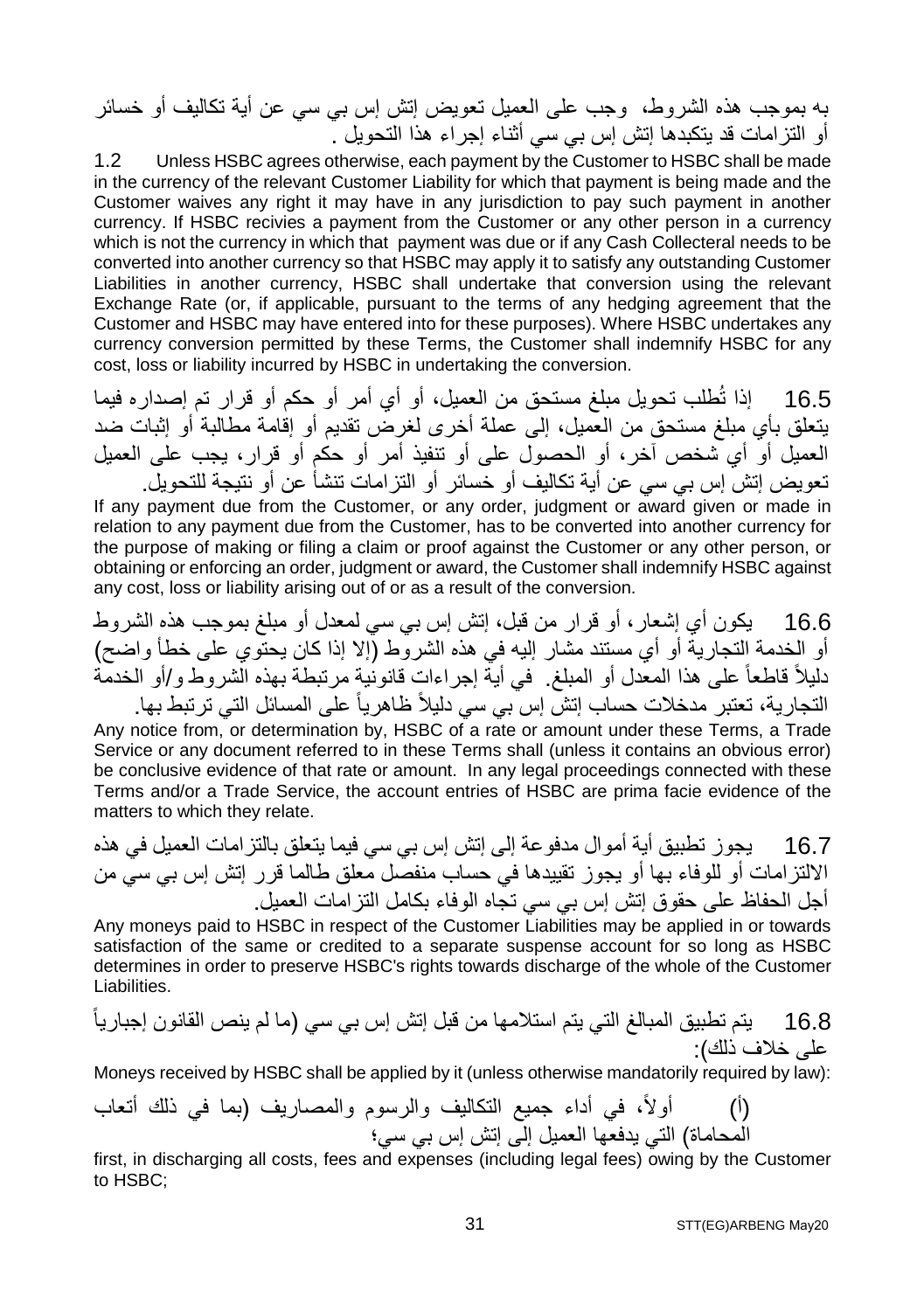بھ بموجب ھذه الشروط، وجب على العمیل تعویض إتش إس بي سي عن أیة تكالیف أو خسائر أو التزامات قد یتكبدھا إتش إس بي سي أثناء إجراء ھذا التحویل .

1.2 Unless HSBC agrees otherwise, each payment by the Customer to HSBC shall be made in the currency of the relevant Customer Liability for which that payment is being made and the Customer waives any right it may have in any jurisdiction to pay such payment in another currency. If HSBC recivies a payment from the Customer or any other person in a currency which is not the currency in which that payment was due or if any Cash Collecteral needs to be converted into another currency so that HSBC may apply it to satisfy any outstanding Customer Liabilities in another currency, HSBC shall undertake that conversion using the relevant Exchange Rate (or, if applicable, pursuant to the terms of any hedging agreement that the Customer and HSBC may have entered into for these purposes). Where HSBC undertakes any currency conversion permitted by these Terms, the Customer shall indemnify HSBC for any cost, loss or liability incurred by HSBC in undertaking the conversion.

16.5 إذا تُطلب تحویل مبلغ مستحق من العمیل، أو أي أمر أو حكم أو قرار تم إصداره فیما یتعلق بأي مبلغ مستحق من العمیل، إلى عملة أخرى لغرض تقدیم أو إقامة مطالبة أو إثبات ضد العمیل أو أي شخص آخر، أو الحصول على أو تنفیذ أمر أو حكم أو قرار، یجب على العمیل تعویض إتش إس بي سي عن أیة تكالیف أو خسائر أو التزامات تنشأ عن أو نتیجة للتحویل.

If any payment due from the Customer, or any order, judgment or award given or made in relation to any payment due from the Customer, has to be converted into another currency for the purpose of making or filing a claim or proof against the Customer or any other person, or obtaining or enforcing an order, judgment or award, the Customer shall indemnify HSBC against any cost, loss or liability arising out of or as a result of the conversion.

16.6 یكون أي إشعار، أو قرار من قبل، إتش إس بي سي لمعدل أو مبلغ بموجب ھذه الشروط أو الخدمة التجاریة أو أي مستند مشار إلیھ في ھذه الشروط (إلا إذا كان یحتوي على خطأ واضح) دلیلاً قاطعاً على ھذا المعدل أو المبلغ. في أیة إجراءات قانونیة مرتبطة بھذه الشروط و/أو الخدمة التجاریة، تعتبر مدخلات حساب إتش إس بي سي دلیلاً ظاھریاً على المسائل التي ترتبط بھا.

Any notice from, or determination by, HSBC of a rate or amount under these Terms, a Trade Service or any document referred to in these Terms shall (unless it contains an obvious error) be conclusive evidence of that rate or amount. In any legal proceedings connected with these Terms and/or a Trade Service, the account entries of HSBC are prima facie evidence of the matters to which they relate.

16.7 یجوز تطبیق أیة أموال مدفوعة إلى إتش إس بي سي فیما یتعلق بالتزامات العمیل في ھذه الالتزامات أو للوفاء بھا أو یجوز تقییدھا في حساب منفصل معلق طالما قرر إتش إس بي سي من أجل الحفاظ على حقوق إتش إس بي سي تجاه الوفاء بكامل التزامات العمیل.

Any moneys paid to HSBC in respect of the Customer Liabilities may be applied in or towards satisfaction of the same or credited to a separate suspense account for so long as HSBC determines in order to preserve HSBC's rights towards discharge of the whole of the Customer Liabilities.

16.8 یتم تطبیق المبالغ التي یتم استلامھا من قبل إتش إس بي سي (ما لم ینص القانون إجباریاً على خلاف ذلك):

Moneys received by HSBC shall be applied by it (unless otherwise mandatorily required by law):

(أ) أولا،ً في أداء جمیع التكالیف والرسوم والمصاریف (بما في ذلك أتعاب المحاماة) التي یدفعھا العمیل إلى إتش إس بي سي؛

first, in discharging all costs, fees and expenses (including legal fees) owing by the Customer to HSBC;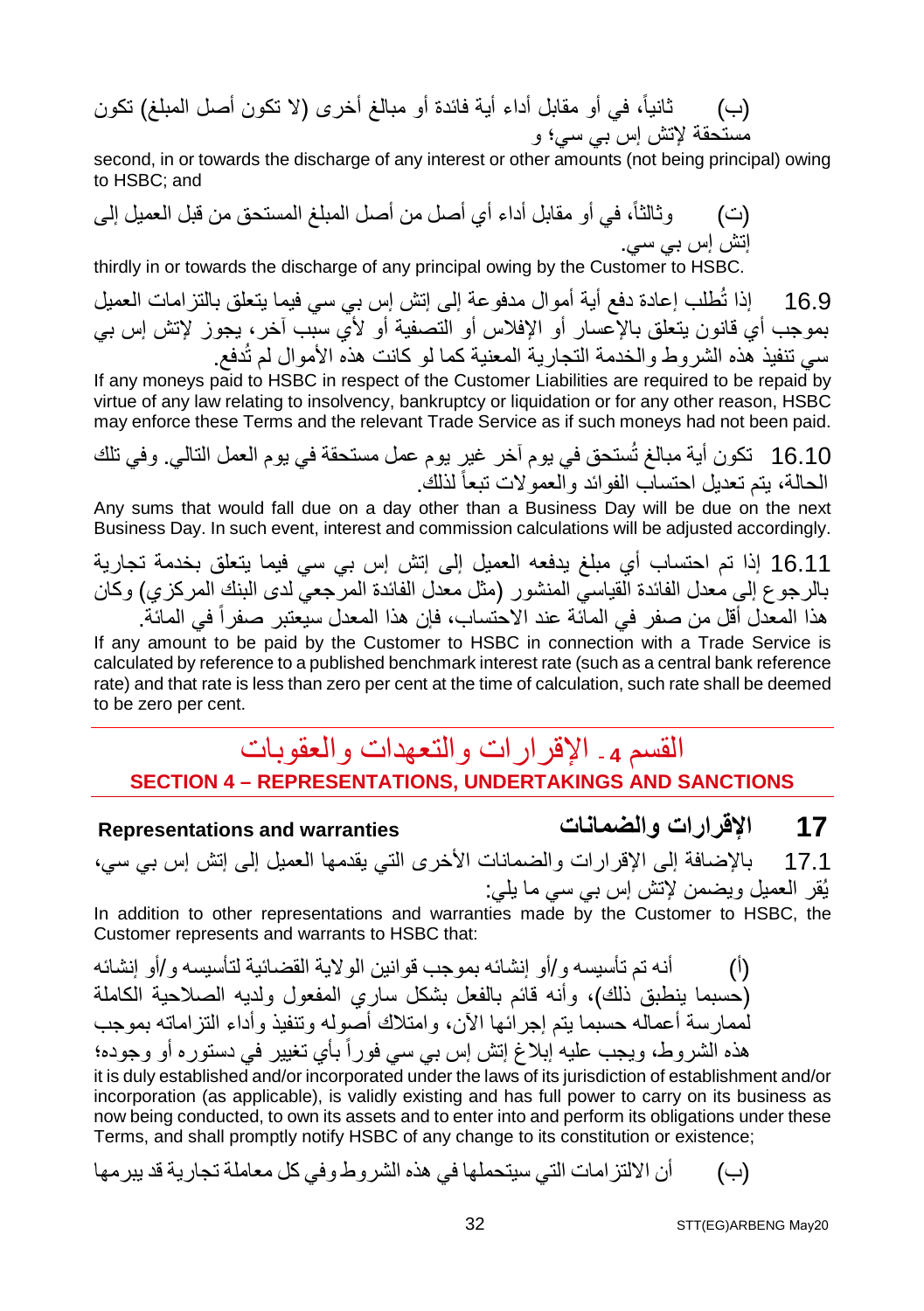(ب) ثانیا،ً في أو مقابل أداء أیة فائدة أو مبالغ أخرى (لا تكون أصل المبلغ) تكون مستحقة لإتش إس بي سي؛ و

second, in or towards the discharge of any interest or other amounts (not being principal) owing to HSBC; and

(ت) وثالثا،ً في أو مقابل أداء أي أصل من أصل المبلغ المستحق من قبل العمیل إلى إتش إس بي سي.

thirdly in or towards the discharge of any principal owing by the Customer to HSBC.

16.9 إذا تُطلب إعادة دفع أیة أموال مدفوعة إلى إتش إس بي سي فیما یتعلق بالتزامات العمیل بموجب أي قانون یتعلق بالإعسار أو الإفلاس أو التصفیة أو لأي سبب آخر، یجوز لإتش إس بي سي تنفیذ ھذه الشروط والخدمة التجاریة المعنیة كما لو كانت ھذه الأموال لم تُدفع.

If any moneys paid to HSBC in respect of the Customer Liabilities are required to be repaid by virtue of any law relating to insolvency, bankruptcy or liquidation or for any other reason, HSBC may enforce these Terms and the relevant Trade Service as if such moneys had not been paid.

16.10 تكون أیة مبالغ تُستحق في یوم آخر غیر یوم عمل مستحقة في یوم العمل التالي. وفي تلك الحالة، یتم تعدیل احتساب الفوائد والعمولات تبعاً لذلك.

Any sums that would fall due on a day other than a Business Day will be due on the next Business Day. In such event, interest and commission calculations will be adjusted accordingly.

16.11 إذا تم احتساب أي مبلغ یدفعھ العمیل إلى إتش إس بي سي فیما یتعلق بخدمة تجاریة بالرجوع إلى معدل الفائدة القیاسي المنشور (مثل معدل الفائدة المرجعي لدى البنك المركزي) وكان هذا المعدل أقل من صفر في الماّئة عند الاحتساب، فإن هذا المعدل سيعتبر صفراً في المائة.

If any amount to be paid by the Customer to HSBC in connection with a Trade Service is calculated by reference to a published benchmark interest rate (such as a central bank reference rate) and that rate is less than zero per cent at the time of calculation, such rate shall be deemed to be zero per cent.

### القسم **<sup>4</sup> -** الإقرارات والتعھدات والعقوبات **SECTION 4 – REPRESENTATIONS, UNDERTAKINGS AND SANCTIONS**

**Representations and warranties والضمانات الإقرارات 17**

17.1 بالإضافة إلى الإقرارات والضمانات الأخرى التي یقدمھا العمیل إلى إتش إس بي سي، یُقر العمیل ویضمن لإتش إس بي سي ما یلي:

In addition to other representations and warranties made by the Customer to HSBC, the Customer represents and warrants to HSBC that:

(أ) أنھ تم تأسیسھ و/أو إنشائھ بموجب قوانین الولایة القضائیة لتأسیسھ و/أو إنشائھ (حسبما ینطبق ذلك)، وأنھ قائم بالفعل بشكل ساري المفعول ولدیھ الصلاحیة الكاملة لممارسة أعمالھ حسبما یتم إجرائھا الآن، وامتلاك أصولھ وتنفیذ وأداء التزاماتھ بموجب ھذه الشروط، ویجب علیھ إبلاغ إتش إس بي سي فورا تغییر في دستوره أو وجوده؛ ً بأي

it is duly established and/or incorporated under the laws of its jurisdiction of establishment and/or incorporation (as applicable), is validly existing and has full power to carry on its business as now being conducted, to own its assets and to enter into and perform its obligations under these Terms, and shall promptly notify HSBC of any change to its constitution or existence;

(ب) أن الالتزامات التي سیتحملھا في ھذه الشروط وفي كل معاملة تجاریة قد یبرمھا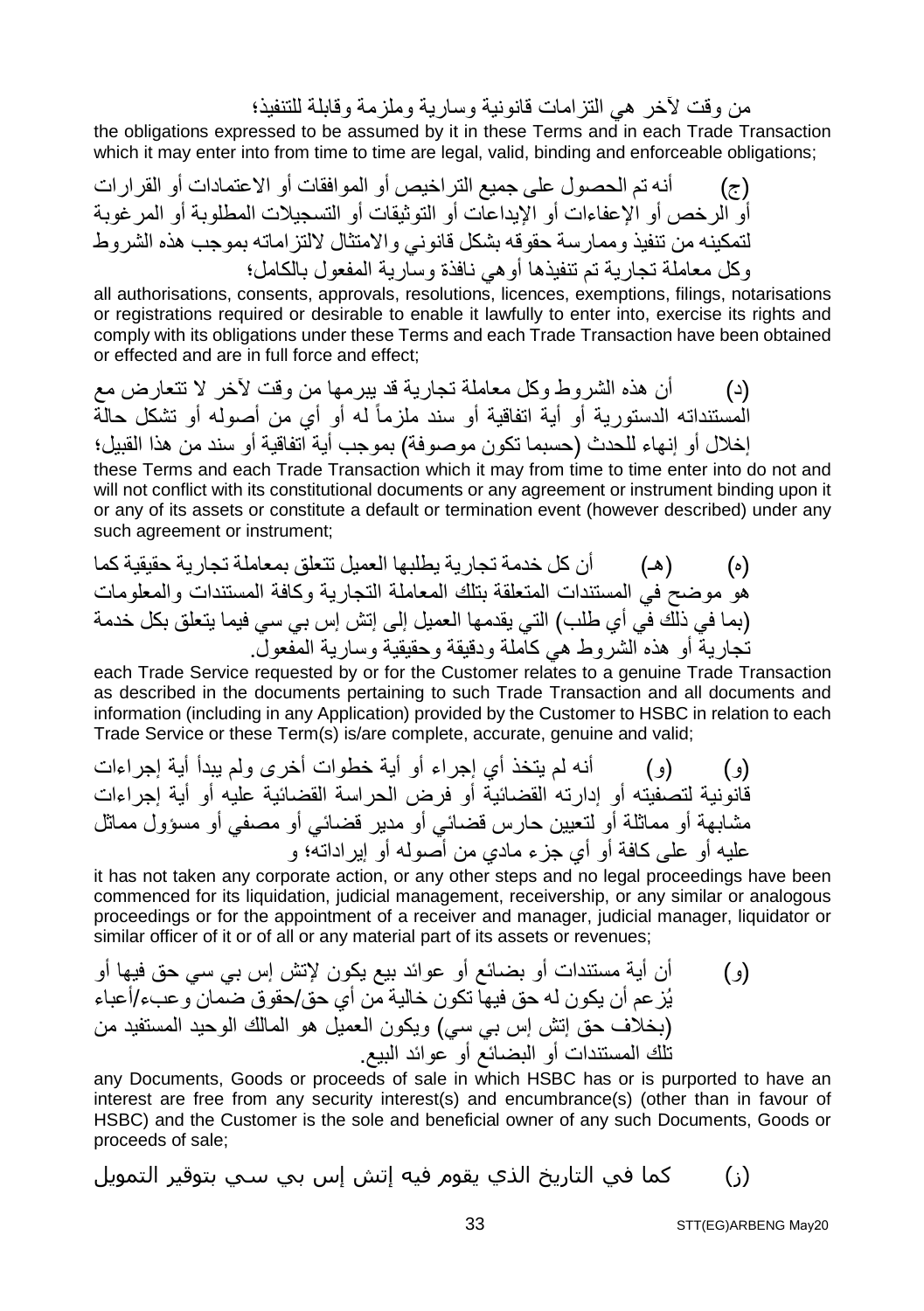من وقت لآخر ھي التزامات قانونیة وساریة وملزمة وقابلة للتنفیذ؛

the obligations expressed to be assumed by it in these Terms and in each Trade Transaction which it may enter into from time to time are legal, valid, binding and enforceable obligations;

(ج) أنھ تم الحصول على جمیع التراخیص أو الموافقات أو الاعتمادات أو القرارات أو الرخص أو الإعفاءات أو الإیداعات أو التوثیقات أو التسجیلات المطلوبة أو المرغوبة لتمكینھ من تنفیذ وممارسة حقوقھ بشكل قانوني والامتثال لالتزاماتھ بموجب ھذه الشروط وكل معاملة تجاریة تم تنفیذھا أوھي نافذة وساریة المفعول بالكامل؛

all authorisations, consents, approvals, resolutions, licences, exemptions, filings, notarisations or registrations required or desirable to enable it lawfully to enter into, exercise its rights and comply with its obligations under these Terms and each Trade Transaction have been obtained or effected and are in full force and effect;

(د) أن ھذه الشروط وكل معاملة تجاریة قد یبرمھا من وقت لآخر لا تتعارض مع مستنداتھ الدستوریة أو أیة اتفاقیة أو سند ملزماً ال لھ أو أي من أصولھ أو تشكل حالة إخلال أو إنھاء للحدث (حسبما تكون موصوفة) بموجب أیة اتفاقیة أو سند من ھذا القبیل؛

these Terms and each Trade Transaction which it may from time to time enter into do not and will not conflict with its constitutional documents or any agreement or instrument binding upon it or any of its assets or constitute a default or termination event (however described) under any such agreement or instrument;

(ه) (ھـ) أن كل خدمة تجاریة یطلبھا العمیل تتعلق بمعاملة تجاریة حقیقیة كما ھو موضح في المستندات المتعلقة بتلك المعاملة التجاریة وكافة المستندات والمعلومات (بما في ذلك في أي طلب) التي یقدمھا العمیل إلى إتش إس بي سي فیما یتعلق بكل خدمة تجاریة أو ھذه الشروط ھي كاملة ودقیقة وحقیقیة وساریة المفعول.

each Trade Service requested by or for the Customer relates to a genuine Trade Transaction as described in the documents pertaining to such Trade Transaction and all documents and information (including in any Application) provided by the Customer to HSBC in relation to each Trade Service or these Term(s) is/are complete, accurate, genuine and valid;

(و) (و) أنھ لم یتخذ أي إجراء أو أیة خطوات أخرى ولم یبدأ أیة إجراءات قانونیة لتصفیتھ أو إدارتھ القضائیة أو فرض الحراسة القضائیة علیھ أو أیة إجراءات مشابھة أو مماثلة أو لتعیین حارس قضائي أو مدیر قضائي أو مصفي أو مسؤول مماثل علیھ أو على كافة أو أي جزء مادي من أصولھ أو إیراداتھ؛ و

it has not taken any corporate action, or any other steps and no legal proceedings have been commenced for its liquidation, judicial management, receivership, or any similar or analogous proceedings or for the appointment of a receiver and manager, judicial manager, liquidator or similar officer of it or of all or any material part of its assets or revenues;

(و) أن أیة مستندات أو بضائع أو عوائد بیع یكون لإتش إس بي سي حق فیھا أو یُزعم أن یكون لھ حق فیھا تكون خالیة من أي حق/حقوق ضمان وعبء/أعباء (بخلاف حق إتش إس بي سي) ویكون العمیل ھو المالك الوحید المستفید من تلك المستندات أو البضائع أو عوائد البیع.

any Documents, Goods or proceeds of sale in which HSBC has or is purported to have an interest are free from any security interest(s) and encumbrance(s) (other than in favour of HSBC) and the Customer is the sole and beneficial owner of any such Documents, Goods or proceeds of sale;

(ز) كما في التاريخ الذي يقوم فیه إتش إس بي سي بتوقیر التمويل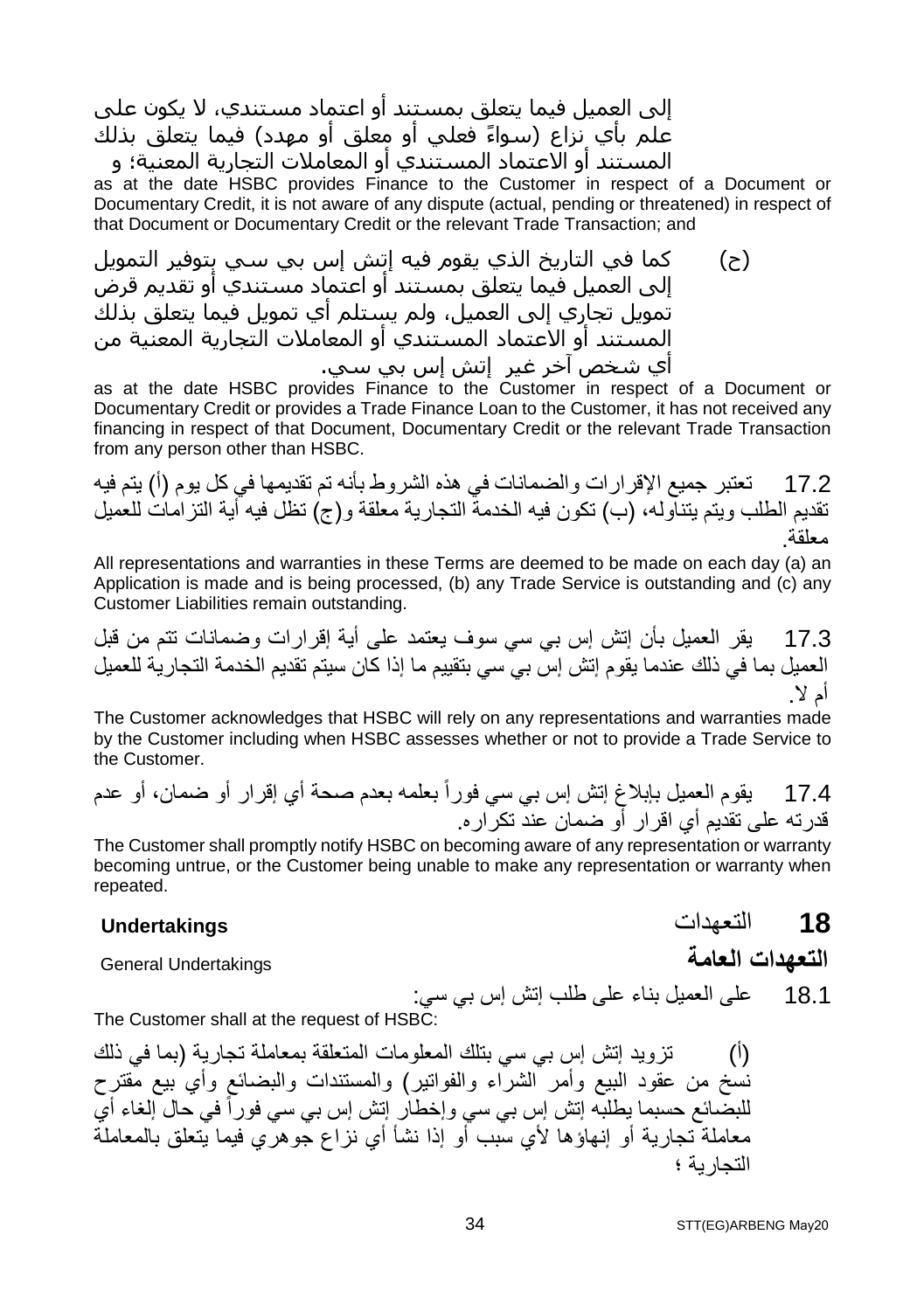إلى العمیل فیما يتعلق بمستند أو اعتماد مستندي، لا يكون على علم بأي نزاع (سواءً فعلي أو معلق أو مهدد) فيما يتعلق بذلك المستند أو الاعتماد المستندي أو المعاملات التجارية المعنیة؛ و

as at the date HSBC provides Finance to the Customer in respect of a Document or Documentary Credit, it is not aware of any dispute (actual, pending or threatened) in respect of that Document or Documentary Credit or the relevant Trade Transaction; and

(ح) كما في التاريخ الذي يقوم فیه إتش إس بي سي بتوفیر التمويل إلى العمیل فیما يتعلق بمستند أو اعتماد مستندي أو تقديم قرض تمويل تجاري إلى العمیل، ولم يستلم أي تمويل فیما يتعلق بذلك المستند أو الاعتماد المستندي أو المعاملات التجارية المعنیة من أي شخص آخر غیر إتش إس بي سي.

as at the date HSBC provides Finance to the Customer in respect of a Document or Documentary Credit or provides a Trade Finance Loan to the Customer, it has not received any financing in respect of that Document, Documentary Credit or the relevant Trade Transaction from any person other than HSBC.

17.2 تعتبر جمیع الإقرارات والضمانات في ھذه الشروط بأنھ تم تقدیمھا في كل یوم (أ) یتم فیھ تقدیم الطلب ویتم یتناولھ، (ب) تكون فیھ الخدمة التجاریة معلقة و(ج) تظل فیھ أیة التزامات للعمیل معلقة.

All representations and warranties in these Terms are deemed to be made on each day (a) an Application is made and is being processed, (b) any Trade Service is outstanding and (c) any Customer Liabilities remain outstanding.

17.3 یقر العمیل بأن إتش إس بي سي سوف یعتمد على أیة إقرارات وضمانات تتم من قبل العمیل بما في ذلك عندما یقوم إتش إس بي سي بتقییم ما إذا كان سیتم تقدیم الخدمة التجاریة للعمیل أم لا.

The Customer acknowledges that HSBC will rely on any representations and warranties made by the Customer including when HSBC assesses whether or not to provide a Trade Service to the Customer.

17.4 یقوم العمیل بإبلاغ إتش إس بي سي فوراً بعلمھ بعدم صحة أي إقرار أو ضمان، أو عدم قدرتھ على تقدیم أي اقرار أو ضمان عند تكراره.

The Customer shall promptly notify HSBC on becoming aware of any representation or warranty becoming untrue, or the Customer being unable to make any representation or warranty when repeated.

#### **18** التعھدات **Undertakings**

**التعھدات العامة** Undertakings General

18.1 على العمیل بناء على طلب إتش إس بي سي:

The Customer shall at the request of HSBC:

(أ) تزوید إتش إس بي سي بتلك المعلومات المتعلقة بمعاملة تجاریة (بما في ذلك نسخ من عقود البیع وأمر الشراء والفواتیر) والمستندات والبضائع وأي بیع مقترح للبضائع حسبما يطلبه إتش إس بي سي وإخطار إتش إس بي سي فوراً في حال إلغاء أي معاملة تجاریة أو إنھاؤھا لأي سبب أو إذا نشأ أي نزاع جوھري فیما یتعلق بالمعاملة التجاریة ؛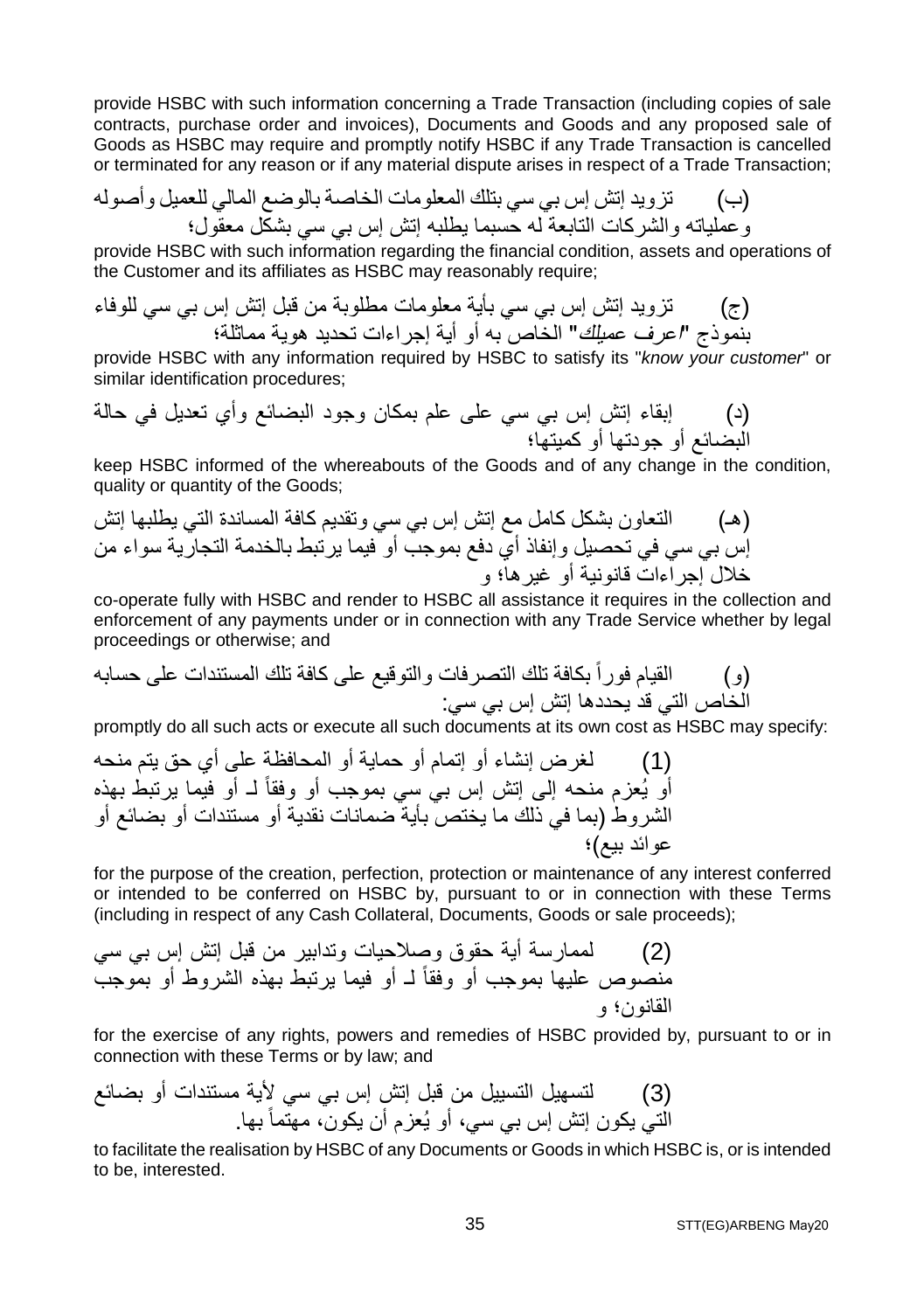provide HSBC with such information concerning a Trade Transaction (including copies of sale contracts, purchase order and invoices), Documents and Goods and any proposed sale of Goods as HSBC may require and promptly notify HSBC if any Trade Transaction is cancelled or terminated for any reason or if any material dispute arises in respect of a Trade Transaction;

(ب) تزوید إتش إس بي سي بتلك المعلومات الخاصة بالوضع المالي للعمیل وأصولھ وعملیاتھ والشركات التابعة لھ حسبما یطلبھ إتش إس بي سي بشكل معقول؛

provide HSBC with such information regarding the financial condition, assets and operations of the Customer and its affiliates as HSBC may reasonably require;

(ج) تزوید إتش إس بي سي بأیة معلومات مطلوبة من قبل إتش إس بي سي للوفاء بنموذج "اعرف عمیلك" الخاص بھ أو أیة إجراءات تحدید ھویة مماثلة؛

provide HSBC with any information required by HSBC to satisfy its "*know your customer*" or similar identification procedures;

(د) إبقاء إتش إس بي سي على علم بمكان وجود البضائع وأي تعدیل في حالة البضائع أو جودتھا أو كمیتھا؛

keep HSBC informed of the whereabouts of the Goods and of any change in the condition, quality or quantity of the Goods;

(ھـ) التعاون بشكل كامل مع إتش إس بي سي وتقدیم كافة المساندة التي یطلبھا إتش إس بي سي في تحصیل وإنفاذ أي دفع بموجب أو فیما یرتبط بالخدمة التجاریة سواء من خلال إجراءات قانونیة أو غیرھا؛ و

co-operate fully with HSBC and render to HSBC all assistance it requires in the collection and enforcement of any payments under or in connection with any Trade Service whether by legal proceedings or otherwise; and

(و) القیام فوراً بكافة تلك التصرفات والتوقیع على كافة تلك المستندات على حسابھ الخاص التي قد یحددھا إتش إس بي سي:

promptly do all such acts or execute all such documents at its own cost as HSBC may specify:

(1) لغرض إنشاء أو إتمام أو حمایة أو المحافظة على أي حق یتم منحھ أو یُعزم منحھ إلى إتش إس بي سي بموجب أو وفقاً لـ أو فیما یرتبط بھذه الشروط (بما في ذلك ما یختص بأیة ضمانات نقدیة أو مستندات أو بضائع أو عوائد بیع)؛

for the purpose of the creation, perfection, protection or maintenance of any interest conferred or intended to be conferred on HSBC by, pursuant to or in connection with these Terms (including in respect of any Cash Collateral, Documents, Goods or sale proceeds);

(2) لممارسة أیة حقوق وصلاحیات وتدابیر من قبل إتش إس بي سي منصوص علیھا بموجب أو وفقاً لـ أو فیما یرتبط بھذه الشروط أو بموجب القانون؛ و

for the exercise of any rights, powers and remedies of HSBC provided by, pursuant to or in connection with these Terms or by law; and

(3) لتسھیل التسییل من قبل إتش إس بي سي لأیة مستندات أو بضائع كون إتش إس بي سي، أو یُعزم أن یكون، مھتماً التي ی بھا.

to facilitate the realisation by HSBC of any Documents or Goods in which HSBC is, or is intended to be, interested.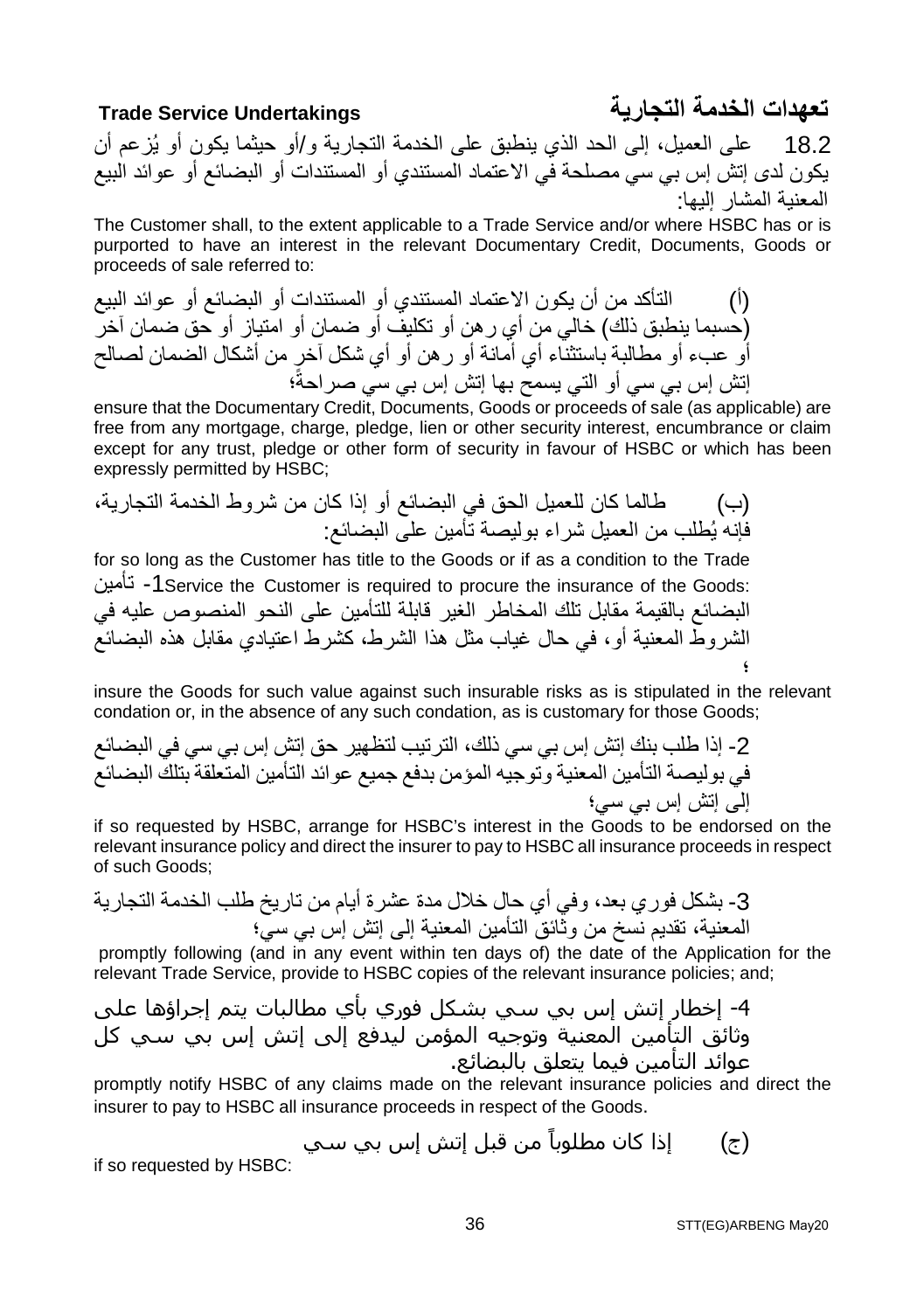18.2 على العمیل، إلى الحد الذي ینطبق على الخدمة التجاریة و/أو حیثما یكون أو یُزعم أن یكون لدى إتش إس بي سي مصلحة في الاعتماد المستندي أو المستندات أو البضائع أو عوائد البیع المعنیة المشار إلیھا:

The Customer shall, to the extent applicable to a Trade Service and/or where HSBC has or is purported to have an interest in the relevant Documentary Credit, Documents, Goods or proceeds of sale referred to:

(أ) التأكد من أن یكون الاعتماد المستندي أو المستندات أو البضائع أو عوائد البیع (حسبما ینطبق ذلك) خالي من أي رھن أو تكلیف أو ضمان أو امتیاز أو حق ضمان آخر أو عبء أو مطالبة باستثناء أي أمانة أو رھن أو أي شكل آخر من أشكال الضمان لصالح ؛ إتش إس بي سي أو التي یسمح بھا إتش إس بي سي صراحةً

ensure that the Documentary Credit, Documents, Goods or proceeds of sale (as applicable) are free from any mortgage, charge, pledge, lien or other security interest, encumbrance or claim except for any trust, pledge or other form of security in favour of HSBC or which has been expressly permitted by HSBC;

(ب) طالما كان للعمیل الحق في البضائع أو إذا كان من شروط الخدمة التجاریة، فإنھ یُطلب من العمیل شراء بولیصة تأمین على البضائع:

for so long as the Customer has title to the Goods or if as a condition to the Trade تأمین -1Service the Customer is required to procure the insurance of the Goods: البضائع بالقیمة مقابل تلك المخاطر الغیر قابلة للتأمین على النحو المنصوص علیھ في الشروط المعنیة أو، في حال غیاب مثل ھذا الشرط، كشرط اعتیادي مقابل ھذه البضائع ؛

insure the Goods for such value against such insurable risks as is stipulated in the relevant condation or, in the absence of any such condation, as is customary for those Goods;

-2 إذا طلب بنك إتش إس بي سي ذلك، الترتیب لتظھیر حق إتش إس بي سي في البضائع في بولیصة التأمین المعنیة وتوجیھ المؤمن بدفع جمیع عوائد التأمین المتعلقة بتلك البضائع إلى إتش إس بي سي؛

if so requested by HSBC, arrange for HSBC's interest in the Goods to be endorsed on the relevant insurance policy and direct the insurer to pay to HSBC all insurance proceeds in respect of such Goods;

-3 بشكل فوري بعد، وفي أي حال خلال مدة عشرة أیام من تاریخ طلب الخدمة التجاریة المعنیة، تقدیم نسخ من وثائق التأمین المعنیة إلى إتش إس بي سي؛

 promptly following (and in any event within ten days of) the date of the Application for the relevant Trade Service, provide to HSBC copies of the relevant insurance policies; and;

-4 إخطار إتش إس بي سي بشكل فوري بأي مطالبات يتم إجراؤھا على وثائق التأمین المعنیة وتوجیه المؤمن لیدفع إلى إتش إس بي سي كل عوائد التأمین فیما يتعلق بالبضائع.

promptly notify HSBC of any claims made on the relevant insurance policies and direct the insurer to pay to HSBC all insurance proceeds in respect of the Goods.

<sub>(ج</sub>) إذا كان مطلوباً من قبل إتش إس بي سـي

if so requested by HSBC:

**تعھدات الخدمة التجاریة Undertakings Service Trade**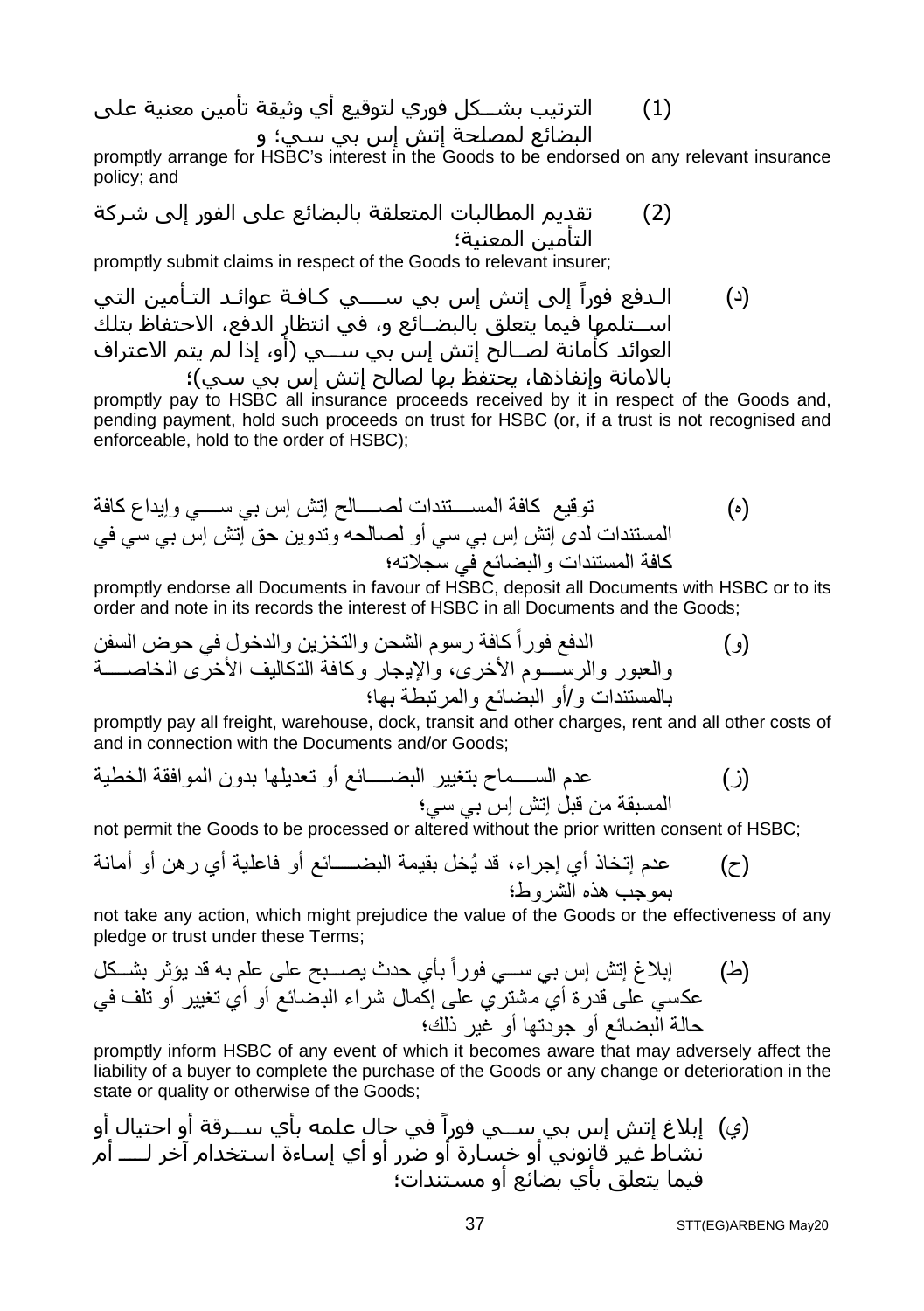(1) الترتیب بشــكل فوري لتوقیع أي وثیقة تأمین معنیة على البضائع لمصلحة إتش إس بي سي؛ و

promptly arrange for HSBC's interest in the Goods to be endorsed on any relevant insurance policy; and

(2) تقديم المطالبات المتعلقة بالبضائع على الفور إلى شركة التأمین المعنیة؛

promptly submit claims in respect of the Goods to relevant insurer;

(د) الـدفع ً فورا إلى إتش إس بي ســــي كـافـة عوائـد التـأمین التي اســتلمھا فیما يتعلق بالبضــائع و، في انتظار الدفع، الاحتفاظ بتلك العوائد كأمانة لصــالح إتش إس بي ســي (أو، إذا لم يتم الاعتراف بالامانة وإنفاذھا، يحتفظ بھا لصالح إتش إس بي سي)؛

promptly pay to HSBC all insurance proceeds received by it in respect of the Goods and, pending payment, hold such proceeds on trust for HSBC (or, if a trust is not recognised and enforceable, hold to the order of HSBC);

(ه) توقیع كافة المستندات لصالح إتش إس بي سي وإیداع كافة المستندات لدى إتش إس بي سي أو لصالحھ وتدوین حق إتش إس بي سي في كافة المستندات والبضائع في سجلاتھ؛

promptly endorse all Documents in favour of HSBC, deposit all Documents with HSBC or to its order and note in its records the interest of HSBC in all Documents and the Goods;

(و) الدفع فوراً كافة رسوم الشحن والتخزین والدخول في حوض السفن والعبور والرسوم الأخرى، والإیجار وكافة التكالیف الأخرى الخاصة بالمستندات و/أو البضائع والمرتبطة بھا؛

promptly pay all freight, warehouse, dock, transit and other charges, rent and all other costs of and in connection with the Documents and/or Goods;

(ز) عدم السماح بتغییر البضائع أو تعدیلھا بدون الموافقة الخطیة المسبقة من قبل إتش إس بي سي؛

not permit the Goods to be processed or altered without the prior written consent of HSBC;

(ح) عدم إتخاذ أي إجراء، قد یُخل بقیمة البضائع أو فاعلیة أي رھن أو أمانة بموجب ھذه الشروط؛

not take any action, which might prejudice the value of the Goods or the effectiveness of any pledge or trust under these Terms;

(ط) إبلاغ إتش إس بي سي فوراً بأي حدث یصبح على علم بھ قد یؤثر بشكل عكسي على قدرة أي مشتري على إكمال شراء البضائع أو أي تغییر أو تلف في حالة البضائع أو جودتھا أو غیر ذلك؛

promptly inform HSBC of any event of which it becomes aware that may adversely affect the liability of a buyer to complete the purchase of the Goods or any change or deterioration in the state or quality or otherwise of the Goods;

(ي) في حال علمه بأي ســرقة أو احتیال أو ً إبلاغ إتش إس بي ســي فورا نشاط غیر قانوني أو خسارة أو ضرر أو أي إساءة استخدام آخر لـــــ أم فیما يتعلق بأي بضائع أو مستندات؛

STT(EG)ARBENG May20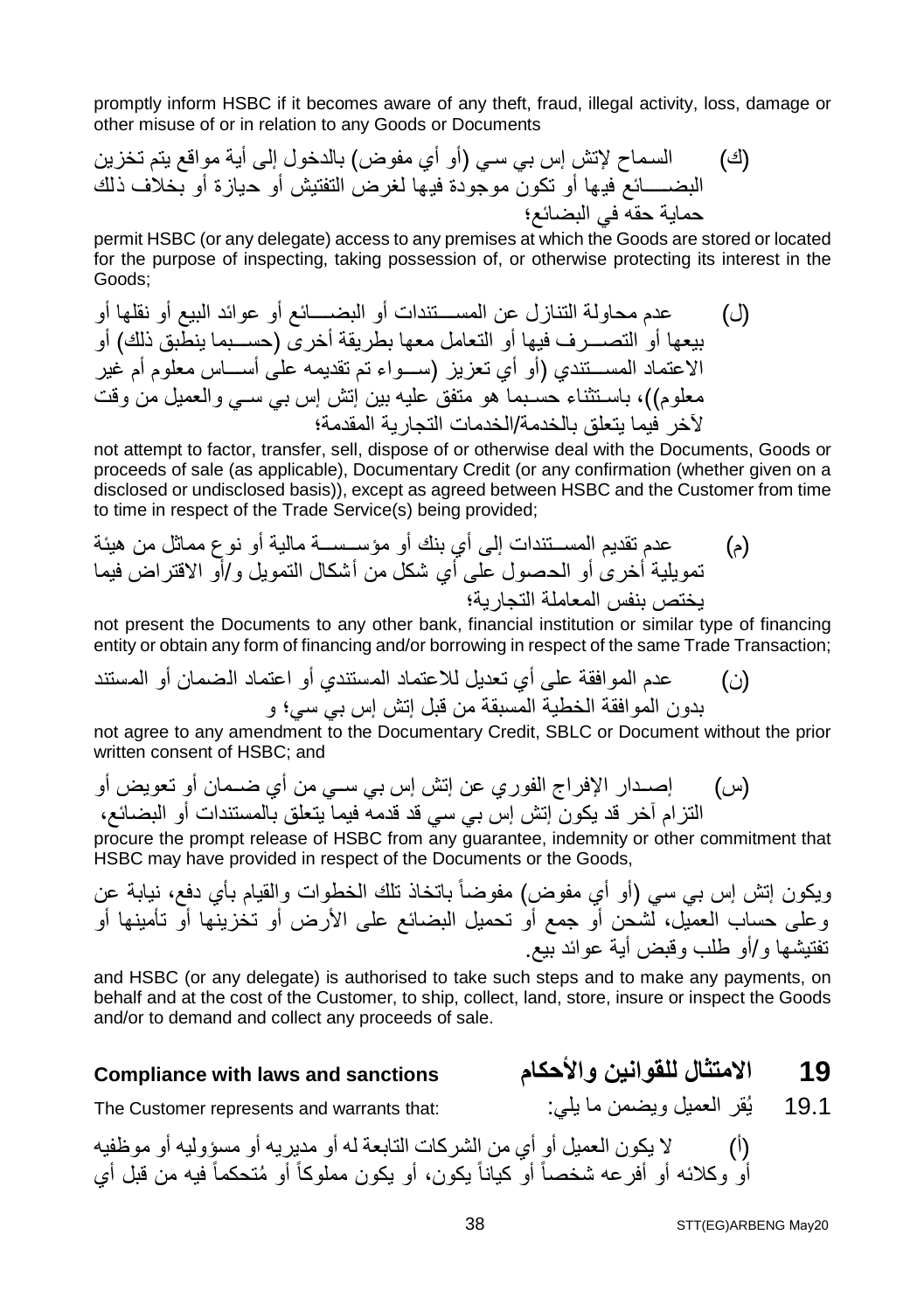promptly inform HSBC if it becomes aware of any theft, fraud, illegal activity, loss, damage or other misuse of or in relation to any Goods or Documents

(ك) السماح لإتش إس بي سي (أو أي مفوض) بالدخول إلى أیة مواقع یتم تخزین البضائع فیھا أو تكون موجودة فیھا لغرض التفتیش أو حیازة أو بخلاف ذلك حمایة حقھ في البضائع؛

permit HSBC (or any delegate) access to any premises at which the Goods are stored or located for the purpose of inspecting, taking possession of, or otherwise protecting its interest in the Goods;

(ل) عدم محاولة التنازل عن المستندات أو البضائع أو عوائد البیع أو نقلھا أو بیعھا أو التصرف فیھا أو التعامل معھا بطریقة أخرى (حسبما ینطبق ذلك) أو الاعتماد المستندي (أو أي تعزیز (سواء تم تقدیمھ على أساس معلوم أم غیر معلوم))، باستثناء حسبما ھو متفق علیھ بین إتش إس بي سي والعمیل من وقت لآخر فیما یتعلق بالخدمة/الخدمات التجاریة المقدمة؛

not attempt to factor, transfer, sell, dispose of or otherwise deal with the Documents, Goods or proceeds of sale (as applicable), Documentary Credit (or any confirmation (whether given on a disclosed or undisclosed basis)), except as agreed between HSBC and the Customer from time to time in respect of the Trade Service(s) being provided;

(م) عدم تقدیم المستندات إلى أي بنك أو مؤسسة مالیة أو نوع مماثل من ھیئة تمویلیة أخرى أو الحصول على أي شكل من أشكال التمویل و/أو الاقتراض فیما یختص بنفس المعاملة التجاریة؛

not present the Documents to any other bank, financial institution or similar type of financing entity or obtain any form of financing and/or borrowing in respect of the same Trade Transaction;

(ن) عدم الموافقة على أي تعدیل للاعتماد المستندي أو اعتماد الضمان أو المستند بدون الموافقة الخطیة المسبقة من قبل إتش إس بي سي؛ و

not agree to any amendment to the Documentary Credit, SBLC or Document without the prior written consent of HSBC; and

(س) إصدار الإفراج الفوري عن إتش إس بي سي من أي ضمان أو تعویض أو التزام آخر قد یكون إتش إس بي سي قد قدمھ فیما یتعلق بالمستندات أو البضائع،

procure the prompt release of HSBC from any guarantee, indemnity or other commitment that HSBC may have provided in respect of the Documents or the Goods,

ویكون إتش إس بي سي (أو أي مفوض) مفوضاً باتخاذ تلك الخطوات والقيام بأي دفع، نيابة عن وعلى حساب العمیل، لشحن أو جمع أو تحمیل البضائع على الأرض أو تخزینھا أو تأمینھا أو تفتیشھا و/أو طلب وقبض أیة عوائد بیع.

and HSBC (or any delegate) is authorised to take such steps and to make any payments, on behalf and at the cost of the Customer, to ship, collect, land, store, insure or inspect the Goods and/or to demand and collect any proceeds of sale.

### **Compliance with laws and sanctions والأحكام للقوانین الامتثال 19**

19.1 یُقر العمیل ویضمن ما یلي: : \* The Customer represents and warrants that:

(أ) لا یكون العمیل أو أي من الشركات التابعة لھ أو مدیریھ أو مسؤولیھ أو موظفیھ أو وكلائه أو أفرعه شخصاً أو كياناً يكون، أو يكون مملوكاً أو مُتحكماً فيه من قبل أي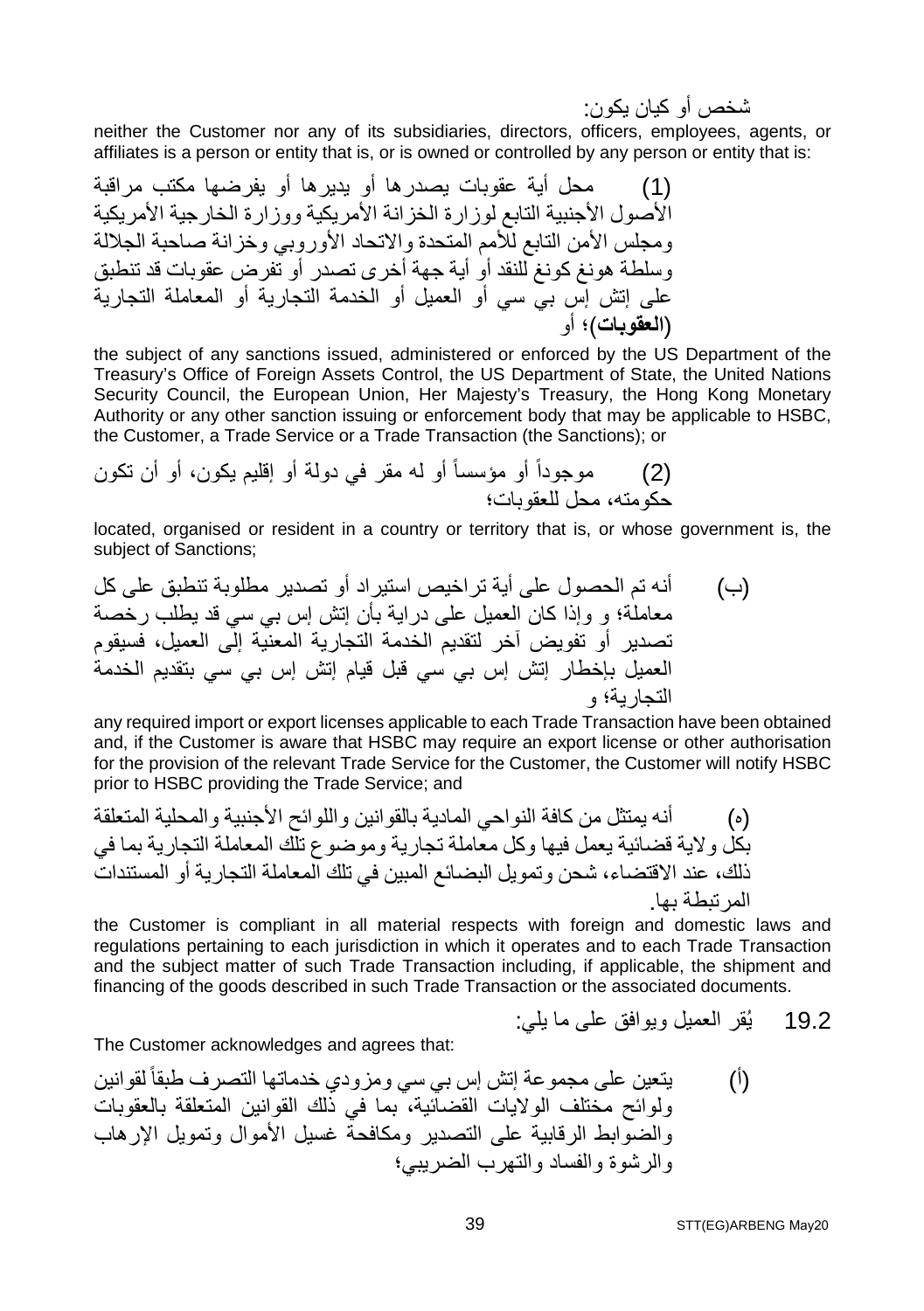شخص أو كیان یكون:

neither the Customer nor any of its subsidiaries, directors, officers, employees, agents, or affiliates is a person or entity that is, or is owned or controlled by any person or entity that is:

(1) محل أیة عقوبات یصدرھا أو یدیرھا أو یفرضھا مكتب مراقبة الأصول الأجنبیة التابع لوزارة الخزانة الأمریكیة ووزارة الخارجیة الأمریكیة ومجلس الأمن التابع للأمم المتحدة والاتحاد الأوروبي وخزانة صاحبة الجلالة وسلطة ھونغ كونغ للنقد أو أیة جھة أخرى تصدر أو تفرض عقوبات قد تنطبق على إتش إس بي سي أو العمیل أو الخدمة التجاریة أو المعاملة التجاریة (**العقوبات**)؛ أو

the subject of any sanctions issued, administered or enforced by the US Department of the Treasury's Office of Foreign Assets Control, the US Department of State, the United Nations Security Council, the European Union, Her Majesty's Treasury, the Hong Kong Monetary Authority or any other sanction issuing or enforcement body that may be applicable to HSBC, the Customer, a Trade Service or a Trade Transaction (the Sanctions); or

(2) موجوداً أو مؤسساً أو لھ مقر في دولة أو إقلیم یكون، أو أن تكون حكومتھ، محل للعقوبات؛

located, organised or resident in a country or territory that is, or whose government is, the subject of Sanctions;

(ب) أنھ تم الحصول على أیة تراخیص استیراد أو تصدیر مطلوبة تنطبق على كل معاملة؛ و وإذا كان العمیل على درایة بأن إتش إس بي سي قد یطلب رخصة تصدیر أو تفویض آخر لتقدیم الخدمة التجاریة المعنیة إلى العمیل، فسیقوم العمیل بإخطار إتش إس بي سي قبل قیام إتش إس بي سي بتقدیم الخدمة التجاریة؛ و

any required import or export licenses applicable to each Trade Transaction have been obtained and, if the Customer is aware that HSBC may require an export license or other authorisation for the provision of the relevant Trade Service for the Customer, the Customer will notify HSBC prior to HSBC providing the Trade Service; and

(ه) أنھ یمتثل من كافة النواحي المادیة بالقوانین واللوائح الأجنبیة والمحلیة المتعلقة بكل ولایة قضائیة یعمل فیھا وكل معاملة تجاریة وموضوع تلك المعاملة التجاریة بما في ذلك، عند الاقتضاء، شحن وتمویل البضائع المبین في تلك المعاملة التجاریة أو المستندات المرتبطة بھا.

the Customer is compliant in all material respects with foreign and domestic laws and regulations pertaining to each jurisdiction in which it operates and to each Trade Transaction and the subject matter of such Trade Transaction including, if applicable, the shipment and financing of the goods described in such Trade Transaction or the associated documents.

19.2 یُقر العمیل ویوافق على ما یلي:

The Customer acknowledges and agrees that:

(أ) یتعین على مجموعة إتش إس بي سي ومزودي خدماتھا التصرف طبقاً لقوانین ولوائح مختلف الولایات القضائیة، بما في ذلك القوانین المتعلقة بالعقوبات والضوابط الرقابیة على التصدیر ومكافحة غسیل الأموال وتمویل الإرھاب والرشوة والفساد والتھرب الضریبي؛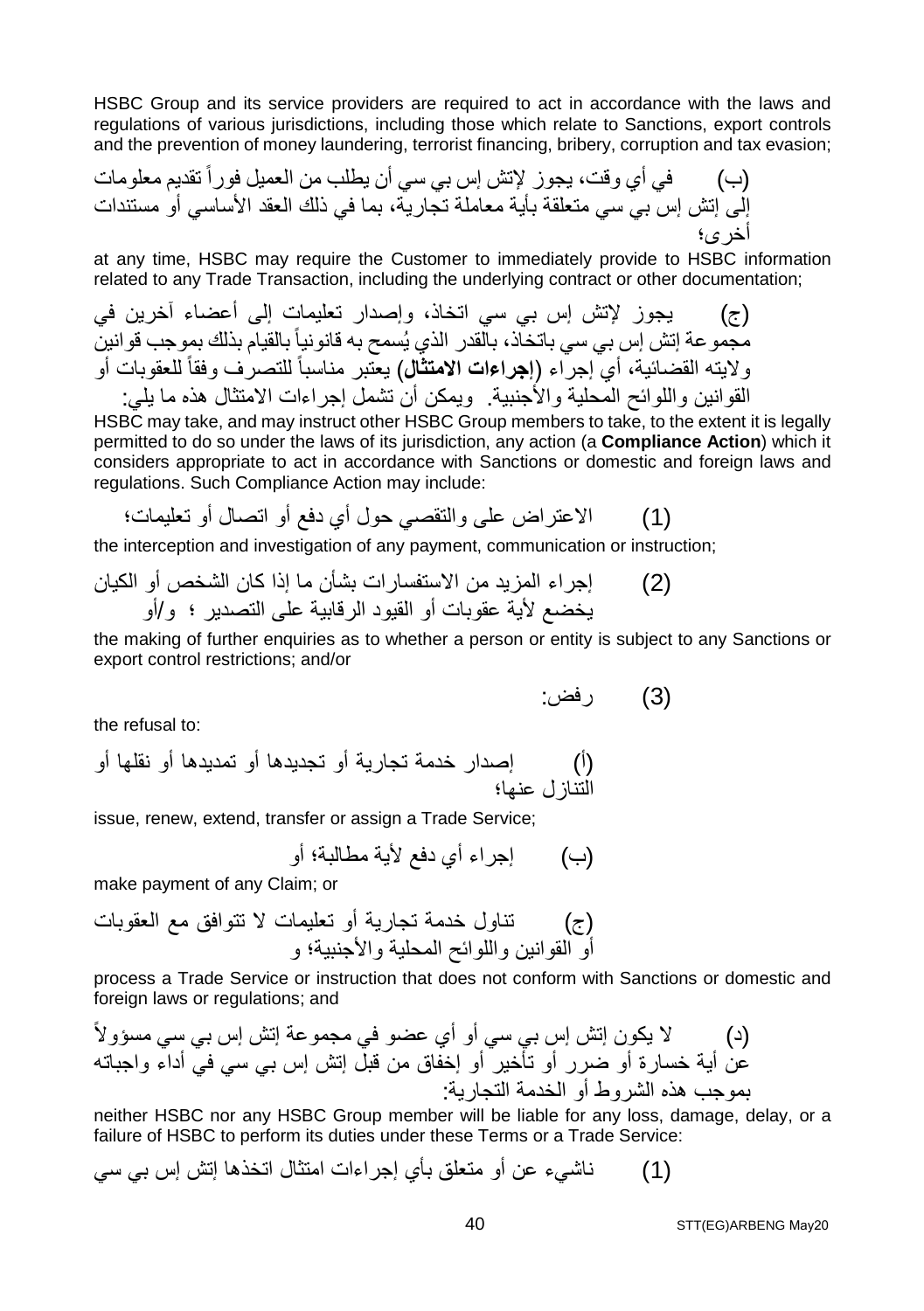HSBC Group and its service providers are required to act in accordance with the laws and regulations of various jurisdictions, including those which relate to Sanctions, export controls and the prevention of money laundering, terrorist financing, bribery, corruption and tax evasion;

(ب) في أي وقت، یجوز لإتش إس بي سي أن یطلب من العمیل فوراً تقدیم معلومات إلى إتش إس بي سي متعلقة بأیة معاملة تجاریة، بما في ذلك العقد الأساسي أو مستندات أخرى؛

at any time, HSBC may require the Customer to immediately provide to HSBC information related to any Trade Transaction, including the underlying contract or other documentation;

(ج)   يجوز ل[تش إس بي سي اتخان، و إصدار تعليمات إلى أعضاء آخرين في  يمجمو عة إتش إس بي سي اتخان، بالقدر الني يُسمح به قانين  ولايته القضائية، أي إجراء (ا**جراعات الامتثال) ي**تبر مناسباً للتصرف وفقاً للعقوبات أو و
$$
(اچراعات الامتثال) يغتبر مناسباً للتصرف وفقاً للعقوبات أو القولنين واللوائح المجنية. ويمکن أن تشمل إجراءات الامتثال هذه ما يلي:
$$

HSBC may take, and may instruct other HSBC Group members to take, to the extent it is legally permitted to do so under the laws of its jurisdiction, any action (a **Compliance Action**) which it considers appropriate to act in accordance with Sanctions or domestic and foreign laws and regulations. Such Compliance Action may include:

(1) الاعتراض على والتقصي حول أي دفع أو اتصال أو تعلیمات؛

the interception and investigation of any payment, communication or instruction;

(2) إجراء المزید من الاستفسارات بشأن ما إذا كان الشخص أو الكیان یخضع لأیة عقوبات أو القیود الرقابیة على التصدیر ؛ و/أو

the making of further enquiries as to whether a person or entity is subject to any Sanctions or export control restrictions; and/or

(3) رفض:

the refusal to:

(أ) إصدار خدمة تجاریة أو تجدیدھا أو تمدیدھا أو نقلھا أو التنازل عنھا؛

issue, renew, extend, transfer or assign a Trade Service;

(ب) إجراء أي دفع لأیة مطالبة؛ أو

make payment of any Claim; or

(ج) تناول خدمة تجاریة أو تعلیمات لا تتوافق مع العقوبات أو القوانین واللوائح المحلیة والأجنبیة؛ و

process a Trade Service or instruction that does not conform with Sanctions or domestic and foreign laws or regulations; and

(د) لا یكون إتش إس بي سي أو أي عضو في مجموعة إتش إس بي سي مسؤولاً عن أیة خسارة أو ضرر أو تأخیر أو إخفاق من قبل إتش إس بي سي في أداء واجباتھ بموجب ھذه الشروط أو الخدمة التجاریة:

neither HSBC nor any HSBC Group member will be liable for any loss, damage, delay, or a failure of HSBC to perform its duties under these Terms or a Trade Service:

(1) ناشيء عن أو متعلق بأي إجراءات امتثال اتخذھا إتش إس بي سي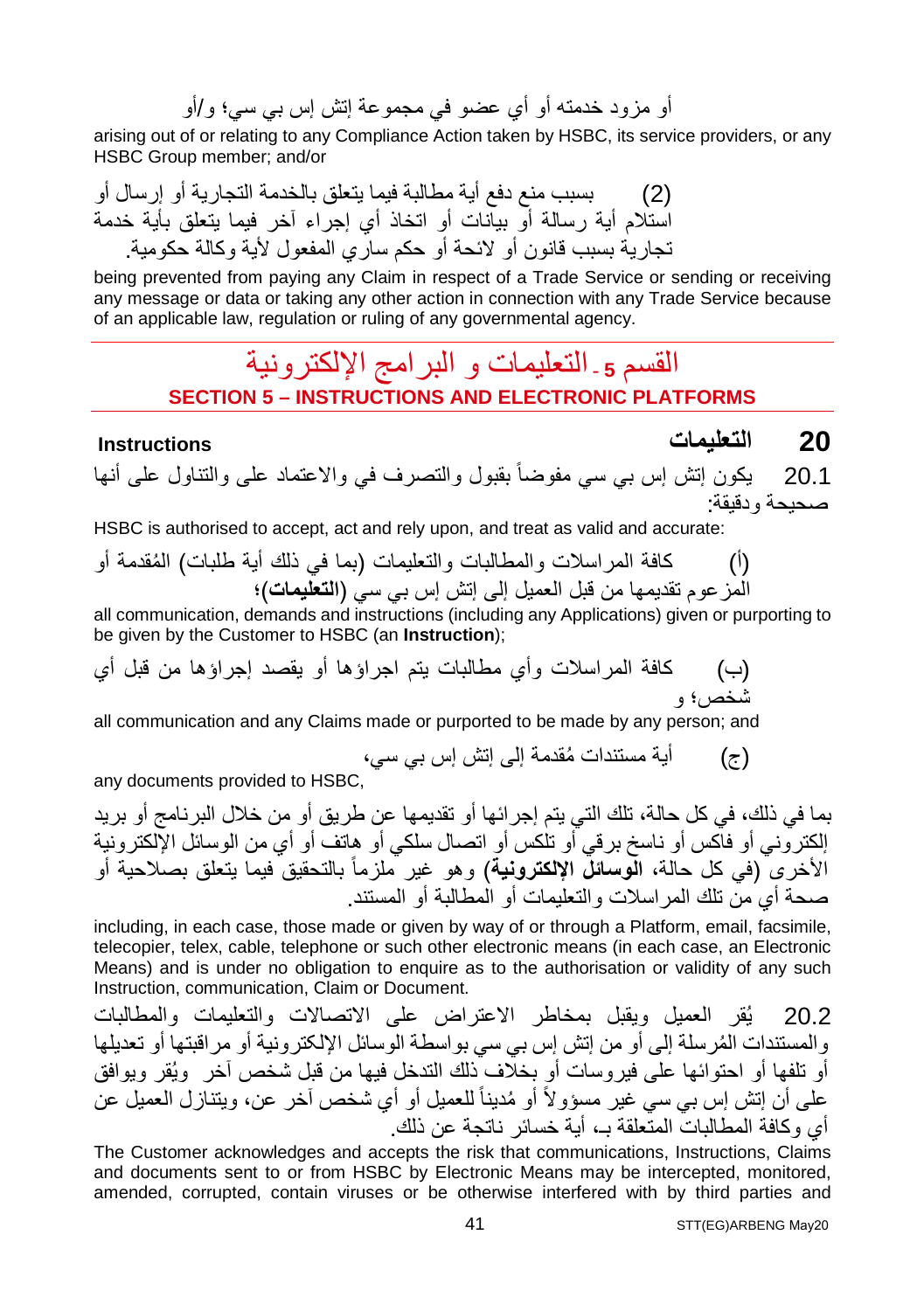أو مزود خدمتھ أو أي عضو في مجموعة إتش إس بي سي؛ و/أو

arising out of or relating to any Compliance Action taken by HSBC, its service providers, or any HSBC Group member; and/or

(2) بسبب منع دفع أیة مطالبة فیما یتعلق بالخدمة التجاریة أو إرسال أو استلام أیة رسالة أو بیانات أو اتخاذ أي إجراء آخر فیما یتعلق بأیة خدمة تجاریة بسبب قانون أو لائحة أو حكم ساري المفعول لأیة وكالة حكومیة.

being prevented from paying any Claim in respect of a Trade Service or sending or receiving any message or data or taking any other action in connection with any Trade Service because of an applicable law, regulation or ruling of any governmental agency.

### القسم 5 ـ التعلیمات و البر امج الإلكتر و نیة **SECTION 5 – INSTRUCTIONS AND ELECTRONIC PLATFORMS**

**20 التعلیمات Instructions**

20.1 یكون إتش إس بي سي مفوضاً بقبول والتصرف في والاعتماد على والتناول على أنھا صحیحة ودقیقة:

HSBC is authorised to accept, act and rely upon, and treat as valid and accurate:

(أ) كافة المراسلات و ُ المطالبات والتعلیمات (بما في ذلك أیة طلبات) المقدمة أو المزعوم تقدیمھا من قبل العمیل إلى إتش إس بي سي (**التعلیمات**)؛

all communication, demands and instructions (including any Applications) given or purporting to be given by the Customer to HSBC (an **Instruction**);

(ب) كافة المراسلات وأي مطالبات یتم اجراؤھا أو یقصد إجراؤھا من قبل أي شخص؛ و

all communication and any Claims made or purported to be made by any person; and

(ج) ُ أیة مستندات مقدمة إلى إتش إس بي سي،

any documents provided to HSBC,

بما في ذلك، في كل حالة، تلك التي یتم إجرائھا أو تقدیمھا عن طریق أو من خلال البرنامج أو برید إلكتروني أو فاكس أو ناسخ برقي أو تلكس أو اتصال سلكي أو ھاتف أو أي من الوسائل الإلكترونیة ) وھو غیر ملزماً الأخرى (في كل حالة، **الوسائل الإلكترونیة** بالتحقیق فیما یتعلق بصلاحیة أو صحة أي من تلك المراسلات والتعلیمات أو المطالبة أو المستند.

including, in each case, those made or given by way of or through a Platform, email, facsimile, telecopier, telex, cable, telephone or such other electronic means (in each case, an Electronic Means) and is under no obligation to enquire as to the authorisation or validity of any such Instruction, communication, Claim or Document.

20.2 یُقر العمیل ویقبل بمخاطر الاعتراض على الاتصالات والتعلیمات والمطالبات ُ والمستندات المرسلة إلى أو من إتش إس بي سي بواسطة الوسائل الإلکترونیة أو مراقبتھا أو تعدیلھا أو تلفھا أو احتوائھا على فیروسات أو بخلاف ذلك التدخل فیھا من قبل شخص آخر ویُقر ویوافق على أن إتش إس بي سي غير مسؤولاً أو مُديناً للعميل أو أي شخص آخر ٍ عن، ويتنازل العميل عن أي وكافة المطالبات المتعلقة بـ، أیة خسائر ناتجة عن ذلك.

The Customer acknowledges and accepts the risk that communications, Instructions, Claims and documents sent to or from HSBC by Electronic Means may be intercepted, monitored, amended, corrupted, contain viruses or be otherwise interfered with by third parties and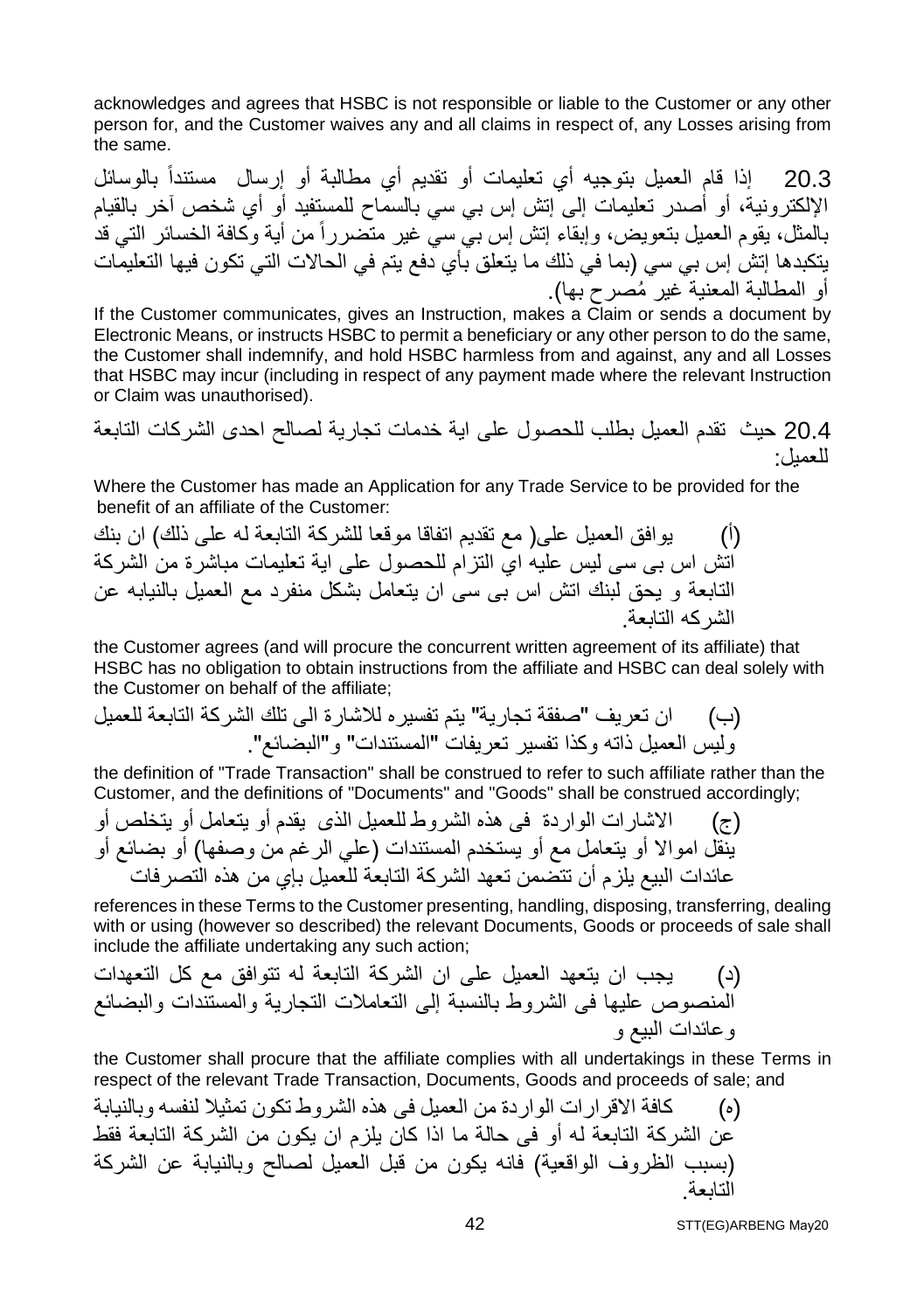acknowledges and agrees that HSBC is not responsible or liable to the Customer or any other person for, and the Customer waives any and all claims in respect of, any Losses arising from the same.

20.3 إذا قام العمیل بتوجیھ أي تعلیمات أو تقدیم أي مطالبة أو إرسال مستنداً بالوسائل الإلكترونیة، أو أصدر تعلیمات إلى إتش إس بي سي بالسماح للمستفید أو أي شخص آخر بالقیام بالمثل، یقوم العمیل بتعویض، وإبقاء إتش إس بي سي غیر متضررا من أیة وكافة الخسائر التي قد ً یتكبدھا إتش إس بي سي (بما في ذلك ما یتعلق بأي دفع یتم في الحالات التي تكون فیھا التعلیمات أو المطالبة المعنیة ُ غیر مصرح بھا).

If the Customer communicates, gives an Instruction, makes a Claim or sends a document by Electronic Means, or instructs HSBC to permit a beneficiary or any other person to do the same, the Customer shall indemnify, and hold HSBC harmless from and against, any and all Losses that HSBC may incur (including in respect of any payment made where the relevant Instruction or Claim was unauthorised).

20.4 حیث تقدم العمیل بطلب للحصول على ایة خدمات تجاریة لصالح احدى الشركات التابعة للعمیل:

Where the Customer has made an Application for any Trade Service to be provided for the benefit of an affiliate of the Customer:

(أ) یوافق العمیل على( مع تقدیم اتفاقا موقعا للشركة التابعة لھ على ذلك) ان بنك اتش اس بى سى لیس علیھ اي التزام للحصول على ایة تعلیمات مباشرة من الشركة التابعة و یحق لبنك اتش اس بى سى ان یتعامل بشكل منفرد مع العمیل بالنیابھ عن الشركھ التابعة.

the Customer agrees (and will procure the concurrent written agreement of its affiliate) that HSBC has no obligation to obtain instructions from the affiliate and HSBC can deal solely with the Customer on behalf of the affiliate;

(ب) ان تعریف "صفقة تجاریة" یتم تفسیره للاشارة الى تلك الشركة التابعة للعمیل ولیس العمیل ذاتھ وكذا تفسیر تعریفات "المستندات" و"البضائع".

the definition of "Trade Transaction" shall be construed to refer to such affiliate rather than the Customer, and the definitions of "Documents" and "Goods" shall be construed accordingly;

(ج) الاشارات الواردة فى ھذه الشروط للعمیل الذى یقدم أو یتعامل أو یتخلص أو ینقل اموالا أو یتعامل مع أو یستخدم المستندات (علي الرغم من وصفھا) أو بضائع أو عائدات البیع یلزم أن تتضمن تعھد الشركة التابعة للعمیل بإي من ھذه التصرفات

references in these Terms to the Customer presenting, handling, disposing, transferring, dealing with or using (however so described) the relevant Documents, Goods or proceeds of sale shall include the affiliate undertaking any such action;

(د) یجب ان یتعھد العمیل على ان الشركة التابعة لھ تتوافق مع كل التعھدات المنصوص علیھا فى الشروط بالنسبة إلى التعاملات التجاریة والمستندات والبضائع وعائدات البیع و

the Customer shall procure that the affiliate complies with all undertakings in these Terms in respect of the relevant Trade Transaction, Documents, Goods and proceeds of sale; and

(ه) كافة الاقرارات الواردة من العمیل فى ھذه الشروط تكون تمثیلا لنفسھ وبالنیابة عن الشركة التابعة لھ أو فى حالة ما اذا كان یلزم ان یكون من الشركة التابعة فقط (بسبب الظروف الواقعیة) فانھ یكون من قبل العمیل لصالح وبالنیابة عن الشركة التابعة.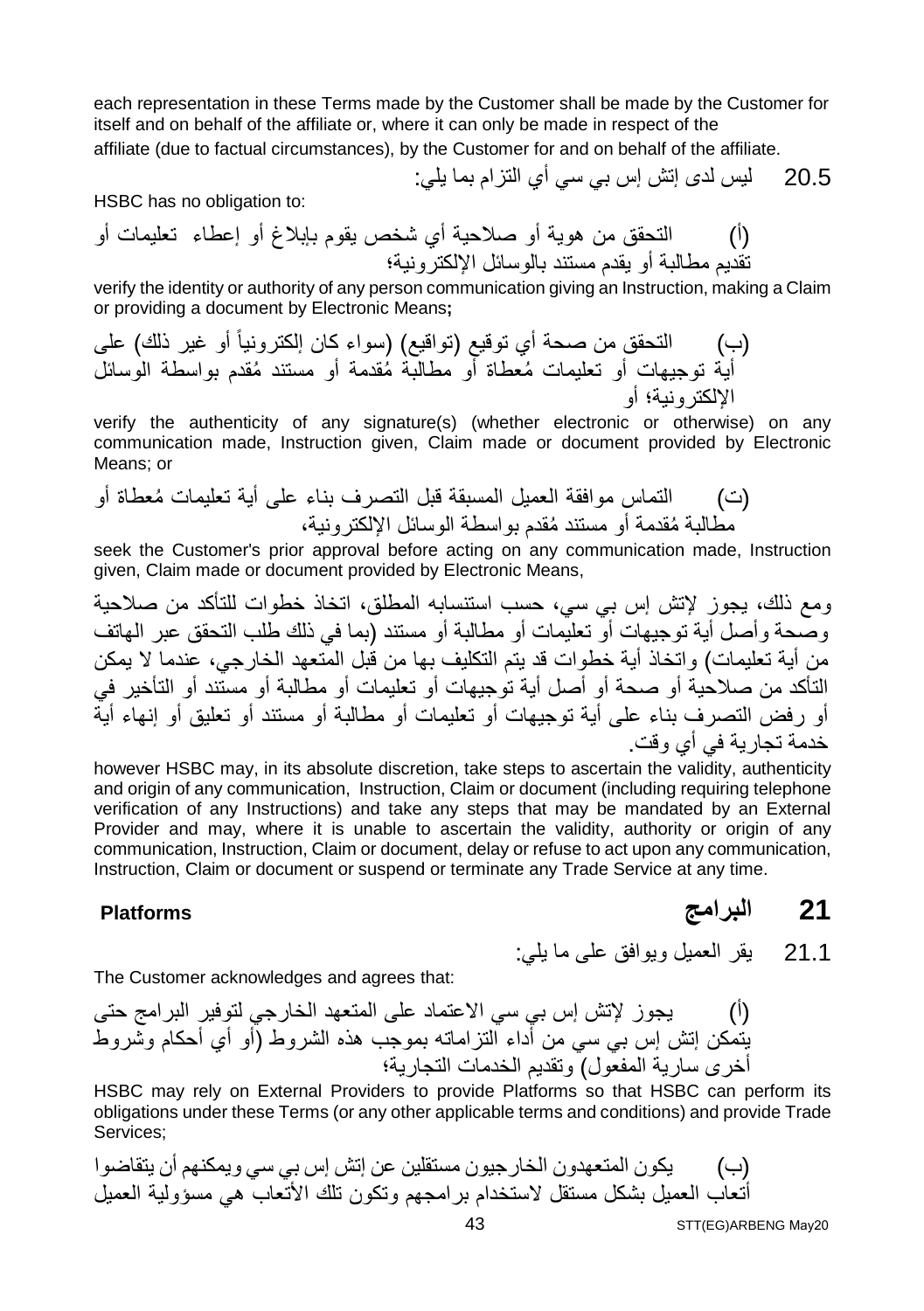each representation in these Terms made by the Customer shall be made by the Customer for itself and on behalf of the affiliate or, where it can only be made in respect of the

affiliate (due to factual circumstances), by the Customer for and on behalf of the affiliate.

20.5 لیس لدى إتش إس بي سي أي التزام بما یلي:

HSBC has no obligation to:

(أ) التحقق من ھویة أو صلاحیة أي شخص یقوم بإبلاغ أو إعطاء تعلیمات أو تقدیم مطالبة أو یقدم مستند بالوسائل الإلكترونیة؛

verify the identity or authority of any person communication giving an Instruction, making a Claim or providing a document by Electronic Means**;** 

(ب) التحقق من صحة أي توقیع (تواقیع) (سواء كان إلكترونیاً أو غیر ذلك) على أیة توجیھات أو ُ تعلیمات م ُ عطاة أو مطالبة مق ُ دمة أو مستند مقدم بواسطة الوسائل الإلكترونیة؛ أو

verify the authenticity of any signature(s) (whether electronic or otherwise) on any communication made, Instruction given, Claim made or document provided by Electronic Means; or

(ت) التماس موافقة العمیل المس ُ بقة قبل التصرف بناء على أیة تعلیمات معطاة أو ُ مطالبة م ُ قدمة أو مستند مقدم بواسطة الوسائل الإلكترونیة،

seek the Customer's prior approval before acting on any communication made, Instruction given, Claim made or document provided by Electronic Means,

ومع ذلك، یجوز لإتش إس بي سي، حسب استنسابھ المطلق، اتخاذ خطوات للتأكد من صلاحیة وصحة وأصل أیة توجیھات أو تعلیمات أو مطالبة أو مستند (بما في ذلك طلب التحقق عبر الھاتف من أیة تعلیمات) واتخاذ أیة خطوات قد یتم التكلیف بھا من قبل المتعھد الخارجي، عندما لا یمكن التأكد من صلاحیة أو صحة أو أصل أیة توجیھات أو تعلیمات أو مطالبة أو مستند أو التأخیر في أو رفض التصرف بناء على أیة توجیھات أو تعلیمات أو مطالبة أو مستند أو تعلیق أو إنھاء أیة خدمة تجاریة في أي وقت.

however HSBC may, in its absolute discretion, take steps to ascertain the validity, authenticity and origin of any communication, Instruction, Claim or document (including requiring telephone verification of any Instructions) and take any steps that may be mandated by an External Provider and may, where it is unable to ascertain the validity, authority or origin of any communication, Instruction, Claim or document, delay or refuse to act upon any communication, Instruction, Claim or document or suspend or terminate any Trade Service at any time.

**21 البرامج Platforms**

21.1 یقر العمیل ویوافق على ما یلي:

The Customer acknowledges and agrees that:

(أ) یجوز لإتش إس بي سي الاعتماد على المتعھد الخارجي لتوفیر البرامج حتى یتمكن إتش إس بي سي من أداء التزاماتھ بموجب ھذه الشروط (أو أي أحكام وشروط أخرى ساریة المفعول) وتقدیم الخدمات التجاریة؛

HSBC may rely on External Providers to provide Platforms so that HSBC can perform its obligations under these Terms (or any other applicable terms and conditions) and provide Trade Services;

(ب) یكون المتعھدون الخارجیون مستقلین عن إتش إس بي سي ویمكنھم أن یتقاضوا أتعاب العمیل بشكل مستقل لاستخدام برامجھم وتكون تلك الأتعاب ھي مسؤولیة العمیل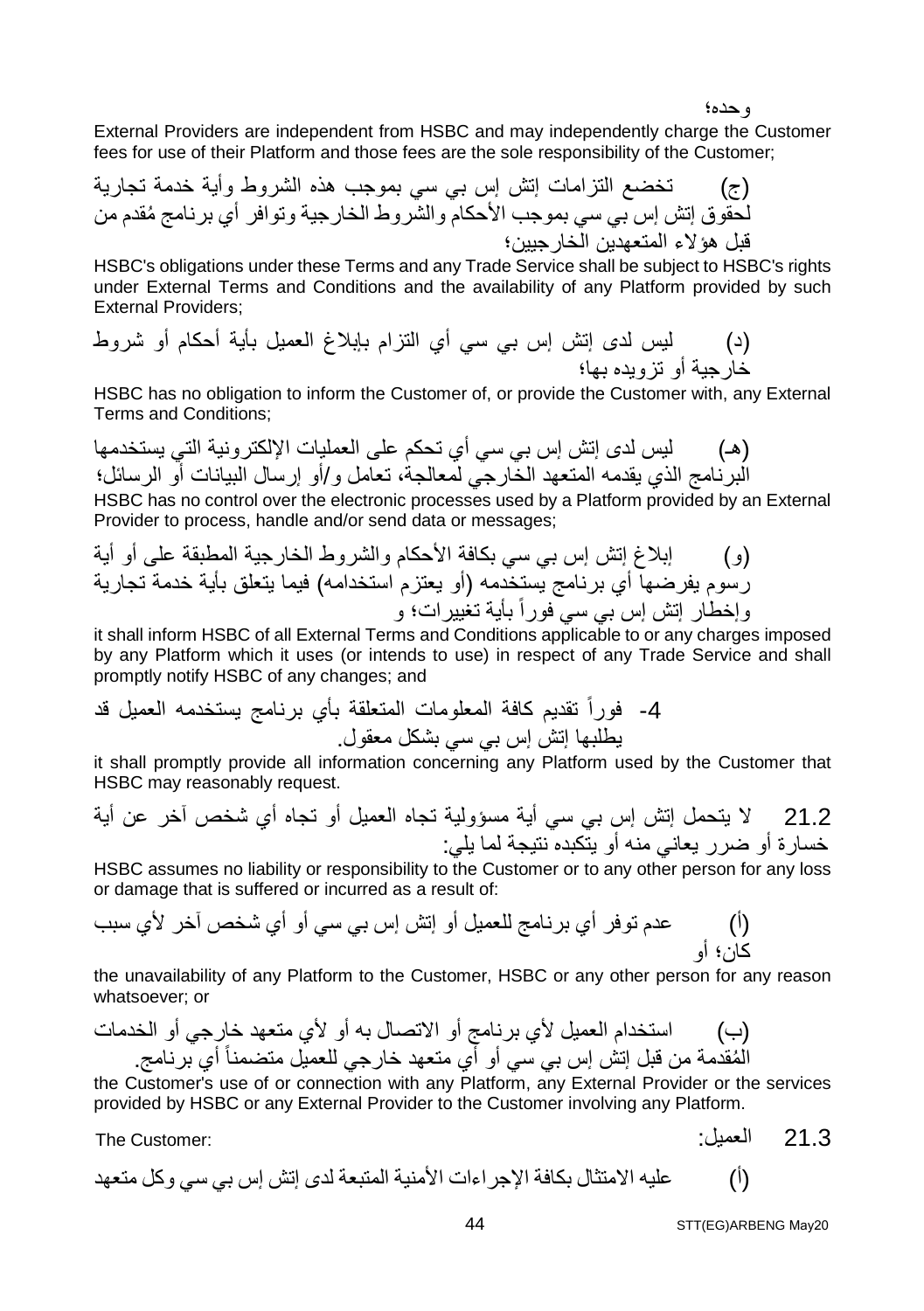وحده؛

External Providers are independent from HSBC and may independently charge the Customer fees for use of their Platform and those fees are the sole responsibility of the Customer;

(ج) تخضع التزامات إتش إس بي سي بموجب ھذه الشروط وأیة خدمة تجاریة لحقوق ُ إتش إس بي سي بموجب الأحكام والشروط الخارجیة وتوافر أي برنامج مقدم من قبل ھؤلاء المتعھدین الخارجیین؛

HSBC's obligations under these Terms and any Trade Service shall be subject to HSBC's rights under External Terms and Conditions and the availability of any Platform provided by such External Providers;

(د) لیس لدى إتش إس بي سي أي التزام بإبلاغ العمیل بأیة أحكام أو شروط خارجیة أو تزویده بھا؛

HSBC has no obligation to inform the Customer of, or provide the Customer with, any External Terms and Conditions;

(ھـ) لیس لدى إتش إس بي سي أي تحكم على العملیات الإلكترونیة التي یستخدمھا البرنامج الذي یقدمھ المتعھد الخارجي لمعالجة، تعامل و/أو إرسال البیانات أو الرسائل؛ HSBC has no control over the electronic processes used by a Platform provided by an External Provider to process, handle and/or send data or messages;

(و) إبلاغ إتش إس بي سي بكافة الأحكام والشروط الخارجیة المطبقة على أو أیة رسوم یفرضھا أي برنامج یستخدمھ (أو یعتزم استخدامھ) فیما یتعلق بأیة خدمة تجاریة وإخطار إتش إس بي سي فوراً بأیة تغییرات؛ و

it shall inform HSBC of all External Terms and Conditions applicable to or any charges imposed by any Platform which it uses (or intends to use) in respect of any Trade Service and shall promptly notify HSBC of any changes; and

-4 فوراً تقدیم كافة المعلومات المتعلقة بأي برنامج یستخدمھ العمیل قد یطلبھا إتش إس بي سي بشكل معقول.

it shall promptly provide all information concerning any Platform used by the Customer that HSBC may reasonably request.

21.2 لا یتحمل إتش إس بي سي أیة مسؤولیة تجاه العمیل أو تجاه أي شخص آخر عن أیة خسارة أو ضرر یعاني منھ أو یتكبده نتیجة لما یلي:

HSBC assumes no liability or responsibility to the Customer or to any other person for any loss or damage that is suffered or incurred as a result of:

(أ) عدم توفر أي برنامج للعمیل أو إتش إس بي سي أو أي شخص آخر لأي سبب كان؛ أو

the unavailability of any Platform to the Customer, HSBC or any other person for any reason whatsoever; or

(ب) استخدام العمیل لأي برنامج أو الاتصال بھ أو لأي متعھد خارجي أو الخدمات ُ المقدمة من قبل إتش إس بي سي أو أي متعھد خارجي للعمیل متضمنا برنامج. ً أي

the Customer's use of or connection with any Platform, any External Provider or the services provided by HSBC or any External Provider to the Customer involving any Platform.

The Customer: :العمیل 21.3

(أ) علیھ الامتثال بكافة الإجراءات الأمنیة المتبعة لدى إتش إس بي سي وكل متعھد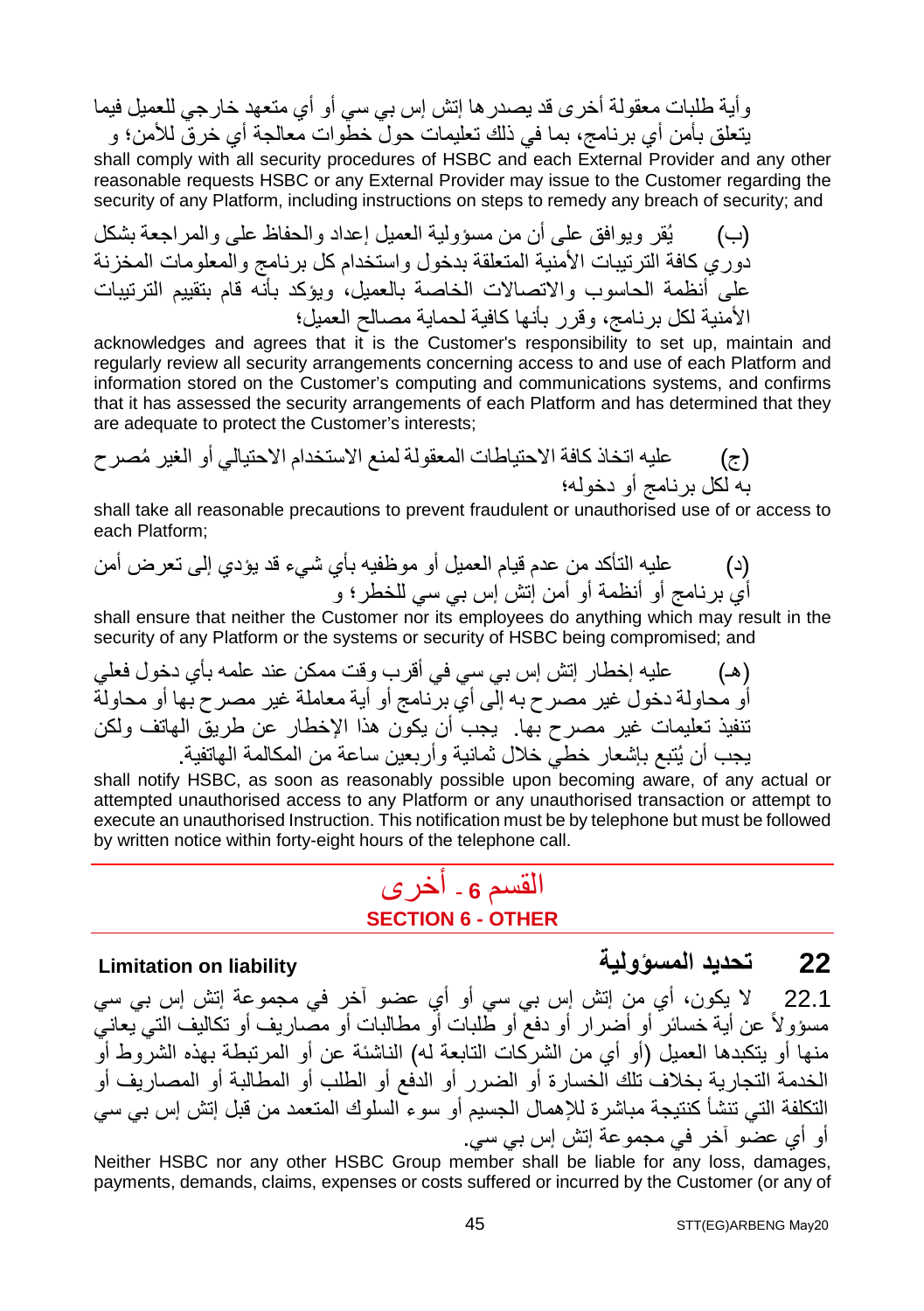وأیة طلبات معقولة أخرى قد یصدرھا إتش إس بي سي أو أي متعھد خارجي للعمیل فیما یتعلق بأمن أي برنامج، بما في ذلك تعلیمات حول خطوات معالجة أي خرق للأمن؛ و

shall comply with all security procedures of HSBC and each External Provider and any other reasonable requests HSBC or any External Provider may issue to the Customer regarding the security of any Platform, including instructions on steps to remedy any breach of security; and

(ب) یُقر ویوافق على أن من مسؤولیة العمیل إعداد والحفاظ على والمراجعة بشكل دوري كافة الترتیبات الأمنیة المتعلقة بدخول واستخدام كل برنامج والمعلومات المخزنة على أنظمة الحاسوب والاتصالات الخاصة بالعمیل، ویؤكد بأنھ قام بتقییم الترتیبات الأمنیة لكل برنامج، وقرر بأنھا كافیة لحمایة مصالح العمیل؛

acknowledges and agrees that it is the Customer's responsibility to set up, maintain and regularly review all security arrangements concerning access to and use of each Platform and information stored on the Customer's computing and communications systems, and confirms that it has assessed the security arrangements of each Platform and has determined that they are adequate to protect the Customer's interests;

(ج) ُ علیھ اتخاذ كافة الاحتیاطات المعقولة لمنع الاستخدام الاحتیالي أو الغیر مصرح بھ لكل برنامج أو دخولھ؛

shall take all reasonable precautions to prevent fraudulent or unauthorised use of or access to each Platform;

(د) علیھ التأكد من عدم قیام العمیل أو موظفیھ بأي شيء قد یؤدي إلى تعرض أمن أي برنامج أو أنظمة أو أمن إتش إس بي سي للخطر؛ و

shall ensure that neither the Customer nor its employees do anything which may result in the security of any Platform or the systems or security of HSBC being compromised; and

(ھـ) علیھ إخطار إتش إس بي سي في أقرب وقت ممكن عند علمھ بأي دخول فعلي أو محاولة دخول غیر مصرح بھ إلى أي برنامج أو أیة معاملة غیر مصرح بھا أو محاولة تنفیذ تعلیمات غیر مصرح بھا. یجب أن یكون ھذا الإخطار عن طریق الھاتف ولكن یجب أن یُتبع بإشعار خطي خلال ثمانیة وأربعین ساعة من المكالمة الھاتفیة.

shall notify HSBC, as soon as reasonably possible upon becoming aware, of any actual or attempted unauthorised access to any Platform or any unauthorised transaction or attempt to execute an unauthorised Instruction. This notification must be by telephone but must be followed by written notice within forty-eight hours of the telephone call.

### القسم **<sup>6</sup> -** أخرى **SECTION 6 - OTHER**

### **Limitation on liability المسؤولیة تحدید 22**

22.1 لا یكون، أي من إتش إس بي سي أو أي عضو آخر في مجموعة إتش إس بي سي مسؤولاً عن أیة خسائر أو أضرار أو دفع أو طلبات أو مطالبات أو مصاریف أو تكالیف التي یعاني منھا أو یتكبدھا العمیل (أو أي من الشركات التابعة لھ) الناشئة عن أو المرتبطة بھذه الشروط أو الخدمة التجاریة بخلاف تلك الخسارة أو الضرر أو الدفع أو الطلب أو المطالبة أو المصاریف أو التكلفة التي تنشأ كنتیجة مباشرة للإھمال الجسیم أو سوء السلوك المتعمد من قبل إتش إس بي سي أو أي عضو آخر في مجموعة إتش إس بي سي.

Neither HSBC nor any other HSBC Group member shall be liable for any loss, damages, payments, demands, claims, expenses or costs suffered or incurred by the Customer (or any of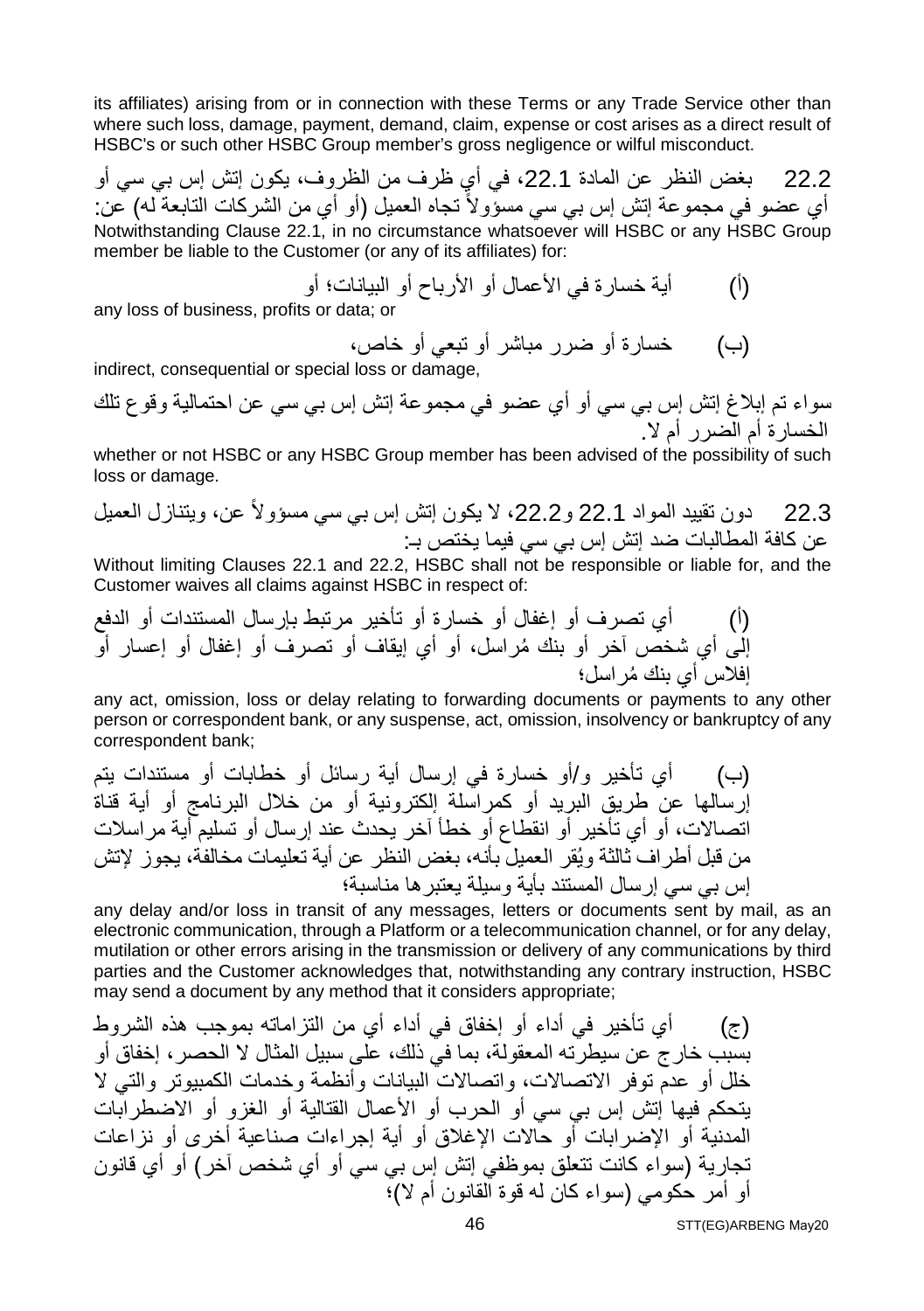its affiliates) arising from or in connection with these Terms or any Trade Service other than where such loss, damage, payment, demand, claim, expense or cost arises as a direct result of HSBC's or such other HSBC Group member's gross negligence or wilful misconduct.

22.2 بغض النظر عن المادة ،22.1 في أي ظرف من الظروف، یكون إتش إس بي سي أو أي عضو في مجموعة إتش إس بي سي مسؤولاً تجاه العميل (أو أي من الشركات التابعة له) عن: Notwithstanding Clause 22.1, in no circumstance whatsoever will HSBC or any HSBC Group member be liable to the Customer (or any of its affiliates) for:

(أ) أیة خسارة في الأعمال أو الأرباح أو البیانات؛ أو

any loss of business, profits or data; or

(ب) خسارة أو ضرر مباشر أو تبعي أو خاص،

indirect, consequential or special loss or damage,

سواء تم إبلاغ إتش إس بي سي أو أي عضو في مجموعة إتش إس بي سي عن احتمالیة وقوع تلك الخسارة أم الضرر أم لا.

whether or not HSBC or any HSBC Group member has been advised of the possibility of such loss or damage.

22.3 دون تقیید المواد 22.1 و،22.2 لا یكون إتش إس بي سي مسؤولاً عن، ویتنازل العمیل عن كافة المطالبات ضد إتش إس بي سي فیما یختص بـ:

Without limiting Clauses 22.1 and 22.2, HSBC shall not be responsible or liable for, and the Customer waives all claims against HSBC in respect of:

(أ) أي تصرف أو إغفال أو خسارة أو تأخیر مرتبط بإرسال المستندات أو الدفع إلى أي شخص آخر ُ أو بنك مراسل، أو أي إیقاف أو تصرف أو إغفال أو إعسار أو ُ إفلاس أي بنك مراسل؛

any act, omission, loss or delay relating to forwarding documents or payments to any other person or correspondent bank, or any suspense, act, omission, insolvency or bankruptcy of any correspondent bank;

(ب) أي تأخیر و/أو خسارة في إرسال أیة رسائل أو خطابات أو مستندات یتم إرسالھا عن طریق البرید أو كمراسلة إلكترونیة أو من خلال البرنامج أو أیة قناة اتصالات، أو أي تأخیر أو انقطاع أو خطأ آخر یحدث عند إرسال أو تسلیم أیة مراسلات من قبل أطراف ثالثة ویُقر العمیل بأنھ، بغض النظر عن أیة تعلیمات مخالفة، یجوز لإتش إس بي سي إرسال المستند بأیة وسیلة یعتبرھا مناسبة؛

any delay and/or loss in transit of any messages, letters or documents sent by mail, as an electronic communication, through a Platform or a telecommunication channel, or for any delay, mutilation or other errors arising in the transmission or delivery of any communications by third parties and the Customer acknowledges that, notwithstanding any contrary instruction, HSBC may send a document by any method that it considers appropriate;

(ج) أي تأخیر في أداء أو إخفاق في أداء أي من التزاماتھ بموجب ھذه الشروط بسبب خارج عن سیطرتھ المعقولة، بما في ذلك، على سبیل المثال لا الحصر، إخفاق أو خلل أو عدم توفر الاتصالات، واتصالات البیانات وأنظمة وخدمات الكمبیوتر والتي لا یتحكم فیھا إتش إس بي سي أو الحرب أو الأعمال القتالیة أو الغزو أو الاضطرابات المدنیة أو الإضرابات أو حالات الإغلاق أو أیة إجراءات صناعیة أخرى أو نزاعات تجاریة (سواء كانت تتعلق بموظفي إتش إس بي سي أو أي شخص آخر) أو أي قانون أو أمر حكومي (سواء كان لھ قوة القانون أم لا)؛

STT(EG)ARBENG May20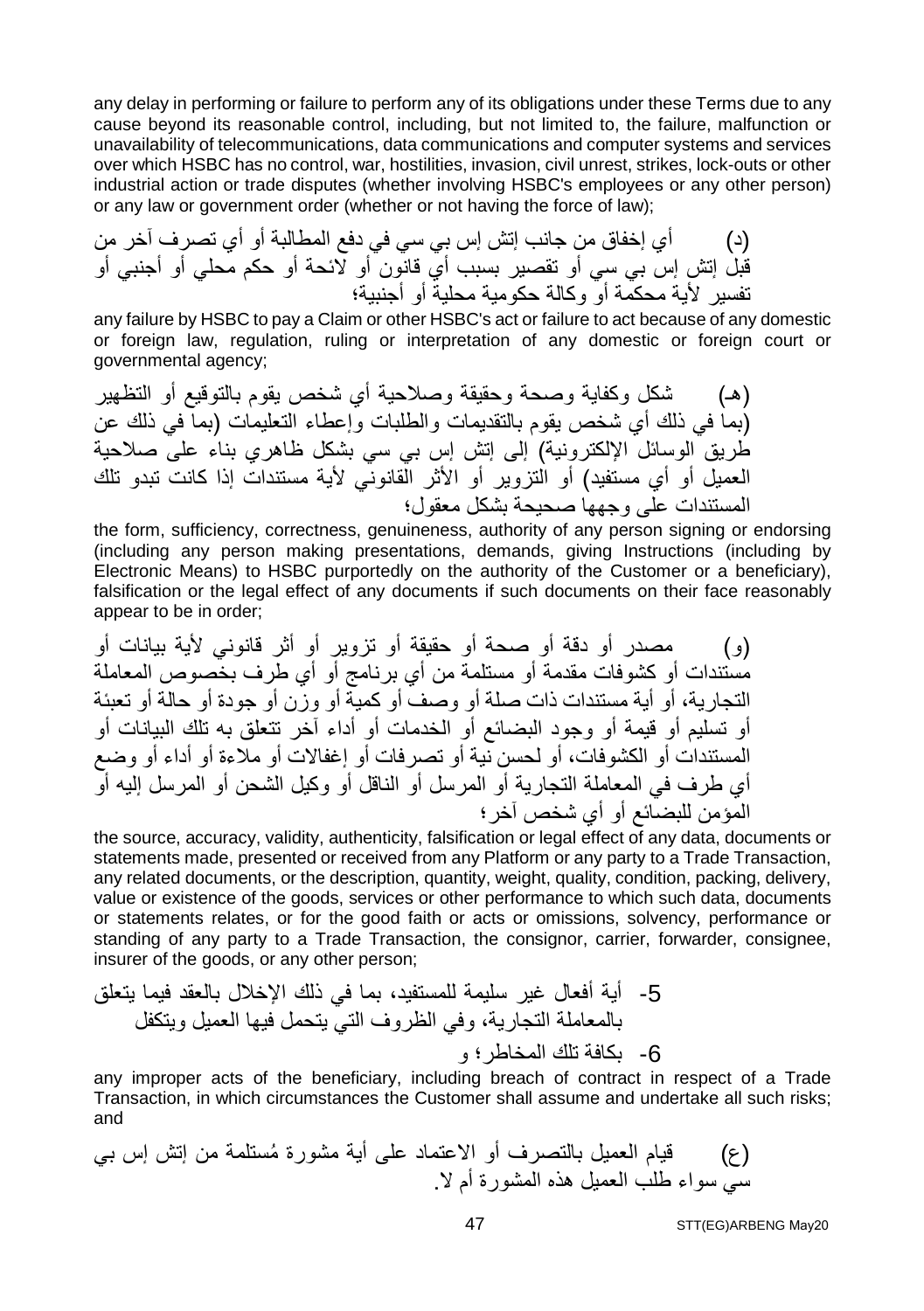any delay in performing or failure to perform any of its obligations under these Terms due to any cause beyond its reasonable control, including, but not limited to, the failure, malfunction or unavailability of telecommunications, data communications and computer systems and services over which HSBC has no control, war, hostilities, invasion, civil unrest, strikes, lock-outs or other industrial action or trade disputes (whether involving HSBC's employees or any other person) or any law or government order (whether or not having the force of law);

(د) أي إخفاق من جانب إتش إس بي سي في دفع المطالبة أو أي تصرف آخر من قبل إتش إس بي سي أو تقصیر بسبب أي قانون أو لائحة أو حكم محلي أو أجنبي أو تفسیر لأیة محكمة أو وكالة حكومیة محلیة أو أجنبیة؛

any failure by HSBC to pay a Claim or other HSBC's act or failure to act because of any domestic or foreign law, regulation, ruling or interpretation of any domestic or foreign court or governmental agency;

(ھـ) شكل وكفایة وصحة وحقیقة وصلاحیة أي شخص یقوم بالتوقیع أو التظھیر (بما في ذلك أي شخص یقوم بالتقدیمات والطلبات وإعطاء التعلیمات (بما في ذلك عن طریق الوسائل الإلكترونیة) إلى إتش إس بي سي بشكل ظاھري بناء على صلاحیة العمیل أو أي مستفید) أو التزویر أو الأثر القانوني لأیة مستندات إذا كانت تبدو تلك المستندات على وجھھا صحیحة بشكل معقول؛

the form, sufficiency, correctness, genuineness, authority of any person signing or endorsing (including any person making presentations, demands, giving Instructions (including by Electronic Means) to HSBC purportedly on the authority of the Customer or a beneficiary), falsification or the legal effect of any documents if such documents on their face reasonably appear to be in order;

(و) مصدر أو دقة أو صحة أو حقیقة أو تزویر أو أثر قانوني لأیة بیانات أو مستندات أو كشوفات مقدمة أو مستلمة من أي برنامج أو أي طرف بخصوص المعاملة التجاریة، أو أیة مستندات ذات صلة أو وصف أو كمیة أو وزن أو جودة أو حالة أو تعبئة أو تسلیم أو قیمة أو وجود البضائع أو الخدمات أو أداء آخر تتعلق بھ تلك البیانات أو المستندات أو الكشوفات، أو لحسن نیة أو تصرفات أو إغفالات أو ملاءة أو أداء أو وضع أي طرف في المعاملة التجاریة أو المرسل أو الناقل أو وكیل الشحن أو المرسل إلیھ أو المؤمن للبضائع أو أي شخص آخر؛

the source, accuracy, validity, authenticity, falsification or legal effect of any data, documents or statements made, presented or received from any Platform or any party to a Trade Transaction, any related documents, or the description, quantity, weight, quality, condition, packing, delivery, value or existence of the goods, services or other performance to which such data, documents or statements relates, or for the good faith or acts or omissions, solvency, performance or standing of any party to a Trade Transaction, the consignor, carrier, forwarder, consignee, insurer of the goods, or any other person;

-5 أیة أفعال غیر سلیمة للمستفید، بما في ذلك الإخلال بالعقد فیما یتعلق بالمعاملة التجاریة، وفي الظروف التي یتحمل فیھا العمیل ویتكفل -6 بكافة تلك المخاطر؛ و

any improper acts of the beneficiary, including breach of contract in respect of a Trade Transaction, in which circumstances the Customer shall assume and undertake all such risks; and

(ع) ُ قیام العمیل بالتصرف أو الاعتماد على أیة مشورة مستلمة من إتش إس بي سي سواء طلب العمیل ھذه المشورة أم لا.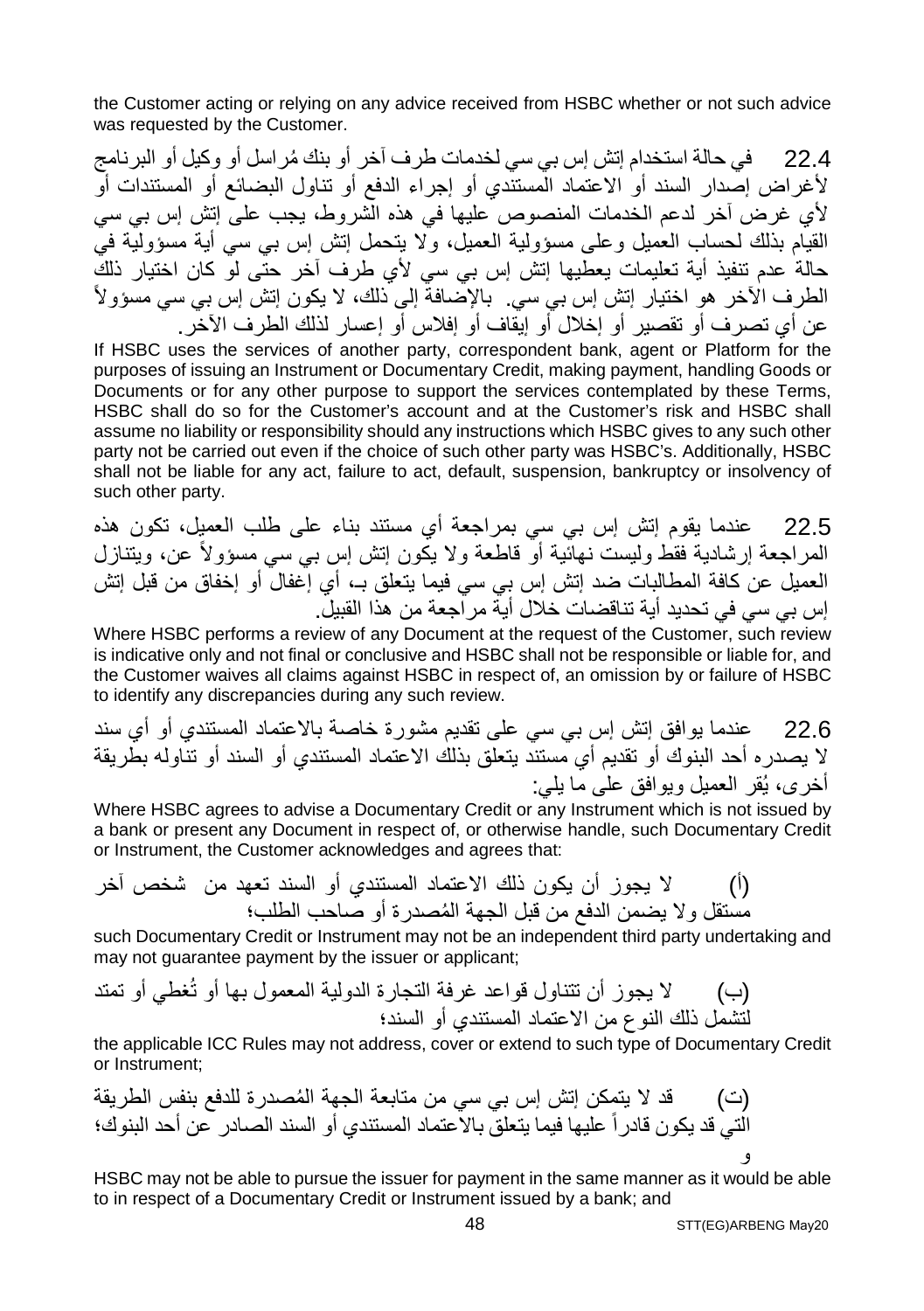the Customer acting or relying on any advice received from HSBC whether or not such advice was requested by the Customer.

22.4 ُ في حالة استخدام إتش إس بي سي لخدمات طرف آخر أو بنك مراسل أو وكیل أو البرنامج لأغراض إصدار السند أو الاعتماد المستندي أو إجراء الدفع أو تناول البضائع أو المستندات أو لأي غرض آخر لدعم الخدمات المنصوص علیھا في ھذه الشروط، یجب على إتش إس بي سي القیام بذلك لحساب العمیل وعلى مسؤولیة العمیل، ولا یتحمل إتش إس بي سي أیة مسؤولیة في حالة عدم تنفیذ أیة تعلیمات یعطیھا إتش إس بي سي لأي طرف آخر حتى لو كان اختیار ذلك الطرف الآخر ھو اختیار إتش إس بي سي. بالإضافة إلى ذلك، لا یكون إتش إس بي سي مسؤولاً عن أي تصرف أو تقصیر أو إخلال أو إیقاف أو إفلاس أو إعسار لذلك الطرف الآخر.

If HSBC uses the services of another party, correspondent bank, agent or Platform for the purposes of issuing an Instrument or Documentary Credit, making payment, handling Goods or Documents or for any other purpose to support the services contemplated by these Terms, HSBC shall do so for the Customer's account and at the Customer's risk and HSBC shall assume no liability or responsibility should any instructions which HSBC gives to any such other party not be carried out even if the choice of such other party was HSBC's. Additionally, HSBC shall not be liable for any act, failure to act, default, suspension, bankruptcy or insolvency of such other party.

22.5 عندما یقوم إتش إس بي سي بمراجعة أي مستند بناء على طلب العمیل، تكون ھذه المراجعة إرشادیة فقط ولیست نھائیة أو قاطعة ولا یكون إتش إس بي سي مسؤولاً عن، ویتنازل العمیل عن كافة المطالبات ضد إتش إس بي سي فیما یتعلق بـ، أي إغفال أو إخفاق من قبل إتش إس بي سي في تحدید أیة تناقضات خلال أیة مراجعة من ھذا القبیل.

Where HSBC performs a review of any Document at the request of the Customer, such review is indicative only and not final or conclusive and HSBC shall not be responsible or liable for, and the Customer waives all claims against HSBC in respect of, an omission by or failure of HSBC to identify any discrepancies during any such review.

22.6 عندما یوافق إتش إس بي سي على تقدیم مشورة خاصة بالاعتماد المستندي أو أي سند لا یصدره أحد البنوك أو تقدیم أي مستند یتعلق بذلك الاعتماد المستندي أو السند أو تناولھ بطریقة أخرى، یُقر العمیل ویوافق على ما یلي:

Where HSBC agrees to advise a Documentary Credit or any Instrument which is not issued by a bank or present any Document in respect of, or otherwise handle, such Documentary Credit or Instrument, the Customer acknowledges and agrees that:

(أ) لا یجوز أن یكون ذلك الاعتماد المستندي أو السند تعھد من شخص آخر ُ مستقل ولا یضمن الدفع من قبل الجھة المصدرة أو صاحب الطلب؛

such Documentary Credit or Instrument may not be an independent third party undertaking and may not guarantee payment by the issuer or applicant;

(ب) لا یجوز أن تتناول قواعد غرفة التجارة الدولیة المعمول بھا أو تُغطي أو تمتد لتشمل ذلك النوع من الاعتماد المستندي أو السند؛

the applicable ICC Rules may not address, cover or extend to such type of Documentary Credit or Instrument;

(ت) ُ قد لا یتمكن إتش إس بي سي من متابعة الجھة المصدرة للدفع بنفس الطریقة التي قد یكون قادراً علیھا فیما یتعلق بالاعتماد المستندي أو السند الصادر عن أحد البنوك؛ و

HSBC may not be able to pursue the issuer for payment in the same manner as it would be able to in respect of a Documentary Credit or Instrument issued by a bank; and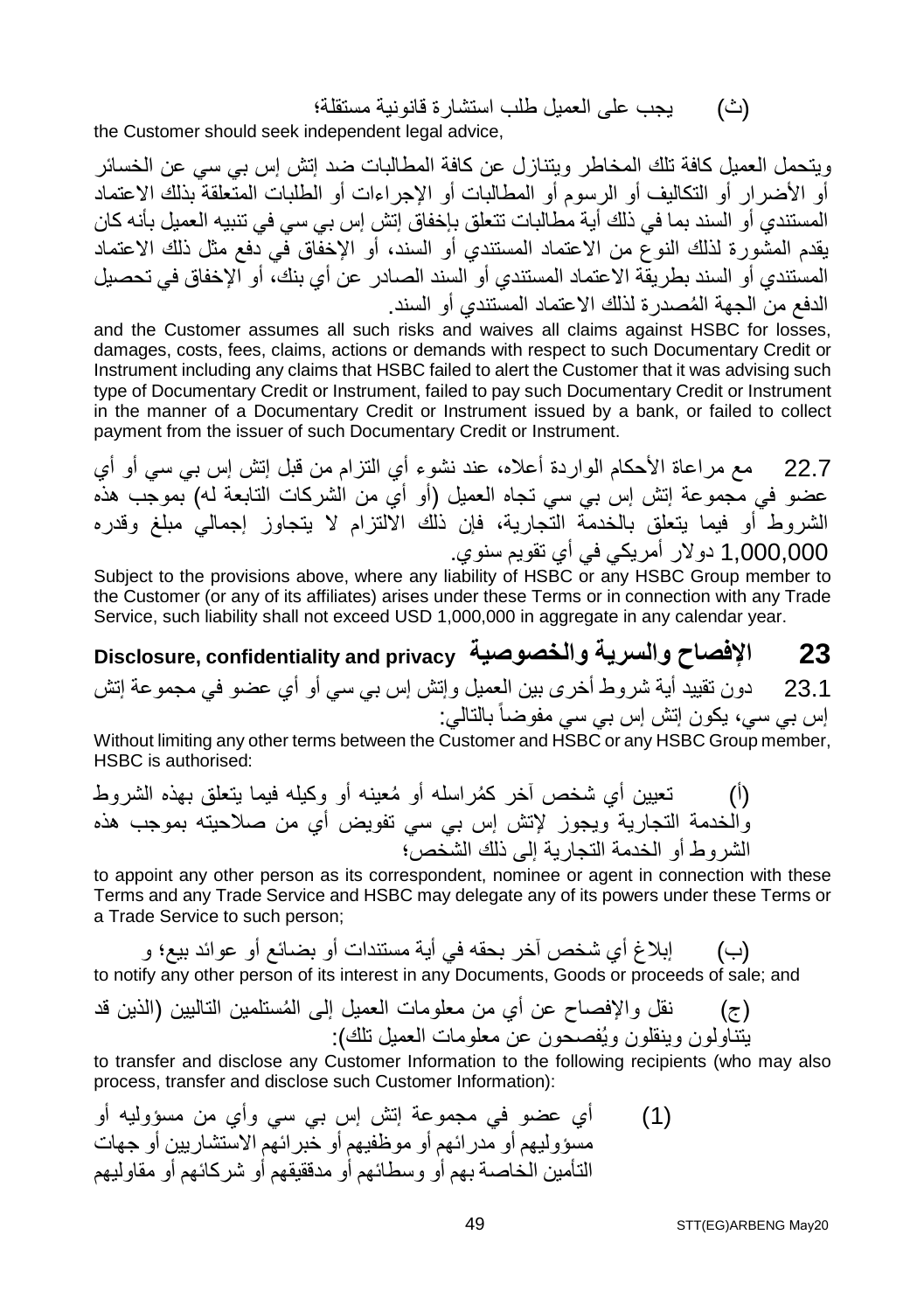(ث) یجب على العمیل طلب استشارة قانونیة مستقلة؛

the Customer should seek independent legal advice,

ویتحمل العمیل كافة تلك المخاطر ویتنازل عن كافة المطالبات ضد إتش إس بي سي عن الخسائر أو الأضرار أو التكالیف أو الرسوم أو المطالبات أو الإجراءات أو الطلبات المتعلقة بذلك الاعتماد المستندي أو السند بما في ذلك أیة مطالبات تتعلق بإخفاق إتش إس بي سي في تنبیھ العمیل بأنھ كان یقدم المشورة لذلك النوع من الاعتماد المستندي أو السند، أو الإخفاق في دفع مثل ذلك الاعتماد المستندي أو السند بطریقة الاعتماد المستندي أو السند الصادر عن أي بنك، أو الإخفاق في تحصیل ُ الدفع من الجھة المصدرة لذلك الاعتماد المستندي أو السند.

and the Customer assumes all such risks and waives all claims against HSBC for losses, damages, costs, fees, claims, actions or demands with respect to such Documentary Credit or Instrument including any claims that HSBC failed to alert the Customer that it was advising such type of Documentary Credit or Instrument, failed to pay such Documentary Credit or Instrument in the manner of a Documentary Credit or Instrument issued by a bank, or failed to collect payment from the issuer of such Documentary Credit or Instrument.

22.7 مع مراعاة الأحكام الواردة أعلاه، عند نشوء أي التزام من قبل إتش إس بي سي أو أي عضو في مجموعة إتش إس بي سي تجاه العمیل (أو أي من الشركات التابعة لھ) بموجب ھذه الشروط أو فیما یتعلق بالخدمة التجاریة، فإن ذلك الالتزام لا یتجاوز إجمالي مبلغ وقدره 1,000,000 دولار أمریكي في أي تقویم سنوي.

Subject to the provisions above, where any liability of HSBC or any HSBC Group member to the Customer (or any of its affiliates) arises under these Terms or in connection with any Trade Service, such liability shall not exceed USD 1,000,000 in aggregate in any calendar year.

**Disclosure, confidentiality and privacy والخصوصیة والسریة الإفصاح 23**

23.1 دون تقیید أیة شروط أخرى بین العمیل وإتش إس بي سي أو أي عضو في مجموعة إتش إس بي سي، یكون إتش إس بي سي مفوضاً بالتالي:

Without limiting any other terms between the Customer and HSBC or any HSBC Group member, HSBC is authorised:

(أ) تعیین أي شخص آخر ُكم ُ راسلھ أو معینھ أو وكیلھ فیما یتعلق بھذه الشروط والخدمة التجاریة ویجوز لإتش إس بي سي تفویض أي من صلاحیتھ بموجب ھذه الشروط أو الخدمة التجاریة إلى ذلك الشخص؛

to appoint any other person as its correspondent, nominee or agent in connection with these Terms and any Trade Service and HSBC may delegate any of its powers under these Terms or a Trade Service to such person;

(ب) إبلاغ أي شخص آخر بحقھ في أیة مستندات أو بضائع أو عوائد بیع؛ و

to notify any other person of its interest in any Documents, Goods or proceeds of sale; and

(ج) ُ نقل والإفصاح عن أي من معلومات العمیل إلى المستلمین التالیین (الذین قد یتناولون وینقلون ویُفصحون عن معلومات العمیل تلك):

to transfer and disclose any Customer Information to the following recipients (who may also process, transfer and disclose such Customer Information):

(1) أي عضو في مجموعة إتش إس بي سي وأي من مسؤولیھ أو مسؤولیھم أو مدرائھم أو موظفیھم أو خبرائھم الاستشاریین أو جھات التأمین الخاصة بھم أو وسطائھم أو مدققیقھم أو شركائھم أو مقاولیھم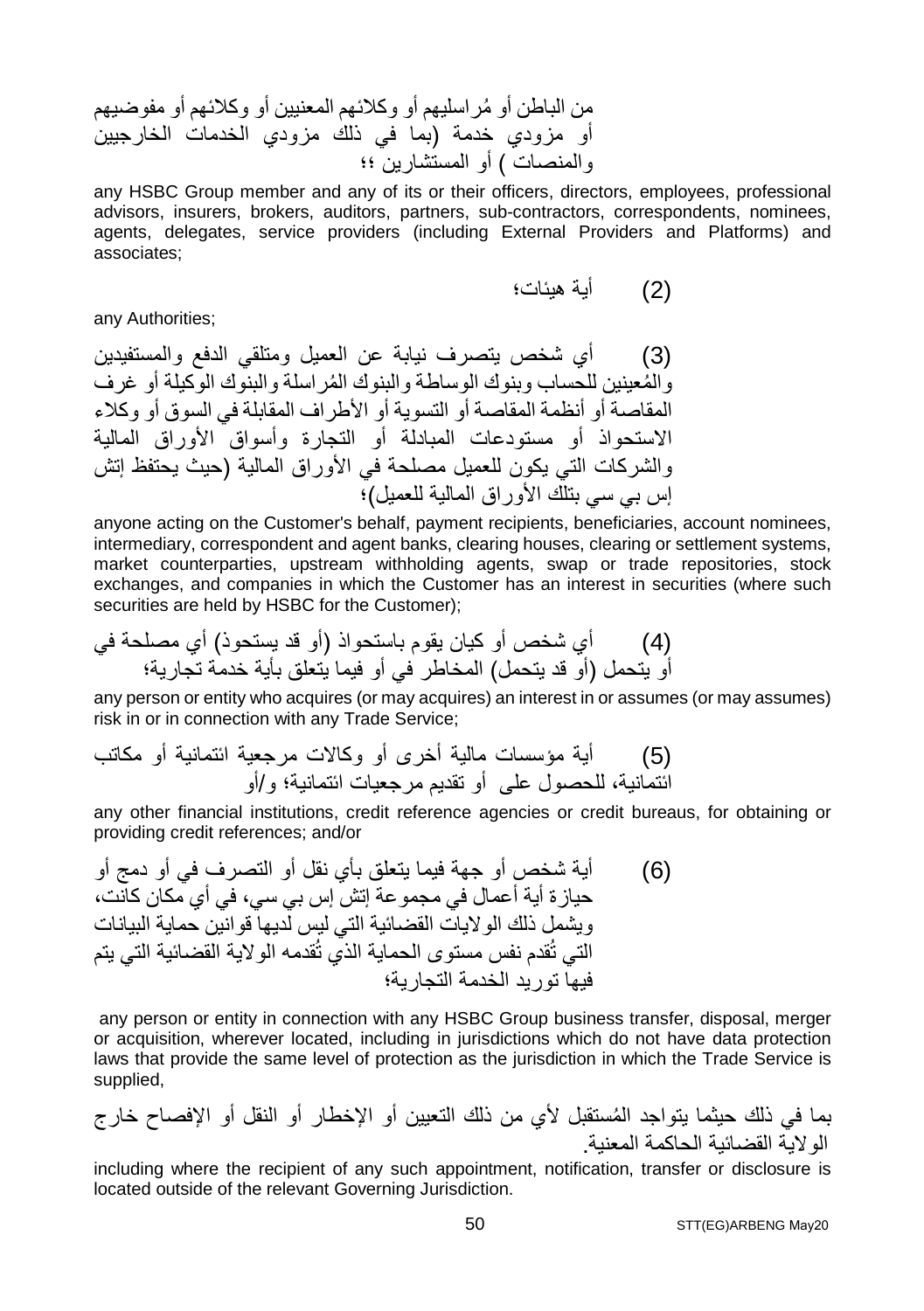من ُ الباطن أو مراسلیھم أو وكلائھم المعنیین أو وكلائھم أو مفوضیھم أو مزودي خدمة (بما في ذلك مزودي الخدمات الخارجیین والمنصات ) أو المستشارین ؛؛

any HSBC Group member and any of its or their officers, directors, employees, professional advisors, insurers, brokers, auditors, partners, sub-contractors, correspondents, nominees, agents, delegates, service providers (including External Providers and Platforms) and associates;

(2) أیة ھیئات؛

any Authorities;

(3) أي شخص یتصرف نیابة عن العمیل ومتلقي الدفع والمستفیدین ُ والم ُ عینین للحساب وبنوك الوساطة والبنوك المراسلة والبنوك الوكیلة أو غرف المقاصة أو أنظمة المقاصة أو التسویة أو الأطراف المقابلة في السوق أو وكلاء الاستحواذ أو مستودعات المبادلة أو التجارة وأسواق الأوراق المالیة والشركات التي یكون للعمیل مصلحة في الأوراق المالیة (حیث یحتفظ إتش إس بي سي بتلك الأوراق المالیة للعمیل)؛

anyone acting on the Customer's behalf, payment recipients, beneficiaries, account nominees, intermediary, correspondent and agent banks, clearing houses, clearing or settlement systems, market counterparties, upstream withholding agents, swap or trade repositories, stock exchanges, and companies in which the Customer has an interest in securities (where such securities are held by HSBC for the Customer);

(4) أي شخص أو كیان یقوم باستحواذ (أو قد یستحوذ) أي مصلحة في أو یتحمل (أو قد یتحمل) المخاطر في أو فیما یتعلق بأیة خدمة تجاریة؛

any person or entity who acquires (or may acquires) an interest in or assumes (or may assumes) risk in or in connection with any Trade Service;

(5) أیة مؤسسات مالیة أخرى أو وكالات مرجعیة ائتمانیة أو مكاتب ائتمانیة، للحصول على أو تقدیم مرجعیات ائتمانیة؛ و/أو

any other financial institutions, credit reference agencies or credit bureaus, for obtaining or providing credit references; and/or

(6) أیة شخص أو جھة فیما یتعلق بأي نقل أو التصرف في أو دمج أو حیازة أیة أعمال في مجموعة إتش إس بي سي، في أي مكان كانت، ویشمل ذلك الولایات القضائیة التي لیس لدیھا قوانین حمایة البیانات التي تُقدم نفس مستوى الحمایة الذي تُقدمھ الولایة القضائیة التي یتم فیھا تورید الخدمة التجاریة؛

any person or entity in connection with any HSBC Group business transfer, disposal, merger or acquisition, wherever located, including in jurisdictions which do not have data protection laws that provide the same level of protection as the jurisdiction in which the Trade Service is supplied,

ُ بما في ذلك حیثما یتواجد المستقبل لأي من ذلك التعیین أو الإخطار أو النقل أو الإفصاح خارج الولایة القضائیة الحاكمة المعنیة.

including where the recipient of any such appointment, notification, transfer or disclosure is located outside of the relevant Governing Jurisdiction.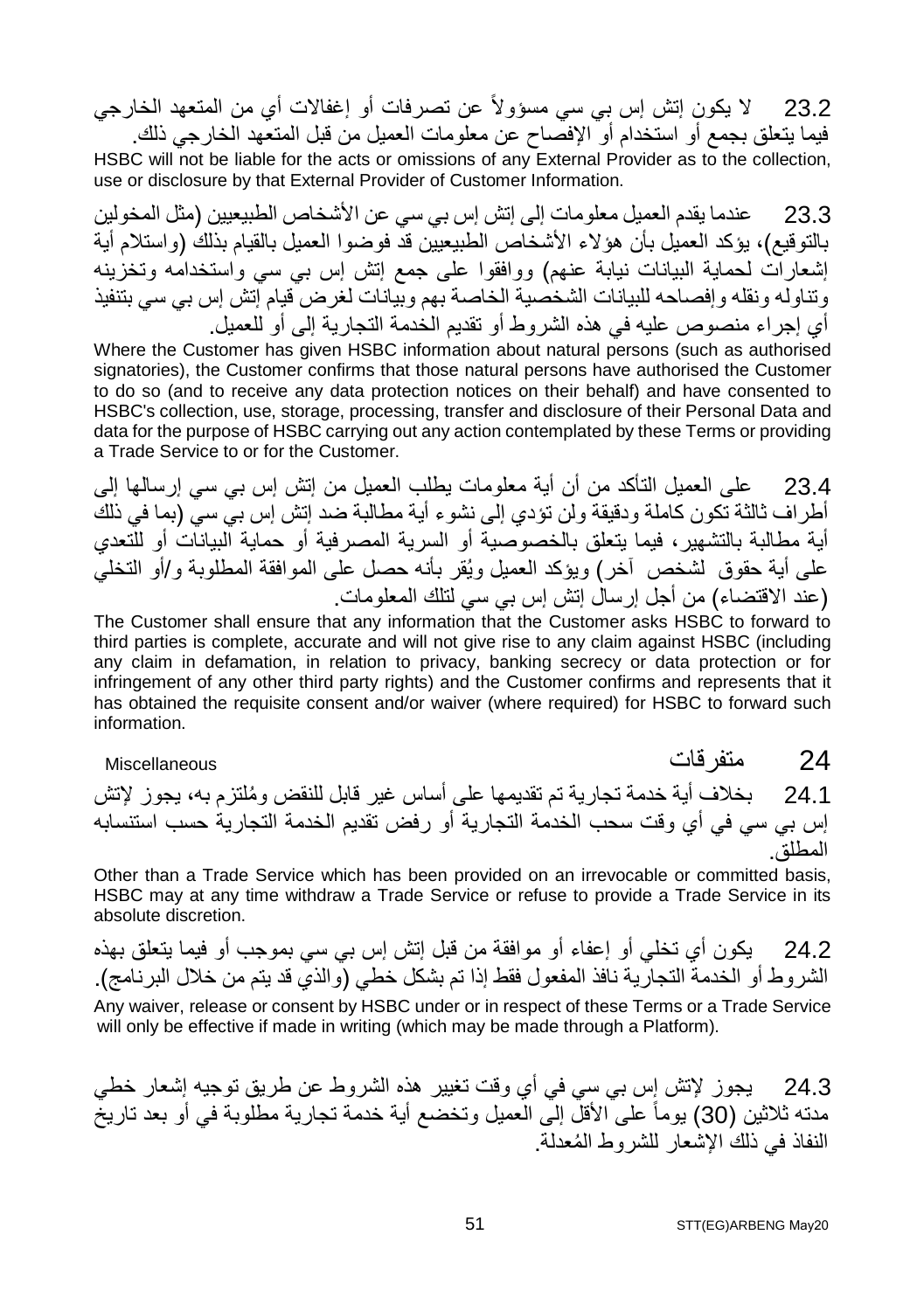23.2 لا یكون إتش إس بي سي مسؤولاً عن تصرفات أو إغفالات أي من المتعھد الخارجي فیما یتعلق بجمع أو استخدام أو الإفصاح عن معلومات العمیل من قبل المتعھد الخارجي ذلك.

HSBC will not be liable for the acts or omissions of any External Provider as to the collection, use or disclosure by that External Provider of Customer Information.

23.3 عندما یقدم العمیل معلومات إلى إتش إس بي سي عن الأشخاص الطبیعیین (مثل المخولین بالتوقیع)، یؤكد العمیل بأن ھؤلاء الأشخاص الطبیعیین قد فوضوا العمیل بالقیام بذلك (واستلام أیة إشعارات لحمایة البیانات نیابة عنھم) ووافقوا على جمع إتش إس بي سي واستخدامھ وتخزینھ وتناولھ ونقلھ وإفصاحھ للبیانات الشخصیة الخاصة بھم وبیانات لغرض قیام إتش إس بي سي بتنفیذ أي إجراء منصوص علیھ في ھذه الشروط أو تقدیم الخدمة التجاریة إلى أو للعمیل.

Where the Customer has given HSBC information about natural persons (such as authorised signatories), the Customer confirms that those natural persons have authorised the Customer to do so (and to receive any data protection notices on their behalf) and have consented to HSBC's collection, use, storage, processing, transfer and disclosure of their Personal Data and data for the purpose of HSBC carrying out any action contemplated by these Terms or providing a Trade Service to or for the Customer.

23.4 على العمیل التأكد من أن أیة معلومات یطلب العمیل من إتش إس بي سي إرسالھا إلى أطراف ثالثة تكون كاملة ودقیقة ولن تؤدي إلى نشوء أیة مطالبة ضد إتش إس بي سي (بما في ذلك أیة مطالبة بالتشھیر، فیما یتعلق بالخصوصیة أو السریة المصرفیة أو حمایة البیانات أو للتعدي على أیة حقوق لشخص آخر) ویؤكد العمیل ویُقر بأنھ حصل على الموافقة المطلوبة و/أو التخلي (عند الاقتضاء) من أجل إرسال إتش إس بي سي لتلك المعلومات.

The Customer shall ensure that any information that the Customer asks HSBC to forward to third parties is complete, accurate and will not give rise to any claim against HSBC (including any claim in defamation, in relation to privacy, banking secrecy or data protection or for infringement of any other third party rights) and the Customer confirms and represents that it has obtained the requisite consent and/or waiver (where required) for HSBC to forward such information.

24 متفرقات Miscellaneous

24.1 بخلاف أیة خدمة تجاریة تم تقدیمھا على أساس غیر قابل ُ للنقض وملتزم بھ، یجوز لإتش إس بي سي في أي وقت سحب الخدمة التجاریة أو رفض تقدیم الخدمة التجاریة حسب استنسابھ المطلق.

Other than a Trade Service which has been provided on an irrevocable or committed basis, HSBC may at any time withdraw a Trade Service or refuse to provide a Trade Service in its absolute discretion.

24.2 یكون أي تخلي أو إعفاء أو موافقة من قبل إتش إس بي سي بموجب أو فیما یتعلق بھذه الشروط أو الخدمة التجاریة نافذ المفعول فقط إذا تم بشكل خطي (والذي قد یتم من خلال البرنامج). Any waiver, release or consent by HSBC under or in respect of these Terms or a Trade Service will only be effective if made in writing (which may be made through a Platform).

24.3 یجوز لإتش إس بي سي في أي وقت تغییر ھذه الشروط عن طریق توجیھ إشعار خطي مدتھ ثلاثین (30) یوماً على الأقل إلى العمیل وتخضع أیة خدمة تجاریة مطلوبة في أو بعد تاریخ ُ النفاذ في ذلك الإشعار للشروط المعدلة.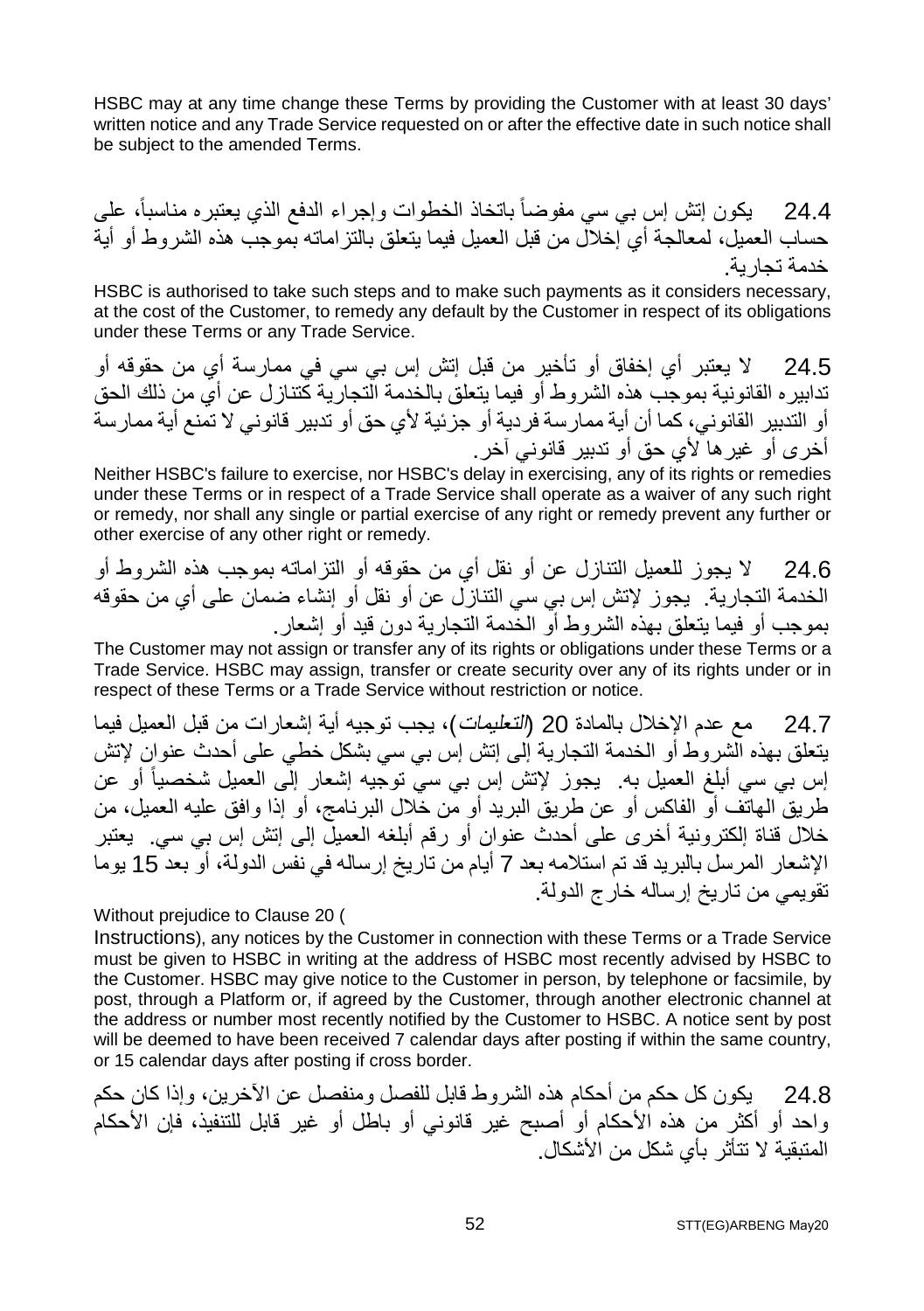HSBC may at any time change these Terms by providing the Customer with at least 30 days' written notice and any Trade Service requested on or after the effective date in such notice shall be subject to the amended Terms.

24.4 یكون إتش إس بي سي مفوضاً باتخاذ الخطوات وإجراء الدفع الذي یعتبره مناسبا،ً على حساب العمیل، لمعالجة أي إخلال من قبل العمیل فیما یتعلق بالتزاماتھ بموجب ھذه الشروط أو أیة خدمة تجاریة.

HSBC is authorised to take such steps and to make such payments as it considers necessary, at the cost of the Customer, to remedy any default by the Customer in respect of its obligations under these Terms or any Trade Service.

24.5 لا یعتبر أي إخفاق أو تأخیر من قبل إتش إس بي سي في ممارسة أي من حقوقھ أو تدابیره القانونیة بموجب ھذه الشروط أو فیما یتعلق بالخدمة التجاریة كتنازل عن أي من ذلك الحق أو التدبیر القانوني، كما أن أیة ممارسة فردیة أو جزئیة لأي حق أو تدبیر قانوني لا تمنع أیة ممارسة أخرى أو غیرھا لأي حق أو تدبیر قانوني آخر.

Neither HSBC's failure to exercise, nor HSBC's delay in exercising, any of its rights or remedies under these Terms or in respect of a Trade Service shall operate as a waiver of any such right or remedy, nor shall any single or partial exercise of any right or remedy prevent any further or other exercise of any other right or remedy.

24.6 لا یجوز للعمیل التنازل عن أو نقل أي من حقوقھ أو التزاماتھ بموجب ھذه الشروط أو الخدمة التجاریة. یجوز لإتش إس بي سي التنازل عن أو نقل أو إنشاء ضمان على أي من حقوقھ بموجب أو فیما یتعلق بھذه الشروط أو الخدمة التجاریة دون قید أو إشعار.

The Customer may not assign or transfer any of its rights or obligations under these Terms or a Trade Service. HSBC may assign, transfer or create security over any of its rights under or in respect of these Terms or a Trade Service without restriction or notice.

24.7 مع عدم الإخلال بالمادة 20 (التعلیمات)، یجب توجیھ أیة إشعارات من قبل العمیل فیما یتعلق بھذه الشروط أو الخدمة التجاریة إلى إتش إس بي سي بشكل خطي على أحدث عنوان لإتش إس بي سي أبلغ العمیل به یجوز لإتش إس بي سيّ توجّيه إشعار إلّي العمیل شخصیاً أو عن طریق الھاتف أو الفاكس أو عن طریق البرید أو من خلال البرنامج، أو إذا وافق علیھ العمیل، من خلال قناة إلكترونیة أخرى على أحدث عنوان أو رقم أبلغھ العمیل إلى إتش إس بي سي. یعتبر الإشعار المرسل بالبرید قد تم استلامھ بعد 7 أیام من تاریخ إرسالھ في نفس الدولة، أو بعد 15 یوما تقویمي من تاریخ إرسالھ خارج الدولة.

Without prejudice to Clause 20 (

Instructions), any notices by the Customer in connection with these Terms or a Trade Service must be given to HSBC in writing at the address of HSBC most recently advised by HSBC to the Customer. HSBC may give notice to the Customer in person, by telephone or facsimile, by post, through a Platform or, if agreed by the Customer, through another electronic channel at the address or number most recently notified by the Customer to HSBC. A notice sent by post will be deemed to have been received 7 calendar days after posting if within the same country, or 15 calendar days after posting if cross border.

24.8 یكون كل حكم من أحكام ھذه الشروط قابل للفصل ومنفصل عن الآخرین، وإذا كان حكم واحد أو أكثر من ھذه الأحكام أو أصبح غیر قانوني أو باطل أو غیر قابل للتنفیذ، فإن الأحكام المتبقیة لا تتأثر بأي شكل من الأشكال.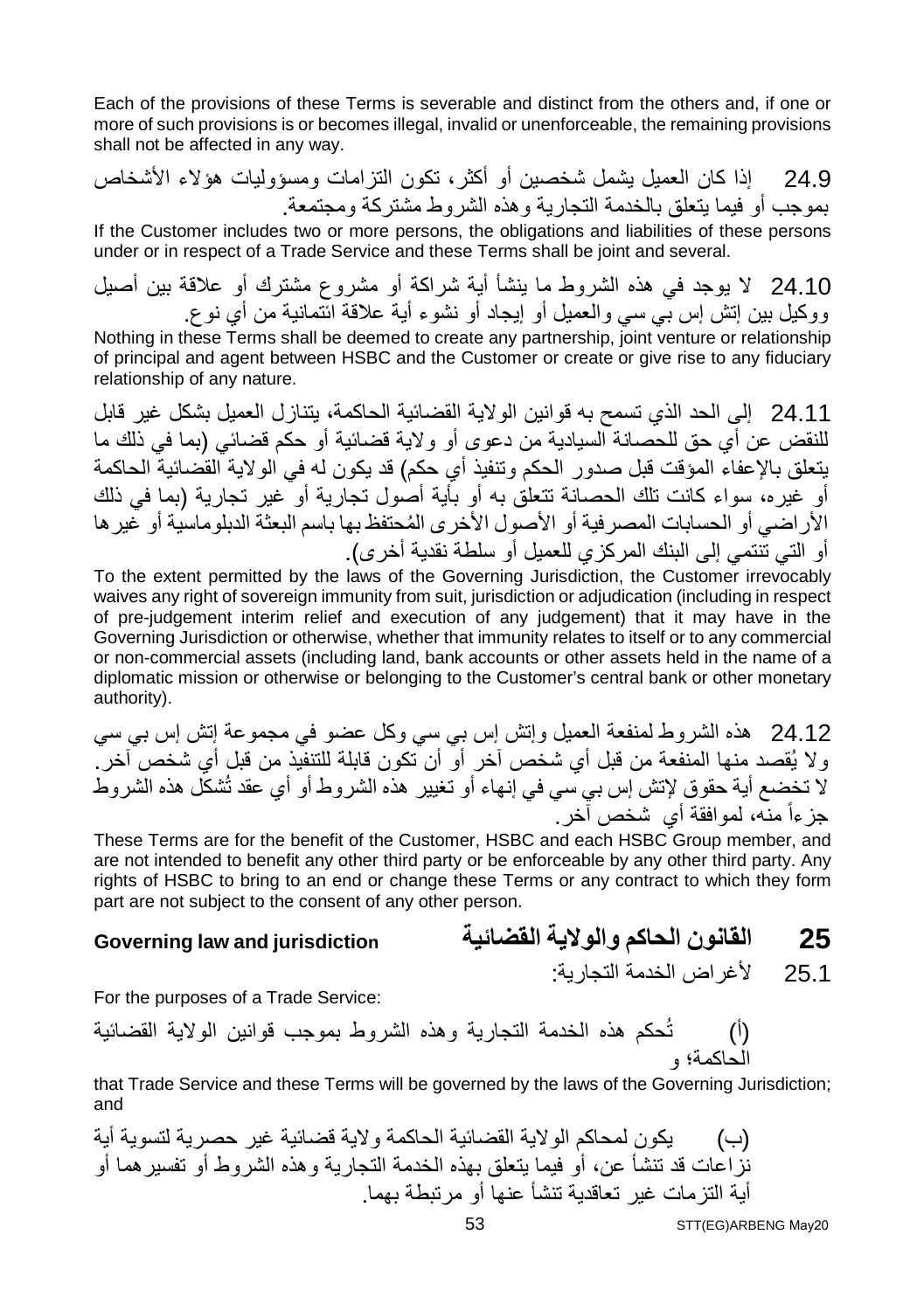Each of the provisions of these Terms is severable and distinct from the others and, if one or more of such provisions is or becomes illegal, invalid or unenforceable, the remaining provisions shall not be affected in any way.

24.9 إذا كان العمیل یشمل شخصین أو أكثر، تكون التزامات ومسؤولیات ھؤلاء الأشخاص بموجب أو فیما یتعلق بالخدمة التجاریة وھذه الشروط مشتركة ومجتمعة.

If the Customer includes two or more persons, the obligations and liabilities of these persons under or in respect of a Trade Service and these Terms shall be joint and several.

24.10 لا یوجد في ھذه الشروط ما ینشأ أیة شراكة أو مشروع مشترك أو علاقة بین أصیل ووكیل بین إتش إس بي سي والعمیل أو إیجاد أو نشوء أیة علاقة ائتمانیة من أي نوع.

Nothing in these Terms shall be deemed to create any partnership, joint venture or relationship of principal and agent between HSBC and the Customer or create or give rise to any fiduciary relationship of any nature.

24.11 إلى الحد الذي تسمح بھ قوانین الولایة القضائیة الحاكمة، یتنازل العمیل بشكل غیر قابل للنقض عن أي حق للحصانة السیادیة من دعوى أو ولایة قضائیة أو حكم قضائي (بما في ذلك ما یتعلق بالإعفاء المؤقت قبل صدور الحكم وتنفیذ أي حكم) قد یكون لھ في الولایة القضائیة الحاكمة أو غیره، سواء كانت تلك الحصانة تتعلق بھ أو بأیة أصول تجاریة أو غیر تجاریة (بما في ذلك ُ الأراضي أو الحسابات المصرفیة أو الأصول الأخرى المحتفظ بھا باسم البعثة الدبلوماسیة أو غیرھا أو التي تنتمي إلى البنك المركزي للعمیل أو سلطة نقدیة أخرى).

To the extent permitted by the laws of the Governing Jurisdiction, the Customer irrevocably waives any right of sovereign immunity from suit, jurisdiction or adjudication (including in respect of pre-judgement interim relief and execution of any judgement) that it may have in the Governing Jurisdiction or otherwise, whether that immunity relates to itself or to any commercial or non-commercial assets (including land, bank accounts or other assets held in the name of a diplomatic mission or otherwise or belonging to the Customer's central bank or other monetary authority).

24.12 ھذه الشروط لمنفعة العمیل وإتش إس بي سي وكل عضو في مجموعة إتش إس بي سي ولا یُقصد منھا المنفعة من قبل أي شخص آخر أو أن تكون قابلة للتنفیذ من قبل أي شخص آخر. لا تخضع أیة حقوق لإتش إس بي سي في إنھاء أو تغییر ھذه الشروط أو أي عقد تُشكل ھذه الشروط جز ءاً منه، لموافقة أي شخص آخر .

These Terms are for the benefit of the Customer, HSBC and each HSBC Group member, and are not intended to benefit any other third party or be enforceable by any other third party. Any rights of HSBC to bring to an end or change these Terms or any contract to which they form part are not subject to the consent of any other person.

#### **25 القانون الحاكم والولایة القضائیة jurisdiction and law Governing**

25.1 لأغراض الخدمة التجاریة:

For the purposes of a Trade Service:

(أ) تُحكم ھذه الخدمة التجاریة وھذه الشروط بموجب قوانین الولایة القضائیة الحاكمة؛ و

that Trade Service and these Terms will be governed by the laws of the Governing Jurisdiction; and

(ب) یكون لمحاكم الولایة القضائیة الحاكمة ولایة قضائیة غیر حصریة لتسویة أیة نزاعات قد تنشأ عن، أو فیما یتعلق بھذه الخدمة التجاریة وھذه الشروط أو تفسیرھما أو أیة التزمات غیر تعاقدیة تنشأ عنھا أو مرتبطة بھما.

STT(EG)ARBENG May20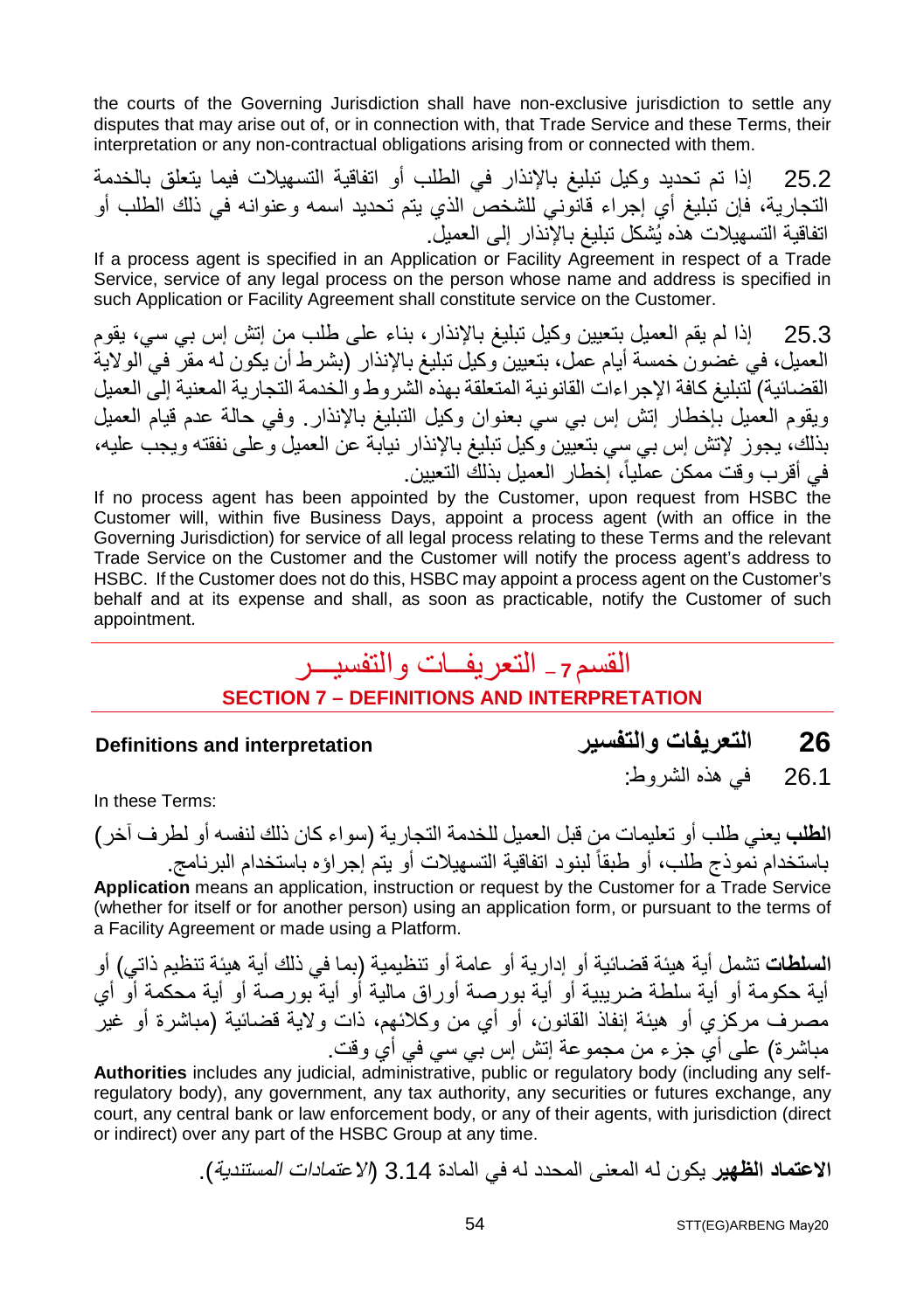the courts of the Governing Jurisdiction shall have non-exclusive jurisdiction to settle any disputes that may arise out of, or in connection with, that Trade Service and these Terms, their interpretation or any non-contractual obligations arising from or connected with them.

25.2 إذا تم تحدید وكیل تبلیغ بالإنذار في الطلب أو اتفاقیة التسھیلات فیما یتعلق بالخدمة التجاریة، فإن تبلیغ أي إجراء قانوني للشخص الذي یتم تحدید اسمھ وعنوانھ في ذلك الطلب أو اتفاقیة التسھیلات ھذه یُشكل تبلیغ بالإنذار إلى العمیل.

If a process agent is specified in an Application or Facility Agreement in respect of a Trade Service, service of any legal process on the person whose name and address is specified in such Application or Facility Agreement shall constitute service on the Customer.

25.3 إذا لم یقم العمیل بتعیین وكیل تبلیغ بالإنذار، بناء على طلب من إتش إس بي سي، یقوم العمیل، في غضون خمسة أیام عمل، بتعیین وكیل تبلیغ بالإنذار (بشرط أن یكون لھ مقر في الولایة القضائیة) لتبلیغ كافة الإجراءات القانونیة المتعلقة بھذه الشروط والخدمة التجاریة المعنیة إلى العمیل ویقوم العمیل بإخطار إتش إس بي سي بعنوان وكیل التبلیغ بالإنذار. وفي حالة عدم قیام العمیل بذلك، یجوز لإتش إس بي سي بتعیین وكیل تبلیغ بالإنذار نیابة عن العمیل وعلى نفقتھ ویجب علیھ، في أقرب وقت ممكن عملیا،ً إخطار العمیل بذلك التعیین.

If no process agent has been appointed by the Customer, upon request from HSBC the Customer will, within five Business Days, appoint a process agent (with an office in the Governing Jurisdiction) for service of all legal process relating to these Terms and the relevant Trade Service on the Customer and the Customer will notify the process agent's address to HSBC. If the Customer does not do this, HSBC may appoint a process agent on the Customer's behalf and at its expense and shall, as soon as practicable, notify the Customer of such appointment.

### القسم **<sup>7</sup> –** التعریفــات والتفسیـــر **SECTION 7 – DEFINITIONS AND INTERPRETATION**

- **Definitions and interpretation والتفسیر التعریفات 26**
- In these Terms:

**الطلب** یعني طلب أو تعلیمات من قبل العمیل للخدمة التجاریة (سواء كان ذلك لنفسھ أو لطرف آخر) باستخدام نموذج طلب، أو طبقاً لبنود اتفاقیة التسھیلات أو یتم إجراؤه باستخدام البرنامج. **Application** means an application, instruction or request by the Customer for a Trade Service (whether for itself or for another person) using an application form, or pursuant to the terms of a Facility Agreement or made using a Platform.

**السلطات** تشمل أیة ھیئة قضائیة أو إداریة أو عامة أو تنظیمیة (بما في ذلك أیة ھیئة تنظیم ذاتي) أو أیة حكومة أو أیة سلطة ضریبیة أو أیة بورصة أوراق مالیة أو أیة بورصة أو أیة محكمة أو أي مصرف مركزي أو ھیئة إنفاذ القانون، أو أي من وكلائھم، ذات ولایة قضائیة (مباشرة أو غیر مباشرة) على أي جزء من مجموعة إتش إس بي سي في أي وقت.

**Authorities** includes any judicial, administrative, public or regulatory body (including any selfregulatory body), any government, any tax authority, any securities or futures exchange, any court, any central bank or law enforcement body, or any of their agents, with jurisdiction (direct or indirect) over any part of the HSBC Group at any time.

**الاعتماد الظھیر** یكون لھ المعنى المحدد لھ في المادة 3.14 (الاعتمادات المستندیة).

26.1 في ھذه الشروط: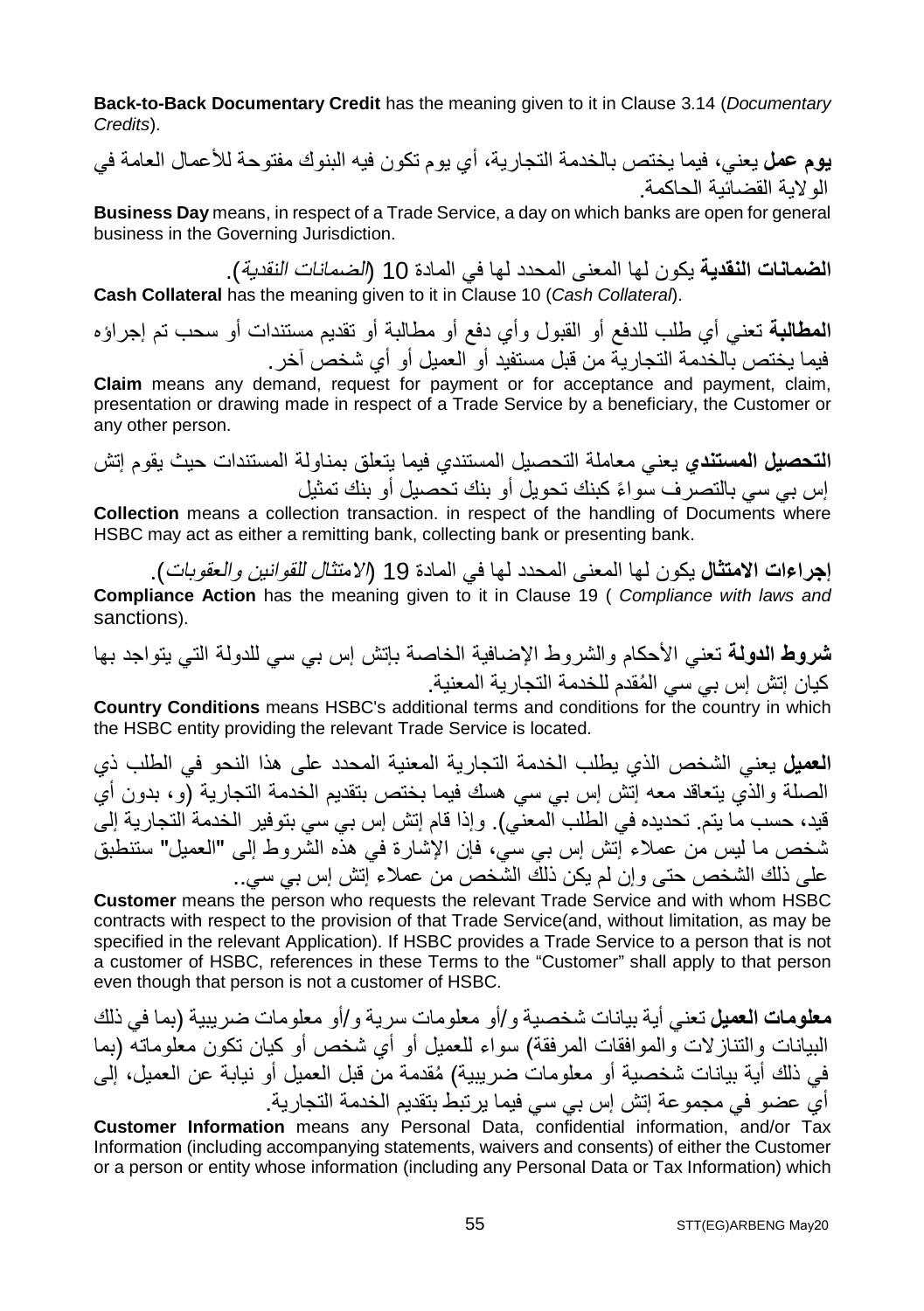**Back-to-Back Documentary Credit** has the meaning given to it in Clause 3.14 (*Documentary Credits*).

**یوم عمل** یعني، فیما یختص بالخدمة التجاریة، أي یوم تكون فیھ البنوك مفتوحة للأعمال العامة في الولایة القضائیة الحاكمة.

**Business Day** means, in respect of a Trade Service, a day on which banks are open for general business in the Governing Jurisdiction.

**الضمانات النقدیة** یكون لھا المعنى المحدد لھا في المادة 10 (الضمانات النقدیة). **Cash Collateral** has the meaning given to it in Clause 10 (*Cash Collateral*).

**المطالبة** تعني أي طلب للدفع أو القبول وأي دفع أو مطالبة أو تقدیم مستندات أو سحب تم إجراؤه فیما یختص بالخدمة التجاریة من قبل مستفید أو العمیل أو أي شخص آخر.

**Claim** means any demand, request for payment or for acceptance and payment, claim, presentation or drawing made in respect of a Trade Service by a beneficiary, the Customer or any other person.

**التحصیل المستندي** یعني معاملة التحصیل المستندي فیما یتعلق بمناولة المستندات حیث یقوم إتش ً إس بي سي بالتصرف سواء كبنك تحویل أو بنك تحصیل أو بنك تمثیل

**Collection** means a collection transaction. in respect of the handling of Documents where HSBC may act as either a remitting bank, collecting bank or presenting bank.

**إجراءات الامتثال** یكون لھا المعنى المحدد لھا في المادة 19 (الامتثال للقوانین والعقوبات). **Compliance Action** has the meaning given to it in Clause 19 ( *Compliance with laws and*  sanctions).

**شروط الدولة** تعني الأحكام والشروط الإضافیة الخاصة بإتش إس بي سي للدولة التي یتواجد بھا ُ كیان إتش إس بي سي المقدم للخدمة التجاریة المعنیة.

**Country Conditions** means HSBC's additional terms and conditions for the country in which the HSBC entity providing the relevant Trade Service is located.

**العمیل** یعني الشخص الذي یطلب الخدمة التجاریة المعنیة المحدد على ھذا النحو في الطلب ذي الصلة والذي یتعاقد معھ إتش إس بي سي ھسك فیما بختص بتقدیم الخدمة التجاریة (و، بدون أي قید، حسب ما یتم. تحدیده في الطلب المعني). وإذا قام إتش إس بي سي بتوفیر الخدمة التجاریة إلى شخص ما لیس من عملاء إتش إس بي سي، فإن الإشارة في ھذه الشروط إلى "العمیل" ستنطبق على ذلك الشخص حتى وإن لم یكن ذلك الشخص من عملاء إتش إس بي سي..

**Customer** means the person who requests the relevant Trade Service and with whom HSBC contracts with respect to the provision of that Trade Service(and, without limitation, as may be specified in the relevant Application). If HSBC provides a Trade Service to a person that is not a customer of HSBC, references in these Terms to the "Customer" shall apply to that person even though that person is not a customer of HSBC.

**معلومات العمیل** تعني أیة بیانات شخصیة و/أو معلومات سریة و/أو معلومات ضریبیة (بما في ذلك البیانات والتنازلات والموافقات المرفقة) سواء للعمیل أو أي شخص أو كیان تكون معلوماتھ (بما ُ في ذلك أیة بیانات شخصیة أو معلومات ضریبیة) مقدمة من قبل العمیل أو نیابة عن العمیل، إلى أي عضو في مجموعة إتش إس بي سي فیما یرتبط بتقدیم الخدمة التجاریة.

**Customer Information** means any Personal Data, confidential information, and/or Tax Information (including accompanying statements, waivers and consents) of either the Customer or a person or entity whose information (including any Personal Data or Tax Information) which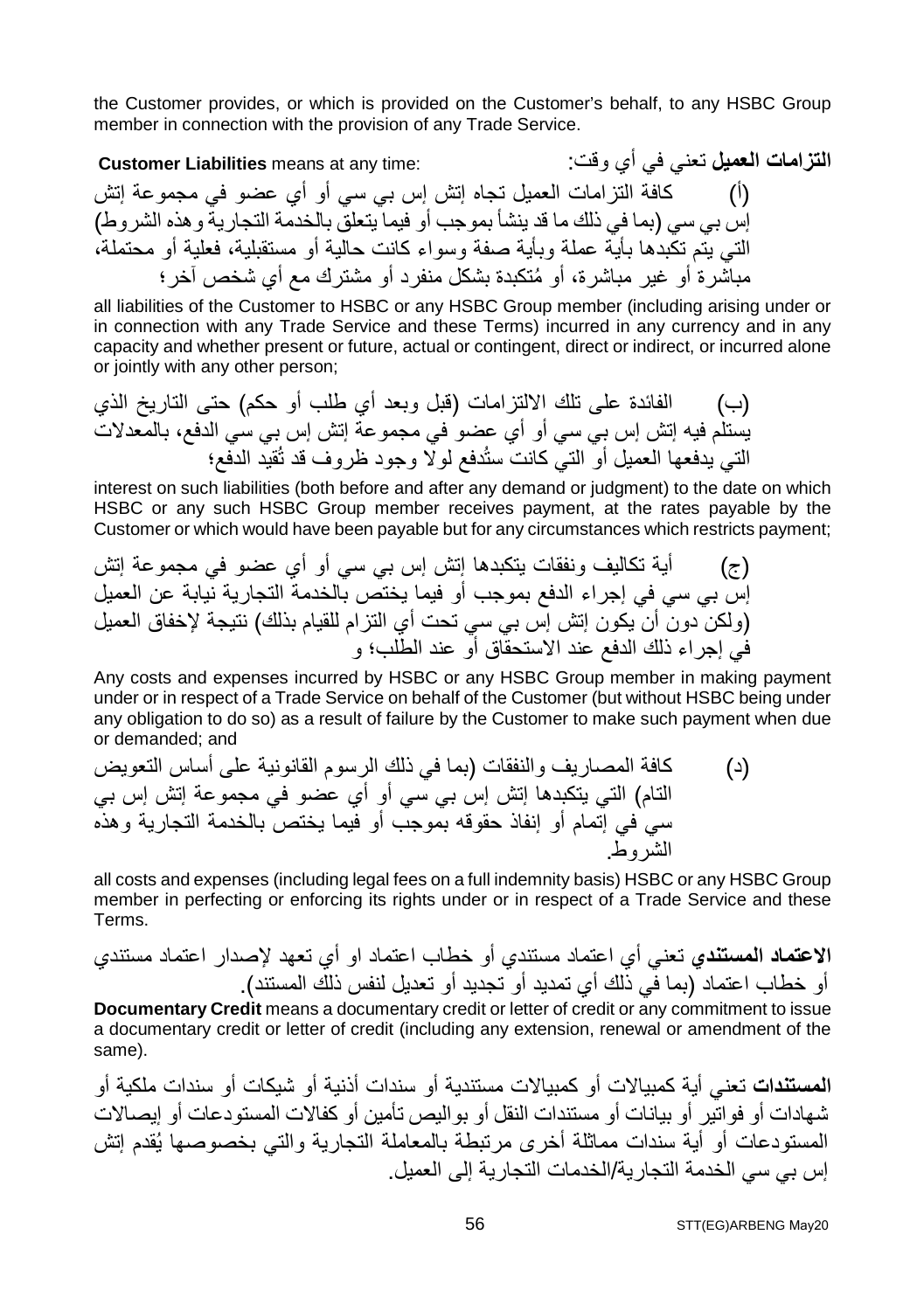the Customer provides, or which is provided on the Customer's behalf, to any HSBC Group member in connection with the provision of any Trade Service.

**التزامات العمیل** تعني في أي وقت: :time any at means **Liabilities Customer** (أ) كافة التزامات العمیل تجاه إتش إس بي سي أو أي عضو في مجموعة إتش إس بي سي (بما في ذلك ما قد ینشأ بموجب أو فیما یتعلق بالخدمة التجاریة وھذه الشروط) التي یتم تكبدھا بأیة عملة وبأیة صفة وسواء كانت حالیة أو مستقبلیة، فعلیة أو محتملة، ُ مباشرة أو غیر مباشرة، أو متكبدة بشكل منفرد أو مشترك مع أي شخص آخر؛

all liabilities of the Customer to HSBC or any HSBC Group member (including arising under or in connection with any Trade Service and these Terms) incurred in any currency and in any capacity and whether present or future, actual or contingent, direct or indirect, or incurred alone or jointly with any other person;

(ب) الفائدة على تلك الالتزامات (قبل وبعد أي طلب أو حكم) حتى التاریخ الذي یستلم فیھ إتش إس بي سي أو أي عضو في مجموعة إتش إس بي سي الدفع، بالمعدلات التي یدفعھا العمیل أو التي كانت ستُدفع لولا وجود ظروف قد تُقید الدفع؛

interest on such liabilities (both before and after any demand or judgment) to the date on which HSBC or any such HSBC Group member receives payment, at the rates payable by the Customer or which would have been payable but for any circumstances which restricts payment;

(ج) أیة تكالیف ونفقات یتكبدھا إتش إس بي سي أو أي عضو في مجموعة إتش إس بي سي في إجراء الدفع بموجب أو فیما یختص بالخدمة التجاریة نیابة عن العمیل (ولكن دون أن یكون إتش إس بي سي تحت أي التزام للقیام بذلك) نتیجة لإخفاق العمیل في إجراء ذلك الدفع عند الاستحقاق أو عند الطلب؛ و

Any costs and expenses incurred by HSBC or any HSBC Group member in making payment under or in respect of a Trade Service on behalf of the Customer (but without HSBC being under any obligation to do so) as a result of failure by the Customer to make such payment when due or demanded; and

(د) كافة المصاریف والنفقات (بما في ذلك الرسوم القانونیة على أساس التعویض التام) التي یتكبدھا إتش إس بي سي أو أي عضو في مجموعة إتش إس بي سي في إتمام أو إنفاذ حقوقھ بموجب أو فیما یختص بالخدمة التجاریة وھذه الشروط.

all costs and expenses (including legal fees on a full indemnity basis) HSBC or any HSBC Group member in perfecting or enforcing its rights under or in respect of a Trade Service and these Terms.

**الاعتماد المستندي** تعني أي اعتماد مستندي أو خطاب اعتماد او أي تعھد لإصدار اعتماد مستندي أو خطاب اعتماد (بما في ذلك أي تمدید أو تجدید أو تعدیل لنفس ذلك المستند).

**Documentary Credit** means a documentary credit or letter of credit or any commitment to issue a documentary credit or letter of credit (including any extension, renewal or amendment of the same).

**المستندات** تعني أیة كمبیالات أو كمبیالات مستندیة أو سندات أذنیة أو شیكات أو سندات ملكیة أو شھادات أو فواتیر أو بیانات أو مستندات النقل أو بوالیص تأمین أو كفالات المستودعات أو إیصالات المستودعات أو أیة سندات مماثلة أخرى مرتبطة بالمعاملة التجاریة والتي بخصوصھا یُقدم إتش إس بي سي الخدمة التجاریة/الخدمات التجاریة إلى العمیل.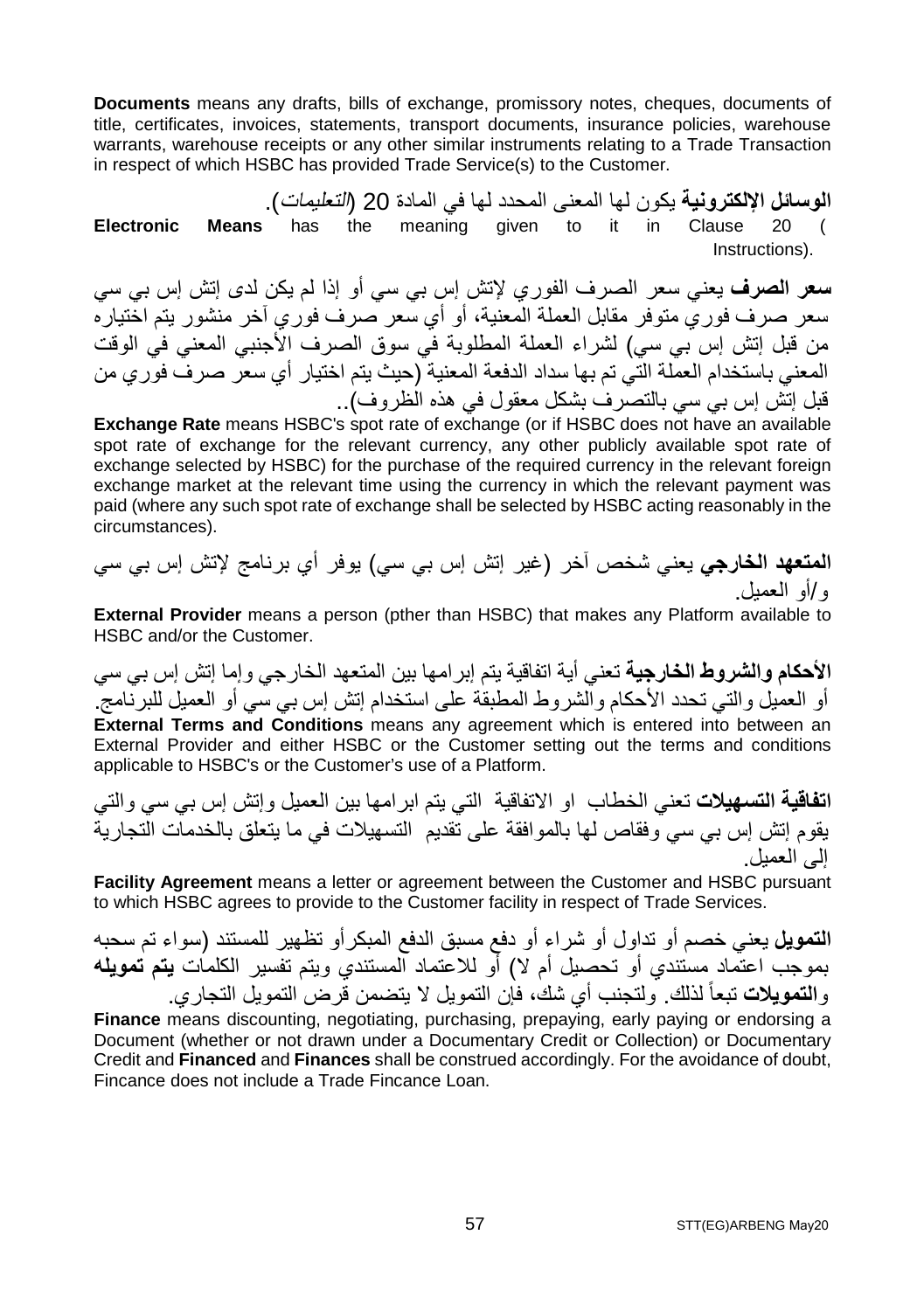**Documents** means any drafts, bills of exchange, promissory notes, cheques, documents of title, certificates, invoices, statements, transport documents, insurance policies, warehouse warrants, warehouse receipts or any other similar instruments relating to a Trade Transaction in respect of which HSBC has provided Trade Service(s) to the Customer.

**الوسائل الإلكترونیة** یكون لھا المعنى المحدد لھا في المادة 20 (التعلیمات). **Electronic Means** has the meaning given to it in Clause 20 ( Instructions).

**سعر الصرف** یعني سعر الصرف الفوري لإتش إس بي سي أو إذا لم یكن لدى إتش إس بي سي سعر صرف فوري متوفر مقابل العملة المعنیة، أو أي سعر صرف فوري آخر منشور یتم اختیاره من قبل إتش إس بي سي) لشراء العملة المطلوبة في سوق الصرف الأجنبي المعني في الوقت المعني باستخدام العملة التي تم بھا سداد الدفعة المعنیة (حیث یتم اختیار أي سعر صرف فوري من قبل إتش إس بي سي بالتصرف بشكل معقول في ھذه الظروف)..

**Exchange Rate** means HSBC's spot rate of exchange (or if HSBC does not have an available spot rate of exchange for the relevant currency, any other publicly available spot rate of exchange selected by HSBC) for the purchase of the required currency in the relevant foreign exchange market at the relevant time using the currency in which the relevant payment was paid (where any such spot rate of exchange shall be selected by HSBC acting reasonably in the circumstances).

**المتعھد الخارجي** یعني شخص آخر (غیر إتش إس بي سي) یوفر أي برنامج لإتش إس بي سي و/أو العمیل.

**External Provider** means a person (pther than HSBC) that makes any Platform available to HSBC and/or the Customer.

**الأحكام والشروط الخارجیة** تعني أیة اتفاقیة یتم إبرامھا بین المتعھد الخارجي وإما إتش إس بي سي أو العمیل والتي تحدد الأحكام والشروط المطبقة على استخدام إتش إس بي سي أو العمیل للبرنامج. **External Terms and Conditions** means any agreement which is entered into between an External Provider and either HSBC or the Customer setting out the terms and conditions applicable to HSBC's or the Customer's use of a Platform.

**اتفاقیة التسھیلات** تعني الخطاب او الاتفاقیة التي یتم ابرامھا بین العمیل وإتش إس بي سي والتي یقوم إتش إس بي سي وفقاص لھا بالموافقة على تقدیم التسھیلات في ما یتعلق بالخدمات التجاریة إلى العمیل.

**Facility Agreement** means a letter or agreement between the Customer and HSBC pursuant to which HSBC agrees to provide to the Customer facility in respect of Trade Services.

**التمویل** یعني خصم أو تداول أو شراء أو دفع مسبق الدفع المبكرأو تظھیر للمستند (سواء تم سحبھ بموجب اعتماد مستندي أو تحصیل أم لا) أو للاعتماد المستندي ویتم تفسیر الكلمات **یتم تمویلھ** و**التمویلات** تبعاً لذلك. ولتجنب أي شك، فإن التمویل لا یتضمن قرض التمویل التجاري.

**Finance** means discounting, negotiating, purchasing, prepaying, early paying or endorsing a Document (whether or not drawn under a Documentary Credit or Collection) or Documentary Credit and **Financed** and **Finances** shall be construed accordingly. For the avoidance of doubt, Fincance does not include a Trade Fincance Loan.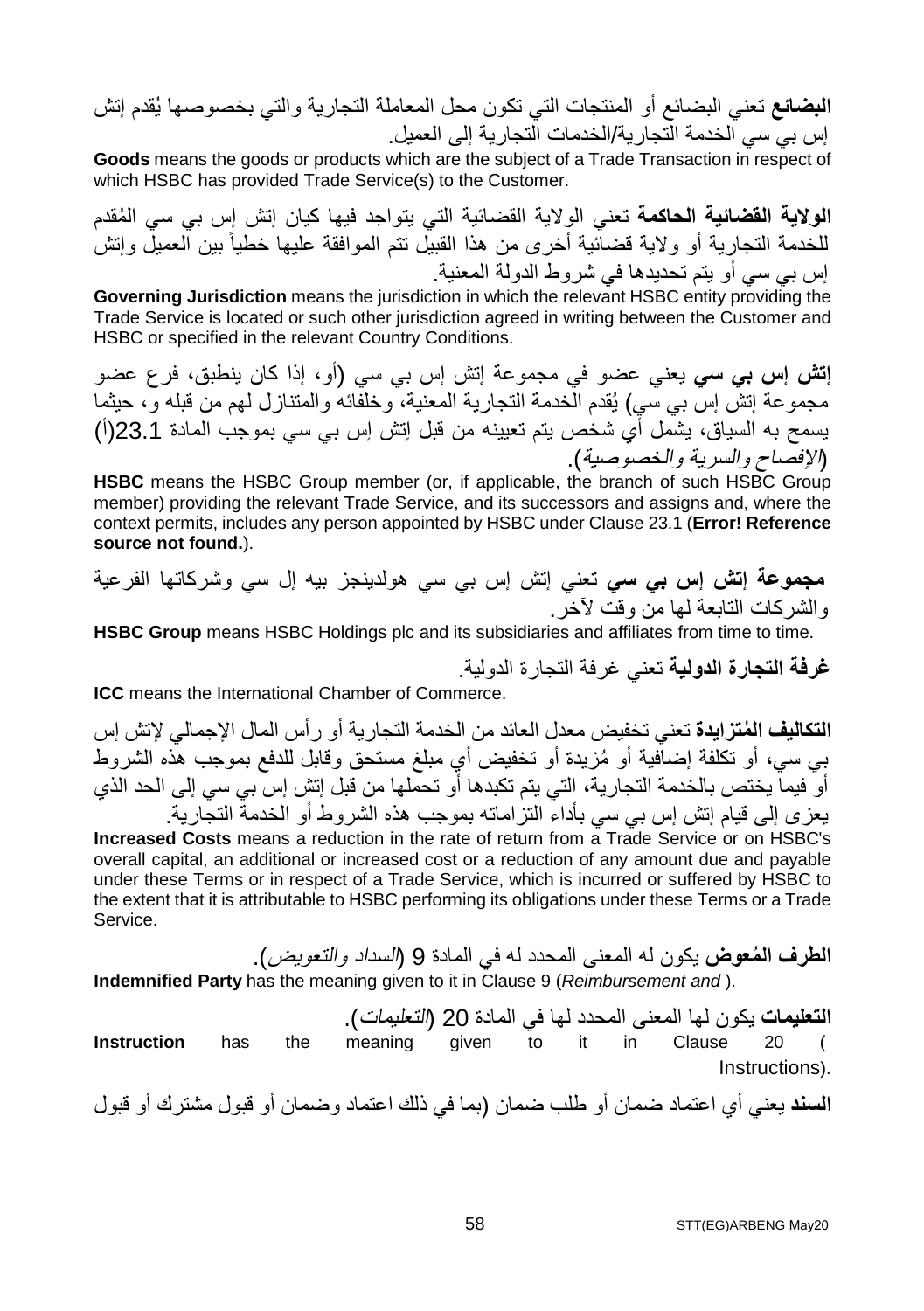**البضائع** تعني البضائع أو المنتجات التي تكون محل المعاملة التجاریة والتي بخصوصھا یُقدم إتش إس بي سي الخدمة التجاریة/الخدمات التجاریة إلى العمیل.

**Goods** means the goods or products which are the subject of a Trade Transaction in respect of which HSBC has provided Trade Service(s) to the Customer.

**الولایة القضائیة الحاكمة** ُ تعني الولایة القضائیة التي یتواجد فیھا كیان إتش إس بي سي المقدم للخدمة التجار یة أو و لایة قضائیة أخرى من هذا القبیل تتم الموافقة علیها خطیاً بین العمیل وإتش إس بي سي أو یتم تحدیدھا في شروط الدولة المعنیة.

**Governing Jurisdiction** means the jurisdiction in which the relevant HSBC entity providing the Trade Service is located or such other jurisdiction agreed in writing between the Customer and HSBC or specified in the relevant Country Conditions.

**إتش إس بي سي** یعني عضو في مجموعة إتش إس بي سي (أو، إذا كان ینطبق، فرع عضو مجموعة إتش إس بي سي) یُقدم الخدمة التجاریة المعنیة، وخلفائھ والمتنازل لھم من قبلھ و، حیثما یسمح بھ السیاق، یشمل أي شخص یتم تعیینھ من قبل إتش إس بي سي بموجب المادة 23.1(أ) (الإفصاح والسریة والخصوصیة).

**HSBC** means the HSBC Group member (or, if applicable, the branch of such HSBC Group member) providing the relevant Trade Service, and its successors and assigns and, where the context permits, includes any person appointed by HSBC under Clause 23.1 (**Error! Reference source not found.**).

**مجموعة إتش إس بي سي** تعني إتش إس بي سي ھولدینجز بیھ إل سي وشركاتھا الفرعیة والشركات التابعة لھا من وقت لآخر.

**HSBC Group** means HSBC Holdings plc and its subsidiaries and affiliates from time to time.

**غرفة التجارة الدولیة** تعني غرفة التجارة الدولیة.

**ICC** means the International Chamber of Commerce.

**ُ التكالیف المتزایدة** تعني تخفیض معدل العائد من الخدمة التجاریة أو رأس المال الإجمالي لإتش إس ُ بي سي، أو تكلفة إضافیة أو مزیدة أو تخفیض أي مبلغ مستحق وقابل للدفع بموجب ھذه الشروط أو فیما یختص بالخدمة التجاریة، التي یتم تكبدھا أو تحملھا من قبل إتش إس بي سي إلى الحد الذي یعزى إلى قیام إتش إس بي سي بأداء التزاماتھ بموجب ھذه الشروط أو الخدمة التجاریة.

**Increased Costs** means a reduction in the rate of return from a Trade Service or on HSBC's overall capital, an additional or increased cost or a reduction of any amount due and payable under these Terms or in respect of a Trade Service, which is incurred or suffered by HSBC to the extent that it is attributable to HSBC performing its obligations under these Terms or a Trade Service.

**ُ الطرف المعوض** یكون لھ المعنى المحدد لھ في المادة 9 (السداد والتعویض). **Indemnified Party** has the meaning given to it in Clause 9 (*Reimbursement and* ).

**التعلیمات** یكون لھا المعنى المحدد لھا في المادة 20 (التعلیمات). **Instruction** has the meaning given to it in Clause 20 ( Instructions).

**السند** یعني أي اعتماد ضمان أو طلب ضمان (بما في ذلك اعتماد وضمان أو قبول مشترك أو قبول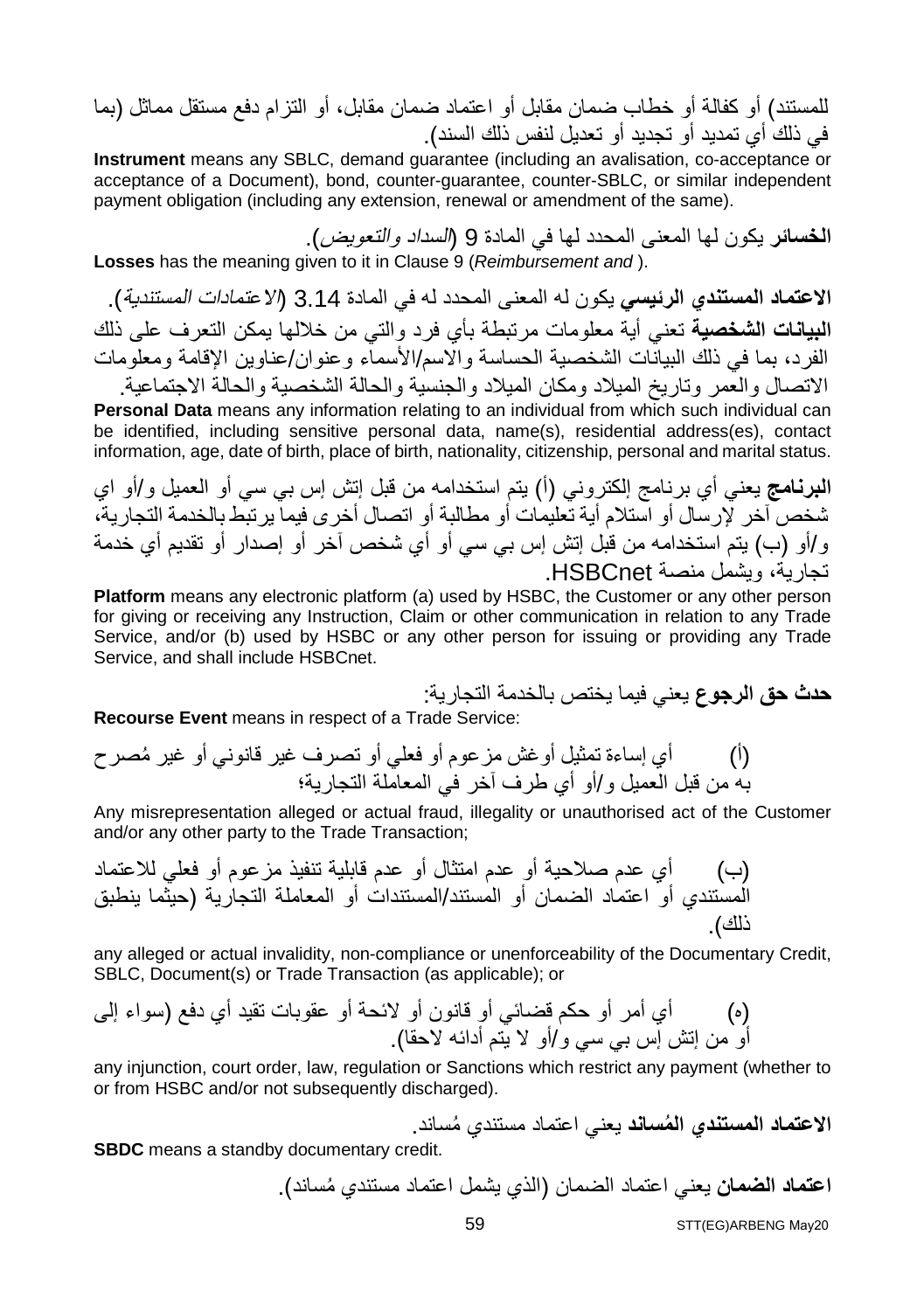للمستند) أو كفالة أو خطاب ضمان مقابل أو اعتماد ضمان مقابل، أو التزام دفع مستقل مماثل (بما في ذلك أي تمدید أو تجدید أو تعدیل لنفس ذلك السند).

**Instrument** means any SBLC, demand guarantee (including an avalisation, co-acceptance or acceptance of a Document), bond, counter-guarantee, counter-SBLC, or similar independent payment obligation (including any extension, renewal or amendment of the same).

**الخسائر** یكون لھا المعنى المحدد لھا في المادة 9 (السداد والتعویض). **Losses** has the meaning given to it in Clause 9 (*Reimbursement and* ).

**الاعتماد المستندي الرئیسي** یكون لھ المعنى المحدد لھ في المادة 3.14 (الاعتمادات المستندیة). **البیانات الشخصیة** تعني أیة معلومات مرتبطة بأي فرد والتي من خلالھا یمكن التعرف على ذلك الفرد، بما في ذلك البیانات الشخصیة الحساسة والاسم/الأسماء وعنوان/عناوین الإقامة ومعلومات الاتصال والعمر وتاریخ المیلاد ومكان المیلاد والجنسیة والحالة الشخصیة والحالة الاجتماعیة.

**Personal Data** means any information relating to an individual from which such individual can be identified, including sensitive personal data, name(s), residential address(es), contact information, age, date of birth, place of birth, nationality, citizenship, personal and marital status.

**البرنامج** یعني أي برنامج إلكتروني (أ) یتم استخدامھ من قبل إتش إس بي سي أو العمیل و/أو اي شخص آخر لإرسال أو استلام أیة تعلیمات أو مطالبة أو اتصال أخرى فیما یرتبط بالخدمة التجاریة، و/أو (ب) یتم استخدامھ من قبل إتش إس بي سي أو أي شخص آخر أو إصدار أو تقدیم أي خدمة تجاریة، ویشمل منصة HSBCnet.

**Platform** means any electronic platform (a) used by HSBC, the Customer or any other person for giving or receiving any Instruction, Claim or other communication in relation to any Trade Service, and/or (b) used by HSBC or any other person for issuing or providing any Trade Service, and shall include HSBCnet.

**حدث حق الرجوع** یعني فیما یختص بالخدمة التجاریة:

**Recourse Event** means in respect of a Trade Service:

(أ) أي إساءة تمثیل أوغش مزعوم أو فعلي أو تصرف غیر ُ قانوني أو غیر مصرح بھ من قبل العمیل و/أو أي طرف آخر في المعاملة التجاریة؛

Any misrepresentation alleged or actual fraud, illegality or unauthorised act of the Customer and/or any other party to the Trade Transaction;

(ب) أي عدم صلاحیة أو عدم امتثال أو عدم قابلیة تنفیذ مزعوم أو فعلي للاعتماد المستندي أو اعتماد الضمان أو المستند/المستندات أو المعاملة التجاریة (حیثما ینطبق ذلك).

any alleged or actual invalidity, non-compliance or unenforceability of the Documentary Credit, SBLC, Document(s) or Trade Transaction (as applicable); or

(ه) أي أمر أو حكم قضائي أو قانون أو لائحة أو عقوبات تقید أي دفع (سواء إلى أو من إتش إس بي سي و/أو لا یتم أدائھ لاحقا).

any injunction, court order, law, regulation or Sanctions which restrict any payment (whether to or from HSBC and/or not subsequently discharged).

**الاعتماد المستندي المُساند** يعني اعتماد مستندي مُساند.

**SBDC** means a standby documentary credit.

ا**عتماد الضمان** يعني اعتماد الضمان (الذي يشمل اعتماد مستندي مُساند).

STT(EG)ARBENG May20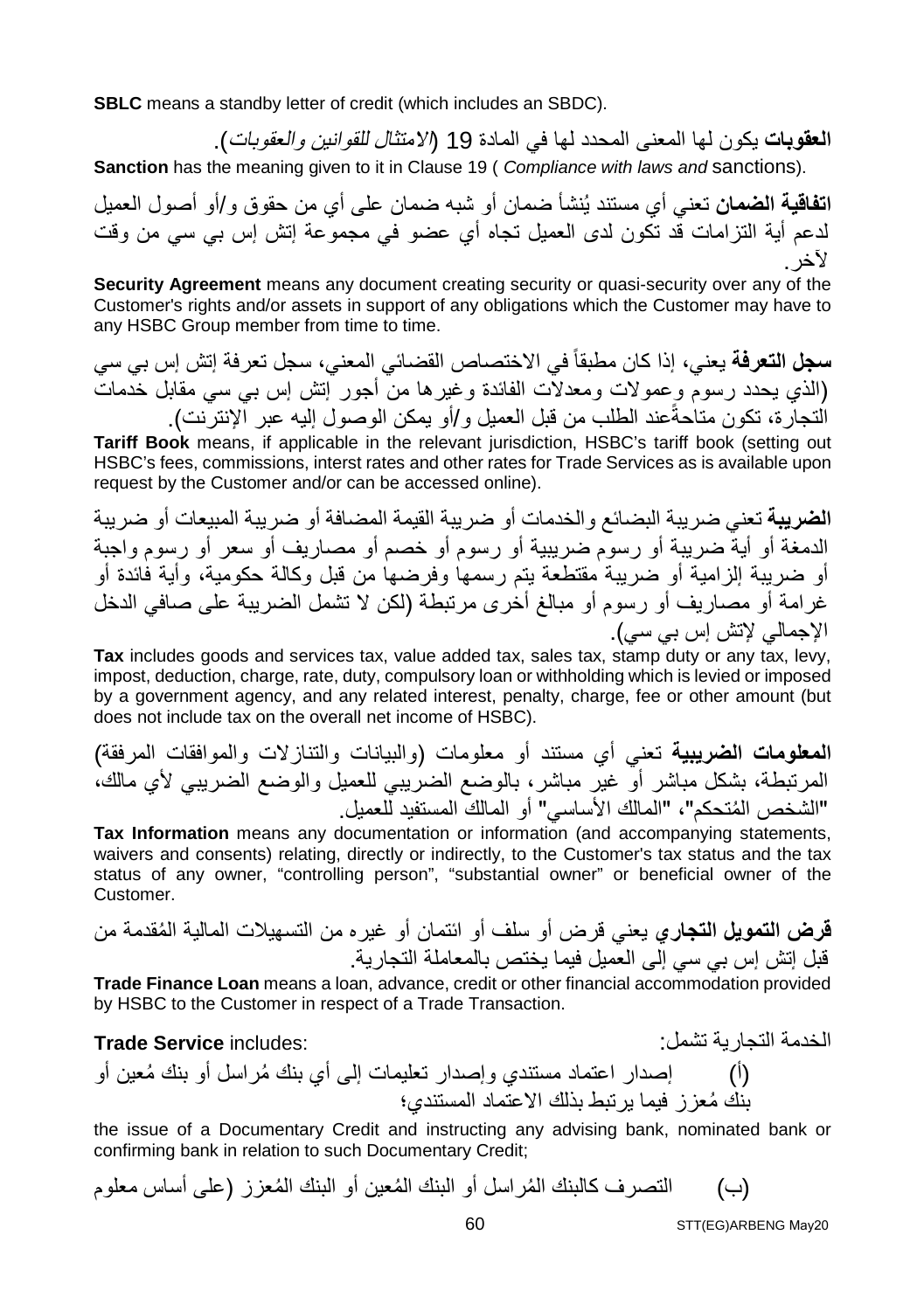**SBLC** means a standby letter of credit (which includes an SBDC).

**العقوبات** یكون لھا المعنى المحدد لھا في المادة 19 (الامتثال للقوانین والعقوبات).

**Sanction** has the meaning given to it in Clause 19 ( *Compliance with laws and* sanctions).

**اتفاقیة الضمان** تعني أي مستند یُنشأ ضمان أو شبھ ضمان على أي من حقوق و/أو أصول العمیل لدعم أیة التزامات قد تكون لدى العمیل تجاه أي عضو في مجموعة إتش إس بي سي من وقت لآخر.

**Security Agreement** means any document creating security or quasi-security over any of the Customer's rights and/or assets in support of any obligations which the Customer may have to any HSBC Group member from time to time.

**سجل التعرفة** یعني، إذا كان مطبقاً في الاختصاص القضائي المعني، سجل تعرفة إتش إس بي سي (الذي یحدد رسوم وعمولات ومعدلات الفائدة وغیرھا من أجور إتش إس بي سي مقابل خدمات النجارة، تكون متاحةًعند الطلب من قبل العمیل و/أو یمكن الوصول إلیه عبر الإنترنت).

**Tariff Book** means, if applicable in the relevant jurisdiction, HSBC's tariff book (setting out HSBC's fees, commissions, interst rates and other rates for Trade Services as is available upon request by the Customer and/or can be accessed online).

**الضریبة** تعني ضریبة البضائع والخدمات أو ضریبة القیمة المضافة أو ضریبة المبیعات أو ضریبة الدمغة أو أیة ضریبة أو رسوم ضریبیة أو رسوم أو خصم أو مصاریف أو سعر أو رسوم واجبة أو ضریبة إلزامیة أو ضریبة مقتطعة یتم رسمھا وفرضھا من قبل وكالة حكومیة، وأیة فائدة أو غرامة أو مصاریف أو رسوم أو مبالغ أخرى مرتبطة (لكن لا تشمل الضریبة على صافي الدخل الإجمالي لإتش إس بي سي).

**Tax** includes goods and services tax, value added tax, sales tax, stamp duty or any tax, levy, impost, deduction, charge, rate, duty, compulsory loan or withholding which is levied or imposed by a government agency, and any related interest, penalty, charge, fee or other amount (but does not include tax on the overall net income of HSBC).

**المعلومات الضریبیة** تعني أي مستند أو معلومات (والبیانات والتنازلات والموافقات المرفقة) المرتبطة، بشكل مباشر أو غیر مباشر، بالوضع الضریبي للعمیل والوضع الضریبي لأي مالك، ُ "الشخص المتحكم"، "المالك الأساسي" أو المالك المستفید للعمیل.

**Tax Information** means any documentation or information (and accompanying statements, waivers and consents) relating, directly or indirectly, to the Customer's tax status and the tax status of any owner, "controlling person", "substantial owner" or beneficial owner of the Customer.

**قرض التمویل التجاري** ُ یعني قرض أو سلف أو ائتمان أو غیره من التسھیلات المالیة المقدمة من قبل إتش إس بي سي إلى العمیل فیما یختص بالمعاملة التجاریة.

**Trade Finance Loan** means a loan, advance, credit or other financial accommodation provided by HSBC to the Customer in respect of a Trade Transaction.

#### الخدمة التجاریة تشمل: :includes **Service Trade**

(أ) ُ إصدار اعتماد مستندي وإصدار تعلیمات إلى أي بنك م ُ راسل أو بنك معین أو ُ بنك معزز فیما یرتبط بذلك الاعتماد المستندي؛

the issue of a Documentary Credit and instructing any advising bank, nominated bank or confirming bank in relation to such Documentary Credit;

(ب) ُ التصرف كالبنك الم ُ راسل أو البنك الم ُ عین أو البنك المعزز (على أساس معلوم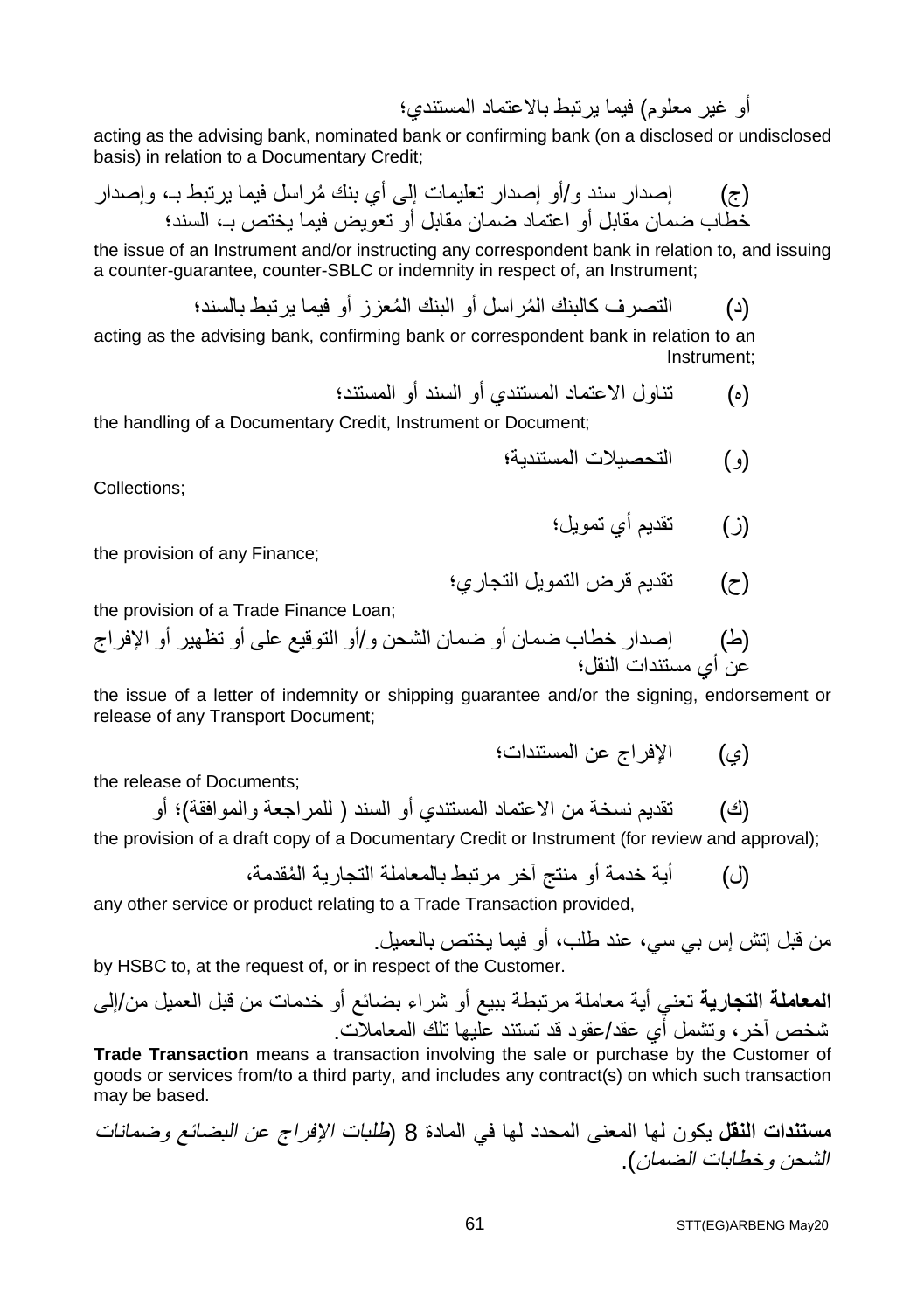أو غیر معلوم) فیما یرتبط بالاعتماد المستندي؛

acting as the advising bank, nominated bank or confirming bank (on a disclosed or undisclosed basis) in relation to a Documentary Credit;

(ج) ُ إصدار سند و/أو إصدار تعلیمات إلى أي بنك مراسل فیما یرتبط بـ، وإصدار خطاب ضمان مقابل أو اعتماد ضمان مقابل أو تعویض فیما یختص بـ، السند؛

the issue of an Instrument and/or instructing any correspondent bank in relation to, and issuing a counter-guarantee, counter-SBLC or indemnity in respect of, an Instrument;

(د) ُ التصرف كالبنك الم ُ راسل أو البنك المعزز أو فیما یرتبط بالسند؛

acting as the advising bank, confirming bank or correspondent bank in relation to an Instrument;

(ه) تناول الاعتماد المستندي أو السند أو المستند؛

the handling of a Documentary Credit, Instrument or Document;

(و) التحصیلات المستندیة؛

Collections;

(ز) تقدیم أي تمویل؛

the provision of any Finance;

(ح) تقدیم قرض التمویل التجاري؛

the provision of a Trade Finance Loan;

(ط) إصدار خطاب ضمان أو ضمان الشحن و/أو التوقیع على أو تظھیر أو الإفراج عن أي مستندات النقل؛

the issue of a letter of indemnity or shipping guarantee and/or the signing, endorsement or release of any Transport Document;

(ي) الإفراج عن المستندات؛

the release of Documents;

(ك) تقدیم نسخة من الاعتماد المستندي أو السند ( للمراجعة والموافقة)؛ أو

the provision of a draft copy of a Documentary Credit or Instrument (for review and approval);

(ل) ُ أیة خدمة أو منتج آخر مرتبط بالمعاملة التجاریة المقدمة،

any other service or product relating to a Trade Transaction provided,

من قبل إتش إس بي سي، عند طلب، أو فیما یختص بالعمیل.

by HSBC to, at the request of, or in respect of the Customer.

**المعاملة التجاریة** تعني أیة معاملة مرتبطة ببیع أو شراء بضائع أو خدمات من قبل العمیل من/إلى شخص آخر، وتشمل أي عقد/عقود قد تستند علیھا تلك المعاملات.

**Trade Transaction** means a transaction involving the sale or purchase by the Customer of goods or services from/to a third party, and includes any contract(s) on which such transaction may be based.

**مستندات النقل** یكون لھا المعنى المحدد لھا في المادة 8 (طلبات الإفراج عن البضائع وضمانات الشحن وخطابات الضمان).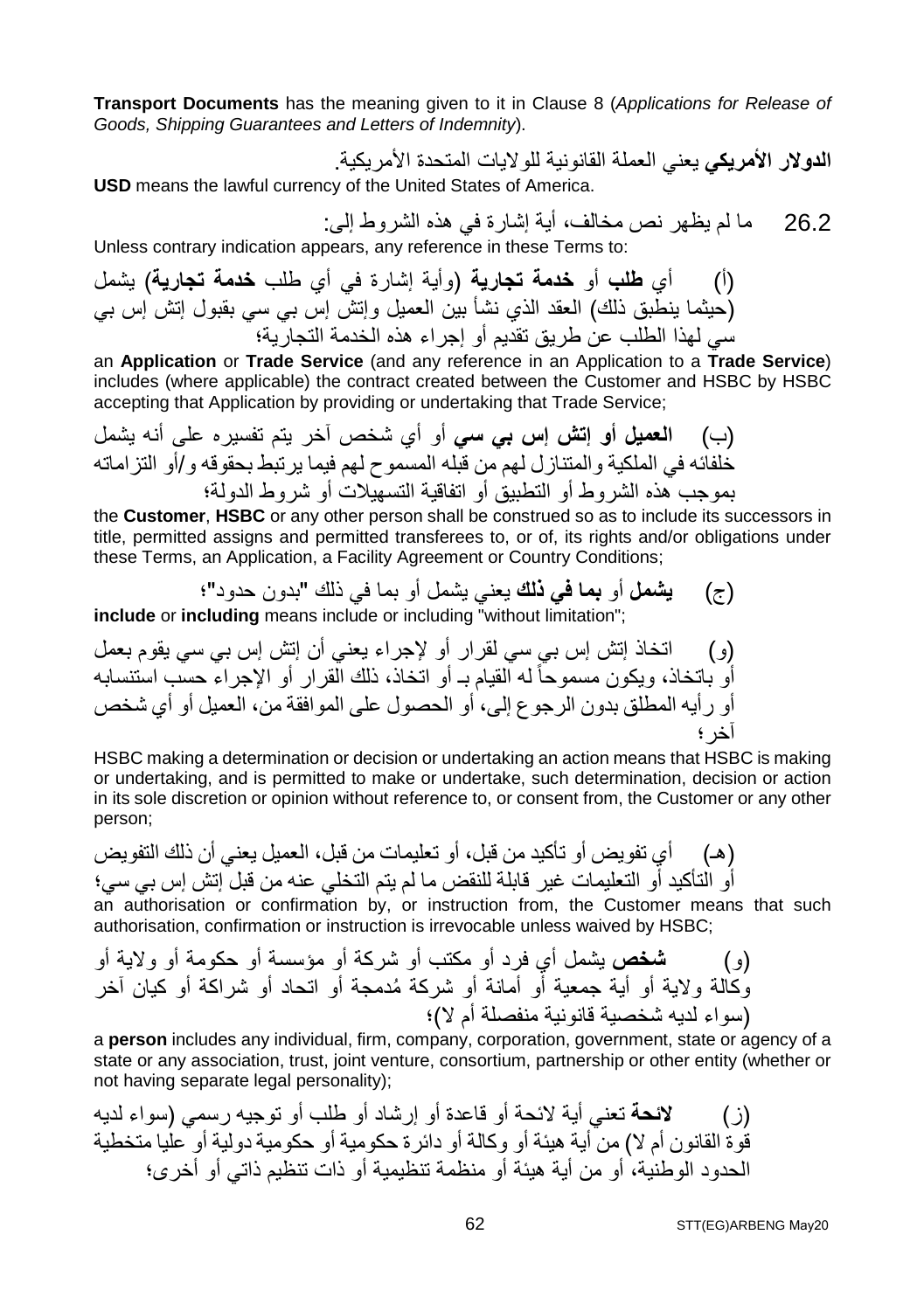**Transport Documents** has the meaning given to it in Clause 8 (*Applications for Release of Goods, Shipping Guarantees and Letters of Indemnity*).

**الدولار الأمریكي** یعني العملة القانونیة للولایات المتحدة الأمریكیة. **USD** means the lawful currency of the United States of America.

26.2 ما لم یظھر نص مخالف، أیة إشارة في ھذه الشروط إلى:

Unless contrary indication appears, any reference in these Terms to:

(أ) أي **طلب** أو **خدمة تجاریة** (وأیة إشارة في أي طلب **خدمة تجاریة**) یشمل (حیثما ینطبق ذلك) العقد الذي نشأ بین العمیل وإتش إس بي سي بقبول إتش إس بي سي لھذا الطلب عن طریق تقدیم أو إجراء ھذه الخدمة التجاریة؛

an **Application** or **Trade Service** (and any reference in an Application to a **Trade Service**) includes (where applicable) the contract created between the Customer and HSBC by HSBC accepting that Application by providing or undertaking that Trade Service;

(ب) **العمیل أو إتش إس بي سي** أو أي شخص آخر یتم تفسیره على أنھ یشمل خلفائھ في الملكیة والمتنازل لھم من قبلھ المسموح لھم فیما یرتبط بحقوقھ و/أو التزاماتھ بموجب ھذه الشروط أو التطبیق أو اتفاقیة التسھیلات أو شروط الدولة؛

the **Customer**, **HSBC** or any other person shall be construed so as to include its successors in title, permitted assigns and permitted transferees to, or of, its rights and/or obligations under these Terms, an Application, a Facility Agreement or Country Conditions;

(ج) **یشمل** أو **بما في ذلك** یعني یشمل أو بما في ذلك "بدون حدود"؛ **include** or **including** means include or including "without limitation":

(و) اتخاذ إتش إس بي سي لقرار أو لإجراء یعني أن إتش إس بي سي یقوم بعمل أو باتخاذ، ویكون مسموحا ـ أو اتخاذ، ذلك القرار أو الإجراء حسب استنسابھ ً لھ القیام ب أو رأیھ المطلق بدون الرجوع إلى، أو الحصول على الموافقة من، العمیل أو أي شخص آخر؛

HSBC making a determination or decision or undertaking an action means that HSBC is making or undertaking, and is permitted to make or undertake, such determination, decision or action in its sole discretion or opinion without reference to, or consent from, the Customer or any other person;

(ھـ) أي تفویض أو تأكید من قبل، أو تعلیمات من قبل، العمیل یعني أن ذلك التفویض أو التأكید أو التعلیمات غیر قابلة للنقض ما لم یتم التخلي عنھ من قبل إتش إس بي سي؛

an authorisation or confirmation by, or instruction from, the Customer means that such authorisation, confirmation or instruction is irrevocable unless waived by HSBC;

(و) **شخص** یشمل أي فرد أو مكتب أو شركة أو مؤسسة أو حكومة أو ولایة أو ُ وكالة ولایة أو أیة جمعیة أو أمانة أو شركة مدمجة أو اتحاد أو شراكة أو كیان آخر (سواء لدیھ شخصیة قانونیة منفصلة أم لا)؛

a **person** includes any individual, firm, company, corporation, government, state or agency of a state or any association, trust, joint venture, consortium, partnership or other entity (whether or not having separate legal personality);

(ز) **لائحة** تعني أیة لائحة أو قاعدة أو إرشاد أو طلب أو توجیھ رسمي (سواء لدیھ قوة القانون أم لا) من أیة ھیئة أو وكالة أو دائرة حكومیة أو حكومیة دولیة أو علیا متخطیة الحدود الوطنیة، أو من أیة ھیئة أو منظمة تنظیمیة أو ذات تنظیم ذاتي أو أخرى؛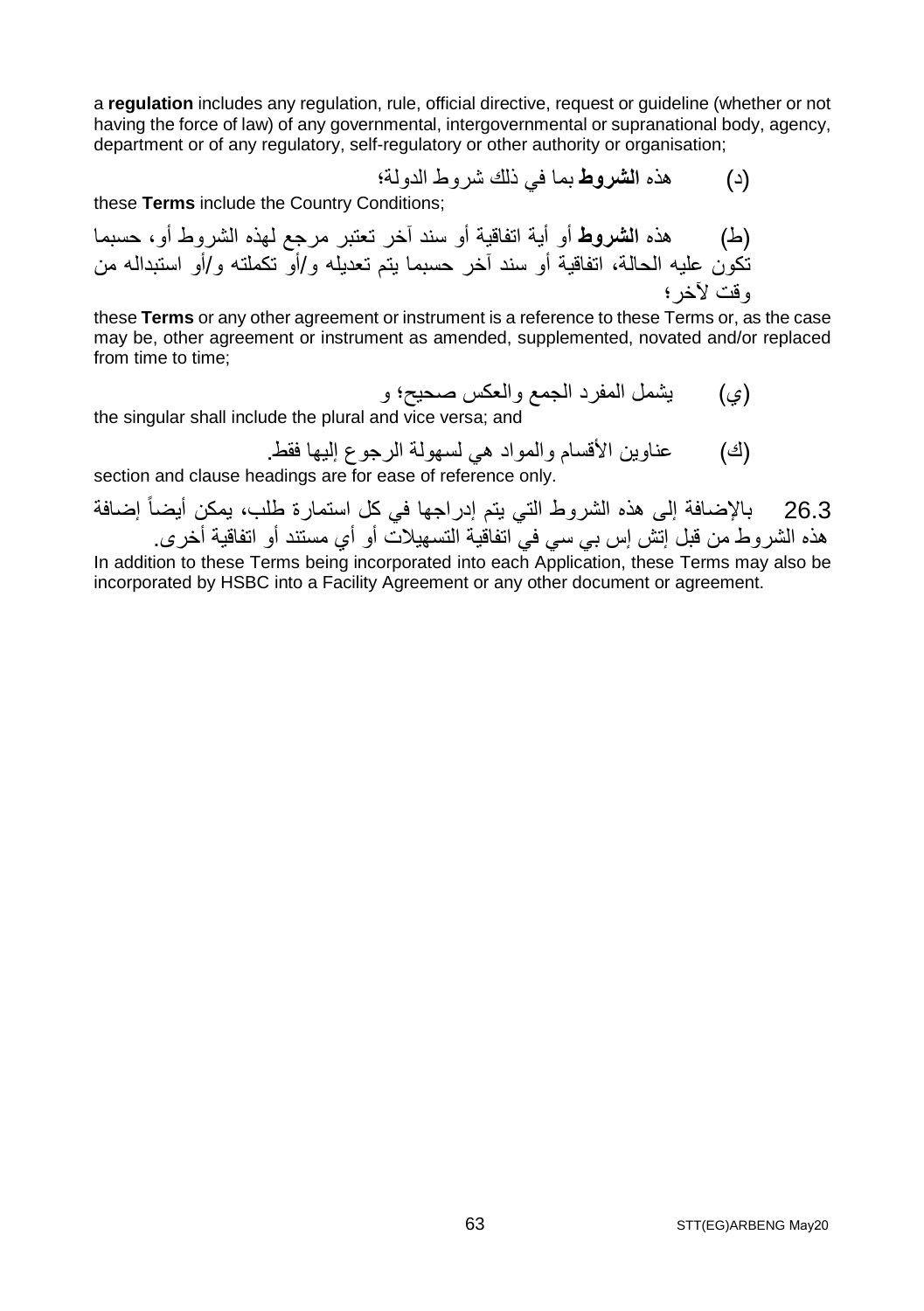a **regulation** includes any regulation, rule, official directive, request or guideline (whether or not having the force of law) of any governmental, intergovernmental or supranational body, agency, department or of any regulatory, self-regulatory or other authority or organisation;

(د) ھذه **الشروط** بما في ذلك شروط الدولة؛

these **Terms** include the Country Conditions;

(ط) ھذه **الشروط** أو أیة اتفاقیة أو سند آخر تعتبر مرجع لھذه الشروط أو، حسبما تكون علیھ الحالة، اتفاقیة أو سند آخر حسبما یتم تعدیلھ و/أو تكملتھ و/أو استبدالھ من وقت لآخر؛

these **Terms** or any other agreement or instrument is a reference to these Terms or, as the case may be, other agreement or instrument as amended, supplemented, novated and/or replaced from time to time:

(ي) یشمل المفرد الجمع والعكس صحیح؛ و

the singular shall include the plural and vice versa; and

(ك) عناوین الأقسام والمواد ھي لسھولة الرجوع إلیھا فقط.

section and clause headings are for ease of reference only.

26.3 بالإضافة إلى ھذه الشروط التي یتم إدراجھا في كل استمارة طلب، یمكن أیضاً إضافة ھذه الشروط من قبل إتش إس بي سي في اتفاقیة التسھیلات أو أي مستند أو اتفاقیة أخرى.

In addition to these Terms being incorporated into each Application, these Terms may also be incorporated by HSBC into a Facility Agreement or any other document or agreement.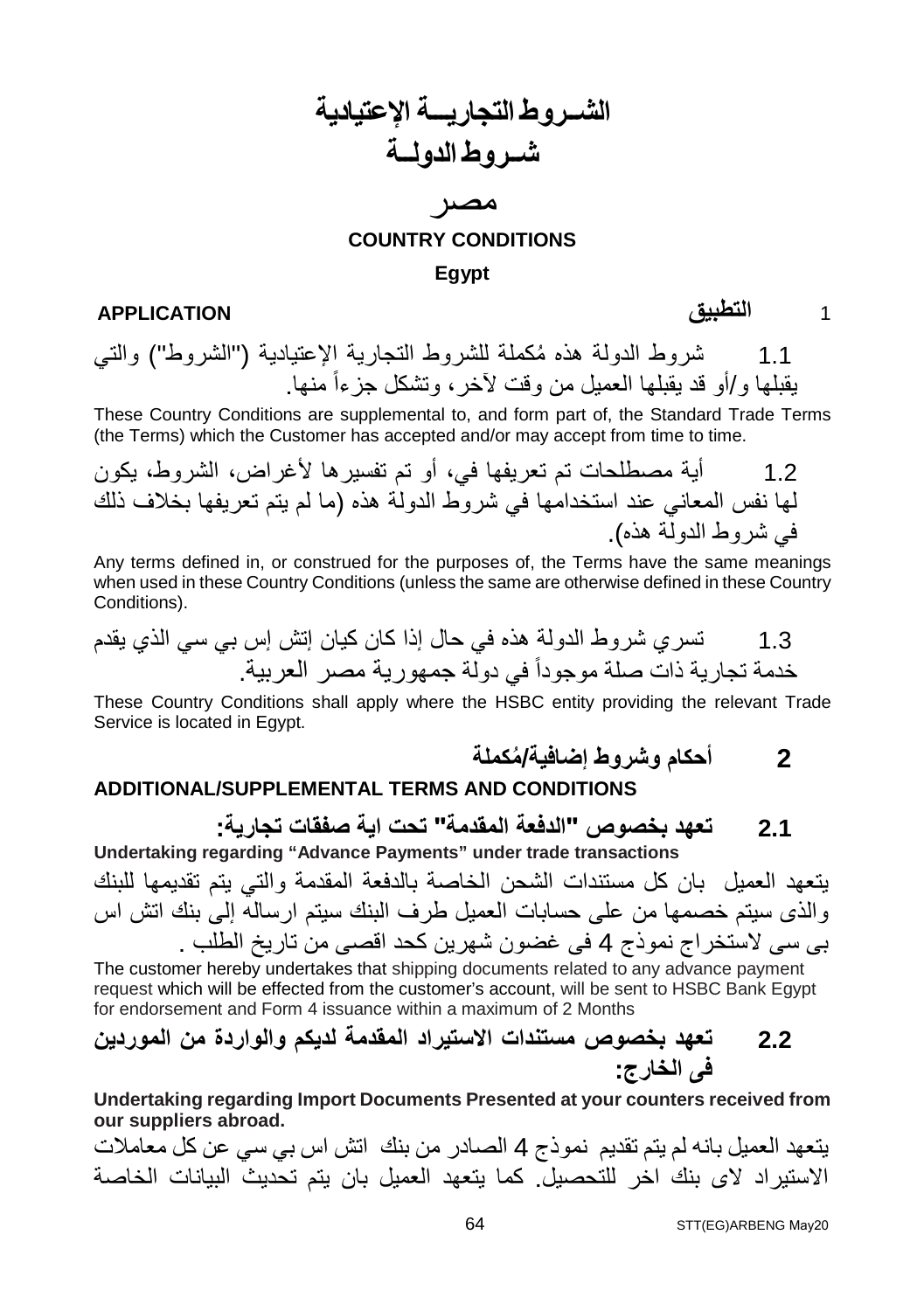### **الشــروط التجاریـــة الإعتیادیة شــروط الدولــة**

### مصر **COUNTRY CONDITIONS Egypt**

1 **التطبیق APPLICATION**

1.1 شروط الدولة ھذه ُمكملة للشروط التجاریة الإعتیادیة ("الشروط") والتي یقبلھا و/أو قد یقبلھا العمیل من وقت لآخر منھا. ، وتشكل جزءاً

These Country Conditions are supplemental to, and form part of, the Standard Trade Terms (the Terms) which the Customer has accepted and/or may accept from time to time.

1.2 أیة مصطلحات تم تعریفھا في، أو تم تفسیرھا لأغراض، الشروط، یكون لھا نفس المعاني عند استخدامھا في شروط الدولة ھذه (ما لم یتم تعریفھا بخلاف ذلك في شروط الدولة ھذه).

Any terms defined in, or construed for the purposes of, the Terms have the same meanings when used in these Country Conditions (unless the same are otherwise defined in these Country Conditions).

1.3 تسري شروط الدولة ھذه في حال إذا كان كیان إتش إس بي سي الذي یقدم خدمة تجاریة ذات صلة موجوداً في دولة جمھوریة مصر العربیة.

These Country Conditions shall apply where the HSBC entity providing the relevant Trade Service is located in Egypt.

#### **ADDITIONAL/SUPPLEMENTAL TERMS AND CONDITIONS**

**2.1 تعھد بخصوص "الدفعة المقدمة" تحت ایة صفقات تجاریة:**

**2 أحكا ُ م وشروط إضافیة/مكملة**

**Undertaking regarding "Advance Payments" under trade transactions** یتعھد العمیل بان كل مستندات الشحن الخاصة بالدفعة المقدمة والتي یتم تقدیمھا للبنك والذى سیتم خصمھا من على حسابات العمیل طرف البنك سیتم ارسالھ إلى بنك اتش اس بى سى لاستخراج نموذج 4 فى غضون شھرین كحد اقصى من تاریخ الطلب .

The customer hereby undertakes that shipping documents related to any advance payment request which will be effected from the customer's account, will be sent to HSBC Bank Egypt for endorsement and Form 4 issuance within a maximum of 2 Months

### **2.2 تعھد بخصوص مستندات الاستیراد المقدمة لدیكم والواردة من الموردین فى الخارج:**

**Undertaking regarding Import Documents Presented at your counters received from our suppliers abroad.**

یتعھد العمیل بانھ لم یتم تقدیم نموذج 4 الصادر من بنك اتش اس بي سي عن كل معاملات الاستیراد لاى بنك اخر للتحصیل. كما یتعھد العمیل بان یتم تحدیث البیانات الخاصة